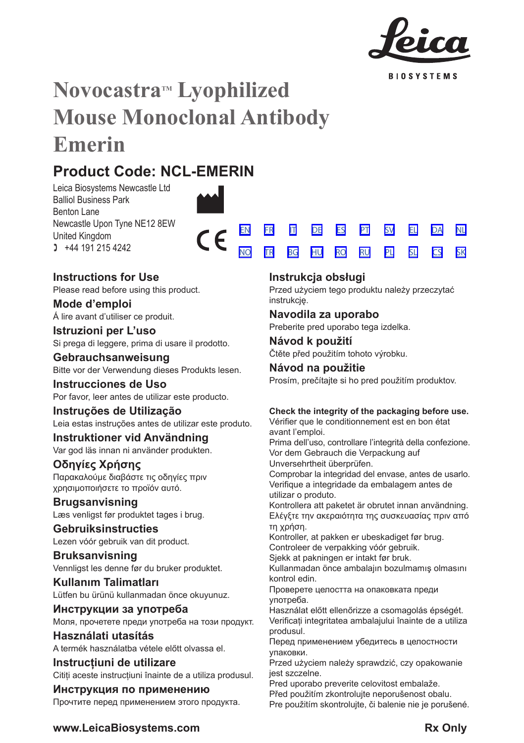

**BIOSYSTEMS** 

[SV](#page-31-0) [EL](#page-35-0) [DA](#page-39-0) [PL](#page-73-0) [SL](#page-77-0) [CS](#page-81-0)

[NL](#page-43-0)

[SK](#page-85-0)

# **Novocastra™ Lyophilized Mouse Monoclonal Antibody Emerin**

 $\epsilon$ 

# **Product Code: NCL-EMERIN**

Leica Biosystems Newcastle Ltd Balliol Business Park Benton Lane Newcastle Upon Tyne NE12 8EW United Kingdom  $1 +44 191 215 4242$ 

# **Instructions for Use**

Please read before using this product.

**Mode d'emploi** Á lire avant d'utiliser ce produit.

**Istruzioni per L'uso** Si prega di leggere, prima di usare il prodotto.

# **Gebrauchsanweisung** Bitte vor der Verwendung dieses Produkts lesen.

**Instrucciones de Uso** Por favor, leer antes de utilizar este producto.

# **Instruções de Utilização** Leia estas instruções antes de utilizar este produto.

**Instruktioner vid Användning** Var god läs innan ni använder produkten.

# **Οδηγίες Χρήσης**

Παρακαλούμε διαβάστε τις οδηγίες πριν χρησιμοποιήσετε το προϊόν αυτό.

**Brugsanvisning** Læs venligst før produktet tages i brug.

# **Gebruiksinstructies** Lezen vóór gebruik van dit product.

**Bruksanvisning** Vennligst les denne før du bruker produktet.

**Kullanım Talimatları** Lütfen bu ürünü kullanmadan önce okuyunuz.

**Инструкции за употреба** Моля, прочетете преди употреба на този продукт.

**Használati utasítás** A termék használatba vétele előtt olvassa el.

**Instrucțiuni de utilizare** Citiți aceste instrucțiuni înainte de a utiliza produsul.

**Инструкция по применению** Прочтите перед применением этого продукта.

# **Instrukcja obsługi**

[EN](#page-2-0) [FR](#page-6-0) [IT](#page-11-0) [DE](#page-16-0) [ES](#page-21-0) [PT](#page-26-0) <u>[NO](#page-47-0) [TR](#page-51-0) [BG](#page-55-0) [HU](#page-60-0) [RO](#page-64-0) [RU](#page-68-0)</u>

> Przed użyciem tego produktu należy przeczytać instrukcję.

# **Navodila za uporabo**

Preberite pred uporabo tega izdelka.

**Návod k použití** Čtěte před použitím tohoto výrobku.

# **Návod na použitie**

Prosím, prečítajte si ho pred použitím produktov.

# **Check the integrity of the packaging before use.**

Vérifier que le conditionnement est en bon état avant l'emploi.

Prima dell'uso, controllare l'integrità della confezione. Vor dem Gebrauch die Verpackung auf

Unversehrtheit überprüfen.

Comprobar la integridad del envase, antes de usarlo. Verifique a integridade da embalagem antes de utilizar o produto.

Kontrollera att paketet är obrutet innan användning. Ελέγξτε την ακεραιότητα της συσκευασίας πριν από τη χρήση.

Kontroller, at pakken er ubeskadiget før brug. Controleer de verpakking vóór gebruik.

Sjekk at pakningen er intakt før bruk.

Kullanmadan önce ambalajın bozulmamış olmasını kontrol edin.

Проверете целостта на опаковката преди употреба.

Használat előtt ellenőrizze a csomagolás épségét. Verificați integritatea ambalajului înainte de a utiliza produsul.

Перед применением убедитесь в целостности упаковки.

Przed użyciem należy sprawdzić, czy opakowanie jest szczelne.

Pred uporabo preverite celovitost embalaže. Před použitím zkontrolujte neporušenost obalu.

Pre použitím skontrolujte, či balenie nie je porušené.

# **www.LeicaBiosystems.com Rx Only**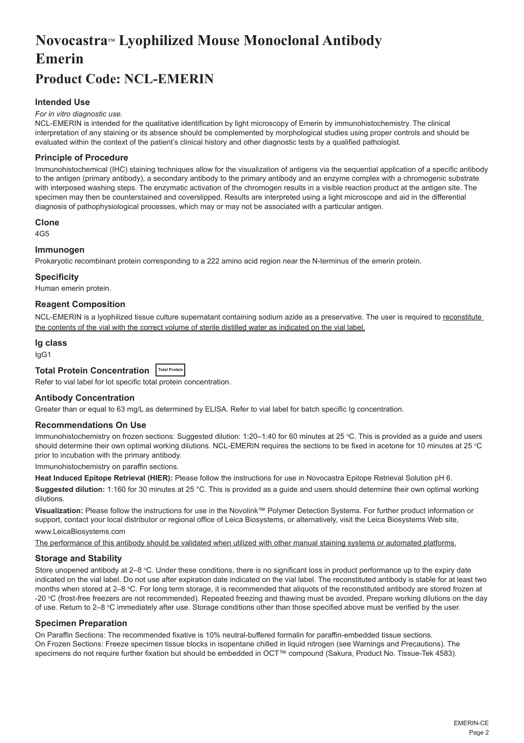# <span id="page-2-0"></span>**NovocastraM Lyophilized Mouse Monoclonal Antibody Emerin**

# **Product Code: NCL-EMERIN**

# **Intended Use**

#### *For in vitro diagnostic use.*

NCL-EMERIN is intended for the qualitative identification by light microscopy of Emerin by immunohistochemistry. The clinical interpretation of any staining or its absence should be complemented by morphological studies using proper controls and should be evaluated within the context of the patient's clinical history and other diagnostic tests by a qualified pathologist.

#### **Principle of Procedure**

Immunohistochemical (IHC) staining techniques allow for the visualization of antigens via the sequential application of a specific antibody to the antigen (primary antibody), a secondary antibody to the primary antibody and an enzyme complex with a chromogenic substrate with interposed washing steps. The enzymatic activation of the chromogen results in a visible reaction product at the antigen site. The specimen may then be counterstained and coverslipped. Results are interpreted using a light microscope and aid in the differential diagnosis of pathophysiological processes, which may or may not be associated with a particular antigen.

#### **Clone**

4G5

#### **Immunogen**

Prokaryotic recombinant protein corresponding to a 222 amino acid region near the N-terminus of the emerin protein.

#### **Specificity**

Human emerin protein.

# **Reagent Composition**

NCL-EMERIN is a lyophilized tissue culture supernatant containing sodium azide as a preservative. The user is required to reconstitute the contents of the vial with the correct volume of sterile distilled water as indicated on the vial label.

#### **Ig class**

IgG1

# **Total Protein Concentration Total Protein**

Refer to vial label for lot specific total protein concentration.

#### **Antibody Concentration**

Greater than or equal to 63 mg/L as determined by ELISA. Refer to vial label for batch specific Ig concentration.

#### **Recommendations On Use**

lmmunohistochemistry on frozen sections: Suggested dilution: 1:20–1:40 for 60 minutes at 25 °C. This is provided as a guide and users should determine their own optimal working dilutions. NCL-EMERIN requires the sections to be fixed in acetone for 10 minutes at 25 °C prior to incubation with the primary antibody.

Immunohistochemistry on paraffin sections.

**Heat Induced Epitope Retrieval (HIER):** Please follow the instructions for use in Novocastra Epitope Retrieval Solution pH 6.

**Suggested dilution:** 1:160 for 30 minutes at 25 °C. This is provided as a guide and users should determine their own optimal working dilutions.

**Visualization:** Please follow the instructions for use in the Novolink™ Polymer Detection Systems. For further product information or support, contact your local distributor or regional office of Leica Biosystems, or alternatively, visit the Leica Biosystems Web site,

www.LeicaBiosystems.com

The performance of this antibody should be validated when utilized with other manual staining systems or automated platforms.

#### **Storage and Stability**

Store unopened antibody at 2–8 °C. Under these conditions, there is no significant loss in product performance up to the expiry date indicated on the vial label. Do not use after expiration date indicated on the vial label. The reconstituted antibody is stable for at least two months when stored at 2–8 °C. For long term storage, it is recommended that aliquots of the reconstituted antibody are stored frozen at -20 °C (frost-free freezers are not recommended). Repeated freezing and thawing must be avoided. Prepare working dilutions on the day of use. Return to 2–8 °C immediately after use. Storage conditions other than those specified above must be verified by the user.

#### **Specimen Preparation**

On Paraffin Sections: The recommended fixative is 10% neutral-buffered formalin for paraffin-embedded tissue sections. On Frozen Sections: Freeze specimen tissue blocks in isopentane chilled in liquid nitrogen (see Warnings and Precautions). The specimens do not require further fixation but should be embedded in OCT™ compound (Sakura, Product No. Tissue-Tek 4583).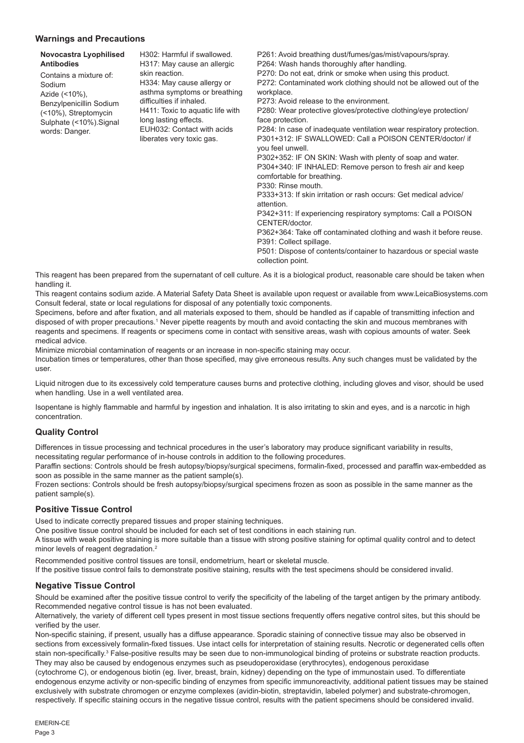#### **Warnings and Precautions**

| Novocastra Lyophilised                                                                                                                            | H302: Harmful if swallowed.                                                                                                                                                                                                      | P261: Avoid breathing dust/fumes/gas/mist/vapours/spray.                                                                                             |
|---------------------------------------------------------------------------------------------------------------------------------------------------|----------------------------------------------------------------------------------------------------------------------------------------------------------------------------------------------------------------------------------|------------------------------------------------------------------------------------------------------------------------------------------------------|
| <b>Antibodies</b>                                                                                                                                 | H317: May cause an allergic                                                                                                                                                                                                      | P264: Wash hands thoroughly after handling.                                                                                                          |
| Contains a mixture of:<br>Sodium<br>Azide (<10%),<br>Benzylpenicillin Sodium<br>(<10%), Streptomycin<br>Sulphate (<10%). Signal<br>words: Danger. | skin reaction.<br>H334: May cause allergy or<br>asthma symptoms or breathing<br>difficulties if inhaled.<br>H411: Toxic to aquatic life with<br>long lasting effects.<br>EUH032: Contact with acids<br>liberates very toxic gas. | P270: Do not eat, drink or smoke when using this product.<br>P272: Contaminated work clothing should not be allowed out of the                       |
|                                                                                                                                                   |                                                                                                                                                                                                                                  | workplace.<br>P273: Avoid release to the environment.                                                                                                |
|                                                                                                                                                   |                                                                                                                                                                                                                                  | P280: Wear protective gloves/protective clothing/eye protection/<br>face protection.                                                                 |
|                                                                                                                                                   |                                                                                                                                                                                                                                  | P284: In case of inadequate ventilation wear respiratory protection.<br>P301+312: IF SWALLOWED: Call a POISON CENTER/doctor/ if<br>vou feel unwell.  |
|                                                                                                                                                   |                                                                                                                                                                                                                                  | P302+352: IF ON SKIN: Wash with plenty of soap and water.<br>P304+340: IF INHALED: Remove person to fresh air and keep<br>comfortable for breathing. |
|                                                                                                                                                   |                                                                                                                                                                                                                                  | P330: Rinse mouth.<br>P333+313: If skin irritation or rash occurs: Get medical advice/<br>attention.                                                 |
|                                                                                                                                                   |                                                                                                                                                                                                                                  | P342+311: If experiencing respiratory symptoms: Call a POISON<br>CENTER/doctor.                                                                      |
|                                                                                                                                                   |                                                                                                                                                                                                                                  | P362+364: Take off contaminated clothing and wash it before reuse.<br>P391: Collect spillage.                                                        |

P501: Dispose of contents/container to hazardous or special waste collection point.

This reagent has been prepared from the supernatant of cell culture. As it is a biological product, reasonable care should be taken when handling it.

This reagent contains sodium azide. A Material Safety Data Sheet is available upon request or available from www.LeicaBiosystems.com Consult federal, state or local regulations for disposal of any potentially toxic components.

Specimens, before and after fixation, and all materials exposed to them, should be handled as if capable of transmitting infection and disposed of with proper precautions.<sup>1</sup> Never pipette reagents by mouth and avoid contacting the skin and mucous membranes with reagents and specimens. If reagents or specimens come in contact with sensitive areas, wash with copious amounts of water. Seek medical advice.

Minimize microbial contamination of reagents or an increase in non-specific staining may occur.

Incubation times or temperatures, other than those specified, may give erroneous results. Any such changes must be validated by the user.

Liquid nitrogen due to its excessively cold temperature causes burns and protective clothing, including gloves and visor, should be used when handling. Use in a well ventilated area.

Isopentane is highly flammable and harmful by ingestion and inhalation. It is also irritating to skin and eyes, and is a narcotic in high concentration.

## **Quality Control**

Differences in tissue processing and technical procedures in the user's laboratory may produce significant variability in results, necessitating regular performance of in-house controls in addition to the following procedures.

Paraffin sections: Controls should be fresh autopsy/biopsy/surgical specimens, formalin-fixed, processed and paraffin wax-embedded as soon as possible in the same manner as the patient sample(s).

Frozen sections: Controls should be fresh autopsy/biopsy/surgical specimens frozen as soon as possible in the same manner as the patient sample(s).

#### **Positive Tissue Control**

Used to indicate correctly prepared tissues and proper staining techniques.

One positive tissue control should be included for each set of test conditions in each staining run.

A tissue with weak positive staining is more suitable than a tissue with strong positive staining for optimal quality control and to detect minor levels of reagent degradation.<sup>2</sup>

Recommended positive control tissues are tonsil, endometrium, heart or skeletal muscle.

If the positive tissue control fails to demonstrate positive staining, results with the test specimens should be considered invalid.

#### **Negative Tissue Control**

Should be examined after the positive tissue control to verify the specificity of the labeling of the target antigen by the primary antibody. Recommended negative control tissue is has not been evaluated.

Alternatively, the variety of different cell types present in most tissue sections frequently offers negative control sites, but this should be verified by the user.

Non-specific staining, if present, usually has a diffuse appearance. Sporadic staining of connective tissue may also be observed in sections from excessively formalin-fixed tissues. Use intact cells for interpretation of staining results. Necrotic or degenerated cells often stain non-specifically.<sup>3</sup> False-positive results may be seen due to non-immunological binding of proteins or substrate reaction products. They may also be caused by endogenous enzymes such as pseudoperoxidase (erythrocytes), endogenous peroxidase

(cytochrome C), or endogenous biotin (eg. liver, breast, brain, kidney) depending on the type of immunostain used. To differentiate endogenous enzyme activity or non-specific binding of enzymes from specific immunoreactivity, additional patient tissues may be stained exclusively with substrate chromogen or enzyme complexes (avidin-biotin, streptavidin, labeled polymer) and substrate-chromogen, respectively. If specific staining occurs in the negative tissue control, results with the patient specimens should be considered invalid.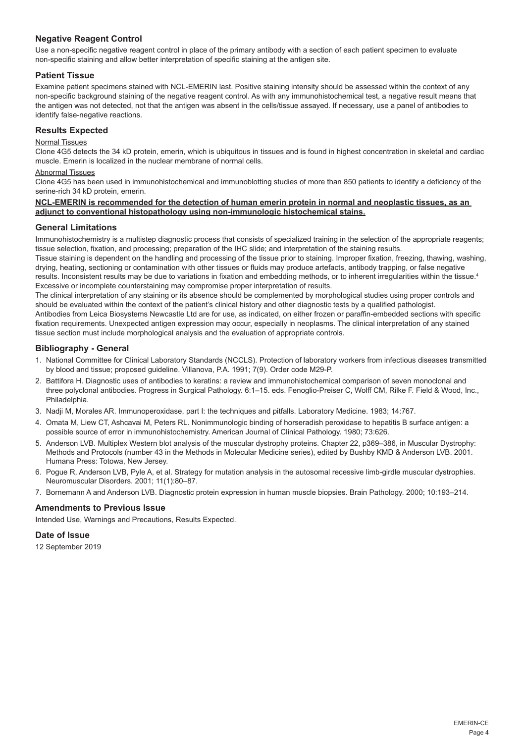# **Negative Reagent Control**

Use a non-specific negative reagent control in place of the primary antibody with a section of each patient specimen to evaluate non-specific staining and allow better interpretation of specific staining at the antigen site.

#### **Patient Tissue**

Examine patient specimens stained with NCL-EMERIN last. Positive staining intensity should be assessed within the context of any non-specific background staining of the negative reagent control. As with any immunohistochemical test, a negative result means that the antigen was not detected, not that the antigen was absent in the cells/tissue assayed. If necessary, use a panel of antibodies to identify false-negative reactions.

## **Results Expected**

#### Normal Tissues

Clone 4G5 detects the 34 kD protein, emerin, which is ubiquitous in tissues and is found in highest concentration in skeletal and cardiac muscle. Emerin is localized in the nuclear membrane of normal cells.

#### Abnormal Tissues

Clone 4G5 has been used in immunohistochemical and immunoblotting studies of more than 850 patients to identify a deficiency of the serine-rich 34 kD protein, emerin.

#### **NCL-EMERIN is recommended for the detection of human emerin protein in normal and neoplastic tissues, as an adjunct to conventional histopathology using non-immunologic histochemical stains.**

#### **General Limitations**

Immunohistochemistry is a multistep diagnostic process that consists of specialized training in the selection of the appropriate reagents; tissue selection, fixation, and processing; preparation of the IHC slide; and interpretation of the staining results.

Tissue staining is dependent on the handling and processing of the tissue prior to staining. Improper fixation, freezing, thawing, washing, drying, heating, sectioning or contamination with other tissues or fluids may produce artefacts, antibody trapping, or false negative results. Inconsistent results may be due to variations in fixation and embedding methods, or to inherent irregularities within the tissue.<sup>4</sup> Excessive or incomplete counterstaining may compromise proper interpretation of results.

The clinical interpretation of any staining or its absence should be complemented by morphological studies using proper controls and should be evaluated within the context of the patient's clinical history and other diagnostic tests by a qualified pathologist. Antibodies from Leica Biosystems Newcastle Ltd are for use, as indicated, on either frozen or paraffin-embedded sections with specific fixation requirements. Unexpected antigen expression may occur, especially in neoplasms. The clinical interpretation of any stained tissue section must include morphological analysis and the evaluation of appropriate controls.

#### **Bibliography - General**

- 1. National Committee for Clinical Laboratory Standards (NCCLS). Protection of laboratory workers from infectious diseases transmitted by blood and tissue; proposed guideline. Villanova, P.A. 1991; 7(9). Order code M29-P.
- 2. Battifora H. Diagnostic uses of antibodies to keratins: a review and immunohistochemical comparison of seven monoclonal and three polyclonal antibodies. Progress in Surgical Pathology. 6:1–15. eds. Fenoglio-Preiser C, Wolff CM, Rilke F. Field & Wood, Inc., Philadelphia.
- 3. Nadji M, Morales AR. Immunoperoxidase, part I: the techniques and pitfalls. Laboratory Medicine. 1983; 14:767.
- 4. Omata M, Liew CT, Ashcavai M, Peters RL. Nonimmunologic binding of horseradish peroxidase to hepatitis B surface antigen: a possible source of error in immunohistochemistry. American Journal of Clinical Pathology. 1980; 73:626.
- 5. Anderson LVB. Multiplex Western blot analysis of the muscular dystrophy proteins. Chapter 22, p369–386, in Muscular Dystrophy: Methods and Protocols (number 43 in the Methods in Molecular Medicine series), edited by Bushby KMD & Anderson LVB. 2001. Humana Press: Totowa, New Jersey.
- 6. Pogue R, Anderson LVB, Pyle A, et al. Strategy for mutation analysis in the autosomal recessive limb-girdle muscular dystrophies. Neuromuscular Disorders. 2001; 11(1):80–87.
- 7. Bornemann A and Anderson LVB. Diagnostic protein expression in human muscle biopsies. Brain Pathology. 2000; 10:193–214.

#### **Amendments to Previous Issue**

Intended Use, Warnings and Precautions, Results Expected.

# **Date of Issue**

12 September 2019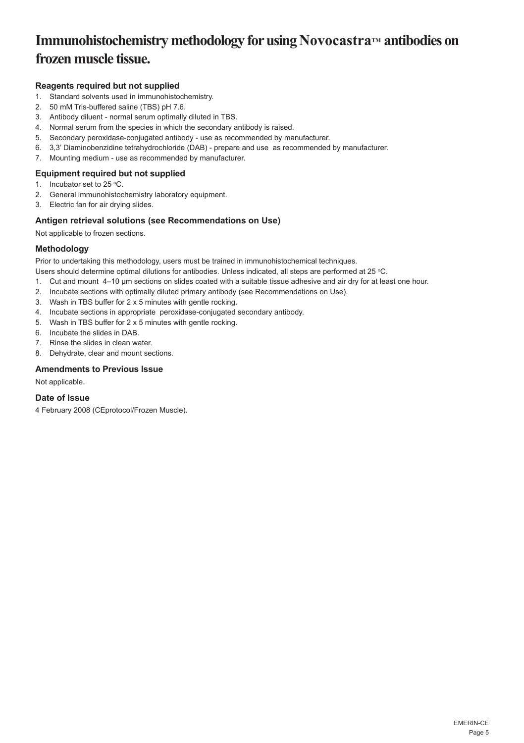# **Immunohistochemistry methodology for using Novocastra™ antibodies on frozen muscle tissue.**

# **Reagents required but not supplied**

- 1. Standard solvents used in immunohistochemistry.
- 2. 50 mM Tris-buffered saline (TBS) pH 7.6.
- 3. Antibody diluent normal serum optimally diluted in TBS.
- 4. Normal serum from the species in which the secondary antibody is raised.
- 5. Secondary peroxidase-conjugated antibody use as recommended by manufacturer.
- 6. 3,3' Diaminobenzidine tetrahydrochloride (DAB) prepare and use as recommended by manufacturer.
- 7. Mounting medium use as recommended by manufacturer.

# **Equipment required but not supplied**

- 1. Incubator set to  $25^{\circ}$ C.
- 2. General immunohistochemistry laboratory equipment.
- 3. Electric fan for air drying slides.

# **Antigen retrieval solutions (see Recommendations on Use)**

Not applicable to frozen sections.

# **Methodology**

Prior to undertaking this methodology, users must be trained in immunohistochemical techniques.

- Users should determine optimal dilutions for antibodies. Unless indicated, all steps are performed at 25 °C.
- 1. Cut and mount 4–10 µm sections on slides coated with a suitable tissue adhesive and air dry for at least one hour.
- 2. Incubate sections with optimally diluted primary antibody (see Recommendations on Use).
- 3. Wash in TBS buffer for 2 x 5 minutes with gentle rocking.
- 4. Incubate sections in appropriate peroxidase-conjugated secondary antibody.
- 5. Wash in TBS buffer for 2 x 5 minutes with gentle rocking.
- 6. Incubate the slides in DAB.
- 7. Rinse the slides in clean water.
- 8. Dehydrate, clear and mount sections.

### **Amendments to Previous Issue**

Not applicable.

# **Date of Issue**

4 February 2008 (CEprotocol/Frozen Muscle).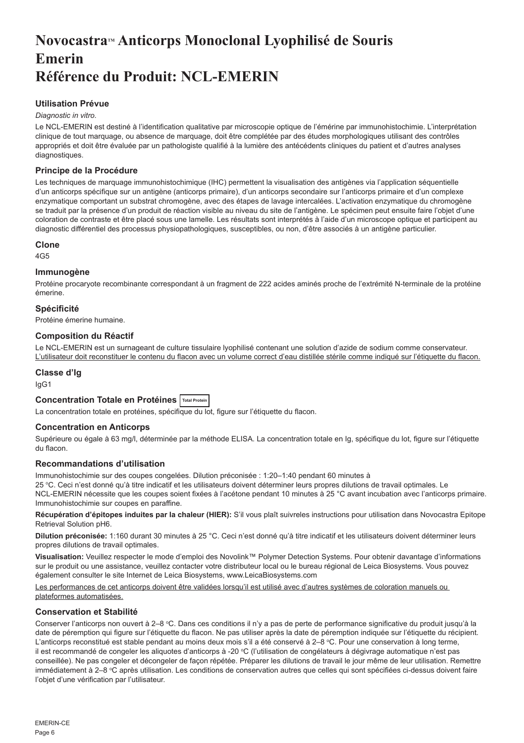# <span id="page-6-0"></span>**NovocastraTM Anticorps Monoclonal Lyophilisé de Souris Emerin Référence du Produit: NCL-EMERIN**

# **Utilisation Prévue**

#### *Diagnostic in vitro*.

Le NCL-EMERIN est destiné à l'identification qualitative par microscopie optique de l'émérine par immunohistochimie. L'interprétation clinique de tout marquage, ou absence de marquage, doit être complétée par des études morphologiques utilisant des contrôles appropriés et doit être évaluée par un pathologiste qualifié à la lumière des antécédents cliniques du patient et d'autres analyses diagnostiques.

## **Principe de la Procédure**

Les techniques de marquage immunohistochimique (IHC) permettent la visualisation des antigènes via l'application séquentielle d'un anticorps spécifique sur un antigène (anticorps primaire), d'un anticorps secondaire sur l'anticorps primaire et d'un complexe enzymatique comportant un substrat chromogène, avec des étapes de lavage intercalées. L'activation enzymatique du chromogène se traduit par la présence d'un produit de réaction visible au niveau du site de l'antigène. Le spécimen peut ensuite faire l'objet d'une coloration de contraste et être placé sous une lamelle. Les résultats sont interprétés à l'aide d'un microscope optique et participent au diagnostic différentiel des processus physiopathologiques, susceptibles, ou non, d'être associés à un antigène particulier.

#### **Clone**

 $AC5$ 

#### **Immunogène**

Protéine procaryote recombinante correspondant à un fragment de 222 acides aminés proche de l'extrémité N-terminale de la protéine émerine.

#### **Spécificité**

Protéine émerine humaine.

#### **Composition du Réactif**

Le NCL-EMERIN est un surnageant de culture tissulaire lyophilisé contenant une solution d'azide de sodium comme conservateur. L'utilisateur doit reconstituer le contenu du flacon avec un volume correct d'eau distillée stérile comme indiqué sur l'étiquette du flacon.

#### **Classe d'Ig**

IgG1

### **Concentration Totale en Protéines Total Protein**

La concentration totale en protéines, spécifique du lot, figure sur l'étiquette du flacon.

#### **Concentration en Anticorps**

Supérieure ou égale à 63 mg/l, déterminée par la méthode ELISA. La concentration totale en Ig, spécifique du lot, figure sur l'étiquette du flacon.

### **Recommandations d'utilisation**

Immunohistochimie sur des coupes congelées. Dilution préconisée : 1:20–1:40 pendant 60 minutes à

25 °C. Ceci n'est donné qu'à titre indicatif et les utilisateurs doivent déterminer leurs propres dilutions de travail optimales. Le NCL-EMERIN nécessite que les coupes soient fixées à l'acétone pendant 10 minutes à 25 °C avant incubation avec l'anticorps primaire. Immunohistochimie sur coupes en paraffine.

**Récupération d'épitopes induites par la chaleur (HIER):** S'il vous plaît suivreles instructions pour utilisation dans Novocastra Epitope Retrieval Solution pH6.

**Dilution préconisée:** 1:160 durant 30 minutes à 25 °C. Ceci n'est donné qu'à titre indicatif et les utilisateurs doivent déterminer leurs propres dilutions de travail optimales.

**Visualisation:** Veuillez respecter le mode d'emploi des Novolink™ Polymer Detection Systems. Pour obtenir davantage d'informations sur le produit ou une assistance, veuillez contacter votre distributeur local ou le bureau régional de Leica Biosystems. Vous pouvez également consulter le site Internet de Leica Biosystems, www.LeicaBiosystems.com

Les performances de cet anticorps doivent être validées lorsqu'il est utilisé avec d'autres systèmes de coloration manuels ou plateformes automatisées.

## **Conservation et Stabilité**

Conserver l'anticorps non ouvert à 2–8 °C. Dans ces conditions il n'y a pas de perte de performance significative du produit jusqu'à la date de péremption qui figure sur l'étiquette du flacon. Ne pas utiliser après la date de péremption indiquée sur l'étiquette du récipient. L'anticorps reconstitué est stable pendant au moins deux mois s'il a été conservé à 2–8 °C. Pour une conservation à long terme, il est recommandé de congeler les aliquotes d'anticorps à -20 °C (l'utilisation de congélateurs à dégivrage automatique n'est pas conseillée). Ne pas congeler et décongeler de façon répétée. Préparer les dilutions de travail le jour même de leur utilisation. Remettre immédiatement à 2–8 °C après utilisation. Les conditions de conservation autres que celles qui sont spécifiées ci-dessus doivent faire l'objet d'une vérification par l'utilisateur.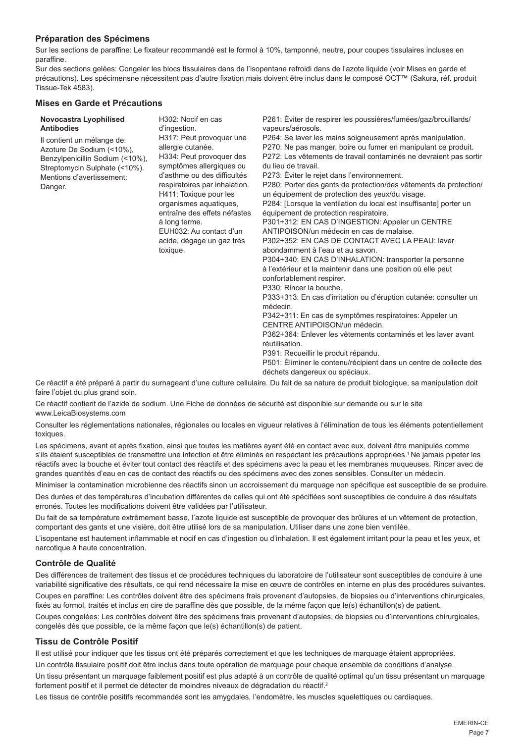## **Préparation des Spécimens**

Sur les sections de paraffine: Le fixateur recommandé est le formol à 10%, tamponné, neutre, pour coupes tissulaires incluses en paraffine.

Sur des sections gelées: Congeler les blocs tissulaires dans de l'isopentane refroidi dans de l'azote liquide (voir Mises en garde et précautions). Les spécimensne nécessitent pas d'autre fixation mais doivent être inclus dans le composé OCT™ (Sakura, réf. produit Tissue-Tek 4583).

#### **Mises en Garde et Précautions**

| Novocastra Lyophilised          | H302: Nocif en cas            | P261: Éviter de respirer les poussières/fumées/gaz/brouillards/                                                                             |
|---------------------------------|-------------------------------|---------------------------------------------------------------------------------------------------------------------------------------------|
| <b>Antibodies</b>               | d'ingestion.                  | vapeurs/aérosols.                                                                                                                           |
| Il contient un mélange de:      | H317: Peut provoquer une      | P264: Se laver les mains soigneusement après manipulation.                                                                                  |
| Azoture De Sodium (<10%),       | allergie cutanée.             | P270: Ne pas manger, boire ou fumer en manipulant ce produit.                                                                               |
| Benzylpenicillin Sodium (<10%), | H334: Peut provoquer des      | P272: Les vêtements de travail contaminés ne devraient pas sortir                                                                           |
| Streptomycin Sulphate (<10%).   | symptômes allergiques ou      | du lieu de travail.                                                                                                                         |
| Mentions d'avertissement:       | d'asthme ou des difficultés   | P273: Éviter le rejet dans l'environnement.                                                                                                 |
| Danger.                         | respiratoires par inhalation. | P280: Porter des gants de protection/des vêtements de protection/                                                                           |
|                                 | H411: Toxique pour les        | un équipement de protection des yeux/du visage.                                                                                             |
|                                 | organismes aquatiques,        | P284: [Lorsque la ventilation du local est insuffisante] porter un                                                                          |
|                                 | entraîne des effets néfastes  | équipement de protection respiratoire.                                                                                                      |
|                                 | à long terme.                 | P301+312: EN CAS D'INGESTION: Appeler un CENTRE                                                                                             |
|                                 | EUH032: Au contact d'un       | ANTIPOISON/un médecin en cas de malaise.                                                                                                    |
|                                 | acide, dégage un gaz très     | P302+352: EN CAS DE CONTACT AVEC LA PEAU: laver                                                                                             |
|                                 | toxique.                      | abondamment à l'eau et au savon.                                                                                                            |
|                                 |                               | P304+340: EN CAS D'INHALATION: transporter la personne                                                                                      |
|                                 |                               | à l'extérieur et la maintenir dans une position où elle peut                                                                                |
|                                 |                               | confortablement respirer.                                                                                                                   |
|                                 |                               | P330: Rincer la bouche.                                                                                                                     |
|                                 |                               | P333+313: En cas d'irritation ou d'éruption cutanée: consulter un                                                                           |
|                                 |                               | médecin.                                                                                                                                    |
|                                 |                               | P342+311: En cas de symptômes respiratoires: Appeler un                                                                                     |
|                                 |                               | CENTRE ANTIPOISON/un médecin.                                                                                                               |
|                                 |                               | P362+364: Enlever les vêtements contaminés et les laver avant                                                                               |
|                                 |                               | réutilisation.                                                                                                                              |
|                                 |                               | P391: Recueillir le produit répandu.                                                                                                        |
|                                 |                               | P501: Éliminer le contenu/récipient dans un centre de collecte des                                                                          |
|                                 |                               | déchets dangereux ou spéciaux.                                                                                                              |
|                                 |                               | Co réposition été préparé à partir du ournageant d'une quiture pollulaire. Du fait de se pature de produit biologique, se manipulation deit |

Ce réactif a été préparé à partir du surnageant d'une culture cellulaire. Du fait de sa nature de produit biologique, sa manipulat faire l'obiet du plus grand soin.

Ce réactif contient de l'azide de sodium. Une Fiche de données de sécurité est disponible sur demande ou sur le site www.LeicaBiosystems.com

Consulter les réglementations nationales, régionales ou locales en vigueur relatives à l'élimination de tous les éléments potentiellement toxiques.

Les spécimens, avant et après fixation, ainsi que toutes les matières ayant été en contact avec eux, doivent être manipulés comme s'ils étaient susceptibles de transmettre une infection et être éliminés en respectant les précautions appropriées.<sup>1</sup>Ne jamais pipeter les réactifs avec la bouche et éviter tout contact des réactifs et des spécimens avec la peau et les membranes muqueuses. Rincer avec de grandes quantités d'eau en cas de contact des réactifs ou des spécimens avec des zones sensibles. Consulter un médecin.

Minimiser la contamination microbienne des réactifs sinon un accroissement du marquage non spécifique est susceptible de se produire.

Des durées et des températures d'incubation différentes de celles qui ont été spécifiées sont susceptibles de conduire à des résultats erronés. Toutes les modifications doivent être validées par l'utilisateur.

Du fait de sa température extrêmement basse, l'azote liquide est susceptible de provoquer des brûlures et un vêtement de protection, comportant des gants et une visière, doit être utilisé lors de sa manipulation. Utiliser dans une zone bien ventilée.

L'isopentane est hautement inflammable et nocif en cas d'ingestion ou d'inhalation. Il est également irritant pour la peau et les yeux, et narcotique à haute concentration.

#### **Contrôle de Qualité**

Des différences de traitement des tissus et de procédures techniques du laboratoire de l'utilisateur sont susceptibles de conduire à une variabilité significative des résultats, ce qui rend nécessaire la mise en œuvre de contrôles en interne en plus des procédures suivantes.

Coupes en paraffine: Les contrôles doivent être des spécimens frais provenant d'autopsies, de biopsies ou d'interventions chirurgicales, fixés au formol, traités et inclus en cire de paraffine dès que possible, de la même façon que le(s) échantillon(s) de patient.

Coupes congelées: Les contrôles doivent être des spécimens frais provenant d'autopsies, de biopsies ou d'interventions chirurgicales, congelés dès que possible, de la même façon que le(s) échantillon(s) de patient.

#### **Tissu de Contrôle Positif**

Il est utilisé pour indiquer que les tissus ont été préparés correctement et que les techniques de marquage étaient appropriées.

Un contrôle tissulaire positif doit être inclus dans toute opération de marquage pour chaque ensemble de conditions d'analyse.

Un tissu présentant un marquage faiblement positif est plus adapté à un contrôle de qualité optimal qu'un tissu présentant un marquage fortement positif et il permet de détecter de moindres niveaux de dégradation du réactif.<sup>2</sup>

Les tissus de contrôle positifs recommandés sont les amygdales, l'endomètre, les muscles squelettiques ou cardiaques.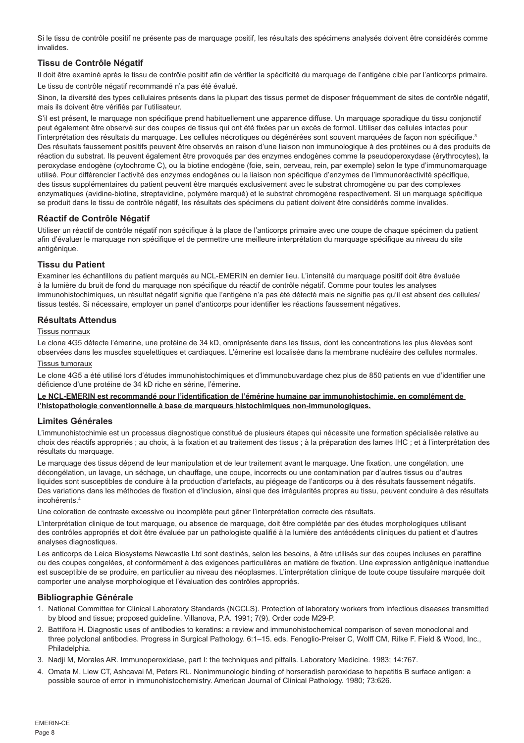Si le tissu de contrôle positif ne présente pas de marquage positif, les résultats des spécimens analysés doivent être considérés comme invalides.

# **Tissu de Contrôle Négatif**

Il doit être examiné après le tissu de contrôle positif afin de vérifier la spécificité du marquage de l'antigène cible par l'anticorps primaire. Le tissu de contrôle négatif recommandé n'a pas été évalué.

Sinon, la diversité des types cellulaires présents dans la plupart des tissus permet de disposer fréquemment de sites de contrôle négatif. mais ils doivent être vérifiés par l'utilisateur.

S'il est présent, le marquage non spécifique prend habituellement une apparence diffuse. Un marquage sporadique du tissu conjonctif peut également être observé sur des coupes de tissus qui ont été fixées par un excès de formol. Utiliser des cellules intactes pour l'interprétation des résultats du marquage. Les cellules nécrotiques ou dégénérées sont souvent marquées de façon non spécifique.3 Des résultats faussement positifs peuvent être observés en raison d'une liaison non immunologique à des protéines ou à des produits de réaction du substrat. Ils peuvent également être provoqués par des enzymes endogènes comme la pseudoperoxydase (érythrocytes), la peroxydase endogène (cytochrome C), ou la biotine endogène (foie, sein, cerveau, rein, par exemple) selon le type d'immunomarquage utilisé. Pour différencier l'activité des enzymes endogènes ou la liaison non spécifique d'enzymes de l'immunoréactivité spécifique, des tissus supplémentaires du patient peuvent être marqués exclusivement avec le substrat chromogène ou par des complexes enzymatiques (avidine-biotine, streptavidine, polymère marqué) et le substrat chromogène respectivement. Si un marquage spécifique se produit dans le tissu de contrôle négatif, les résultats des spécimens du patient doivent être considérés comme invalides.

#### **Réactif de Contrôle Négatif**

Utiliser un réactif de contrôle négatif non spécifique à la place de l'anticorps primaire avec une coupe de chaque spécimen du patient afin d'évaluer le marquage non spécifique et de permettre une meilleure interprétation du marquage spécifique au niveau du site antigénique.

#### **Tissu du Patient**

Examiner les échantillons du patient marqués au NCL-EMERIN en dernier lieu. L'intensité du marquage positif doit être évaluée à la lumière du bruit de fond du marquage non spécifique du réactif de contrôle négatif. Comme pour toutes les analyses immunohistochimiques, un résultat négatif signifie que l'antigène n'a pas été détecté mais ne signifie pas qu'il est absent des cellules/ tissus testés. Si nécessaire, employer un panel d'anticorps pour identifier les réactions faussement négatives.

### **Résultats Attendus**

#### Tissus normaux

Le clone 4G5 détecte l'émerine, une protéine de 34 kD, omniprésente dans les tissus, dont les concentrations les plus élevées sont observées dans les muscles squelettiques et cardiaques. L'émerine est localisée dans la membrane nucléaire des cellules normales.

#### Tissus tumoraux

Le clone 4G5 a été utilisé lors d'études immunohistochimiques et d'immunobuvardage chez plus de 850 patients en vue d'identifier une déficience d'une protéine de 34 kD riche en sérine, l'émerine.

#### **Le NCL-EMERIN est recommandé pour l'identification de l'émérine humaine par immunohistochimie, en complément de l'histopathologie conventionnelle à base de marqueurs histochimiques non-immunologiques.**

#### **Limites Générales**

L'immunohistochimie est un processus diagnostique constitué de plusieurs étapes qui nécessite une formation spécialisée relative au choix des réactifs appropriés ; au choix, à la fixation et au traitement des tissus ; à la préparation des lames IHC ; et à l'interprétation des résultats du marquage.

Le marquage des tissus dépend de leur manipulation et de leur traitement avant le marquage. Une fixation, une congélation, une décongélation, un lavage, un séchage, un chauffage, une coupe, incorrects ou une contamination par d'autres tissus ou d'autres liquides sont susceptibles de conduire à la production d'artefacts, au piégeage de l'anticorps ou à des résultats faussement négatifs. Des variations dans les méthodes de fixation et d'inclusion, ainsi que des irrégularités propres au tissu, peuvent conduire à des résultats incohérents.<sup>4</sup>

Une coloration de contraste excessive ou incomplète peut gêner l'interprétation correcte des résultats.

L'interprétation clinique de tout marquage, ou absence de marquage, doit être complétée par des études morphologiques utilisant des contrôles appropriés et doit être évaluée par un pathologiste qualifié à la lumière des antécédents cliniques du patient et d'autres analyses diagnostiques.

Les anticorps de Leica Biosystems Newcastle Ltd sont destinés, selon les besoins, à être utilisés sur des coupes incluses en paraffine ou des coupes congelées, et conformément à des exigences particulières en matière de fixation. Une expression antigénique inattendue est susceptible de se produire, en particulier au niveau des néoplasmes. L'interprétation clinique de toute coupe tissulaire marquée doit comporter une analyse morphologique et l'évaluation des contrôles appropriés.

### **Bibliographie Générale**

- 1. National Committee for Clinical Laboratory Standards (NCCLS). Protection of laboratory workers from infectious diseases transmitted by blood and tissue; proposed guideline. Villanova, P.A. 1991; 7(9). Order code M29-P.
- 2. Battifora H. Diagnostic uses of antibodies to keratins: a review and immunohistochemical comparison of seven monoclonal and three polyclonal antibodies. Progress in Surgical Pathology. 6:1–15. eds. Fenoglio-Preiser C, Wolff CM, Rilke F. Field & Wood, Inc., Philadelphia.
- 3. Nadji M, Morales AR. Immunoperoxidase, part I: the techniques and pitfalls. Laboratory Medicine. 1983; 14:767.
- 4. Omata M, Liew CT, Ashcavai M, Peters RL. Nonimmunologic binding of horseradish peroxidase to hepatitis B surface antigen: a possible source of error in immunohistochemistry. American Journal of Clinical Pathology. 1980; 73:626.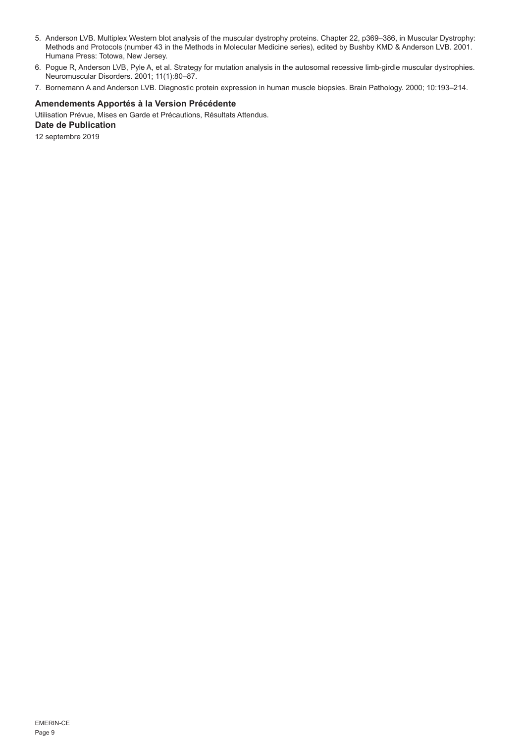- 5. Anderson LVB. Multiplex Western blot analysis of the muscular dystrophy proteins. Chapter 22, p369–386, in Muscular Dystrophy: Methods and Protocols (number 43 in the Methods in Molecular Medicine series), edited by Bushby KMD & Anderson LVB. 2001. Humana Press: Totowa, New Jersey.
- 6. Pogue R, Anderson LVB, Pyle A, et al. Strategy for mutation analysis in the autosomal recessive limb-girdle muscular dystrophies. Neuromuscular Disorders. 2001; 11(1):80–87.
- 7. Bornemann A and Anderson LVB. Diagnostic protein expression in human muscle biopsies. Brain Pathology. 2000; 10:193–214.

#### **Amendements Apportés à la Version Précédente**

Utilisation Prévue, Mises en Garde et Précautions, Résultats Attendus.

**Date de Publication**

12 septembre 2019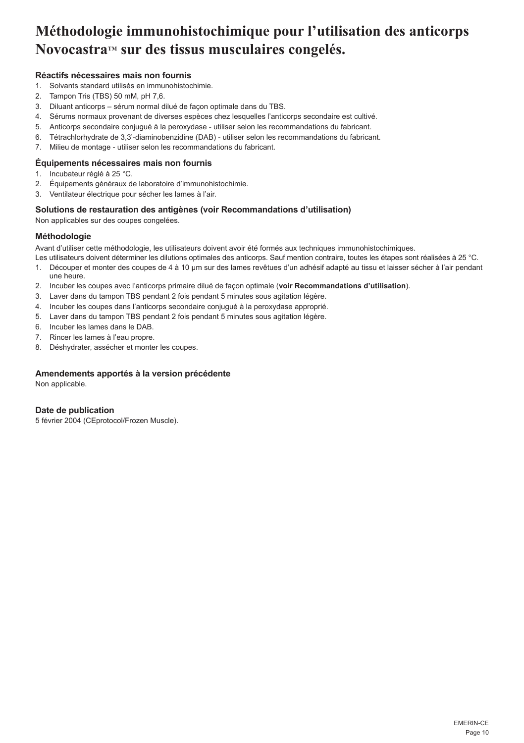# **Méthodologie immunohistochimique pour l'utilisation des anticorps**  Novocastra™ sur des tissus musculaires congelés.

## **Réactifs nécessaires mais non fournis**

- 1. Solvants standard utilisés en immunohistochimie.
- 2. Tampon Tris (TBS) 50 mM, pH 7,6.
- 3. Diluant anticorps sérum normal dilué de façon optimale dans du TBS.
- 4. Sérums normaux provenant de diverses espèces chez lesquelles l'anticorps secondaire est cultivé.
- 5. Anticorps secondaire conjugué à la peroxydase utiliser selon les recommandations du fabricant.
- 6. Tétrachlorhydrate de 3,3'-diaminobenzidine (DAB) utiliser selon les recommandations du fabricant.
- 7. Milieu de montage utiliser selon les recommandations du fabricant.

# **Équipements nécessaires mais non fournis**

- 1. Incubateur réglé à 25 °C.
- 2. Équipements généraux de laboratoire d'immunohistochimie.
- 3. Ventilateur électrique pour sécher les lames à l'air.

### **Solutions de restauration des antigènes (voir Recommandations d'utilisation)**

Non applicables sur des coupes congelées.

#### **Méthodologie**

Avant d'utiliser cette méthodologie, les utilisateurs doivent avoir été formés aux techniques immunohistochimiques.

- Les utilisateurs doivent déterminer les dilutions optimales des anticorps. Sauf mention contraire, toutes les étapes sont réalisées à 25 °C.
- 1. Découper et monter des coupes de 4 à 10 µm sur des lames revêtues d'un adhésif adapté au tissu et laisser sécher à l'air pendant une heure.
- 2. Incuber les coupes avec l'anticorps primaire dilué de façon optimale (**voir Recommandations d'utilisation**).
- 3. Laver dans du tampon TBS pendant 2 fois pendant 5 minutes sous agitation légère.
- 4. Incuber les coupes dans l'anticorps secondaire conjugué à la peroxydase approprié.
- 5. Laver dans du tampon TBS pendant 2 fois pendant 5 minutes sous agitation légère.
- 6. Incuber les lames dans le DAB.
- 7. Rincer les lames à l'eau propre.
- 8. Déshydrater, assécher et monter les coupes.

### **Amendements apportés à la version précédente**

Non applicable.

#### **Date de publication**

5 février 2004 (CEprotocol/Frozen Muscle).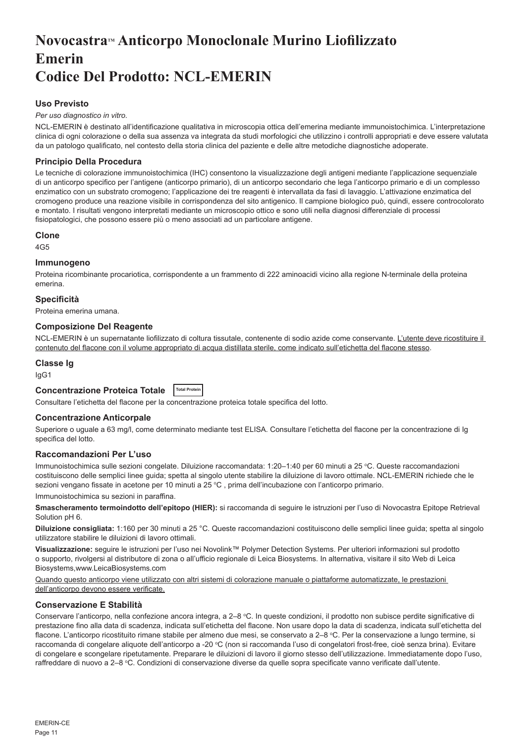# <span id="page-11-0"></span>**NovocastraTM Anticorpo Monoclonale Murino Liofilizzato Emerin Codice Del Prodotto: NCL-EMERIN**

# **Uso Previsto**

#### *Per uso diagnostico in vitro*.

NCL-EMERIN è destinato all'identificazione qualitativa in microscopia ottica dell'emerina mediante immunoistochimica. L'interpretazione clinica di ogni colorazione o della sua assenza va integrata da studi morfologici che utilizzino i controlli appropriati e deve essere valutata da un patologo qualificato, nel contesto della storia clinica del paziente e delle altre metodiche diagnostiche adoperate.

#### **Principio Della Procedura**

Le tecniche di colorazione immunoistochimica (IHC) consentono la visualizzazione degli antigeni mediante l'applicazione sequenziale di un anticorpo specifico per l'antigene (anticorpo primario), di un anticorpo secondario che lega l'anticorpo primario e di un complesso enzimatico con un substrato cromogeno; l'applicazione dei tre reagenti è intervallata da fasi di lavaggio. L'attivazione enzimatica del cromogeno produce una reazione visibile in corrispondenza del sito antigenico. Il campione biologico può, quindi, essere controcolorato e montato. I risultati vengono interpretati mediante un microscopio ottico e sono utili nella diagnosi differenziale di processi fisiopatologici, che possono essere più o meno associati ad un particolare antigene.

#### **Clone**

4G5

#### **Immunogeno**

Proteina ricombinante procariotica, corrispondente a un frammento di 222 aminoacidi vicino alla regione N-terminale della proteina emerina.

#### **Specificità**

Proteina emerina umana.

#### **Composizione Del Reagente**

NCL-EMERIN è un supernatante liofilizzato di coltura tissutale, contenente di sodio azide come conservante. L'utente deve ricostituire il contenuto del flacone con il volume appropriato di acqua distillata sterile, come indicato sull'etichetta del flacone stesso.

#### **Classe Ig**

IgG1

# **Concentrazione Proteica Totale Total Protein**

Consultare l'etichetta del flacone per la concentrazione proteica totale specifica del lotto.

#### **Concentrazione Anticorpale**

Superiore o uguale a 63 mg/l, come determinato mediante test ELISA. Consultare l'etichetta del flacone per la concentrazione di Ig specifica del lotto.

#### **Raccomandazioni Per L'uso**

Immunoistochimica sulle sezioni congelate. Diluizione raccomandata: 1:20–1:40 per 60 minuti a 25 °C. Queste raccomandazioni costituiscono delle semplici linee guida; spetta al singolo utente stabilire la diluizione di lavoro ottimale. NCL-EMERIN richiede che le sezioni vengano fissate in acetone per 10 minuti a 25 °C , prima dell'incubazione con l'anticorpo primario.

Immunoistochimica su sezioni in paraffina.

**Smascheramento termoindotto dell'epitopo (HIER):** si raccomanda di seguire le istruzioni per l'uso di Novocastra Epitope Retrieval Solution pH 6.

**Diluizione consigliata:** 1:160 per 30 minuti a 25 °C. Queste raccomandazioni costituiscono delle semplici linee guida; spetta al singolo utilizzatore stabilire le diluizioni di lavoro ottimali.

**Visualizzazione:** seguire le istruzioni per l'uso nei Novolink™ Polymer Detection Systems. Per ulteriori informazioni sul prodotto o supporto, rivolgersi al distributore di zona o all'ufficio regionale di Leica Biosystems. In alternativa, visitare il sito Web di Leica Biosystems,www.LeicaBiosystems.com

Quando questo anticorpo viene utilizzato con altri sistemi di colorazione manuale o piattaforme automatizzate, le prestazioni dell'anticorpo devono essere verificate.

# **Conservazione E Stabilità**

Conservare l'anticorpo, nella confezione ancora integra, a 2–8 °C. In queste condizioni, il prodotto non subisce perdite significative di prestazione fino alla data di scadenza, indicata sull'etichetta del flacone. Non usare dopo la data di scadenza, indicata sull'etichetta del flacone. L'anticorpo ricostituito rimane stabile per almeno due mesi, se conservato a 2–8 °C. Per la conservazione a lungo termine, si raccomanda di congelare aliquote dell'anticorpo a -20 °C (non si raccomanda l'uso di congelatori frost-free, cioè senza brina). Evitare di congelare e scongelare ripetutamente. Preparare le diluizioni di lavoro il giorno stesso dell'utilizzazione. Immediatamente dopo l'uso, raffreddare di nuovo a 2–8 °C. Condizioni di conservazione diverse da quelle sopra specificate vanno verificate dall'utente.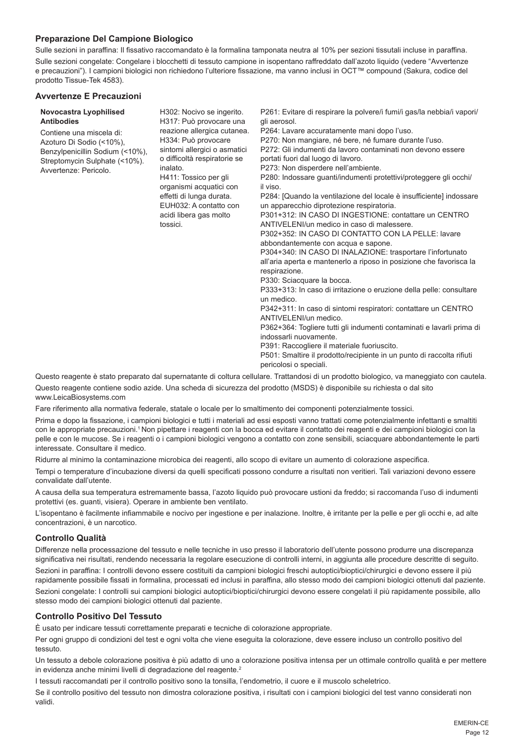# **Preparazione Del Campione Biologico**

Sulle sezioni in paraffina: Il fissativo raccomandato è la formalina tamponata neutra al 10% per sezioni tissutali incluse in paraffina. Sulle sezioni congelate: Congelare i blocchetti di tessuto campione in isopentano raffreddato dall'azoto liquido (vedere "Avvertenze e precauzioni"). I campioni biologici non richiedono l'ulteriore fissazione, ma vanno inclusi in OCT™ compound (Sakura, codice del prodotto Tissue-Tek 4583).

# **Avvertenze E Precauzioni**

| Novocastra Lyophilised                                                                                                | H302: Nocivo se ingerito.                                                                                                                                                                                                                       | P261: Evitare di respirare la polvere/i fumi/i gas/la nebbia/i vapori/                                                                                                                                                                                                                                                                                                                                                                                                                                                                                                                                                                                                                                                                                                                                                                                                                                                                                                                                                                                                                 |
|-----------------------------------------------------------------------------------------------------------------------|-------------------------------------------------------------------------------------------------------------------------------------------------------------------------------------------------------------------------------------------------|----------------------------------------------------------------------------------------------------------------------------------------------------------------------------------------------------------------------------------------------------------------------------------------------------------------------------------------------------------------------------------------------------------------------------------------------------------------------------------------------------------------------------------------------------------------------------------------------------------------------------------------------------------------------------------------------------------------------------------------------------------------------------------------------------------------------------------------------------------------------------------------------------------------------------------------------------------------------------------------------------------------------------------------------------------------------------------------|
| <b>Antibodies</b>                                                                                                     | H317: Può provocare una                                                                                                                                                                                                                         | gli aerosol.                                                                                                                                                                                                                                                                                                                                                                                                                                                                                                                                                                                                                                                                                                                                                                                                                                                                                                                                                                                                                                                                           |
| Contiene una miscela di:                                                                                              | reazione allergica cutanea.                                                                                                                                                                                                                     | P264: Lavare accuratamente mani dopo l'uso.                                                                                                                                                                                                                                                                                                                                                                                                                                                                                                                                                                                                                                                                                                                                                                                                                                                                                                                                                                                                                                            |
| Azoturo Di Sodio (<10%),<br>Benzylpenicillin Sodium (<10%),<br>Streptomycin Sulphate (<10%).<br>Avvertenze: Pericolo. | H334: Può provocare<br>sintomi allergici o asmatici<br>o difficoltà respiratorie se<br>inalato.<br>H411: Tossico per gli<br>organismi acquatici con<br>effetti di lunga durata.<br>EUH032: A contatto con<br>acidi libera gas molto<br>tossici. | P270: Non mangiare, né bere, né fumare durante l'uso.<br>P272: Gli indumenti da lavoro contaminati non devono essere<br>portati fuori dal luogo di lavoro.<br>P273: Non disperdere nell'ambiente.<br>P280: Indossare quanti/indumenti protettivi/proteggere gli occhi/<br>il viso.<br>P284: [Quando la ventilazione del locale è insufficiente] indossare<br>un apparecchio diprotezione respiratoria.<br>P301+312: IN CASO DI INGESTIONE: contattare un CENTRO<br>ANTIVELENI/un medico in caso di malessere.<br>P302+352: IN CASO DI CONTATTO CON LA PELLE: lavare<br>abbondantemente con acqua e sapone.<br>P304+340: IN CASO DI INALAZIONE: trasportare l'infortunato<br>all'aria aperta e mantenerlo a riposo in posizione che favorisca la<br>respirazione.<br>P330: Sciacquare la bocca.<br>P333+313: In caso di irritazione o eruzione della pelle: consultare<br>un medico.<br>P342+311: In caso di sintomi respiratori: contattare un CENTRO<br>ANTIVELENI/un medico.<br>P362+364: Togliere tutti gli indumenti contaminati e lavarli prima di<br>indossarli nuovamente.<br>. |

P391: Raccogliere il materiale fuoriuscito.

P501: Smaltire il prodotto/recipiente in un punto di raccolta rifiuti pericolosi o speciali.

Questo reagente è stato preparato dal supernatante di coltura cellulare. Trattandosi di un prodotto biologico, va maneggiato con cautela.

Questo reagente contiene sodio azide. Una scheda di sicurezza del prodotto (MSDS) è disponibile su richiesta o dal sito www.LeicaBiosystems.com

Fare riferimento alla normativa federale, statale o locale per lo smaltimento dei componenti potenzialmente tossici.

Prima e dopo la fissazione, i campioni biologici e tutti i materiali ad essi esposti vanno trattati come potenzialmente infettanti e smaltiti con le appropriate precauzioni.<sup>1</sup> Non pipettare i reagenti con la bocca ed evitare il contatto dei reagenti e dei campioni biologici con la pelle e con le mucose. Se i reagenti o i campioni biologici vengono a contatto con zone sensibili, sciacquare abbondantemente le parti interessate. Consultare il medico.

Ridurre al minimo la contaminazione microbica dei reagenti, allo scopo di evitare un aumento di colorazione aspecifica.

Tempi o temperature d'incubazione diversi da quelli specificati possono condurre a risultati non veritieri. Tali variazioni devono essere convalidate dall'utente.

A causa della sua temperatura estremamente bassa, l'azoto liquido può provocare ustioni da freddo; si raccomanda l'uso di indumenti protettivi (es. guanti, visiera). Operare in ambiente ben ventilato.

L'isopentano è facilmente infiammabile e nocivo per ingestione e per inalazione. Inoltre, è irritante per la pelle e per gli occhi e, ad alte concentrazioni, è un narcotico.

#### **Controllo Qualità**

Differenze nella processazione del tessuto e nelle tecniche in uso presso il laboratorio dell'utente possono produrre una discrepanza significativa nei risultati, rendendo necessaria la regolare esecuzione di controlli interni, in aggiunta alle procedure descritte di seguito.

Sezioni in paraffina: I controlli devono essere costituiti da campioni biologici freschi autoptici/bioptici/chirurgici e devono essere il più rapidamente possibile fissati in formalina, processati ed inclusi in paraffina, allo stesso modo dei campioni biologici ottenuti dal paziente. Sezioni congelate: I controlli sui campioni biologici autoptici/bioptici/chirurgici devono essere congelati il più rapidamente possibile, allo stesso modo dei campioni biologici ottenuti dal paziente.

#### **Controllo Positivo Del Tessuto**

È usato per indicare tessuti correttamente preparati e tecniche di colorazione appropriate.

Per ogni gruppo di condizioni del test e ogni volta che viene eseguita la colorazione, deve essere incluso un controllo positivo del tessuto.

Un tessuto a debole colorazione positiva è più adatto di uno a colorazione positiva intensa per un ottimale controllo qualità e per mettere in evidenza anche minimi livelli di degradazione del reagente.<sup>2</sup>

I tessuti raccomandati per il controllo positivo sono la tonsilla, l'endometrio, il cuore e il muscolo scheletrico.

Se il controllo positivo del tessuto non dimostra colorazione positiva, i risultati con i campioni biologici del test vanno considerati non validi.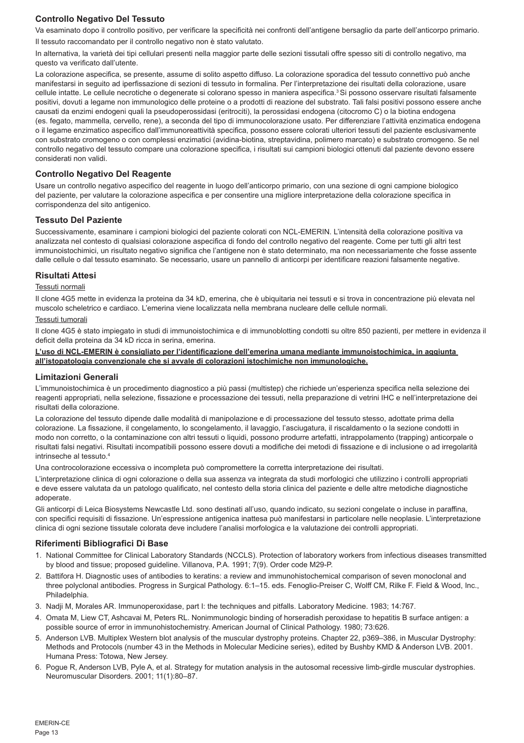# **Controllo Negativo Del Tessuto**

Va esaminato dopo il controllo positivo, per verificare la specificità nei confronti dell'antigene bersaglio da parte dell'anticorpo primario.

Il tessuto raccomandato per il controllo negativo non è stato valutato.

In alternativa, la varietà dei tipi cellulari presenti nella maggior parte delle sezioni tissutali offre spesso siti di controllo negativo, ma questo va verificato dall'utente.

La colorazione aspecifica, se presente, assume di solito aspetto diffuso. La colorazione sporadica del tessuto connettivo può anche manifestarsi in seguito ad iperfissazione di sezioni di tessuto in formalina. Per l'interpretazione dei risultati della colorazione, usare cellule intatte. Le cellule necrotiche o degenerate si colorano spesso in maniera aspecifica.<sup>3</sup> Si possono osservare risultati falsamente positivi, dovuti a legame non immunologico delle proteine o a prodotti di reazione del substrato. Tali falsi positivi possono essere anche causati da enzimi endogeni quali la pseudoperossidasi (eritrociti), la perossidasi endogena (citocromo C) o la biotina endogena (es. fegato, mammella, cervello, rene), a seconda del tipo di immunocolorazione usato. Per differenziare l'attività enzimatica endogena o il legame enzimatico aspecifico dall'immunoreattività specifica, possono essere colorati ulteriori tessuti del paziente esclusivamente con substrato cromogeno o con complessi enzimatici (avidina-biotina, streptavidina, polimero marcato) e substrato cromogeno. Se nel controllo negativo del tessuto compare una colorazione specifica, i risultati sui campioni biologici ottenuti dal paziente devono essere considerati non validi.

### **Controllo Negativo Del Reagente**

Usare un controllo negativo aspecifico del reagente in luogo dell'anticorpo primario, con una sezione di ogni campione biologico del paziente, per valutare la colorazione aspecifica e per consentire una migliore interpretazione della colorazione specifica in corrispondenza del sito antigenico.

#### **Tessuto Del Paziente**

Successivamente, esaminare i campioni biologici del paziente colorati con NCL-EMERIN. L'intensità della colorazione positiva va analizzata nel contesto di qualsiasi colorazione aspecifica di fondo del controllo negativo del reagente. Come per tutti gli altri test immunoistochimici, un risultato negativo significa che l'antigene non è stato determinato, ma non necessariamente che fosse assente dalle cellule o dal tessuto esaminato. Se necessario, usare un pannello di anticorpi per identificare reazioni falsamente negative.

#### **Risultati Attesi**

#### Tessuti normali

Il clone 4G5 mette in evidenza la proteina da 34 kD, emerina, che è ubiquitaria nei tessuti e si trova in concentrazione più elevata nel muscolo scheletrico e cardiaco. L'emerina viene localizzata nella membrana nucleare delle cellule normali.

#### Tessuti tumorali

Il clone 4G5 è stato impiegato in studi di immunoistochimica e di immunoblotting condotti su oltre 850 pazienti, per mettere in evidenza il deficit della proteina da 34 kD ricca in serina, emerina.

#### **L'uso di NCL-EMERIN è consigliato per l'identificazione dell'emerina umana mediante immunoistochimica, in aggiunta all'istopatologia convenzionale che si avvale di colorazioni istochimiche non immunologiche.**

#### **Limitazioni Generali**

L'immunoistochimica è un procedimento diagnostico a più passi (multistep) che richiede un'esperienza specifica nella selezione dei reagenti appropriati, nella selezione, fissazione e processazione dei tessuti, nella preparazione di vetrini IHC e nell'interpretazione dei risultati della colorazione.

La colorazione del tessuto dipende dalle modalità di manipolazione e di processazione del tessuto stesso, adottate prima della colorazione. La fissazione, il congelamento, lo scongelamento, il lavaggio, l'asciugatura, il riscaldamento o la sezione condotti in modo non corretto, o la contaminazione con altri tessuti o liquidi, possono produrre artefatti, intrappolamento (trapping) anticorpale o risultati falsi negativi. Risultati incompatibili possono essere dovuti a modifiche dei metodi di fissazione e di inclusione o ad irregolarità intrinseche al tessuto.<sup>4</sup>

Una controcolorazione eccessiva o incompleta può compromettere la corretta interpretazione dei risultati.

L'interpretazione clinica di ogni colorazione o della sua assenza va integrata da studi morfologici che utilizzino i controlli appropriati e deve essere valutata da un patologo qualificato, nel contesto della storia clinica del paziente e delle altre metodiche diagnostiche adoperate.

Gli anticorpi di Leica Biosystems Newcastle Ltd. sono destinati all'uso, quando indicato, su sezioni congelate o incluse in paraffina, con specifici requisiti di fissazione. Un'espressione antigenica inattesa può manifestarsi in particolare nelle neoplasie. L'interpretazione clinica di ogni sezione tissutale colorata deve includere l'analisi morfologica e la valutazione dei controlli appropriati.

#### **Riferimenti Bibliografici Di Base**

- 1. National Committee for Clinical Laboratory Standards (NCCLS). Protection of laboratory workers from infectious diseases transmitted by blood and tissue; proposed guideline. Villanova, P.A. 1991; 7(9). Order code M29-P.
- 2. Battifora H. Diagnostic uses of antibodies to keratins: a review and immunohistochemical comparison of seven monoclonal and three polyclonal antibodies. Progress in Surgical Pathology. 6:1–15. eds. Fenoglio-Preiser C, Wolff CM, Rilke F. Field & Wood, Inc., Philadelphia.
- 3. Nadji M, Morales AR. Immunoperoxidase, part I: the techniques and pitfalls. Laboratory Medicine. 1983; 14:767.
- 4. Omata M, Liew CT, Ashcavai M, Peters RL. Nonimmunologic binding of horseradish peroxidase to hepatitis B surface antigen: a possible source of error in immunohistochemistry. American Journal of Clinical Pathology. 1980; 73:626.
- 5. Anderson LVB. Multiplex Western blot analysis of the muscular dystrophy proteins. Chapter 22, p369–386, in Muscular Dystrophy: Methods and Protocols (number 43 in the Methods in Molecular Medicine series), edited by Bushby KMD & Anderson LVB. 2001. Humana Press: Totowa, New Jersey.
- 6. Pogue R, Anderson LVB, Pyle A, et al. Strategy for mutation analysis in the autosomal recessive limb-girdle muscular dystrophies. Neuromuscular Disorders. 2001; 11(1):80–87.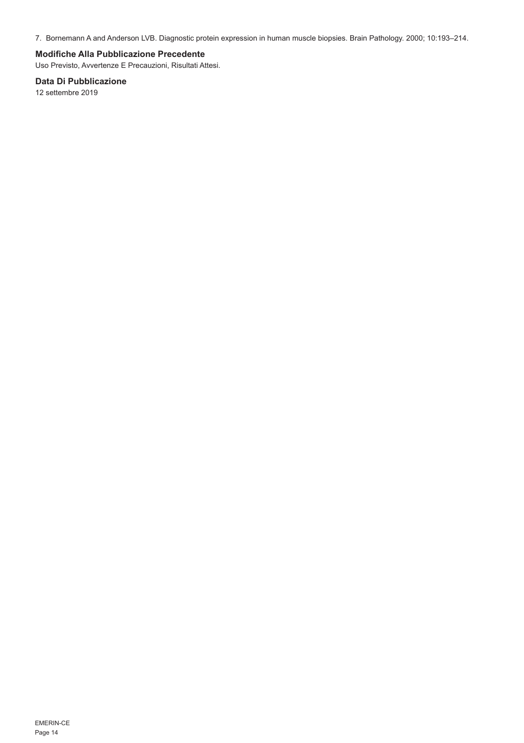7. Bornemann A and Anderson LVB. Diagnostic protein expression in human muscle biopsies. Brain Pathology. 2000; 10:193–214.

# **Modifiche Alla Pubblicazione Precedente**

Uso Previsto, Avvertenze E Precauzioni, Risultati Attesi.

# **Data Di Pubblicazione**

12 settembre 2019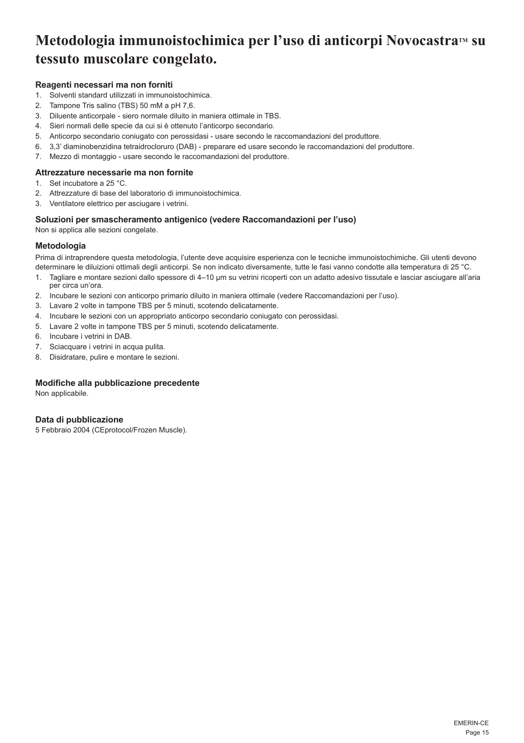# Metodologia immunoistochimica per l'uso di anticorpi Novocastra™ su **tessuto muscolare congelato.**

# **Reagenti necessari ma non forniti**

- 1. Solventi standard utilizzati in immunoistochimica.
- 2. Tampone Tris salino (TBS) 50 mM a pH 7,6.
- 3. Diluente anticorpale siero normale diluito in maniera ottimale in TBS.
- 4. Sieri normali delle specie da cui si è ottenuto l'anticorpo secondario.
- 5. Anticorpo secondario coniugato con perossidasi usare secondo le raccomandazioni del produttore.
- 6. 3,3' diaminobenzidina tetraidrocloruro (DAB) preparare ed usare secondo le raccomandazioni del produttore.
- 7. Mezzo di montaggio usare secondo le raccomandazioni del produttore.

# **Attrezzature necessarie ma non fornite**

- 1. Set incubatore a 25 °C.
- 2. Attrezzature di base del laboratorio di immunoistochimica.
- 3. Ventilatore elettrico per asciugare i vetrini.

### **Soluzioni per smascheramento antigenico (vedere Raccomandazioni per l'uso)**

Non si applica alle sezioni congelate.

# **Metodologia**

Prima di intraprendere questa metodologia, l'utente deve acquisire esperienza con le tecniche immunoistochimiche. Gli utenti devono determinare le diluizioni ottimali degli anticorpi. Se non indicato diversamente, tutte le fasi vanno condotte alla temperatura di 25 °C.

- 1. Tagliare e montare sezioni dallo spessore di 4–10 μm su vetrini ricoperti con un adatto adesivo tissutale e lasciar asciugare all'aria per circa un'ora.
- 2. Incubare le sezioni con anticorpo primario diluito in maniera ottimale (vedere Raccomandazioni per l'uso).
- 3. Lavare 2 volte in tampone TBS per 5 minuti, scotendo delicatamente.
- 4. Incubare le sezioni con un appropriato anticorpo secondario coniugato con perossidasi.
- 5. Lavare 2 volte in tampone TBS per 5 minuti, scotendo delicatamente.
- 6. Incubare i vetrini in DAB.
- 7. Sciacquare i vetrini in acqua pulita.
- 8. Disidratare, pulire e montare le sezioni.

#### **Modifiche alla pubblicazione precedente**

Non applicabile.

#### **Data di pubblicazione**

5 Febbraio 2004 (CEprotocol/Frozen Muscle).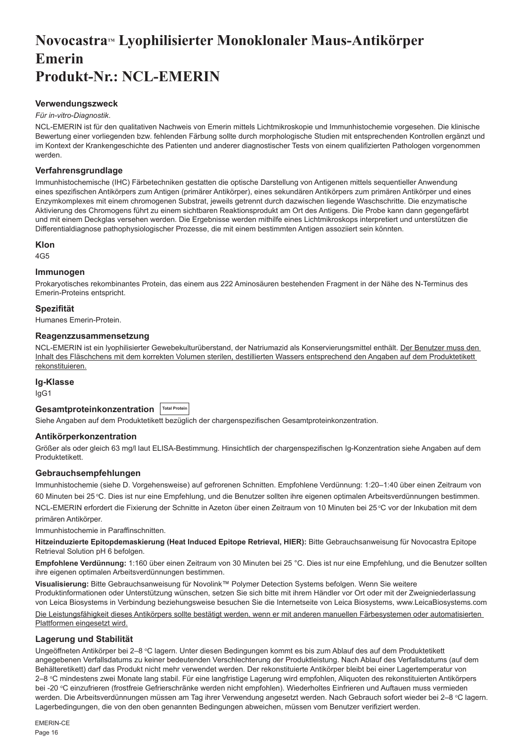# <span id="page-16-0"></span>**NovocastraTM Lyophilisierter Monoklonaler Maus-Antikörper Emerin Produkt-Nr.: NCL-EMERIN**

### **Verwendungszweck**

#### *Für in-vitro-Diagnostik*.

NCL-EMERIN ist für den qualitativen Nachweis von Emerin mittels Lichtmikroskopie und Immunhistochemie vorgesehen. Die klinische Bewertung einer vorliegenden bzw. fehlenden Färbung sollte durch morphologische Studien mit entsprechenden Kontrollen ergänzt und im Kontext der Krankengeschichte des Patienten und anderer diagnostischer Tests von einem qualifizierten Pathologen vorgenommen werden.

#### **Verfahrensgrundlage**

Immunhistochemische (IHC) Färbetechniken gestatten die optische Darstellung von Antigenen mittels sequentieller Anwendung eines spezifischen Antikörpers zum Antigen (primärer Antikörper), eines sekundären Antikörpers zum primären Antikörper und eines Enzymkomplexes mit einem chromogenen Substrat, jeweils getrennt durch dazwischen liegende Waschschritte. Die enzymatische Aktivierung des Chromogens führt zu einem sichtbaren Reaktionsprodukt am Ort des Antigens. Die Probe kann dann gegengefärbt und mit einem Deckglas versehen werden. Die Ergebnisse werden mithilfe eines Lichtmikroskops interpretiert und unterstützen die Differentialdiagnose pathophysiologischer Prozesse, die mit einem bestimmten Antigen assoziiert sein könnten.

#### **Klon**

 $AC5$ 

#### **Immunogen**

Prokaryotisches rekombinantes Protein, das einem aus 222 Aminosäuren bestehenden Fragment in der Nähe des N-Terminus des Emerin-Proteins entspricht.

#### **Spezifität**

Humanes Emerin-Protein.

#### **Reagenzzusammensetzung**

NCL-EMERIN ist ein lyophilisierter Gewebekulturüberstand, der Natriumazid als Konservierungsmittel enthält. Der Benutzer muss den Inhalt des Fläschchens mit dem korrekten Volumen sterilen, destillierten Wassers entsprechend den Angaben auf dem Produktetikett rekonstituieren.

#### **Ig-Klasse**

IgG1

# **Gesamtproteinkonzentration Total Protein**

Siehe Angaben auf dem Produktetikett bezüglich der chargenspezifischen Gesamtproteinkonzentration.

## **Antikörperkonzentration**

Größer als oder gleich 63 mg/l laut ELISA-Bestimmung. Hinsichtlich der chargenspezifischen Ig-Konzentration siehe Angaben auf dem Produktetikett.

#### **Gebrauchsempfehlungen**

Immunhistochemie (siehe D. Vorgehensweise) auf gefrorenen Schnitten. Empfohlene Verdünnung: 1:20–1:40 über einen Zeitraum von 60 Minuten bei 25 °C. Dies ist nur eine Empfehlung, und die Benutzer sollten ihre eigenen optimalen Arbeitsverdünnungen bestimmen. NCL-EMERIN erfordert die Fixierung der Schnitte in Azeton über einen Zeitraum von 10 Minuten bei 25 °C vor der Inkubation mit dem

primären Antikörper.

Immunhistochemie in Paraffinschnitten.

**Hitzeinduzierte Epitopdemaskierung (Heat Induced Epitope Retrieval, HIER):** Bitte Gebrauchsanweisung für Novocastra Epitope Retrieval Solution pH 6 befolgen.

**Empfohlene Verdünnung:** 1:160 über einen Zeitraum von 30 Minuten bei 25 °C. Dies ist nur eine Empfehlung, und die Benutzer sollten ihre eigenen optimalen Arbeitsverdünnungen bestimmen.

**Visualisierung:** Bitte Gebrauchsanweisung für Novolink™ Polymer Detection Systems befolgen. Wenn Sie weitere Produktinformationen oder Unterstützung wünschen, setzen Sie sich bitte mit ihrem Händler vor Ort oder mit der Zweigniederlassung von Leica Biosystems in Verbindung beziehungsweise besuchen Sie die Internetseite von Leica Biosystems, www.LeicaBiosystems.com Die Leistungsfähigkeit dieses Antikörpers sollte bestätigt werden, wenn er mit anderen manuellen Färbesystemen oder automatisierten Plattformen eingesetzt wird.

#### **Lagerung und Stabilität**

Ungeöffneten Antikörper bei 2–8 °C lagern. Unter diesen Bedingungen kommt es bis zum Ablauf des auf dem Produktetikett angegebenen Verfallsdatums zu keiner bedeutenden Verschlechterung der Produktleistung. Nach Ablauf des Verfallsdatums (auf dem Behälteretikett) darf das Produkt nicht mehr verwendet werden. Der rekonstituierte Antikörper bleibt bei einer Lagertemperatur von 2–8 ℃ mindestens zwei Monate lang stabil. Für eine langfristige Lagerung wird empfohlen, Aliquoten des rekonstituierten Antikörpers bei -20 °C einzufrieren (frostfreie Gefrierschränke werden nicht empfohlen). Wiederholtes Einfrieren und Auftauen muss vermieden werden. Die Arbeitsverdünnungen müssen am Tag ihrer Verwendung angesetzt werden. Nach Gebrauch sofort wieder bei 2–8 °C lagern. Lagerbedingungen, die von den oben genannten Bedingungen abweichen, müssen vom Benutzer verifiziert werden.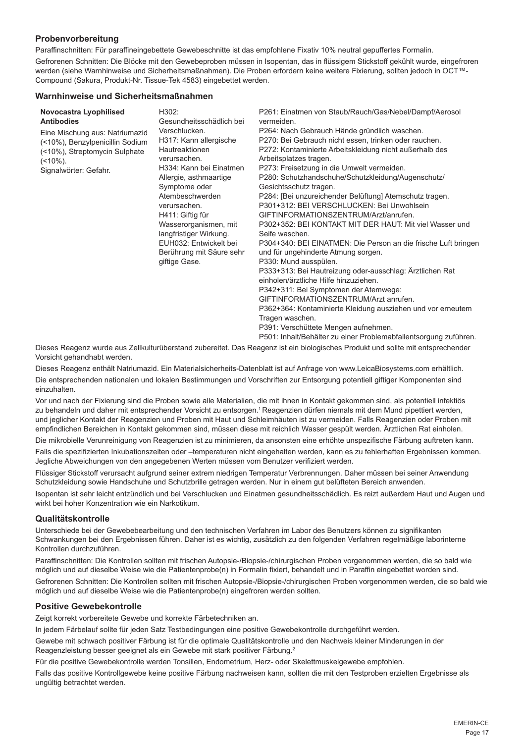### **Probenvorbereitung**

Paraffinschnitten: Für paraffineingebettete Gewebeschnitte ist das empfohlene Fixativ 10% neutral gepuffertes Formalin.

Gefrorenen Schnitten: Die Blöcke mit den Gewebeproben müssen in Isopentan, das in flüssigem Stickstoff gekühlt wurde, eingefroren werden (siehe Warnhinweise und Sicherheitsmaßnahmen). Die Proben erfordern keine weitere Fixierung, sollten jedoch in OCT™- Compound (Sakura, Produkt-Nr. Tissue-Tek 4583) eingebettet werden.

#### **Warnhinweise und Sicherheitsmaßnahmen**

| Novocastra Lyophilised          | H302:                                              | P261: Einatmen von Staub/Rauch/Gas/Nebel/Dampf/Aerosol                                                |
|---------------------------------|----------------------------------------------------|-------------------------------------------------------------------------------------------------------|
| <b>Antibodies</b>               | Gesundheitsschädlich bei                           | vermeiden                                                                                             |
| Eine Mischung aus: Natriumazid  | Verschlucken.                                      | P264: Nach Gebrauch Hände gründlich waschen.                                                          |
| (<10%), Benzylpenicillin Sodium | H317: Kann allergische                             | P270: Bei Gebrauch nicht essen, trinken oder rauchen.                                                 |
| (<10%), Streptomycin Sulphate   | Hautreaktionen                                     | P272: Kontaminierte Arbeitskleidung nicht außerhalb des                                               |
| $($ < 10%).                     | verursachen.                                       | Arbeitsplatzes tragen.                                                                                |
| Signalwörter: Gefahr.           | H334: Kann bei Einatmen                            | P273: Freisetzung in die Umwelt vermeiden.                                                            |
|                                 | Allergie, asthmaartige                             | P280: Schutzhandschuhe/Schutzkleidung/Augenschutz/                                                    |
|                                 | Symptome oder                                      | Gesichtsschutz tragen.                                                                                |
|                                 | Atembeschwerden                                    | P284: [Bei unzureichender Belüftung] Atemschutz tragen.                                               |
|                                 | verursachen.                                       | P301+312: BEI VERSCHLUCKEN: Bei Unwohlsein                                                            |
|                                 | H411: Giftig für                                   | GIFTINFORMATIONSZENTRUM/Arzt/anrufen.                                                                 |
|                                 | Wasserorganismen, mit                              | P302+352: BEI KONTAKT MIT DER HAUT: Mit viel Wasser und                                               |
|                                 | langfristiger Wirkung.                             | Seife waschen.                                                                                        |
|                                 | EUH032: Entwickelt bei<br>Berührung mit Säure sehr | P304+340: BEI EINATMEN: Die Person an die frische Luft bringen<br>und für ungehinderte Atmung sorgen. |
|                                 | giftige Gase.                                      | P330: Mund ausspülen.                                                                                 |
|                                 |                                                    | P333+313: Bei Hautreizung oder-ausschlag: Ärztlichen Rat                                              |
|                                 |                                                    | einholen/ärztliche Hilfe hinzuziehen.                                                                 |
|                                 |                                                    | P342+311: Bei Symptomen der Atemwege:                                                                 |
|                                 |                                                    | GIFTINFORMATIONSZENTRUM/Arzt anrufen.                                                                 |
|                                 |                                                    | P362+364: Kontaminierte Kleidung ausziehen und vor erneutem                                           |
|                                 |                                                    | Tragen waschen.                                                                                       |
|                                 |                                                    | P391: Verschüttete Mengen aufnehmen.                                                                  |
|                                 |                                                    |                                                                                                       |
|                                 |                                                    | P501: Inhalt/Behälter zu einer Problemabfallentsorgung zuführen.                                      |

Dieses Reagenz wurde aus Zellkulturüberstand zubereitet. Das Reagenz ist ein biologisches Produkt und sollte mit entsprechender Vorsicht gehandhabt werden.

Dieses Reagenz enthält Natriumazid. Ein Materialsicherheits-Datenblatt ist auf Anfrage von www.LeicaBiosystems.com erhältlich. Die entsprechenden nationalen und lokalen Bestimmungen und Vorschriften zur Entsorgung potentiell giftiger Komponenten sind einzuhalten.

Vor und nach der Fixierung sind die Proben sowie alle Materialien, die mit ihnen in Kontakt gekommen sind, als potentiell infektiös zu behandeln und daher mit entsprechender Vorsicht zu entsorgen.<sup>1</sup> Reagenzien dürfen niemals mit dem Mund pipettiert werden, und jeglicher Kontakt der Reagenzien und Proben mit Haut und Schleimhäuten ist zu vermeiden. Falls Reagenzien oder Proben mit empfindlichen Bereichen in Kontakt gekommen sind, müssen diese mit reichlich Wasser gespült werden. Ärztlichen Rat einholen.

Die mikrobielle Verunreinigung von Reagenzien ist zu minimieren, da ansonsten eine erhöhte unspezifische Färbung auftreten kann.

Falls die spezifizierten Inkubationszeiten oder –temperaturen nicht eingehalten werden, kann es zu fehlerhaften Ergebnissen kommen. Jegliche Abweichungen von den angegebenen Werten müssen vom Benutzer verifiziert werden.

Flüssiger Stickstoff verursacht aufgrund seiner extrem niedrigen Temperatur Verbrennungen. Daher müssen bei seiner Anwendung Schutzkleidung sowie Handschuhe und Schutzbrille getragen werden. Nur in einem gut belüfteten Bereich anwenden.

Isopentan ist sehr leicht entzündlich und bei Verschlucken und Einatmen gesundheitsschädlich. Es reizt außerdem Haut und Augen und wirkt bei hoher Konzentration wie ein Narkotikum.

#### **Qualitätskontrolle**

Unterschiede bei der Gewebebearbeitung und den technischen Verfahren im Labor des Benutzers können zu signifikanten Schwankungen bei den Ergebnissen führen. Daher ist es wichtig, zusätzlich zu den folgenden Verfahren regelmäßige laborinterne Kontrollen durchzuführen.

Paraffinschnitten: Die Kontrollen sollten mit frischen Autopsie-/Biopsie-/chirurgischen Proben vorgenommen werden, die so bald wie möglich und auf dieselbe Weise wie die Patientenprobe(n) in Formalin fixiert, behandelt und in Paraffin eingebettet worden sind.

Gefrorenen Schnitten: Die Kontrollen sollten mit frischen Autopsie-/Biopsie-/chirurgischen Proben vorgenommen werden, die so bald wie möglich und auf dieselbe Weise wie die Patientenprobe(n) eingefroren werden sollten.

#### **Positive Gewebekontrolle**

Zeigt korrekt vorbereitete Gewebe und korrekte Färbetechniken an.

In jedem Färbelauf sollte für jeden Satz Testbedingungen eine positive Gewebekontrolle durchgeführt werden.

Gewebe mit schwach positiver Färbung ist für die optimale Qualitätskontrolle und den Nachweis kleiner Minderungen in der Reagenzleistung besser geeignet als ein Gewebe mit stark positiver Färbung.<sup>2</sup>

Für die positive Gewebekontrolle werden Tonsillen, Endometrium, Herz- oder Skelettmuskelgewebe empfohlen.

Falls das positive Kontrollgewebe keine positive Färbung nachweisen kann, sollten die mit den Testproben erzielten Ergebnisse als ungültig betrachtet werden.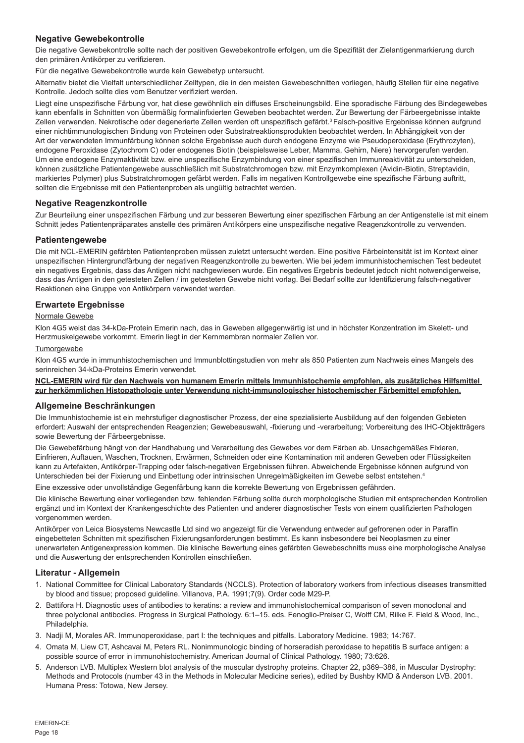# **Negative Gewebekontrolle**

Die negative Gewebekontrolle sollte nach der positiven Gewebekontrolle erfolgen, um die Spezifität der Zielantigenmarkierung durch den primären Antikörper zu verifizieren.

Für die negative Gewebekontrolle wurde kein Gewebetyp untersucht.

Alternativ bietet die Vielfalt unterschiedlicher Zelltypen, die in den meisten Gewebeschnitten vorliegen, häufig Stellen für eine negative Kontrolle. Jedoch sollte dies vom Benutzer verifiziert werden.

Liegt eine unspezifische Färbung vor, hat diese gewöhnlich ein diffuses Erscheinungsbild. Eine sporadische Färbung des Bindegewebes kann ebenfalls in Schnitten von übermäßig formalinfixierten Geweben beobachtet werden. Zur Bewertung der Färbeergebnisse intakte Zellen verwenden. Nekrotische oder degenerierte Zellen werden oft unspezifisch gefärbt.<sup>3</sup>Falsch-positive Ergebnisse können aufgrund einer nichtimmunologischen Bindung von Proteinen oder Substratreaktionsprodukten beobachtet werden. In Abhängigkeit von der Art der verwendeten Immunfärbung können solche Ergebnisse auch durch endogene Enzyme wie Pseudoperoxidase (Erythrozyten), endogene Peroxidase (Zytochrom C) oder endogenes Biotin (beispielsweise Leber, Mamma, Gehirn, Niere) hervorgerufen werden. Um eine endogene Enzymaktivität bzw. eine unspezifische Enzymbindung von einer spezifischen Immunreaktivität zu unterscheiden, können zusätzliche Patientengewebe ausschließlich mit Substratchromogen bzw. mit Enzymkomplexen (Avidin-Biotin, Streptavidin, markiertes Polymer) plus Substratchromogen gefärbt werden. Falls im negativen Kontrollgewebe eine spezifische Färbung auftritt, sollten die Ergebnisse mit den Patientenproben als ungültig betrachtet werden.

#### **Negative Reagenzkontrolle**

Zur Beurteilung einer unspezifischen Färbung und zur besseren Bewertung einer spezifischen Färbung an der Antigenstelle ist mit einem Schnitt jedes Patientenpräparates anstelle des primären Antikörpers eine unspezifische negative Reagenzkontrolle zu verwenden.

#### **Patientengewebe**

Die mit NCL-EMERIN gefärbten Patientenproben müssen zuletzt untersucht werden. Eine positive Färbeintensität ist im Kontext einer unspezifischen Hintergrundfärbung der negativen Reagenzkontrolle zu bewerten. Wie bei jedem immunhistochemischen Test bedeutet ein negatives Ergebnis, dass das Antigen nicht nachgewiesen wurde. Ein negatives Ergebnis bedeutet jedoch nicht notwendigerweise, dass das Antigen in den getesteten Zellen / im getesteten Gewebe nicht vorlag. Bei Bedarf sollte zur Identifizierung falsch-negativer Reaktionen eine Gruppe von Antikörpern verwendet werden.

#### **Erwartete Ergebnisse**

#### Normale Gewebe

Klon 4G5 weist das 34-kDa-Protein Emerin nach, das in Geweben allgegenwärtig ist und in höchster Konzentration im Skelett- und Herzmuskelgewebe vorkommt. Emerin liegt in der Kernmembran normaler Zellen vor.

#### **Tumorgewebe**

Klon 4G5 wurde in immunhistochemischen und Immunblottingstudien von mehr als 850 Patienten zum Nachweis eines Mangels des serinreichen 34-kDa-Proteins Emerin verwendet.

**NCL-EMERIN wird für den Nachweis von humanem Emerin mittels Immunhistochemie empfohlen, als zusätzliches Hilfsmittel zur herkömmlichen Histopathologie unter Verwendung nicht-immunologischer histochemischer Färbemittel empfohlen.**

#### **Allgemeine Beschränkungen**

Die Immunhistochemie ist ein mehrstufiger diagnostischer Prozess, der eine spezialisierte Ausbildung auf den folgenden Gebieten erfordert: Auswahl der entsprechenden Reagenzien; Gewebeauswahl, -fixierung und -verarbeitung; Vorbereitung des IHC-Objektträgers sowie Bewertung der Färbeergebnisse.

Die Gewebefärbung hängt von der Handhabung und Verarbeitung des Gewebes vor dem Färben ab. Unsachgemäßes Fixieren, Einfrieren, Auftauen, Waschen, Trocknen, Erwärmen, Schneiden oder eine Kontamination mit anderen Geweben oder Flüssigkeiten kann zu Artefakten, Antikörper-Trapping oder falsch-negativen Ergebnissen führen. Abweichende Ergebnisse können aufgrund von Unterschieden bei der Fixierung und Einbettung oder intrinsischen Unregelmäßigkeiten im Gewebe selbst entstehen.<sup>4</sup>

Eine exzessive oder unvollständige Gegenfärbung kann die korrekte Bewertung von Ergebnissen gefährden.

Die klinische Bewertung einer vorliegenden bzw. fehlenden Färbung sollte durch morphologische Studien mit entsprechenden Kontrollen ergänzt und im Kontext der Krankengeschichte des Patienten und anderer diagnostischer Tests von einem qualifizierten Pathologen vorgenommen werden.

Antikörper von Leica Biosystems Newcastle Ltd sind wo angezeigt für die Verwendung entweder auf gefrorenen oder in Paraffin eingebetteten Schnitten mit spezifischen Fixierungsanforderungen bestimmt. Es kann insbesondere bei Neoplasmen zu einer unerwarteten Antigenexpression kommen. Die klinische Bewertung eines gefärbten Gewebeschnitts muss eine morphologische Analyse und die Auswertung der entsprechenden Kontrollen einschließen.

#### **Literatur - Allgemein**

- 1. National Committee for Clinical Laboratory Standards (NCCLS). Protection of laboratory workers from infectious diseases transmitted by blood and tissue; proposed guideline. Villanova, P.A. 1991;7(9). Order code M29-P.
- 2. Battifora H. Diagnostic uses of antibodies to keratins: a review and immunohistochemical comparison of seven monoclonal and three polyclonal antibodies. Progress in Surgical Pathology. 6:1–15. eds. Fenoglio-Preiser C, Wolff CM, Rilke F. Field & Wood, Inc., Philadelphia.
- 3. Nadji M, Morales AR. Immunoperoxidase, part I: the techniques and pitfalls. Laboratory Medicine. 1983; 14:767.
- 4. Omata M, Liew CT, Ashcavai M, Peters RL. Nonimmunologic binding of horseradish peroxidase to hepatitis B surface antigen: a possible source of error in immunohistochemistry. American Journal of Clinical Pathology. 1980; 73:626.
- 5. Anderson LVB. Multiplex Western blot analysis of the muscular dystrophy proteins. Chapter 22, p369–386, in Muscular Dystrophy: Methods and Protocols (number 43 in the Methods in Molecular Medicine series), edited by Bushby KMD & Anderson LVB. 2001. Humana Press: Totowa, New Jersey.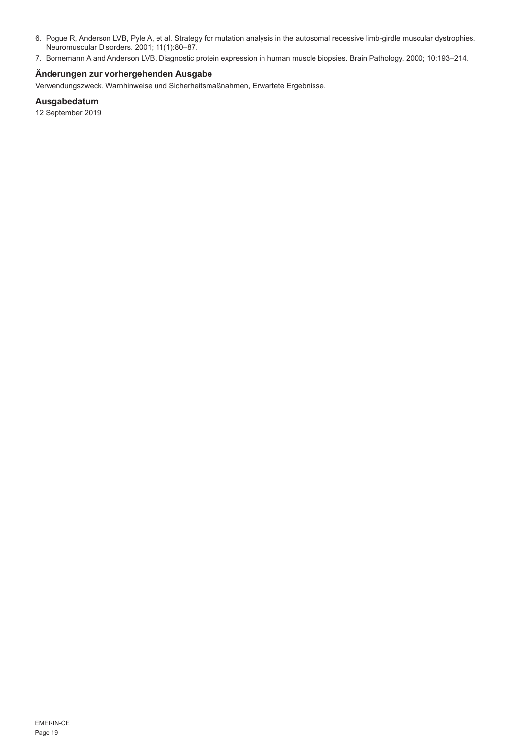- 6. Pogue R, Anderson LVB, Pyle A, et al. Strategy for mutation analysis in the autosomal recessive limb-girdle muscular dystrophies. Neuromuscular Disorders. 2001; 11(1):80–87.
- 7. Bornemann A and Anderson LVB. Diagnostic protein expression in human muscle biopsies. Brain Pathology. 2000; 10:193–214.

### **Änderungen zur vorhergehenden Ausgabe**

Verwendungszweck, Warnhinweise und Sicherheitsmaßnahmen, Erwartete Ergebnisse.

# **Ausgabedatum**

12 September 2019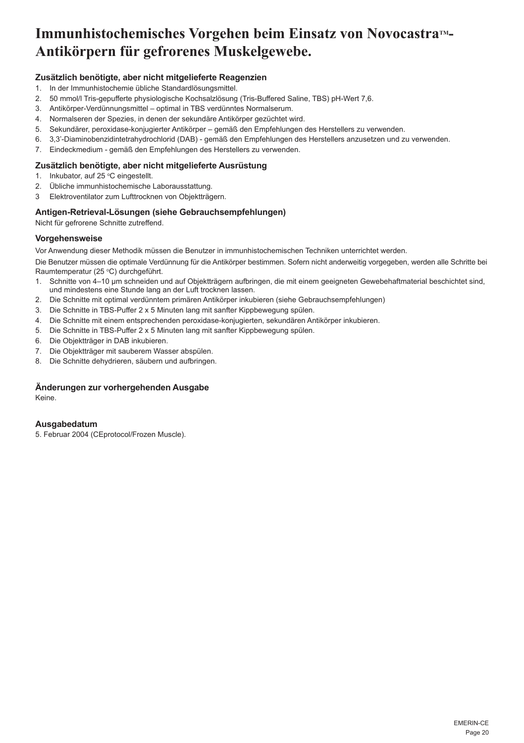# Immunhistochemisches Vorgehen beim Einsatz von Novocastra<sup>m-</sup> **Antikörpern für gefrorenes Muskelgewebe.**

# **Zusätzlich benötigte, aber nicht mitgelieferte Reagenzien**

- 1. In der Immunhistochemie übliche Standardlösungsmittel.
- 2. 50 mmol/l Tris-gepufferte physiologische Kochsalzlösung (Tris-Buffered Saline, TBS) pH-Wert 7,6.
- 3. Antikörper-Verdünnungsmittel optimal in TBS verdünntes Normalserum.
- 4. Normalseren der Spezies, in denen der sekundäre Antikörper gezüchtet wird.
- 5. Sekundärer, peroxidase-konjugierter Antikörper gemäß den Empfehlungen des Herstellers zu verwenden.
- 6. 3,3'-Diaminobenzidintetrahydrochlorid (DAB) gemäß den Empfehlungen des Herstellers anzusetzen und zu verwenden.
- 7. Eindeckmedium gemäß den Empfehlungen des Herstellers zu verwenden.

# **Zusätzlich benötigte, aber nicht mitgelieferte Ausrüstung**

- 1. Inkubator, auf 25 °C eingestellt.
- 2. Übliche immunhistochemische Laborausstattung.
- 3 Elektroventilator zum Lufttrocknen von Objektträgern.

### **Antigen-Retrieval-Lösungen (siehe Gebrauchsempfehlungen)**

Nicht für gefrorene Schnitte zutreffend.

#### **Vorgehensweise**

Vor Anwendung dieser Methodik müssen die Benutzer in immunhistochemischen Techniken unterrichtet werden.

Die Benutzer müssen die optimale Verdünnung für die Antikörper bestimmen. Sofern nicht anderweitig vorgegeben, werden alle Schritte bei Raumtemperatur (25 °C) durchgeführt.

- 1. Schnitte von 4–10 μm schneiden und auf Objektträgern aufbringen, die mit einem geeigneten Gewebehaftmaterial beschichtet sind, und mindestens eine Stunde lang an der Luft trocknen lassen.
- 2. Die Schnitte mit optimal verdünntem primären Antikörper inkubieren (siehe Gebrauchsempfehlungen)
- 3. Die Schnitte in TBS-Puffer 2 x 5 Minuten lang mit sanfter Kippbewegung spülen.
- 4. Die Schnitte mit einem entsprechenden peroxidase-konjugierten, sekundären Antikörper inkubieren.
- 5. Die Schnitte in TBS-Puffer 2 x 5 Minuten lang mit sanfter Kippbewegung spülen.
- 6. Die Objektträger in DAB inkubieren.
- 7. Die Objektträger mit sauberem Wasser abspülen.
- 8. Die Schnitte dehydrieren, säubern und aufbringen.

## **Änderungen zur vorhergehenden Ausgabe**

Keine.

#### **Ausgabedatum**

5. Februar 2004 (CEprotocol/Frozen Muscle).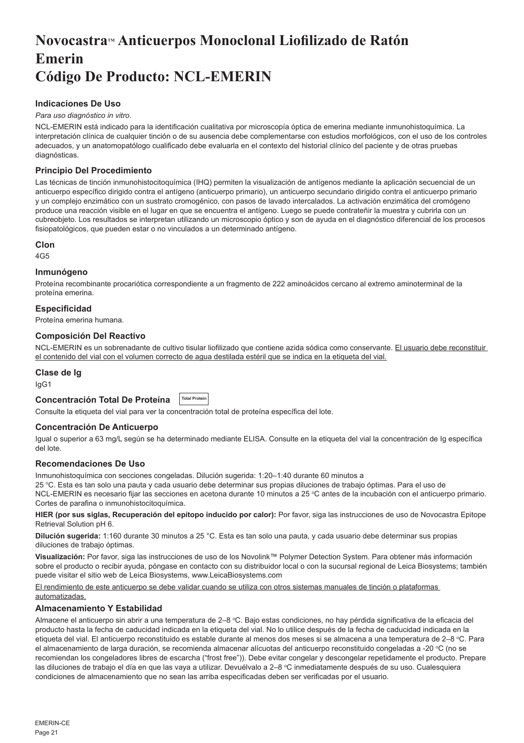# <span id="page-21-0"></span>Novocastra<sup>™</sup> Anticuerpos Monoclonal Liofilizado de Ratón **Emerin Código De Producto: NCL-EMERIN**

# **Indicaciones De Uso**

#### *Para uso diagnóstico in vitro*.

NCL-EMERIN está indicado para la identificación cualitativa por microscopía óptica de emerina mediante inmunohistoquímica. La interpretación clínica de cualquier tinción o de su ausencia debe complementarse con estudios morfológicos, con el uso de los controles adecuados, y un anatomopatólogo cualificado debe evaluarla en el contexto del historial clínico del paciente y de otras pruebas diagnósticas.

#### **Principio Del Procedimiento**

Las técnicas de tinción inmunohistocitoquímica (IHQ) permiten la visualización de antígenos mediante la aplicación secuencial de un anticuerpo específico dirigido contra el antígeno (anticuerpo primario), un anticuerpo secundario dirigido contra el anticuerpo primario y un complejo enzimático con un sustrato cromogénico, con pasos de lavado intercalados. La activación enzimática del cromógeno produce una reacción visible en el lugar en que se encuentra el antígeno. Luego se puede contrateñir la muestra y cubrirla con un cubreobjeto. Los resultados se interpretan utilizando un microscopio óptico y son de ayuda en el diagnóstico diferencial de los procesos fisiopatológicos, que pueden estar o no vinculados a un determinado antígeno.

#### **Clon**

 $AC5$ 

#### **Inmunógeno**

Proteína recombinante procariótica correspondiente a un fragmento de 222 aminoácidos cercano al extremo aminoterminal de la proteína emerina.

#### **Especificidad**

Proteína emerina humana.

#### **Composición Del Reactivo**

NCL-EMERIN es un sobrenadante de cultivo tisular liofilizado que contiene azida sódica como conservante. El usuario debe reconstituir el contenido del vial con el volumen correcto de agua destilada estéril que se indica en la etiqueta del vial.

#### **Clase de Ig**

IgG1

**Concentración Total De Proteína Total Protein**

Consulte la etiqueta del vial para ver la concentración total de proteína específica del lote.

#### **Concentración De Anticuerpo**

Igual o superior a 63 mg/L según se ha determinado mediante ELISA. Consulte en la etiqueta del vial la concentración de Ig específica del lote.

### **Recomendaciones De Uso**

Inmunohistoquímica con secciones congeladas. Dilución sugerida: 1:20–1:40 durante 60 minutos a

25 o C. Esta es tan solo una pauta y cada usuario debe determinar sus propias diluciones de trabajo óptimas. Para el uso de NCL-EMERIN es necesario fijar las secciones en acetona durante 10 minutos a 25 °C antes de la incubación con el anticuerpo primario. Cortes de parafina o inmunohistocitoquímica.

**HIER (por sus siglas, Recuperación del epítopo inducido por calor):** Por favor, siga las instrucciones de uso de Novocastra Epitope Retrieval Solution pH 6.

**Dilución sugerida:** 1:160 durante 30 minutos a 25 °C. Esta es tan solo una pauta, y cada usuario debe determinar sus propias diluciones de trabajo óptimas.

**Visualización:** Por favor, siga las instrucciones de uso de los Novolink™ Polymer Detection System. Para obtener más información sobre el producto o recibir ayuda, póngase en contacto con su distribuidor local o con la sucursal regional de Leica Biosystems; también puede visitar el sitio web de Leica Biosystems, www.LeicaBiosystems.com

El rendimiento de este anticuerpo se debe validar cuando se utiliza con otros sistemas manuales de tinción o plataformas automatizadas.

#### **Almacenamiento Y Estabilidad**

Almacene el anticuerpo sin abrir a una temperatura de 2–8 °C. Bajo estas condiciones, no hay pérdida significativa de la eficacia del producto hasta la fecha de caducidad indicada en la etiqueta del vial. No lo utilice después de la fecha de caducidad indicada en la etiqueta del vial. El anticuerpo reconstituido es estable durante al menos dos meses si se almacena a una temperatura de 2–8 °C. Para el almacenamiento de larga duración, se recomienda almacenar alícuotas del anticuerpo reconstituido congeladas a -20 °C (no se recomiendan los congeladores libres de escarcha ("frost free")). Debe evitar congelar y descongelar repetidamente el producto. Prepare las diluciones de trabajo el día en que las vaya a utilizar. Devuélvalo a 2–8 °C inmediatamente después de su uso. Cualesquiera condiciones de almacenamiento que no sean las arriba especificadas deben ser verificadas por el usuario.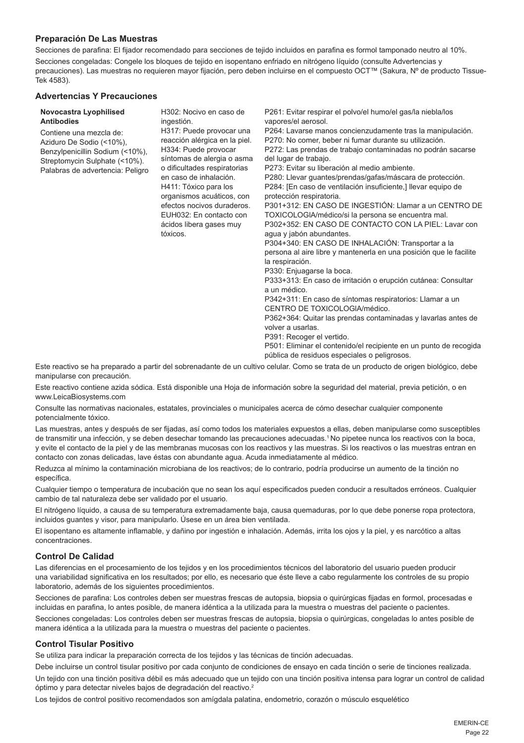### **Preparación De Las Muestras**

Secciones de parafina: El fijador recomendado para secciones de tejido incluidos en parafina es formol tamponado neutro al 10%. Secciones congeladas: Congele los bloques de tejido en isopentano enfriado en nitrógeno líquido (consulte Advertencias y precauciones). Las muestras no requieren mayor fijación, pero deben incluirse en el compuesto OCT™ (Sakura, Nº de producto Tissue-Tek 4583).

## **Advertencias Y Precauciones**

#### **Novocastra Lyophilised Antibodies** Contiene una mezcla de: Aziduro De Sodio (<10%), Benzylpenicillin Sodium (<10%), Streptomycin Sulphate (<10%). Palabras de advertencia: Peligro H302: Nocivo en caso de ingestión. H317: Puede provocar una reacción alérgica en la piel. H334: Puede provocar síntomas de alergia o asma o dificultades respiratorias en caso de inhalación. H411: Tóxico para los organismos acuáticos, con efectos nocivos duraderos. EUH032: En contacto con ácidos libera gases muy tóxicos. P261: Evitar respirar el polvo/el humo/el gas/la niebla/los vapores/el aerosol. P264: Lavarse manos concienzudamente tras la manipulación. P270: No comer, beber ni fumar durante su utilización. P272: Las prendas de trabajo contaminadas no podrán sacarse del lugar de trabajo. P273: Evitar su liberación al medio ambiente. P280: Llevar guantes/prendas/gafas/máscara de protección. P284: [En caso de ventilación insuficiente,] llevar equipo de protección respiratoria. P301+312: EN CASO DE INGESTIÓN: Llamar a un CENTRO DE TOXICOLOGlA/médico/si la persona se encuentra mal. P302+352: EN CASO DE CONTACTO CON LA PIEL: Lavar con agua y jabón abundantes. P304+340: EN CASO DE INHALACIÓN: Transportar a la persona al aire libre y mantenerla en una posición que le facilite la respiración. P330: Enjuagarse la boca. P333+313: En caso de irritación o erupción cutánea: Consultar a un médico. P342+311: En caso de síntomas respiratorios: Llamar a un CENTRO DE TOXICOLOGlA/médico. P362+364: Quitar las prendas contaminadas y lavarlas antes de

pública de residuos especiales o peligrosos. Este reactivo se ha preparado a partir del sobrenadante de un cultivo celular. Como se trata de un producto de origen biológico, debe manipularse con precaución.

volver a usarlas. P391: Recoger el vertido.

P501: Eliminar el contenido/el recipiente en un punto de recogida

Este reactivo contiene azida sódica. Está disponible una Hoja de información sobre la seguridad del material, previa petición, o en www.LeicaBiosystems.com

Consulte las normativas nacionales, estatales, provinciales o municipales acerca de cómo desechar cualquier componente potencialmente tóxico.

Las muestras, antes y después de ser fijadas, así como todos los materiales expuestos a ellas, deben manipularse como susceptibles de transmitir una infección, y se deben desechar tomando las precauciones adecuadas.<sup>1</sup>No pipetee nunca los reactivos con la boca, y evite el contacto de la piel y de las membranas mucosas con los reactivos y las muestras. Si los reactivos o las muestras entran en contacto con zonas delicadas, lave éstas con abundante agua. Acuda inmediatamente al médico.

Reduzca al mínimo la contaminación microbiana de los reactivos; de lo contrario, podría producirse un aumento de la tinción no específica.

Cualquier tiempo o temperatura de incubación que no sean los aquí especificados pueden conducir a resultados erróneos. Cualquier cambio de tal naturaleza debe ser validado por el usuario.

El nitrógeno líquido, a causa de su temperatura extremadamente baja, causa quemaduras, por lo que debe ponerse ropa protectora, incluidos guantes y visor, para manipularlo. Úsese en un área bien ventilada.

El isopentano es altamente inflamable, y dañino por ingestión e inhalación. Además, irrita los ojos y la piel, y es narcótico a altas concentraciones.

#### **Control De Calidad**

Las diferencias en el procesamiento de los tejidos y en los procedimientos técnicos del laboratorio del usuario pueden producir una variabilidad significativa en los resultados; por ello, es necesario que éste lleve a cabo regularmente los controles de su propio laboratorio, además de los siguientes procedimientos.

Secciones de parafina: Los controles deben ser muestras frescas de autopsia, biopsia o quirúrgicas fijadas en formol, procesadas e incluidas en parafina, lo antes posible, de manera idéntica a la utilizada para la muestra o muestras del paciente o pacientes.

Secciones congeladas: Los controles deben ser muestras frescas de autopsia, biopsia o quirúrgicas, congeladas lo antes posible de manera idéntica a la utilizada para la muestra o muestras del paciente o pacientes.

#### **Control Tisular Positivo**

Se utiliza para indicar la preparación correcta de los tejidos y las técnicas de tinción adecuadas.

Debe incluirse un control tisular positivo por cada conjunto de condiciones de ensayo en cada tinción o serie de tinciones realizada. Un tejido con una tinción positiva débil es más adecuado que un tejido con una tinción positiva intensa para lograr un control de calidad óptimo y para detectar niveles bajos de degradación del reactivo.<sup>2</sup>

Los tejidos de control positivo recomendados son amígdala palatina, endometrio, corazón o músculo esquelético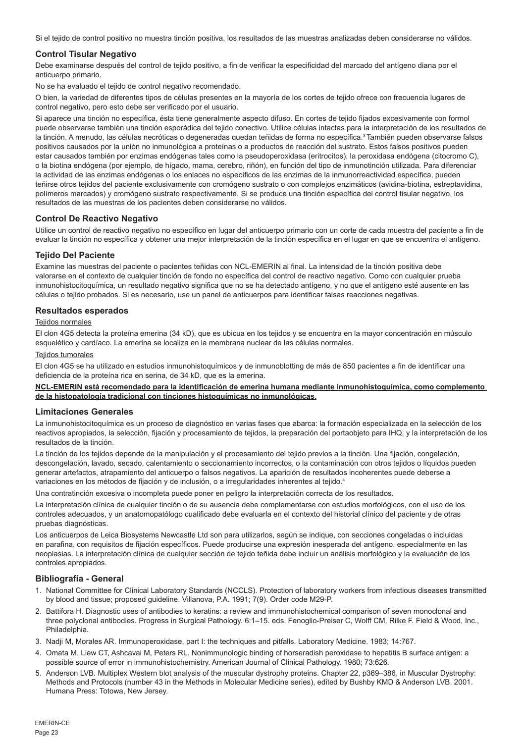Si el tejido de control positivo no muestra tinción positiva, los resultados de las muestras analizadas deben considerarse no válidos.

### **Control Tisular Negativo**

Debe examinarse después del control de tejido positivo, a fin de verificar la especificidad del marcado del antígeno diana por el anticuerpo primario.

No se ha evaluado el tejido de control negativo recomendado.

O bien, la variedad de diferentes tipos de células presentes en la mayoría de los cortes de tejido ofrece con frecuencia lugares de control negativo, pero esto debe ser verificado por el usuario.

Si aparece una tinción no específica, ésta tiene generalmente aspecto difuso. En cortes de tejido fijados excesivamente con formol puede observarse también una tinción esporádica del tejido conectivo. Utilice células intactas para la interpretación de los resultados de la tinción. A menudo, las células necróticas o degeneradas quedan teñidas de forma no específica.<sup>3</sup>También pueden observarse falsos positivos causados por la unión no inmunológica a proteínas o a productos de reacción del sustrato. Estos falsos positivos pueden estar causados también por enzimas endógenas tales como la pseudoperoxidasa (eritrocitos), la peroxidasa endógena (citocromo C), o la biotina endógena (por ejemplo, de hígado, mama, cerebro, riñón), en función del tipo de inmunotinción utilizada. Para diferenciar la actividad de las enzimas endógenas o los enlaces no específicos de las enzimas de la inmunorreactividad específica, pueden teñirse otros tejidos del paciente exclusivamente con cromógeno sustrato o con complejos enzimáticos (avidina-biotina, estreptavidina, polímeros marcados) y cromógeno sustrato respectivamente. Si se produce una tinción específica del control tisular negativo, los resultados de las muestras de los pacientes deben considerarse no válidos.

#### **Control De Reactivo Negativo**

Utilice un control de reactivo negativo no específico en lugar del anticuerpo primario con un corte de cada muestra del paciente a fin de evaluar la tinción no específica y obtener una mejor interpretación de la tinción específica en el lugar en que se encuentra el antígeno.

#### **Tejido Del Paciente**

Examine las muestras del paciente o pacientes teñidas con NCL-EMERIN al final. La intensidad de la tinción positiva debe valorarse en el contexto de cualquier tinción de fondo no específica del control de reactivo negativo. Como con cualquier prueba inmunohistocitoquímica, un resultado negativo significa que no se ha detectado antígeno, y no que el antígeno esté ausente en las células o tejido probados. Si es necesario, use un panel de anticuerpos para identificar falsas reacciones negativas.

#### **Resultados esperados**

### Tejidos normales

El clon 4G5 detecta la proteína emerina (34 kD), que es ubicua en los tejidos y se encuentra en la mayor concentración en músculo esquelético y cardíaco. La emerina se localiza en la membrana nuclear de las células normales.

#### Tejidos tumorales

El clon 4G5 se ha utilizado en estudios inmunohistoquímicos y de inmunoblotting de más de 850 pacientes a fin de identificar una deficiencia de la proteína rica en serina, de 34 kD, que es la emerina.

**NCL-EMERIN está recomendado para la identificación de emerina humana mediante inmunohistoquímica, como complemento de la histopatología tradicional con tinciones histoquímicas no inmunológicas.**

#### **Limitaciones Generales**

La inmunohistocitoquímica es un proceso de diagnóstico en varias fases que abarca: la formación especializada en la selección de los reactivos apropiados, la selección, fijación y procesamiento de tejidos, la preparación del portaobjeto para IHQ, y la interpretación de los resultados de la tinción.

La tinción de los tejidos depende de la manipulación y el procesamiento del tejido previos a la tinción. Una fijación, congelación, descongelación, lavado, secado, calentamiento o seccionamiento incorrectos, o la contaminación con otros tejidos o líquidos pueden generar artefactos, atrapamiento del anticuerpo o falsos negativos. La aparición de resultados incoherentes puede deberse a variaciones en los métodos de fijación y de inclusión, o a irregularidades inherentes al tejido.<sup>4</sup>

Una contratinción excesiva o incompleta puede poner en peligro la interpretación correcta de los resultados.

La interpretación clínica de cualquier tinción o de su ausencia debe complementarse con estudios morfológicos, con el uso de los controles adecuados, y un anatomopatólogo cualificado debe evaluarla en el contexto del historial clínico del paciente y de otras pruebas diagnósticas.

Los anticuerpos de Leica Biosystems Newcastle Ltd son para utilizarlos, según se indique, con secciones congeladas o incluidas en parafina, con requisitos de fijación específicos. Puede producirse una expresión inesperada del antígeno, especialmente en las neoplasias. La interpretación clínica de cualquier sección de tejido teñida debe incluir un análisis morfológico y la evaluación de los controles apropiados.

#### **Bibliografía - General**

- 1. National Committee for Clinical Laboratory Standards (NCCLS). Protection of laboratory workers from infectious diseases transmitted by blood and tissue; proposed guideline. Villanova, P.A. 1991; 7(9). Order code M29-P.
- 2. Battifora H. Diagnostic uses of antibodies to keratins: a review and immunohistochemical comparison of seven monoclonal and three polyclonal antibodies. Progress in Surgical Pathology. 6:1–15. eds. Fenoglio-Preiser C, Wolff CM, Rilke F. Field & Wood, Inc., Philadelphia.
- 3. Nadji M, Morales AR. Immunoperoxidase, part I: the techniques and pitfalls. Laboratory Medicine. 1983; 14:767.
- 4. Omata M, Liew CT, Ashcavai M, Peters RL. Nonimmunologic binding of horseradish peroxidase to hepatitis B surface antigen: a possible source of error in immunohistochemistry. American Journal of Clinical Pathology. 1980; 73:626.
- 5. Anderson LVB. Multiplex Western blot analysis of the muscular dystrophy proteins. Chapter 22, p369–386, in Muscular Dystrophy: Methods and Protocols (number 43 in the Methods in Molecular Medicine series), edited by Bushby KMD & Anderson LVB. 2001. Humana Press: Totowa, New Jersey.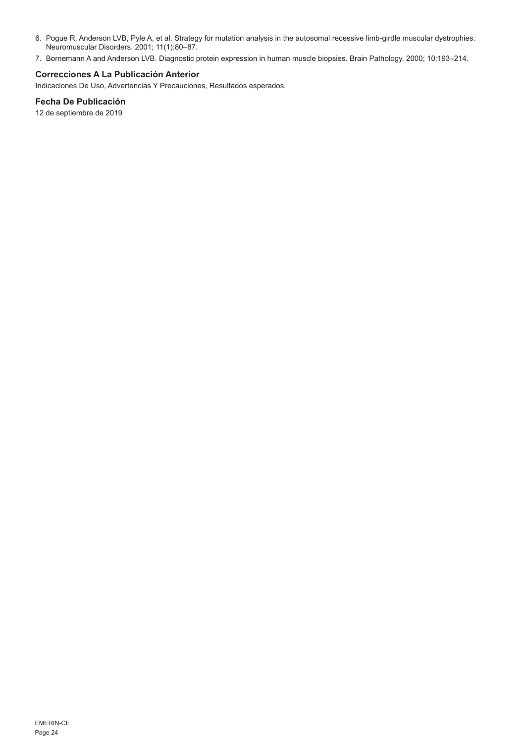- 6. Pogue R, Anderson LVB, Pyle A, et al. Strategy for mutation analysis in the autosomal recessive limb-girdle muscular dystrophies. Neuromuscular Disorders. 2001; 11(1):80–87.
- 7. Bornemann A and Anderson LVB. Diagnostic protein expression in human muscle biopsies. Brain Pathology. 2000; 10:193–214.

### **Correcciones A La Publicación Anterior**

Indicaciones De Uso, Advertencias Y Precauciones, Resultados esperados.

# **Fecha De Publicación**

12 de septiembre de 2019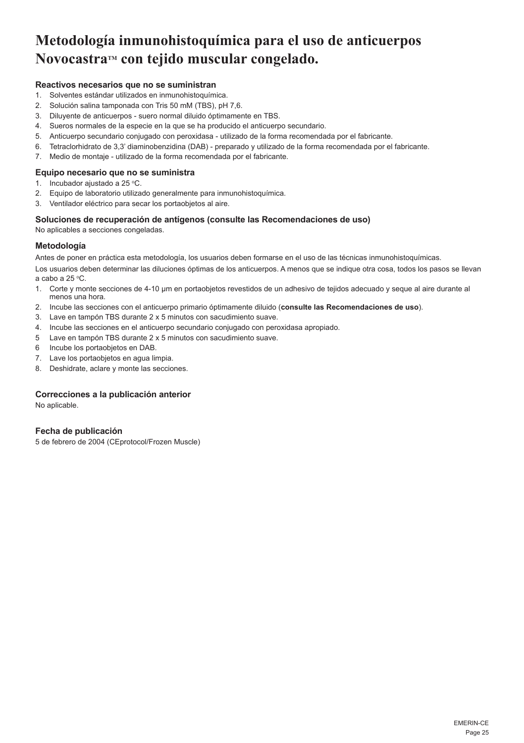# **Metodología inmunohistoquímica para el uso de anticuerpos NovocastraTM con tejido muscular congelado.**

# **Reactivos necesarios que no se suministran**

- 1. Solventes estándar utilizados en inmunohistoquímica.
- 2. Solución salina tamponada con Tris 50 mM (TBS), pH 7,6.
- 3. Diluyente de anticuerpos suero normal diluido óptimamente en TBS.
- 4. Sueros normales de la especie en la que se ha producido el anticuerpo secundario.
- 5. Anticuerpo secundario conjugado con peroxidasa utilizado de la forma recomendada por el fabricante.
- 6. Tetraclorhidrato de 3,3' diaminobenzidina (DAB) preparado y utilizado de la forma recomendada por el fabricante.
- 7. Medio de montaje utilizado de la forma recomendada por el fabricante.

### **Equipo necesario que no se suministra**

- 1. Incubador ajustado a 25 °C.
- 2. Equipo de laboratorio utilizado generalmente para inmunohistoquímica.
- 3. Ventilador eléctrico para secar los portaobjetos al aire.

## **Soluciones de recuperación de antígenos (consulte las Recomendaciones de uso)**

No aplicables a secciones congeladas.

### **Metodología**

Antes de poner en práctica esta metodología, los usuarios deben formarse en el uso de las técnicas inmunohistoquímicas.

Los usuarios deben determinar las diluciones óptimas de los anticuerpos. A menos que se indique otra cosa, todos los pasos se llevan a cabo a 25 °C.

- 1. Corte y monte secciones de 4-10 μm en portaobjetos revestidos de un adhesivo de tejidos adecuado y seque al aire durante al menos una hora.
- 2. Incube las secciones con el anticuerpo primario óptimamente diluido (**consulte las Recomendaciones de uso**).
- 3. Lave en tampón TBS durante 2 x 5 minutos con sacudimiento suave.
- 4. Incube las secciones en el anticuerpo secundario conjugado con peroxidasa apropiado.
- 5 Lave en tampón TBS durante 2 x 5 minutos con sacudimiento suave.
- 6 Incube los portaobjetos en DAB.
- 7. Lave los portaobjetos en agua limpia.
- 8. Deshidrate, aclare y monte las secciones.

# **Correcciones a la publicación anterior**

No aplicable.

# **Fecha de publicación**

5 de febrero de 2004 (CEprotocol/Frozen Muscle)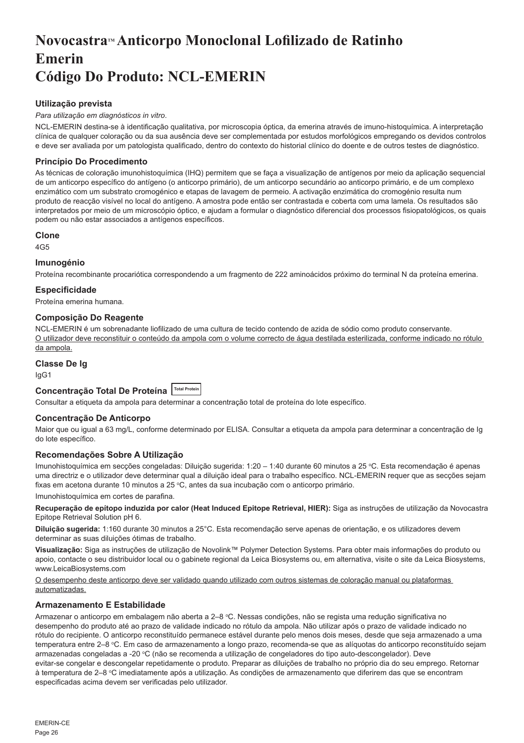# <span id="page-26-0"></span>**NovocastraTM Anticorpo Monoclonal Lofilizado de Ratinho Emerin Código Do Produto: NCL-EMERIN**

# **Utilização prevista**

#### *Para utilização em diagnósticos in vitro*.

NCL-EMERIN destina-se à identificação qualitativa, por microscopia óptica, da emerina através de imuno-histoquímica. A interpretação clínica de qualquer coloração ou da sua ausência deve ser complementada por estudos morfológicos empregando os devidos controlos e deve ser avaliada por um patologista qualificado, dentro do contexto do historial clínico do doente e de outros testes de diagnóstico.

#### **Princípio Do Procedimento**

As técnicas de coloração imunohistoquímica (IHQ) permitem que se faça a visualização de antígenos por meio da aplicação sequencial de um anticorpo específico do antígeno (o anticorpo primário), de um anticorpo secundário ao anticorpo primário, e de um complexo enzimático com um substrato cromogénico e etapas de lavagem de permeio. A activação enzimática do cromogénio resulta num produto de reacção visível no local do antígeno. A amostra pode então ser contrastada e coberta com uma lamela. Os resultados são interpretados por meio de um microscópio óptico, e ajudam a formular o diagnóstico diferencial dos processos fisiopatológicos, os quais podem ou não estar associados a antígenos específicos.

#### **Clone**

4G5

#### **Imunogénio**

Proteína recombinante procariótica correspondendo a um fragmento de 222 aminoácidos próximo do terminal N da proteína emerina.

#### **Especificidade**

Proteína emerina humana.

#### **Composição Do Reagente**

NCL-EMERIN é um sobrenadante liofilizado de uma cultura de tecido contendo de azida de sódio como produto conservante. O utilizador deve reconstituir o conteúdo da ampola com o volume correcto de água destilada esterilizada, conforme indicado no rótulo da ampola.

#### **Classe De Ig**

IgG1

# **Concentração Total De Proteína Total Protein**

Consultar a etiqueta da ampola para determinar a concentração total de proteína do lote específico.

#### **Concentração De Anticorpo**

Maior que ou igual a 63 mg/L, conforme determinado por ELISA. Consultar a etiqueta da ampola para determinar a concentração de Ig do lote específico.

#### **Recomendações Sobre A Utilização**

Imunohistoquímica em secções congeladas: Diluição sugerida: 1:20 – 1:40 durante 60 minutos a 25 °C. Esta recomendação é apenas uma directriz e o utilizador deve determinar qual a diluição ideal para o trabalho específico. NCL-EMERIN requer que as secções sejam fixas em acetona durante 10 minutos a 25 °C, antes da sua incubação com o anticorpo primário.

Imunohistoquímica em cortes de parafina.

**Recuperação de epítopo induzida por calor (Heat Induced Epitope Retrieval, HIER):** Siga as instruções de utilização da Novocastra Epitope Retrieval Solution pH 6.

**Diluição sugerida:** 1:160 durante 30 minutos a 25°C. Esta recomendação serve apenas de orientação, e os utilizadores devem determinar as suas diluições ótimas de trabalho.

**Visualização:** Siga as instruções de utilização de Novolink™ Polymer Detection Systems. Para obter mais informações do produto ou apoio, contacte o seu distribuidor local ou o gabinete regional da Leica Biosystems ou, em alternativa, visite o site da Leica Biosystems, www.LeicaBiosystems.com

O desempenho deste anticorpo deve ser validado quando utilizado com outros sistemas de coloração manual ou plataformas automatizadas.

# **Armazenamento E Estabilidade**

Armazenar o anticorpo em embalagem não aberta a 2–8 °C. Nessas condições, não se regista uma redução significativa no desempenho do produto até ao prazo de validade indicado no rótulo da ampola. Não utilizar após o prazo de validade indicado no rótulo do recipiente. O anticorpo reconstituído permanece estável durante pelo menos dois meses, desde que seja armazenado a uma temperatura entre 2–8 °C. Em caso de armazenamento a longo prazo, recomenda-se que as alíquotas do anticorpo reconstituído sejam armazenadas congeladas a -20 °C (não se recomenda a utilização de congeladores do tipo auto-descongelador). Deve evitar-se congelar e descongelar repetidamente o produto. Preparar as diluições de trabalho no próprio dia do seu emprego. Retornar à temperatura de 2–8 °C imediatamente após a utilização. As condições de armazenamento que diferirem das que se encontram especificadas acima devem ser verificadas pelo utilizador.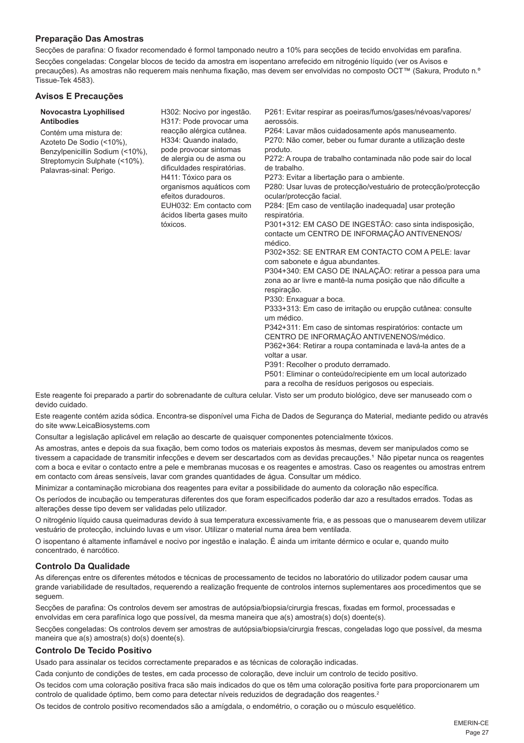#### **Preparação Das Amostras**

Secções de parafina: O fixador recomendado é formol tamponado neutro a 10% para secções de tecido envolvidas em parafina. Secções congeladas: Congelar blocos de tecido da amostra em isopentano arrefecido em nitrogénio líquido (ver os Avisos e precauções). As amostras não requerem mais nenhuma fixação, mas devem ser envolvidas no composto OCT™ (Sakura, Produto n.º Tissue-Tek 4583).

### **Avisos E Precauções**

#### **Novocastra Lyophilised Antibodies**

Contém uma mistura de: Azoteto De Sodio (<10%), Benzylpenicillin Sodium (<10%), Streptomycin Sulphate (<10%). Palavras-sinal: Perigo.

H302: Nocivo por ingestão. H317: Pode provocar uma reacção alérgica cutânea. H334: Quando inalado, pode provocar sintomas de alergia ou de asma ou dificuldades respiratórias. H411: Tóxico para os organismos aquáticos com efeitos duradouros. EUH032: Em contacto com ácidos liberta gases muito tóxicos.

P261: Evitar respirar as poeiras/fumos/gases/névoas/vapores/ aerossóis.

P264: Lavar mãos cuidadosamente após manuseamento. P270: Não comer, beber ou fumar durante a utilização deste produto.

P272: A roupa de trabalho contaminada não pode sair do local de trabalho.

P273: Evitar a libertação para o ambiente.

P280: Usar luvas de protecção/vestuário de protecção/protecção ocular/protecção facial.

P284: [Em caso de ventilação inadequada] usar proteção respiratória.

P301+312: EM CASO DE INGESTÃO: caso sinta indisposição, contacte um CENTRO DE INFORMAÇÃO ANTIVENENOS/ médico.

P302+352: SE ENTRAR EM CONTACTO COM A PELE: lavar com sabonete e água abundantes.

P304+340: EM CASO DE INALAÇÃO: retirar a pessoa para uma zona ao ar livre e mantê-la numa posição que não dificulte a respiração.

P330: Enxaguar a boca.

P333+313: Em caso de irritação ou erupção cutânea: consulte um médico.

P342+311: Em caso de sintomas respiratórios: contacte um CENTRO DE INFORMAÇÃO ANTIVENENOS/médico.

P362+364: Retirar a roupa contaminada e lavá-la antes de a voltar a usar.

P391: Recolher o produto derramado.

P501: Eliminar o conteúdo/recipiente em um local autorizado para a recolha de resíduos perigosos ou especiais.

Este reagente foi preparado a partir do sobrenadante de cultura celular. Visto ser um produto biológico, deve ser manuseado com o devido cuidado.

Este reagente contém azida sódica. Encontra-se disponível uma Ficha de Dados de Segurança do Material, mediante pedido ou através do site www.LeicaBiosystems.com

Consultar a legislação aplicável em relação ao descarte de quaisquer componentes potencialmente tóxicos.

As amostras, antes e depois da sua fixação, bem como todos os materiais expostos às mesmas, devem ser manipulados como se tivessem a capacidade de transmitir infecções e devem ser descartados com as devidas precauções.<sup>1</sup> Não pipetar nunca os reagentes com a boca e evitar o contacto entre a pele e membranas mucosas e os reagentes e amostras. Caso os reagentes ou amostras entrem em contacto com áreas sensíveis, lavar com grandes quantidades de água. Consultar um médico.

Minimizar a contaminação microbiana dos reagentes para evitar a possibilidade do aumento da coloração não específica.

Os períodos de incubação ou temperaturas diferentes dos que foram especificados poderão dar azo a resultados errados. Todas as alterações desse tipo devem ser validadas pelo utilizador.

O nitrogénio líquido causa queimaduras devido à sua temperatura excessivamente fria, e as pessoas que o manusearem devem utilizar vestuário de protecção, incluindo luvas e um visor. Utilizar o material numa área bem ventilada.

O isopentano é altamente inflamável e nocivo por ingestão e inalação. É ainda um irritante dérmico e ocular e, quando muito concentrado, é narcótico.

#### **Controlo Da Qualidade**

As diferenças entre os diferentes métodos e técnicas de processamento de tecidos no laboratório do utilizador podem causar uma grande variabilidade de resultados, requerendo a realização frequente de controlos internos suplementares aos procedimentos que se seguem.

Secções de parafina: Os controlos devem ser amostras de autópsia/biopsia/cirurgia frescas, fixadas em formol, processadas e envolvidas em cera parafínica logo que possível, da mesma maneira que a(s) amostra(s) do(s) doente(s).

Secções congeladas: Os controlos devem ser amostras de autópsia/biopsia/cirurgia frescas, congeladas logo que possível, da mesma maneira que a(s) amostra(s) do(s) doente(s).

# **Controlo De Tecido Positivo**

Usado para assinalar os tecidos correctamente preparados e as técnicas de coloração indicadas.

Cada conjunto de condições de testes, em cada processo de coloração, deve incluir um controlo de tecido positivo.

Os tecidos com uma coloração positiva fraca são mais indicados do que os têm uma coloração positiva forte para proporcionarem um controlo de qualidade óptimo, bem como para detectar níveis reduzidos de degradação dos reagentes.<sup>2</sup>

Os tecidos de controlo positivo recomendados são a amígdala, o endométrio, o coração ou o músculo esquelético.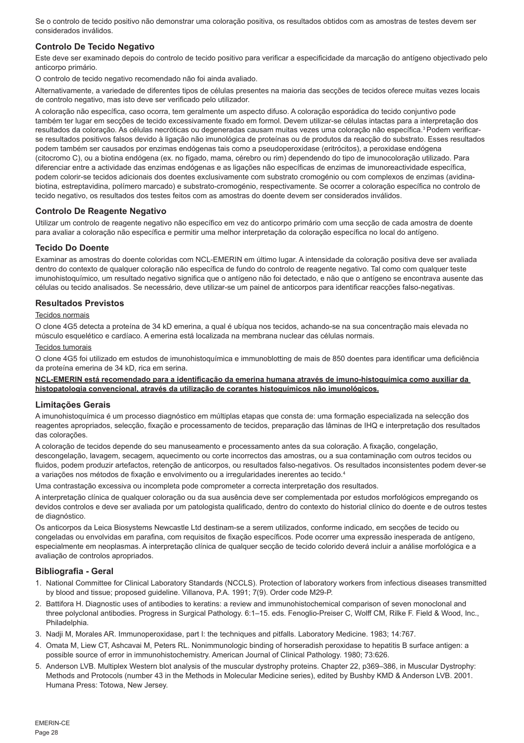Se o controlo de tecido positivo não demonstrar uma coloração positiva, os resultados obtidos com as amostras de testes devem ser considerados inválidos.

### **Controlo De Tecido Negativo**

Este deve ser examinado depois do controlo de tecido positivo para verificar a especificidade da marcação do antígeno objectivado pelo anticorpo primário.

O controlo de tecido negativo recomendado não foi ainda avaliado.

Alternativamente, a variedade de diferentes tipos de células presentes na maioria das secções de tecidos oferece muitas vezes locais de controlo negativo, mas isto deve ser verificado pelo utilizador.

A coloração não específica, caso ocorra, tem geralmente um aspecto difuso. A coloração esporádica do tecido conjuntivo pode também ter lugar em secções de tecido excessivamente fixado em formol. Devem utilizar-se células intactas para a interpretação dos resultados da coloração. As células necróticas ou degeneradas causam muitas vezes uma coloração não específica.<sup>3</sup> Podem verificarse resultados positivos falsos devido à ligação não imunológica de proteínas ou de produtos da reacção do substrato. Esses resultados podem também ser causados por enzimas endógenas tais como a pseudoperoxidase (eritrócitos), a peroxidase endógena (citocromo C), ou a biotina endógena (ex. no fígado, mama, cérebro ou rim) dependendo do tipo de imunocoloração utilizado. Para diferenciar entre a actividade das enzimas endógenas e as ligações não específicas de enzimas de imunoreactividade específica, podem colorir-se tecidos adicionais dos doentes exclusivamente com substrato cromogénio ou com complexos de enzimas (avidinabiotina, estreptavidina, polímero marcado) e substrato-cromogénio, respectivamente. Se ocorrer a coloração específica no controlo de tecido negativo, os resultados dos testes feitos com as amostras do doente devem ser considerados inválidos.

#### **Controlo De Reagente Negativo**

Utilizar um controlo de reagente negativo não específico em vez do anticorpo primário com uma secção de cada amostra de doente para avaliar a coloração não específica e permitir uma melhor interpretação da coloração específica no local do antígeno.

#### **Tecido Do Doente**

Examinar as amostras do doente coloridas com NCL-EMERIN em último lugar. A intensidade da coloração positiva deve ser avaliada dentro do contexto de qualquer coloração não específica de fundo do controlo de reagente negativo. Tal como com qualquer teste imunohistoquímico, um resultado negativo significa que o antígeno não foi detectado, e não que o antígeno se encontrava ausente das células ou tecido analisados. Se necessário, deve utilizar-se um painel de anticorpos para identificar reacções falso-negativas.

#### **Resultados Previstos**

#### Tecidos normais

O clone 4G5 detecta a proteína de 34 kD emerina, a qual é ubíqua nos tecidos, achando-se na sua concentração mais elevada no músculo esquelético e cardíaco. A emerina está localizada na membrana nuclear das células normais.

#### Tecidos tumorais

O clone 4G5 foi utilizado em estudos de imunohistoquímica e immunoblotting de mais de 850 doentes para identificar uma deficiência da proteína emerina de 34 kD, rica em serina.

**NCL-EMERIN está recomendado para a identificação da emerina humana através de imuno-histoquímica como auxiliar da histopatologia convencional, através da utilização de corantes histoquímicos não imunológicos.**

#### **Limitações Gerais**

A imunohistoquímica é um processo diagnóstico em múltiplas etapas que consta de: uma formação especializada na selecção dos reagentes apropriados, selecção, fixação e processamento de tecidos, preparação das lâminas de IHQ e interpretação dos resultados das colorações.

A coloração de tecidos depende do seu manuseamento e processamento antes da sua coloração. A fixação, congelação, descongelação, lavagem, secagem, aquecimento ou corte incorrectos das amostras, ou a sua contaminação com outros tecidos ou fluidos, podem produzir artefactos, retenção de anticorpos, ou resultados falso-negativos. Os resultados inconsistentes podem dever-se a variações nos métodos de fixação e envolvimento ou a irregularidades inerentes ao tecido.<sup>4</sup>

Uma contrastação excessiva ou incompleta pode comprometer a correcta interpretação dos resultados.

A interpretação clínica de qualquer coloração ou da sua ausência deve ser complementada por estudos morfológicos empregando os devidos controlos e deve ser avaliada por um patologista qualificado, dentro do contexto do historial clínico do doente e de outros testes de diagnóstico.

Os anticorpos da Leica Biosystems Newcastle Ltd destinam-se a serem utilizados, conforme indicado, em secções de tecido ou congeladas ou envolvidas em parafina, com requisitos de fixação específicos. Pode ocorrer uma expressão inesperada de antígeno, especialmente em neoplasmas. A interpretação clínica de qualquer secção de tecido colorido deverá incluir a análise morfológica e a avaliação de controlos apropriados.

#### **Bibliografia - Geral**

- 1. National Committee for Clinical Laboratory Standards (NCCLS). Protection of laboratory workers from infectious diseases transmitted by blood and tissue; proposed guideline. Villanova, P.A. 1991; 7(9). Order code M29-P.
- 2. Battifora H. Diagnostic uses of antibodies to keratins: a review and immunohistochemical comparison of seven monoclonal and three polyclonal antibodies. Progress in Surgical Pathology. 6:1–15. eds. Fenoglio-Preiser C, Wolff CM, Rilke F. Field & Wood, Inc., Philadelphia.
- 3. Nadji M, Morales AR. Immunoperoxidase, part I: the techniques and pitfalls. Laboratory Medicine. 1983; 14:767.
- 4. Omata M, Liew CT, Ashcavai M, Peters RL. Nonimmunologic binding of horseradish peroxidase to hepatitis B surface antigen: a possible source of error in immunohistochemistry. American Journal of Clinical Pathology. 1980; 73:626.
- 5. Anderson LVB. Multiplex Western blot analysis of the muscular dystrophy proteins. Chapter 22, p369–386, in Muscular Dystrophy: Methods and Protocols (number 43 in the Methods in Molecular Medicine series), edited by Bushby KMD & Anderson LVB. 2001. Humana Press: Totowa, New Jersey.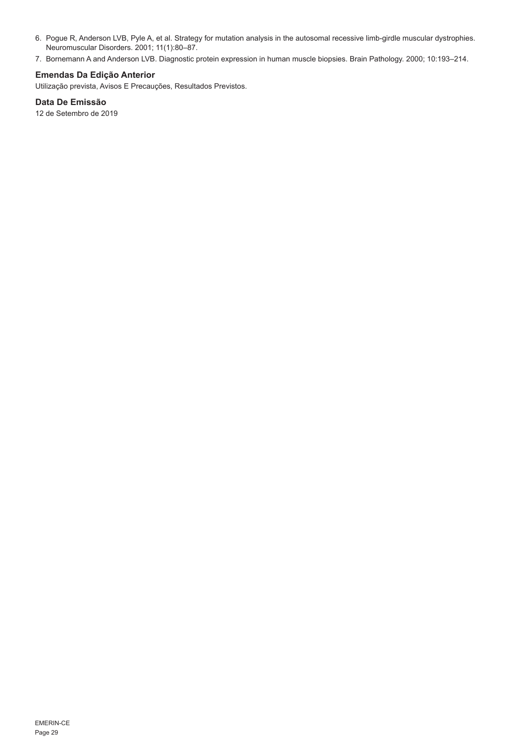- 6. Pogue R, Anderson LVB, Pyle A, et al. Strategy for mutation analysis in the autosomal recessive limb-girdle muscular dystrophies. Neuromuscular Disorders. 2001; 11(1):80–87.
- 7. Bornemann A and Anderson LVB. Diagnostic protein expression in human muscle biopsies. Brain Pathology. 2000; 10:193–214.

# **Emendas Da Edição Anterior**

Utilização prevista, Avisos E Precauções, Resultados Previstos.

# **Data De Emissão**

12 de Setembro de 2019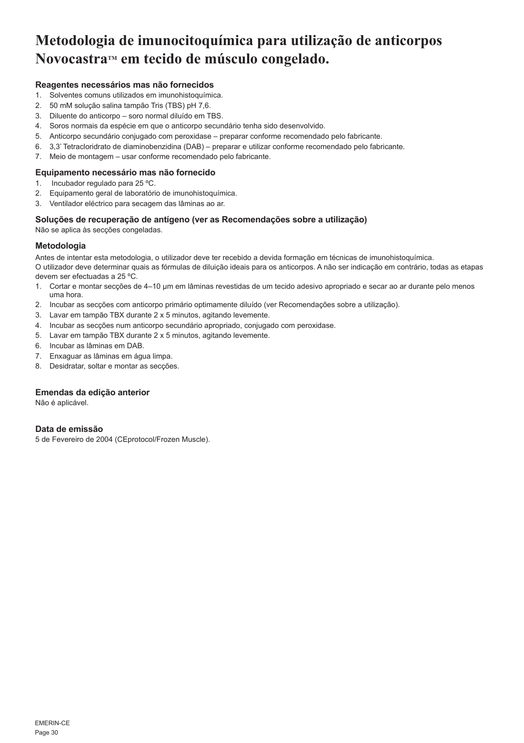# **Metodologia de imunocitoquímica para utilização de anticorpos NovocastraTM em tecido de músculo congelado.**

# **Reagentes necessários mas não fornecidos**

- 1. Solventes comuns utilizados em imunohistoquímica.
- 2. 50 mM solução salina tampão Tris (TBS) pH 7,6.
- 3. Diluente do anticorpo soro normal diluído em TBS.
- 4. Soros normais da espécie em que o anticorpo secundário tenha sido desenvolvido.
- 5. Anticorpo secundário conjugado com peroxidase preparar conforme recomendado pelo fabricante.
- 6. 3,3' Tetracloridrato de diaminobenzidina (DAB) preparar e utilizar conforme recomendado pelo fabricante.
- 7. Meio de montagem usar conforme recomendado pelo fabricante.

# **Equipamento necessário mas não fornecido**

- 1. Incubador regulado para 25 °C.
- 2. Equipamento geral de laboratório de imunohistoquímica.
- 3. Ventilador eléctrico para secagem das lâminas ao ar.

## **Soluções de recuperação de antígeno (ver as Recomendações sobre a utilização)**

Não se aplica às secções congeladas.

## **Metodologia**

Antes de intentar esta metodologia, o utilizador deve ter recebido a devida formação em técnicas de imunohistoquímica. O utilizador deve determinar quais as fórmulas de diluição ideais para os anticorpos. A não ser indicação em contrário, todas as etapas devem ser efectuadas a 25 ºC.

- 1. Cortar e montar secções de 4–10 μm em lâminas revestidas de um tecido adesivo apropriado e secar ao ar durante pelo menos uma hora.
- 2. Incubar as secções com anticorpo primário optimamente diluído (ver Recomendações sobre a utilização).
- 3. Lavar em tampão TBX durante 2 x 5 minutos, agitando levemente.
- 4. Incubar as secções num anticorpo secundário apropriado, conjugado com peroxidase.
- 5. Lavar em tampão TBX durante 2 x 5 minutos, agitando levemente.
- 6. Incubar as lâminas em DAB.
- 7. Enxaguar as lâminas em água limpa.
- 8. Desidratar, soltar e montar as secções.

# **Emendas da edição anterior**

Não é aplicável.

# **Data de emissão**

5 de Fevereiro de 2004 (CEprotocol/Frozen Muscle).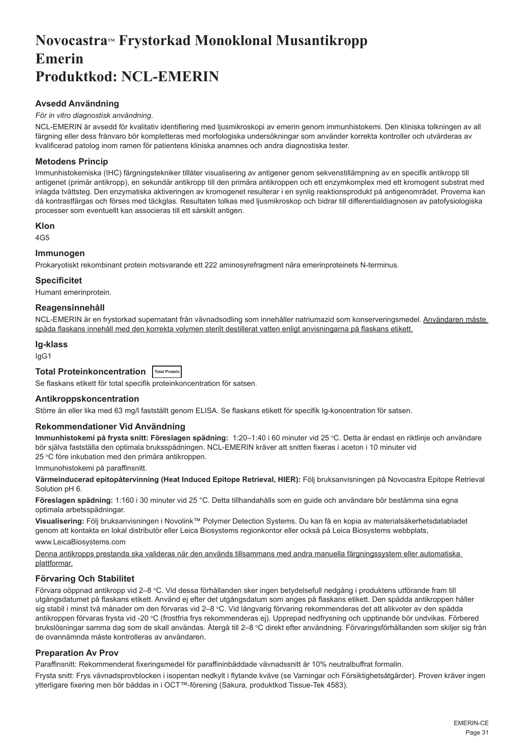# <span id="page-31-0"></span>**NovocastraTM Frystorkad Monoklonal Musantikropp Emerin Produktkod: NCL-EMERIN**

# **Avsedd Användning**

#### *För in vitro diagnostisk användning*.

NCL-EMERIN är avsedd för kvalitativ identifiering med ljusmikroskopi av emerin genom immunhistokemi. Den kliniska tolkningen av all färgning eller dess frånvaro bör kompletteras med morfologiska undersökningar som använder korrekta kontroller och utvärderas av kvalificerad patolog inom ramen för patientens kliniska anamnes och andra diagnostiska tester.

# **Metodens Princip**

Immunhistokemiska (IHC) färgningstekniker tillåter visualisering av antigener genom sekvenstillämpning av en specifik antikropp till antigenet (primär antikropp), en sekundär antikropp till den primära antikroppen och ett enzymkomplex med ett kromogent substrat med inlagda tvättsteg. Den enzymatiska aktiveringen av kromogenet resulterar i en synlig reaktionsprodukt på antigenområdet. Proverna kan då kontrastfärgas och förses med täckglas. Resultaten tolkas med ljusmikroskop och bidrar till differentialdiagnosen av patofysiologiska processer som eventuellt kan associeras till ett särskilt antigen.

#### **Klon**

4G5

## **Immunogen**

Prokaryotiskt rekombinant protein motsvarande ett 222 aminosyrefragment nära emerinproteinets N-terminus.

# **Specificitet**

Humant emerinprotein.

# **Reagensinnehåll**

NCL-EMERIN är en frystorkad supernatant från vävnadsodling som innehåller natriumazid som konserveringsmedel. Användaren måste späda flaskans innehåll med den korrekta volymen sterilt destillerat vatten enligt anvisningarna på flaskans etikett.

#### **Ig-klass**

IgG1

**Total Proteinkoncentration Total Protein**

Se flaskans etikett för total specifik proteinkoncentration för satsen.

# **Antikroppskoncentration**

Större än eller lika med 63 mg/l fastställt genom ELISA. Se flaskans etikett för specifik Ig-koncentration för satsen.

# **Rekommendationer Vid Användning**

**Immunhistokemi på frysta snitt: Föreslagen spädning:** 1:20–1:40 i 60 minuter vid 25 °C. Detta är endast en riktlinje och användare bör själva fastställa den optimala bruksspädningen. NCL-EMERIN kräver att snitten fixeras i aceton i 10 minuter vid 25 °C före inkubation med den primära antikroppen.

Immunohistokemi på paraffinsnitt.

**Värmeinducerad epitopåtervinning (Heat Induced Epitope Retrieval, HIER):** Följ bruksanvisningen på Novocastra Epitope Retrieval Solution pH 6.

**Föreslagen spädning:** 1:160 i 30 minuter vid 25 °C. Detta tillhandahålls som en guide och användare bör bestämma sina egna optimala arbetsspädningar.

**Visualisering:** Följ bruksanvisningen i Novolink™ Polymer Detection Systems. Du kan få en kopia av materialsäkerhetsdatabladet genom att kontakta en lokal distributör eller Leica Biosystems regionkontor eller också på Leica Biosystems webbplats, www.LeicaBiosystems.com

Denna antikropps prestanda ska valideras när den används tillsammans med andra manuella färgningssystem eller automatiska plattformar.

# **Förvaring Och Stabilitet**

Förvara oöppnad antikropp vid 2–8 °C. Vid dessa förhållanden sker ingen betydelsefull nedgång i produktens utförande fram till utgångsdatumet på flaskans etikett. Använd ej efter det utgångsdatum som anges på flaskans etikett. Den spädda antikroppen håller sig stabil i minst två månader om den förvaras vid 2–8 °C. Vid långvarig förvaring rekommenderas det att alikvoter av den spädda antikroppen förvaras frysta vid -20 °C (frostfria frys rekommenderas ej). Upprepad nedfrysning och upptinande bör undvikas. Förbered brukslösningar samma dag som de skall användas. Atergå till 2–8 °C direkt efter användning. Förvaringsförhållanden som skiljer sig från de ovannämnda måste kontrolleras av användaren.

#### **Preparation Av Prov**

Paraffinsnitt: Rekommenderat fixeringsmedel för paraffininbäddade vävnadssnitt är 10% neutralbuffrat formalin.

Frysta snitt: Frys vävnadsprovblocken i isopentan nedkylt i flytande kväve (se Varningar och Försiktighetsåtgärder). Proven kräver ingen ytterligare fixering men bör bäddas in i OCT™-förening (Sakura, produktkod Tissue-Tek 4583).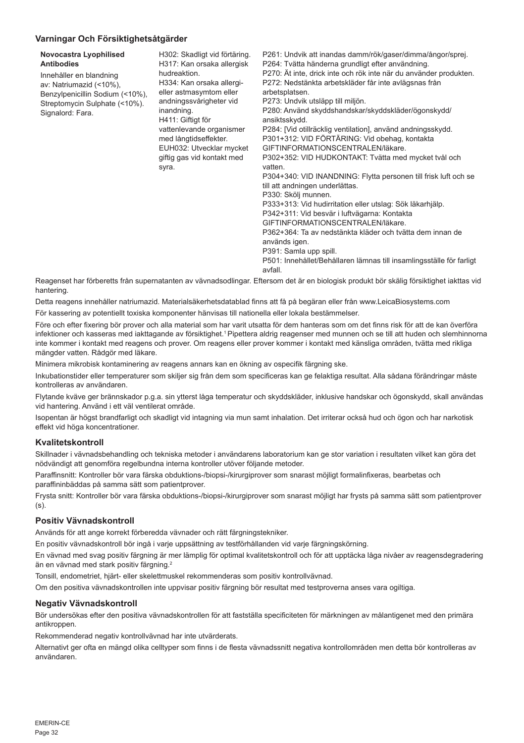### **Varningar Och Försiktighetsåtgärder**

| Novocastra Lyophilised<br><b>Antibodies</b><br>Innehåller en blandning<br>av: Natriumazid (<10%),<br>Benzylpenicillin Sodium (<10%),<br>Streptomycin Sulphate (<10%).<br>Signalord: Fara. | H302: Skadligt vid förtäring.<br>H317: Kan orsaka allergisk<br>hudreaktion.<br>H334: Kan orsaka allergi-<br>eller astmasymtom eller<br>andningssvårigheter vid<br>inandning.<br>H411: Giftigt för<br>vattenlevande organismer<br>med långtidseffekter.<br>EUH032: Utvecklar mycket<br>giftig gas vid kontakt med<br>syra. | P261: Undvik att inandas damm/rök/gaser/dimma/ångor/sprej.<br>P264: Tvätta händerna grundligt efter användning.<br>P270: Ät inte, drick inte och rök inte när du använder produkten.<br>P272: Nedstänkta arbetskläder får inte avlägsnas från<br>arbetsplatsen.<br>P273: Undvik utsläpp till miljön.<br>P280: Använd skyddshandskar/skyddskläder/ögonskydd/<br>ansiktsskydd.<br>P284: [Vid otillräcklig ventilation], använd andningsskydd.<br>P301+312: VID FÖRTÄRING: Vid obehag, kontakta<br>GIFTINFORMATIONSCENTRALEN/läkare.<br>P302+352: VID HUDKONTAKT: Tvätta med mycket tvål och<br>vatten.<br>P304+340: VID INANDNING: Flytta personen till frisk luft och se<br>till att andningen underlättas.<br>P330: Skölj munnen.<br>P333+313: Vid hudirritation eller utslag: Sök läkarhjälp.<br>P342+311: Vid besvär i luftvägarna: Kontakta<br>GIFTINFORMATIONSCENTRALEN/läkare.<br>P362+364: Ta av nedstänkta kläder och tvätta dem innan de<br>används igen.<br>P391: Samla upp spill. |
|-------------------------------------------------------------------------------------------------------------------------------------------------------------------------------------------|---------------------------------------------------------------------------------------------------------------------------------------------------------------------------------------------------------------------------------------------------------------------------------------------------------------------------|---------------------------------------------------------------------------------------------------------------------------------------------------------------------------------------------------------------------------------------------------------------------------------------------------------------------------------------------------------------------------------------------------------------------------------------------------------------------------------------------------------------------------------------------------------------------------------------------------------------------------------------------------------------------------------------------------------------------------------------------------------------------------------------------------------------------------------------------------------------------------------------------------------------------------------------------------------------------------------------------|
|                                                                                                                                                                                           |                                                                                                                                                                                                                                                                                                                           | P501: Innehållet/Behållaren lämnas till insamlingsställe för farligt<br>avfall.                                                                                                                                                                                                                                                                                                                                                                                                                                                                                                                                                                                                                                                                                                                                                                                                                                                                                                             |

Reagenset har förberetts från supernatanten av vävnadsodlingar. Eftersom det är en biologisk produkt bör skälig försiktighet iakttas vid hantering.

Detta reagens innehåller natriumazid. Materialsäkerhetsdatablad finns att få på begäran eller från www.LeicaBiosystems.com

För kassering av potentiellt toxiska komponenter hänvisas till nationella eller lokala bestämmelser.

Före och efter fixering bör prover och alla material som har varit utsatta för dem hanteras som om det finns risk för att de kan överföra infektioner och kasseras med iakttagande av försiktighet.<sup>1</sup> Pipettera aldrig reagenser med munnen och se till att huden och slemhinnorna inte kommer i kontakt med reagens och prover. Om reagens eller prover kommer i kontakt med känsliga områden, tvätta med rikliga mängder vatten. Rådgör med läkare.

Minimera mikrobisk kontaminering av reagens annars kan en ökning av ospecifik färgning ske.

Inkubationstider eller temperaturer som skiljer sig från dem som specificeras kan ge felaktiga resultat. Alla sådana förändringar måste kontrolleras av användaren.

Flytande kväve ger brännskador p.g.a. sin ytterst låga temperatur och skyddskläder, inklusive handskar och ögonskydd, skall användas vid hantering. Använd i ett väl ventilerat område.

Isopentan är högst brandfarligt och skadligt vid intagning via mun samt inhalation. Det irriterar också hud och ögon och har narkotisk effekt vid höga koncentrationer.

#### **Kvalitetskontroll**

Skillnader i vävnadsbehandling och tekniska metoder i användarens laboratorium kan ge stor variation i resultaten vilket kan göra det nödvändigt att genomföra regelbundna interna kontroller utöver följande metoder.

Paraffinsnitt: Kontroller bör vara färska obduktions-/biopsi-/kirurgiprover som snarast möjligt formalinfixeras, bearbetas och paraffininbäddas på samma sätt som patientprover.

Frysta snitt: Kontroller bör vara färska obduktions-/biopsi-/kirurgiprover som snarast möjligt har frysts på samma sätt som patientprover (s).

## **Positiv Vävnadskontroll**

Används för att ange korrekt förberedda vävnader och rätt färgningstekniker.

En positiv vävnadskontroll bör ingå i varje uppsättning av testförhållanden vid varje färgningskörning.

En vävnad med svag positiv färgning är mer lämplig för optimal kvalitetskontroll och för att upptäcka låga nivåer av reagensdegradering än en vävnad med stark positiv färgning.<sup>2</sup>

Tonsill, endometriet, hjärt- eller skelettmuskel rekommenderas som positiv kontrollvävnad.

Om den positiva vävnadskontrollen inte uppvisar positiv färgning bör resultat med testproverna anses vara ogiltiga.

#### **Negativ Vävnadskontroll**

Bör undersökas efter den positiva vävnadskontrollen för att fastställa specificiteten för märkningen av målantigenet med den primära antikroppen.

Rekommenderad negativ kontrollvävnad har inte utvärderats.

Alternativt ger ofta en mängd olika celltyper som finns i de flesta vävnadssnitt negativa kontrollområden men detta bör kontrolleras av användaren.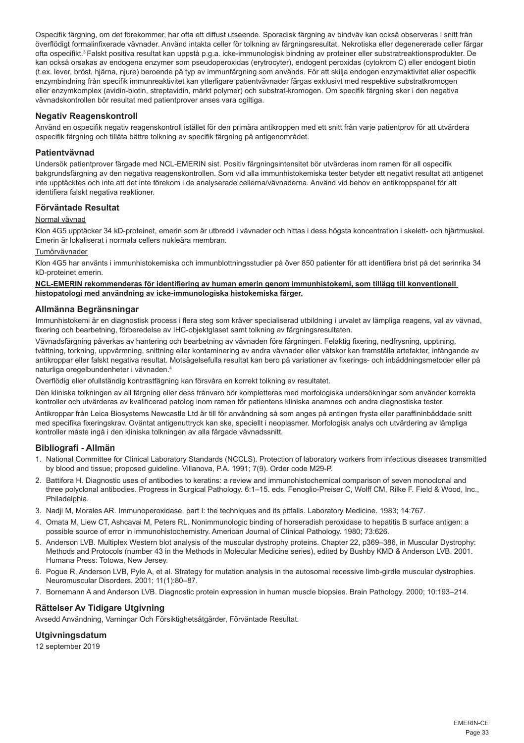Ospecifik färgning, om det förekommer, har ofta ett diffust utseende. Sporadisk färgning av bindväv kan också observeras i snitt från överflödigt formalinfixerade vävnader. Använd intakta celler för tolkning av färgningsresultat. Nekrotiska eller degenererade celler färgar ofta ospecifikt.<sup>3</sup>Falskt positiva resultat kan uppstå p.g.a. icke-immunologisk bindning av proteiner eller substratreaktionsprodukter. De kan också orsakas av endogena enzymer som pseudoperoxidas (erytrocyter), endogent peroxidas (cytokrom C) eller endogent biotin (t.ex. lever, bröst, hjärna, njure) beroende på typ av immunfärgning som används. För att skilja endogen enzymaktivitet eller ospecifik enzymbindning från specifik immunreaktivitet kan ytterligare patientvävnader färgas exklusivt med respektive substratkromogen eller enzymkomplex (avidin-biotin, streptavidin, märkt polymer) och substrat-kromogen. Om specifik färgning sker i den negativa vävnadskontrollen bör resultat med patientprover anses vara ogiltiga.

#### **Negativ Reagenskontroll**

Använd en ospecifik negativ reagenskontroll istället för den primära antikroppen med ett snitt från varje patientprov för att utvärdera ospecifik färgning och tillåta bättre tolkning av specifik färgning på antigenområdet.

#### **Patientvävnad**

Undersök patientprover färgade med NCL-EMERIN sist. Positiv färgningsintensitet bör utvärderas inom ramen för all ospecifik bakgrundsfärgning av den negativa reagenskontrollen. Som vid alla immunhistokemiska tester betyder ett negativt resultat att antigenet inte upptäcktes och inte att det inte förekom i de analyserade cellerna/vävnaderna. Använd vid behov en antikroppspanel för att identifiera falskt negativa reaktioner.

#### **Förväntade Resultat**

#### Normal vävnad

Klon 4G5 upptäcker 34 kD-proteinet, emerin som är utbredd i vävnader och hittas i dess högsta koncentration i skelett- och hjärtmuskel. Emerin är lokaliserat i normala cellers nukleära membran.

#### <u>Tumörvävnader</u>

Klon 4G5 har använts i immunhistokemiska och immunblottningsstudier på över 850 patienter för att identifiera brist på det serinrika 34 kD-proteinet emerin.

#### **NCL-EMERIN rekommenderas för identifiering av human emerin genom immunhistokemi, som tillägg till konventionell histopatologi med användning av icke-immunologiska histokemiska färger.**

#### **Allmänna Begränsningar**

Immunhistokemi är en diagnostisk process i flera steg som kräver specialiserad utbildning i urvalet av lämpliga reagens, val av vävnad, fixering och bearbetning, förberedelse av IHC-objektglaset samt tolkning av färgningsresultaten.

Vävnadsfärgning påverkas av hantering och bearbetning av vävnaden före färgningen. Felaktig fixering, nedfrysning, upptining, tvättning, torkning, uppvärmning, snittning eller kontaminering av andra vävnader eller vätskor kan framställa artefakter, infångande av antikroppar eller falskt negativa resultat. Motsägelsefulla resultat kan bero på variationer av fixerings- och inbäddningsmetoder eller på naturliga oregelbundenheter i vävnaden.<sup>4</sup>

Överflödig eller ofullständig kontrastfägning kan försvåra en korrekt tolkning av resultatet.

Den kliniska tolkningen av all färgning eller dess frånvaro bör kompletteras med morfologiska undersökningar som använder korrekta kontroller och utvärderas av kvalificerad patolog inom ramen för patientens kliniska anamnes och andra diagnostiska tester.

Antikroppar från Leica Biosystems Newcastle Ltd är till för användning så som anges på antingen frysta eller paraffininbäddade snitt med specifika fixeringskrav. Oväntat antigenuttryck kan ske, speciellt i neoplasmer. Morfologisk analys och utvärdering av lämpliga kontroller måste ingå i den kliniska tolkningen av alla färgade vävnadssnitt.

#### **Bibliografi - Allmän**

- 1. National Committee for Clinical Laboratory Standards (NCCLS). Protection of laboratory workers from infectious diseases transmitted by blood and tissue; proposed guideline. Villanova, P.A. 1991; 7(9). Order code M29-P.
- 2. Battifora H. Diagnostic uses of antibodies to keratins: a review and immunohistochemical comparison of seven monoclonal and three polyclonal antibodies. Progress in Surgical Pathology. 6:1–15. eds. Fenoglio-Preiser C, Wolff CM, Rilke F. Field & Wood, Inc., Philadelphia.
- 3. Nadji M, Morales AR. Immunoperoxidase, part I: the techniques and its pitfalls. Laboratory Medicine. 1983; 14:767.
- 4. Omata M, Liew CT, Ashcavai M, Peters RL. Nonimmunologic binding of horseradish peroxidase to hepatitis B surface antigen: a possible source of error in immunohistochemistry. American Journal of Clinical Pathology. 1980; 73:626.
- 5. Anderson LVB. Multiplex Western blot analysis of the muscular dystrophy proteins. Chapter 22, p369–386, in Muscular Dystrophy: Methods and Protocols (number 43 in the Methods in Molecular Medicine series), edited by Bushby KMD & Anderson LVB. 2001. Humana Press: Totowa, New Jersey.
- 6. Pogue R, Anderson LVB, Pyle A, et al. Strategy for mutation analysis in the autosomal recessive limb-girdle muscular dystrophies. Neuromuscular Disorders. 2001; 11(1):80–87.
- 7. Bornemann A and Anderson LVB. Diagnostic protein expression in human muscle biopsies. Brain Pathology. 2000; 10:193–214.

#### **Rättelser Av Tidigare Utgivning**

Avsedd Användning, Varningar Och Försiktighetsåtgärder, Förväntade Resultat.

### **Utgivningsdatum**

12 september 2019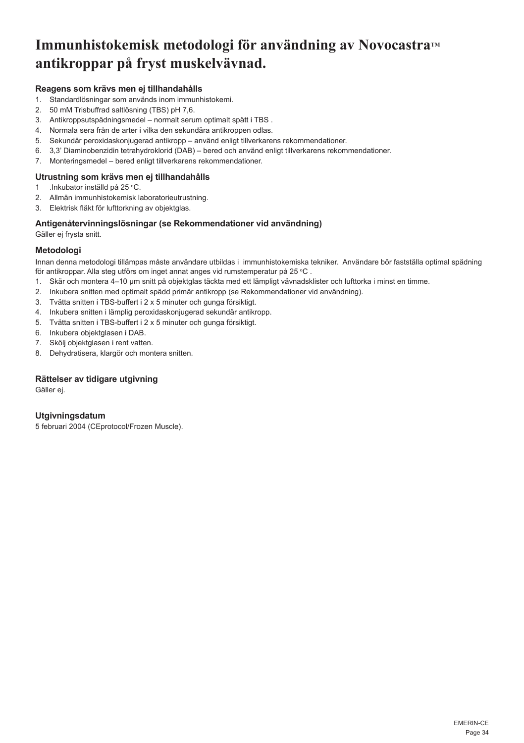# **Immunhistokemisk metodologi för användning av Novocastra™ antikroppar på fryst muskelvävnad.**

# **Reagens som krävs men ej tillhandahålls**

- 1. Standardlösningar som används inom immunhistokemi.
- 2. 50 mM Trisbuffrad saltlösning (TBS) pH 7,6.
- 3. Antikroppsutspädningsmedel normalt serum optimalt spätt i TBS .
- 4. Normala sera från de arter i vilka den sekundära antikroppen odlas.
- 5. Sekundär peroxidaskonjugerad antikropp använd enligt tillverkarens rekommendationer.
- 6. 3,3' Diaminobenzidin tetrahydroklorid (DAB) bered och använd enligt tillverkarens rekommendationer.
- 7. Monteringsmedel bered enligt tillverkarens rekommendationer.

# **Utrustning som krävs men ej tillhandahålls**

- 1 .Inkubator inställd på 25 °C.
- 2. Allmän immunhistokemisk laboratorieutrustning.
- 3. Elektrisk fläkt för lufttorkning av objektglas.

# **Antigenåtervinningslösningar (se Rekommendationer vid användning)**

Gäller ej frysta snitt.

# **Metodologi**

Innan denna metodologi tillämpas måste användare utbildas i immunhistokemiska tekniker. Användare bör fastställa optimal spädning för antikroppar. Alla steg utförs om inget annat anges vid rumstemperatur på 25 °C .

- 1. Skär och montera 4–10 μm snitt på objektglas täckta med ett lämpligt vävnadsklister och lufttorka i minst en timme.
- 2. Inkubera snitten med optimalt spädd primär antikropp (se Rekommendationer vid användning).
- 3. Tvätta snitten i TBS-buffert i 2 x 5 minuter och gunga försiktigt.
- 4. Inkubera snitten i lämplig peroxidaskonjugerad sekundär antikropp.
- 5. Tvätta snitten i TBS-buffert i 2 x 5 minuter och gunga försiktigt.
- 6. Inkubera objektglasen i DAB.
- 7. Skölj objektglasen i rent vatten.
- 8. Dehydratisera, klargör och montera snitten.

### **Rättelser av tidigare utgivning**

Gäller ej.

#### **Utgivningsdatum**

5 februari 2004 (CEprotocol/Frozen Muscle).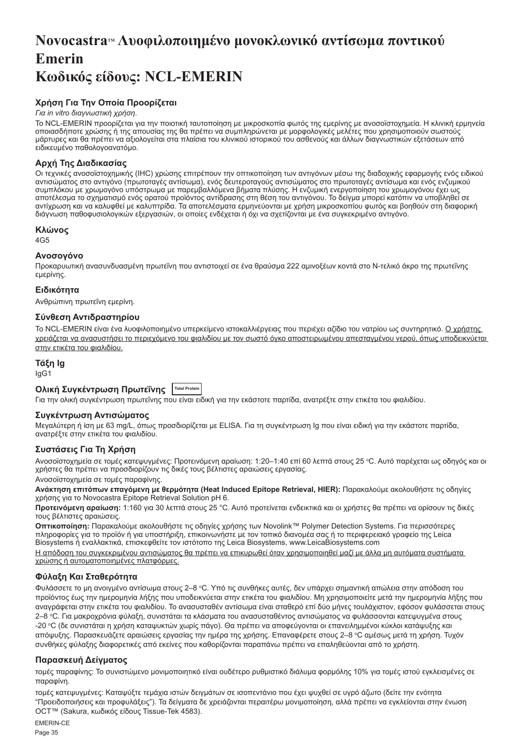# <span id="page-35-0"></span>**NovocastraTM Λυοφιλοποιημένο μονοκλωνικό αντίσωμα ποντικού Emerin Κωδικός είδους: NCL-EMERIN**

# **Χρήση Για Την Οποία Προορίζεται**

#### *Για in vitro διαγνωστική χρήση*.

Το NCL-EMERIN προορίζεται για την ποιοτική ταυτοποίηση με μικροσκοπία φωτός της εμερίνης με ανοσοϊστοχημεία. Η κλινική ερμηνεία οποιασδήποτε χρώσης ή της απουσίας της θα πρέπει να συμπληρώνεται με μορφολογικές μελέτες που χρησιμοποιούν σωστούς μάρτυρες και θα πρέπει να αξιολογείται στα πλαίσια του κλινικού ιστορικού του ασθενούς και άλλων διαγνωστικών εξετάσεων από ειδικευμένο παθολογοανατόμο.

# **Αρχή Της Διαδικασίας**

Οι τεχνικές ανοσοϊστοχημικής (IHC) χρώσης επιτρέπουν την οπτικοποίηση των αντιγόνων μέσω της διαδοχικής εφαρμογής ενός ειδικού αντισώματος στο αντιγόνο (πρωτοταγές αντίσωμα), ενός δευτεροταγούς αντισώματος στο πρωτοταγές αντίσωμα και ενός ενζυμικού συμπλόκου με χρωμογόνο υπόστρωμα με παρεμβαλλόμενα βήματα πλύσης. Η ενζυμική ενεργοποίηση του χρωμογόνου έχει ως αποτέλεσμα το σχηματισμό ενός ορατού προϊόντος αντίδρασης στη θέση του αντιγόνου. Το δείγμα μπορεί κατόπιν να υποβληθεί σε αντίχρωση και να καλυφθεί με καλυπτρίδα. Τα αποτελέσματα ερμηνεύονται με χρήση μικροσκοπίου φωτός και βοηθούν στη διαφορική διάγνωση παθοφυσιολογικών εξεργασιών, οι οποίες ενδέχεται ή όχι να σχετίζονται με ένα συγκεκριμένο αντιγόνο.

#### **Κλώνος**

4G5

#### **Ανοσογόνο**

Προκαρυωτική ανασυνδυασμένη πρωτεΐνη που αντιστοιχεί σε ένα θραύσμα 222 αμινοξέων κοντά στο N-τελικό άκρο της πρωτεΐνης εμερίνης.

#### **Ειδικότητα**

Ανθρώπινη πρωτεΐνη εμερίνη.

#### **Σύνθεση Αντιδραστηρίου**

Το NCL-EMERIN είναι ένα λυοφιλοποιημένο υπερκείμενο ιστοκαλλιέργειας που περιέχει αζίδιο του νατρίου ως συντηρητικό. Ο χρήστης χρειάζεται να ανασυστήσει το περιεχόμενο του φιαλιδίου με τον σωστό όγκο αποστειρωμένου απεσταγμένου νερού, όπως υποδεικνύεται στην ετικέτα του φιαλιδίου.

# **Τάξη Ig**

IgG1

# **Ολική Συγκέντρωση Πρωτεΐνης Total Protein**

Για την ολική συγκέντρωση πρωτεΐνης που είναι ειδική για την εκάστοτε παρτίδα, ανατρέξτε στην ετικέτα του φιαλιδίου.

#### **Συγκέντρωση Αντισώματος**

Μεγαλύτερη ή ίση με 63 mg/L, όπως προσδιορίζεται με ELISA. Για τη συγκέντρωση Ig που είναι ειδική για την εκάστοτε παρτίδα, ανατρέξτε στην ετικέτα του φιαλιδίου.

### **Συστάσεις Για Τη Χρήση**

Ανοσοϊστοχημεία σε τομές κατεψυγμένες: Προτεινόμενη αραίωση: 1:20–1:40 επί 60 λεπτά στους 25 °C. Αυτό παρέχεται ως οδηγός και οι<br>χρήστες θα πρέπει να προσδιορίζουν τις δικές τους βέλτιστες αραιώσεις εργασίας.

Ανοσοϊστοχημεία σε τομές παραφίνης.

**Ανάκτηση επιτόπων επαγόμενη με θερμότητα (Heat Induced Epitope Retrieval, HIER):** Παρακαλούμε ακολουθήστε τις οδηγίες χρήσης για το Novocastra Epitope Retrieval Solution pH 6.

**Προτεινόμενη αραίωση:** 1:160 για 30 λεπτά στους 25 °C. Αυτό προτείνεται ενδεικτικά και οι χρήστες θα πρέπει να ορίσουν τις δικές τους βέλτιστες αραιώσεις.

**Οπτικοποίηση:** Παρακαλούμε ακολουθήστε τις οδηγίες χρήσης των Novolink™ Polymer Detection Systems. Για περισσότερες πληροφορίες για το προϊόν ή για υποστήριξη, επικοινωνήστε με τον τοπικό διανομέα σας ή το περιφερειακό γραφείο της Leica Biosystems ή εναλλακτικά, επισκεφθείτε τον ιστότοπο της Leica Biosystems, www.LeicaBiosystems.com

Η απόδοση του συγκεκριμένου αντισώματος θα πρέπει να επικυρωθεί όταν χρησιμοποιηθεί μαζί με άλλα μη αυτόματα συστήματα χρώσης ή αυτοματοποιημένες πλατφόρμες.

#### **Φύλαξη Και Σταθερότητα**

Φυλάσσετε το μη ανοιγμένο αντίσωμα στους 2–8 °C. Υπό τις συνθήκες αυτές, δεν υπάρχει σημαντική απώλεια στην απόδοση του προϊόντος έως την ημερομηνία λήξης που υποδεικνύεται στην ετικέτα του φιαλιδίου. Μη χρησιμοποιείτε μετά την ημερομηνία λήξης που αναγράφεται στην ετικέτα του φιαλιδίου. Το ανασυσταθέν αντίσωμα είναι σταθερό επί δύο μήνες τουλάχιστον, εφόσον φυλάσσεται στους 2–8 °C. Για μακροχρόνια φύλαξη, συνιστάται τα κλάσματα του ανασυσταθέντος αντισώματος να φυλάσσονται κατεψυγμένα στους -20 °C (δε συνιστάται η χρήση καταψυκτών χωρίς πάγο). Θα πρέπει να αποφεύγονται οι επανειλημμένοι κύκλοι κατάψυξης και απόψυξης. Παρασκευάζετε αραιώσεις εργασίας την ημέρα της χρήσης. Επαναφέρετε στους 2–8 °C αμέσως μετά τη χρήση. Τυχόν συνθήκες φύλαξης διαφορετικές από εκείνες που καθορίζονται παραπάνω πρέπει να επαληθεύονται από το χρήστη.

#### **Παρασκευή Δείγματος**

τομές παραφίνης: Το συνιστώμενο μονιμοποιητικό είναι ουδέτερο ρυθμιστικό διάλυμα φορμόλης 10% για τομές ιστού εγκλεισμένες σε παραφίνη.

τομές κατεψυγμένες: Καταψύξτε τεμάχια ιστών δειγμάτων σε ισοπεντάνιο που έχει ψυχθεί σε υγρό άζωτο (δείτε την ενότητα "Προειδοποιήσεις και προφυλάξεις"). Τα δείγματα δε χρειάζονται περαιτέρω μονιμοποίηση, αλλά πρέπει να εγκλείονται στην ένωση OCT™ (Sakura, κωδικός είδους Tissue-Tek 4583).

EMERIN-CE Page 35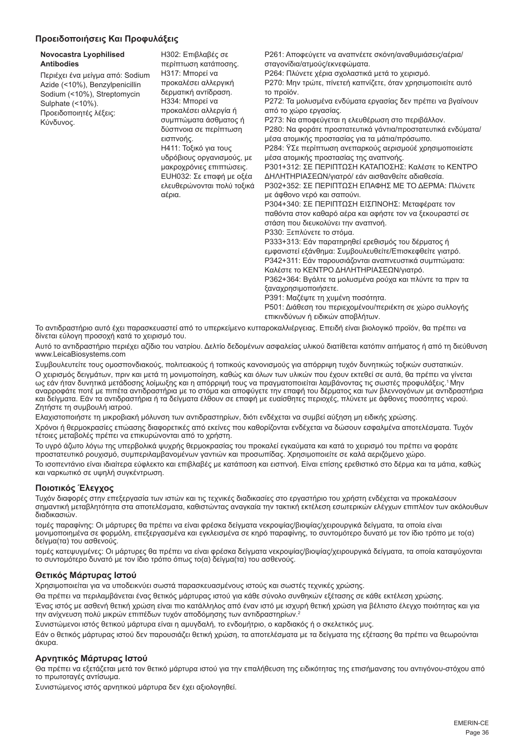# **Προειδοποιήσεις Και Προφυλάξεις**

# **Novocastra Lyophilised Antibodies**

Περιέχει ένα μείγμα από: Sodium Azide (<10%), Benzylpenicillin Sodium (<10%), Streptomycin Sulphate (<10%). Προειδοποιητές λέξεις: Κύνδυνος.

H302: Επιβλαβές σε περίπτωση κατάποσης. H317: Μπορεί να προκαλέσει αλλεργική δερματική αντίδραση. H334: Μπορεί να προκαλέσει αλλεργία ή συμπτώματα άσθματος ή δύσπνοια σε περίπτωση εισπνοής. H411: Τοξικό για τους υδρόβιους οργανισμούς, με μακροχρόνιες επιπτώσεις. EUH032: Σε επαφή με οξέα ελευθερώνονται πολύ τοξικά αέρια.

P261: Αποφεύγετε να αναπνέετε σκόνη/αναθυμιάσεις/αέρια/ σταγονίδια/ατμούς/εκνεφώματα.

P264: Πλύνετε χέρια σχολαστικά μετά το χειρισμό.

P270: Μην τρώτε, πίνετεή καπνίζετε, όταν χρησιμοποιείτε αυτό το προϊόν.

P272: Τα μολυσμένα ενδύματα εργασίας δεν πρέπει να βγαίνουν από το χώρο εργασίας.

P273: Να αποφεύγεται η ελευθέρωση στο περιβάλλον.

P280: Να φοράτε προστατευτικά γάντια/προστατευτικά ενδύματα/ μέσα ατομικής προστασίας για τα μάτια/πρόσωπο.

P284: ΫΣε περίπτωση ανεπαρκούς αερισμούέ χρησιμοποιείστε μέσα ατομικής προστασίας της αναπνοής.

P301+312: ΣΕ ΠΕΡΙΠΤΩΣΗ ΚΑΤΑΠΟΣΗΣ: Καλέστε το ΚΕΝΤΡΟ ΔΗΛΗΤΗΡΙΑΣΕΩΝ/γιατρό/ εάν αισθανθείτε αδιαθεσία.

P302+352: ΣΕ ΠΕΡΙΠΤΩΣΗ ΕΠΑΦΗΣ ΜΕ ΤΟ ΔΕΡΜΑ: Πλύνετε με άφθονο νερό και σαπούνι.

P304+340: ΣΕ ΠΕΡΙΠΤΩΣΗ ΕΙΣΠΝΟΗΣ: Μεταφέρατε τον παθόντα στον καθαρό αέρα και αφήστε τον να ξεκουραστεί σε στάση που διευκολύνει την αναπνοή.

P330: Ξεπλύνετε το στόμα.

P333+313: Εάν παρατηρηθεί ερεθισμός του δέρματος ή εμφανιστεί εξάνθημα: Συμβουλευθείτε/Επισκεφθείτε γιατρό. P342+311: Εάν παρουσιάζονται αναπνευστικά συμπτώματα: Καλέστε το ΚΕΝΤΡΟ ΔΗΛΗΤΗΡΙΑΣΕΩΝ/γιατρό.

P362+364: Βγάλτε τα μολυσμένα ρούχα και πλύντε τα πριν τα ξαναχρησιμοποιήσετε.

P391: Μαζέψτε τη χυμένη ποσότητα.

P501: Διάθεση του περιεχομένου/περιέκτη σε χώρο συλλογής επικινδύνων ή ειδικών αποβλήτων.

Το αντιδραστήριο αυτό έχει παρασκευαστεί από το υπερκείμενο κυτταροκαλλιέργειας. Επειδή είναι βιολογικό προϊόν, θα πρέπει να δίνεται εύλογη προσοχή κατά το χειρισμό του.

Αυτό το αντιδραστήριο περιέχει αζίδιο του νατρίου. Δελτίο δεδομένων ασφαλείας υλικού διατίθεται κατόπιν αιτήματος ή από τη διεύθυνση www.LeicaBiosystems.com

Συμβουλευτείτε τους ομοσπονδιακούς, πολιτειακούς ή τοπικούς κανονισμούς για απόρριψη τυχόν δυνητικώς τοξικών συστατικών. Ο χειρισμός δειγμάτων, πριν και μετά τη μονιμοποίηση, καθώς και όλων των υλικών που έχουν εκτεθεί σε αυτά, θα πρέπει να γίνεται ως εάν ήταν δυνητικά μετάδοσης λοίμωξης και η απόρριψή τους να πραγματοποιείται λαμβάνοντας τις σωστές προφυλάξεις.<sup>1</sup>Μην αναρροφάτε ποτέ με πιπέτα αντιδραστήρια με το στόμα και αποφύγετε την επαφή του δέρματος και των βλεννογόνων με αντιδραστήρια και δείγματα. Εάν τα αντιδραστήρια ή τα δείγματα έλθουν σε επαφή με ευαίσθητες περιοχές, πλύνετε με άφθονες ποσότητες νερού. Ζητήστε τη συμβουλή ιατρού.

Ελαχιστοποιήστε τη μικροβιακή μόλυνση των αντιδραστηρίων, διότι ενδέχεται να συμβεί αύξηση μη ειδικής χρώσης.

Χρόνοι ή θερμοκρασίες επώασης διαφορετικές από εκείνες που καθορίζονται ενδέχεται να δώσουν εσφαλμένα αποτελέσματα. Τυχόν τέτοιες μεταβολές πρέπει να επικυρώνονται από το χρήστη.

Το υγρό άζωτο λόγω της υπερβολικά ψυχρής θερμοκρασίας του προκαλεί εγκαύματα και κατά το χειρισμό του πρέπει να φοράτε προστατευτικό ρουχισμό, συμπεριλαμβανομένων γαντιών και προσωπίδας. Χρησιμοποιείτε σε καλά αεριζόμενο χώρο.

Το ισοπεντάνιο είναι ιδιαίτερα εύφλεκτο και επιβλαβές με κατάποση και εισπνοή. Είναι επίσης ερεθιστικό στο δέρμα και τα μάτια, καθώς και ναρκωτικό σε υψηλή συγκέντρωση.

# **Ποιοτικός Έλεγχος**

Τυχόν διαφορές στην επεξεργασία των ιστών και τις τεχνικές διαδικασίες στο εργαστήριο του χρήστη ενδέχεται να προκαλέσουν σημαντική μεταβλητότητα στα αποτελέσματα, καθιστώντας αναγκαία την τακτική εκτέλεση εσωτερικών ελέγχων επιπλέον των ακόλουθων διαδικασιών.

τομές παραφίνης: Οι μάρτυρες θα πρέπει να είναι φρέσκα δείγματα νεκροψίας/βιοψίας/χειρουργικά δείγματα, τα οποία είναι μονιμοποιημένα σε φορμόλη, επεξεργασμένα και εγκλεισμένα σε κηρό παραφίνης, το συντομότερο δυνατό με τον ίδιο τρόπο με το(α) δείγμα(τα) του ασθενούς.

τομές κατεψυγμένες: Οι μάρτυρες θα πρέπει να είναι φρέσκα δείγματα νεκροψίας/βιοψίας/χειρουργικά δείγματα, τα οποία καταψύχονται το συντομότερο δυνατό με τον ίδιο τρόπο όπως το(α) δείγμα(τα) του ασθενούς.

# **Θετικός Μάρτυρας Ιστού**

Χρησιμοποιείται για να υποδεικνύει σωστά παρασκευασμένους ιστούς και σωστές τεχνικές χρώσης.

Θα πρέπει να περιλαμβάνεται ένας θετικός μάρτυρας ιστού για κάθε σύνολο συνθηκών εξέτασης σε κάθε εκτέλεση χρώσης.

Ένας ιστός με ασθενή θετική χρώση είναι πιο κατάλληλος από έναν ιστό με ισχυρή θετική χρώση για βέλτιστο έλεγχο ποιότητας και για την ανίχνευση πολύ μικρών επιπέδων τυχόν αποδόμησης των αντιδραστηρίων.<sup>2</sup>

Συνιστώμενοι ιστός θετικού μάρτυρα είναι η αμυγδαλή, το ενδομήτριο, ο καρδιακός ή ο σκελετικός μυς.

Εάν ο θετικός μάρτυρας ιστού δεν παρουσιάζει θετική χρώση, τα αποτελέσματα με τα δείγματα της εξέτασης θα πρέπει να θεωρούνται άκυρα.

# **Αρνητικός Μάρτυρας Ιστού**

Θα πρέπει να εξετάζεται μετά τον θετικό μάρτυρα ιστού για την επαλήθευση της ειδικότητας της επισήμανσης του αντιγόνου-στόχου από το πρωτοταγές αντίσωμα.

Συνιστώμενος ιστός αρνητικού μάρτυρα δεν έχει αξιολογηθεί.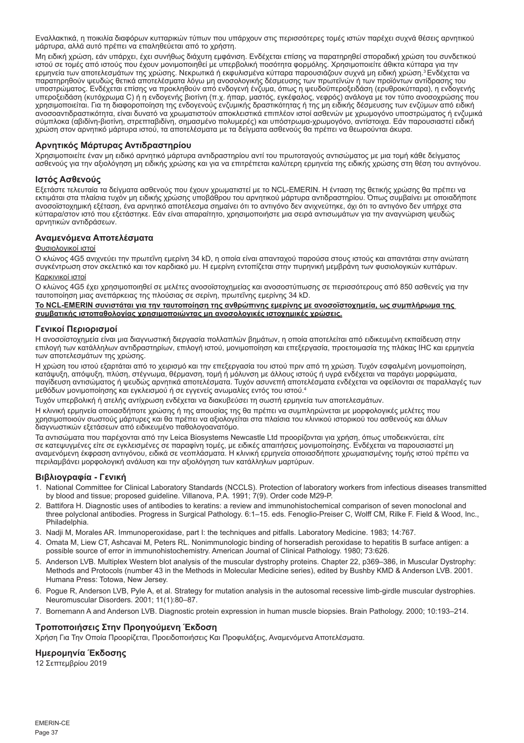Εναλλακτικά, η ποικιλία διαφόρων κυτταρικών τύπων που υπάρχουν στις περισσότερες τομές ιστών παρέχει συχνά θέσεις αρνητικού μάρτυρα, αλλά αυτό πρέπει να επαληθεύεται από το χρήστη.

Μη ειδική χρώση, εάν υπάρχει, έχει συνήθως διάχυτη εμφάνιση. Ενδέχεται επίσης να παρατηρηθεί σποραδική χρώση του συνδετικού ιστού σε τομές από ιστούς που έχουν μονιμοποιηθεί με υπερβολική ποσότητα φορμόλης. Χρησιμοποιείτε άθικτα κύτταρα για την<br>ερμηνεία των αποτελεσμάτων της χρώσης. Νεκρωτικά ή εκφυλισμένα κύτταρα παρουσιάζουν συχνά μη ειδική παρατηρηθούν ψευδώς θετικά αποτελέσματα λόγω μη ανοσολογικής δέσμευσης των πρωτεϊνών ή των προϊόντων αντίδρασης του υποστρώματος. Ενδέχεται επίσης να προκληθούν από ενδογενή ένζυμα, όπως η ψευδοϋπεροξειδάση (ερυθροκύτταρα), η ενδογενής υπεροξειδάση (κυτόχρωμα C) ή η ενδογενής βιοτίνη (π.χ. ήπαρ, μαστός, εγκέφαλος, νεφρός) ανάλογα με τον τύπο ανοσοχρώσης που<br>χρησιμοποιείται. Για τη διαφοροποίηση της ενδογενούς ενζυμικής δραστικότητας ή της μη ειδικής δέσ ανοσοαντιδραστικότητα, είναι δυνατό να χρωματιστούν αποκλειστικά επιπλέον ιστοί ασθενών με χρωμογόνο υποστρώματος ή ενζυμικά σύμπλοκα (αβιδίνη-βιοτίνη, στρεπταβιδίνη, σημασμένο πολυμερές) και υπόστρωμα-χρωμογόνο, αντίστοιχα. Εάν παρουσιαστεί ειδική χρώση στον αρνητικό μάρτυρα ιστού, τα αποτελέσματα με τα δείγματα ασθενούς θα πρέπει να θεωρούνται άκυρα.

## **Αρνητικός Μάρτυρας Αντιδραστηρίου**

Χρησιμοποιείτε έναν μη ειδικό αρνητικό μάρτυρα αντιδραστηρίου αντί του πρωτοταγούς αντισώματος με μια τομή κάθε δείγματος ασθενούς για την αξιολόγηση μη ειδικής χρώσης και για να επιτρέπεται καλύτερη ερμηνεία της ειδικής χρώσης στη θέση του αντιγόνου.

## **Ιστός Ασθενούς**

Εξετάστε τελευταία τα δείγματα ασθενούς που έχουν χρωματιστεί με το NCL-EMERIN. Η ένταση της θετικής χρώσης θα πρέπει να<br>εκτιμάται στα πλαίσια τυχόν μη ειδικής χρώσης υποβάθρου του αρνητικού μάρτυρα αντιδραστηρίου. Όπως σ ανοσοϊστοχημική εξέταση, ένα αρνητικό αποτέλεσμα σημαίνει ότι το αντιγόνο δεν ανιχνεύτηκε, όχι ότι το αντιγόνο δεν υπήρχε στα κύτταρα/στον ιστό που εξετάστηκε. Εάν είναι απαραίτητο, χρησιμοποιήστε μια σειρά αντισωμάτων για την αναγνώριση ψευδώς αρνητικών αντιδράσεων.

# **Αναμενόμενα Αποτελέσματα**

## Φυσιολογικοί ιστοί

Ο κλώνος 4G5 ανιχνεύει την πρωτεΐνη εμερίνη 34 kD, η οποία είναι απανταχού παρούσα στους ιστούς και απαντάται στην ανώτατη συγκέντρωση στον σκελετικό και τον καρδιακό μυ. Η εμερίνη εντοπίζεται στην πυρηνική μεμβράνη των φυσιολογικών κυττάρων. Καρκινικοί ιστοί

Ο κλώνος 4G5 έχει χρησιμοποιηθεί σε μελέτες ανοσοϊστοχημείας και ανοσοστύπωσης σε περισσότερους από 850 ασθενείς για την ταυτοποίηση μιας ανεπάρκειας της πλούσιας σε σερίνη, πρωτεΐνης εμερίνης 34 kD.

#### **Το NCL-EMERIN συνιστάται για την ταυτοποίηση της ανθρώπινης εμερίνης με ανοσοϊστοχημεία, ως συμπλήρωμα της συμβατικής ιστοπαθολογίας χρησιμοποιώντας μη ανοσολογικές ιστοχημικές χρώσεις.**

## **Γενικοί Περιορισμοί**

Η ανοσοϊστοχημεία είναι μια διαγνωστική διεργασία πολλαπλών βημάτων, η οποία αποτελείται από ειδικευμένη εκπαίδευση στην επιλογή των κατάλληλων αντιδραστηρίων, επιλογή ιστού, μονιμοποίηση και επεξεργασία, προετοιμασία της πλάκας IHC και ερμηνεία των αποτελεσμάτων της χρώσης.

Η χρώση του ιστού εξαρτάται από το χειρισμό και την επεξεργασία του ιστού πριν από τη χρώση. Τυχόν εσφαλμένη μονιμοποίηση, κατάψυξη, απόψυξη, πλύση, στέγνωμα, θέρμανση, τομή ή μόλυνση με άλλους ιστούς ή υγρά ενδέχεται να παράγει μορφώματα,<br>παγίδευση αντισώματος ή ψευδώς αρνητικά αποτελέσματα. Τυχόν ασυνεπή αποτελέσματα ενδέχεται να οφείλονται μεθόδων μονιμοποίησης και εγκλεισμού ή σε εγγενείς ανωμαλίες εντός του ιστού.<sup>4</sup>

Τυχόν υπερβολική ή ατελής αντίχρωση ενδέχεται να διακυβεύσει τη σωστή ερμηνεία των αποτελεσμάτων.

Η κλινική ερμηνεία οποιασδήποτε χρώσης ή της απουσίας της θα πρέπει να συμπληρώνεται με μορφολογικές μελέτες που χρησιμοποιούν σωστούς μάρτυρες και θα πρέπει να αξιολογείται στα πλαίσια του κλινικού ιστορικού του ασθενούς και άλλων διαγνωστικών εξετάσεων από ειδικευμένο παθολογοανατόμο.

Τα αντισώματα που παρέχονται από την Leica Biosystems Newcastle Ltd προορίζονται για χρήση, όπως υποδεικνύεται, είτε σε κατεψυγμένες είτε σε εγκλεισμένες σε παραφίνη τομές, με ειδικές απαιτήσεις μονιμοποίησης. Ενδέχεται να παρουσιαστεί μη<br>αναμενόμενη έκφραση αντιγόνου, ειδικά σε νεοπλάσματα. Η κλινική ερμηνεία οποιασδήποτε χρωματισμένης περιλαμβάνει μορφολογική ανάλυση και την αξιολόγηση των κατάλληλων μαρτύρων.

## **Βιβλιογραφία - Γενική**

- 1. National Committee for Clinical Laboratory Standards (NCCLS). Protection of laboratory workers from infectious diseases transmitted by blood and tissue; proposed guideline. Villanova, P.A. 1991; 7(9). Order code M29-P.
- 2. Battifora H. Diagnostic uses of antibodies to keratins: a review and immunohistochemical comparison of seven monoclonal and<br>, three polyclonal antibodies. Progress in Surgical Pathology. 6:1–15. eds. Fenoglio-Preiser C Philadelphia.
- 3. Nadji M, Morales AR. Immunoperoxidase, part I: the techniques and pitfalls. Laboratory Medicine. 1983; 14:767.
- 4. Omata M, Liew CT, Ashcavai M, Peters RL. Nonimmunologic binding of horseradish peroxidase to hepatitis B surface antigen: a<br>1980; 73:626. possible source of error in immunohistochemistry. American Journal of Clinical P
- 5. Anderson LVB. Multiplex Western blot analysis of the muscular dystrophy proteins. Chapter 22, p369–386, in Muscular Dystrophy: Methods and Protocols (number 43 in the Methods in Molecular Medicine series), edited by Bushby KMD & Anderson LVB. 2001. Humana Press: Totowa, New Jersey.
- 6. Pogue R, Anderson LVB, Pyle A, et al. Strategy for mutation analysis in the autosomal recessive limb-girdle muscular dystrophies. Neuromuscular Disorders. 2001; 11(1):80–87.
- 7. Bornemann A and Anderson LVB. Diagnostic protein expression in human muscle biopsies. Brain Pathology. 2000; 10:193–214.

# **Τροποποιήσεις Στην Προηγούμενη Έκδοση**

Χρήση Για Την Οποία Προορίζεται, Προειδοποιήσεις Και Προφυλάξεις, Αναμενόμενα Αποτελέσματα.

# **Ημερομηνία Έκδοσης**

12 Σεπτεμβρίου 2019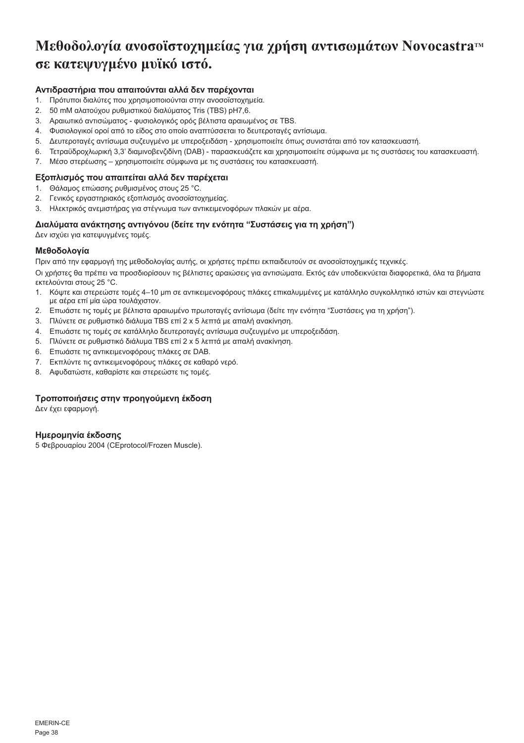# **Μεθοδολογία ανοσοϊστοχημείας για χρήση αντισωμάτων NovocastraTM σε κατεψυγμένο μυϊκό ιστό.**

# **Αντιδραστήρια που απαιτούνται αλλά δεν παρέχονται**

- 1. Πρότυποι διαλύτες που χρησιμοποιούνται στην ανοσοϊστοχημεία.
- 2. 50 mM αλατούχου ρυθμιστικού διαλύματος Tris (TBS) pH7,6.
- 3. Αραιωτικό αντισώματος φυσιολογικός ορός βέλτιστα αραιωμένος σε TBS.
- 4. Φυσιολογικοί οροί από το είδος στο οποίο αναπτύσσεται το δευτεροταγές αντίσωμα.
- 5. Δευτεροταγές αντίσωμα συζευγμένο με υπεροξειδάση χρησιμοποιείτε όπως συνιστάται από τον κατασκευαστή.
- 6. Τετραϋδροχλωρική 3,3' διαμινοβενζιδίνη (DAB) παρασκευάζετε και χρησιμοποιείτε σύμφωνα με τις συστάσεις του κατασκευαστή.
- 7. Μέσο στερέωσης χρησιμοποιείτε σύμφωνα με τις συστάσεις του κατασκευαστή.

# **Εξοπλισμός που απαιτείται αλλά δεν παρέχεται**

- 1. Θάλαμος επώασης ρυθμισμένος στους 25 °C.
- 2. Γενικός εργαστηριακός εξοπλισμός ανοσοϊστοχημείας.
- 3. Ηλεκτρικός ανεμιστήρας για στέγνωμα των αντικειμενοφόρων πλακών με αέρα.

# **Διαλύματα ανάκτησης αντιγόνου (δείτε την ενότητα "Συστάσεις για τη χρήση")**

Δεν ισχύει για κατεψυγμένες τομές.

# **Μεθοδολογία**

Πριν από την εφαρμογή της μεθοδολογίας αυτής, οι χρήστες πρέπει εκπαιδευτούν σε ανοσοϊστοχημικές τεχνικές.

Οι χρήστες θα πρέπει να προσδιορίσουν τις βέλτιστες αραιώσεις για αντισώματα. Εκτός εάν υποδεικνύεται διαφορετικά, όλα τα βήματα εκτελούνται στους 25 °C.

- 1. Κόψτε και στερεώστε τομές 4–10 μm σε αντικειμενοφόρους πλάκες επικαλυμμένες με κατάλληλο συγκολλητικό ιστών και στεγνώστε με αέρα επί μία ώρα τουλάχιστον.
- 2. Επωάστε τις τομές με βέλτιστα αραιωμένο πρωτοταγές αντίσωμα (δείτε την ενότητα "Συστάσεις για τη χρήση").
- 3. Πλύνετε σε ρυθμιστικό διάλυμα TBS επί 2 x 5 λεπτά με απαλή ανακίνηση.
- 4. Επωάστε τις τομές σε κατάλληλο δευτεροταγές αντίσωμα συζευγμένο με υπεροξειδάση.
- 5. Πλύνετε σε ρυθμιστικό διάλυμα TBS επί 2 x 5 λεπτά με απαλή ανακίνηση.
- 6. Επωάστε τις αντικειμενοφόρους πλάκες σε DAB.
- 7. Εκπλύντε τις αντικειμενοφόρους πλάκες σε καθαρό νερό.
- 8. Αφυδατώστε, καθαρίστε και στερεώστε τις τομές.

# **Τροποποιήσεις στην προηγούμενη έκδοση**

Δεν έχει εφαρμογή.

# **Ημερομηνία έκδοσης**

5 Φεβρουαρίου 2004 (CEprotocol/Frozen Muscle).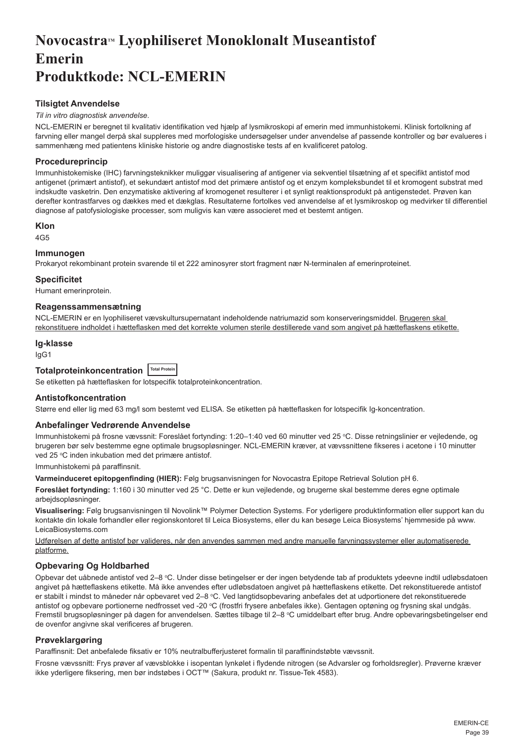# Novocastra™ Lyophiliseret Monoklonalt Museantistof **Emerin Produktkode: NCL-EMERIN**

# **Tilsigtet Anvendelse**

## *Til in vitro diagnostisk anvendelse*.

NCL-EMERIN er beregnet til kvalitativ identifikation ved hjælp af lysmikroskopi af emerin med immunhistokemi. Klinisk fortolkning af farvning eller mangel derpå skal suppleres med morfologiske undersøgelser under anvendelse af passende kontroller og bør evalueres i sammenhæng med patientens kliniske historie og andre diagnostiske tests af en kvalificeret patolog.

# **Procedureprincip**

Immunhistokemiske (IHC) farvningsteknikker muliggør visualisering af antigener via sekventiel tilsætning af et specifikt antistof mod antigenet (primært antistof), et sekundært antistof mod det primære antistof og et enzym kompleksbundet til et kromogent substrat med indskudte vasketrin. Den enzymatiske aktivering af kromogenet resulterer i et synligt reaktionsprodukt på antigenstedet. Prøven kan derefter kontrastfarves og dækkes med et dækglas. Resultaterne fortolkes ved anvendelse af et lysmikroskop og medvirker til differentiel diagnose af patofysiologiske processer, som muligvis kan være associeret med et bestemt antigen.

## **Klon**

4G5

# **Immunogen**

Prokaryot rekombinant protein svarende til et 222 aminosyrer stort fragment nær N-terminalen af emerinproteinet.

## **Specificitet**

Humant emerinprotein.

## **Reagenssammensætning**

NCL-EMERIN er en lyophiliseret vævskultursupernatant indeholdende natriumazid som konserveringsmiddel. Brugeren skal rekonstituere indholdet i hætteflasken med det korrekte volumen sterile destillerede vand som angivet på hætteflaskens etikette.

## **Ig-klasse**

IgG1

# **Totalproteinkoncentration Total Protein**

Se etiketten på hætteflasken for lotspecifik totalproteinkoncentration.

# **Antistofkoncentration**

Større end eller lig med 63 mg/l som bestemt ved ELISA. Se etiketten på hætteflasken for lotspecifik Ig-koncentration.

# **Anbefalinger Vedrørende Anvendelse**

lmmunhistokemi på frosne vævssnit: Foreslået fortynding: 1:20–1:40 ved 60 minutter ved 25 °C. Disse retningslinier er vejledende, og brugeren bør selv bestemme egne optimale brugsopløsninger. NCL-EMERIN kræver, at vævssnittene fikseres i acetone i 10 minutter ved 25 °C inden inkubation med det primære antistof.

Immunhistokemi på paraffinsnit.

**Varmeinduceret epitopgenfinding (HIER):** Følg brugsanvisningen for Novocastra Epitope Retrieval Solution pH 6.

**Foreslået fortynding:** 1:160 i 30 minutter ved 25 °C. Dette er kun vejledende, og brugerne skal bestemme deres egne optimale arbejdsopløsninger.

**Visualisering:** Følg brugsanvisningen til Novolink™ Polymer Detection Systems. For yderligere produktinformation eller support kan du kontakte din lokale forhandler eller regionskontoret til Leica Biosystems, eller du kan besøge Leica Biosystems' hjemmeside på www. LeicaBiosystems.com

Udførelsen af dette antistof bør valideres, når den anvendes sammen med andre manuelle farvningssystemer eller automatiserede platforme.

# **Opbevaring Og Holdbarhed**

Opbevar det uåbnede antistof ved 2–8 °C. Under disse betingelser er der ingen betydende tab af produktets ydeevne indtil udløbsdatoen angivet på hætteflaskens etikette. Må ikke anvendes efter udløbsdatoen angivet på hætteflaskens etikette. Det rekonstituerede antistof er stabilt i mindst to måneder når opbevaret ved 2–8 °C. Ved langtidsopbevaring anbefales det at udportionere det rekonstituerede antistof og opbevare portionerne nedfrosset ved -20 °C (frostfri frysere anbefales ikke). Gentagen optøning og frysning skal undgås. Fremstil brugsopløsninger på dagen for anvendelsen. Sættes tilbage til 2–8 °C umiddelbart efter brug. Andre opbevaringsbetingelser end de ovenfor angivne skal verificeres af brugeren.

# **Prøveklargøring**

Paraffinsnit: Det anbefalede fiksativ er 10% neutralbufferjusteret formalin til paraffinindstøbte vævssnit.

Frosne vævssnitt: Frys prøver af vævsblokke i isopentan lynkølet i flydende nitrogen (se Advarsler og forholdsregler). Prøverne kræver ikke yderligere fiksering, men bør indstøbes i OCT™ (Sakura, produkt nr. Tissue-Tek 4583).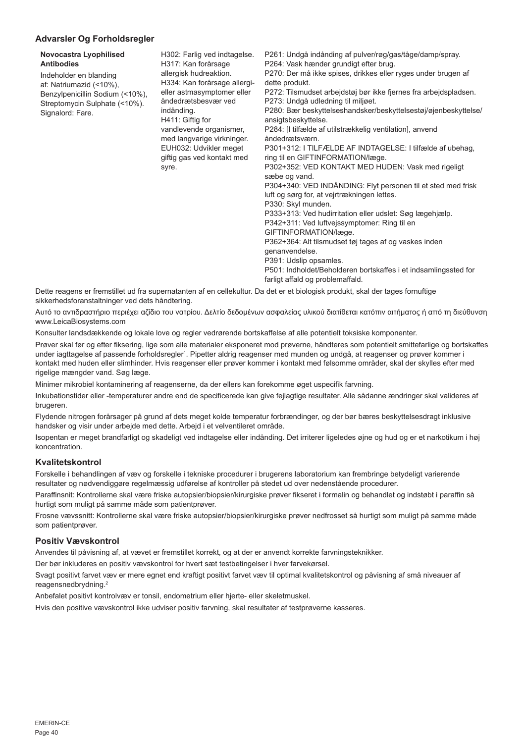# **Advarsler Og Forholdsregler**

## **Novocastra Lyophilised Antibodies**

Indeholder en blanding af: Natriumazid (<10%), Benzylpenicillin Sodium (<10%), Streptomycin Sulphate (<10%). Signalord: Fare.

H302: Farlig ved indtagelse. H317: Kan forårsage allergisk hudreaktion. H334: Kan forårsage allergieller astmasymptomer eller åndedrætsbesvær ved indånding. H411: Giftig for vandlevende organismer, med langvarige virkninger. EUH032: Udvikler meget giftig gas ved kontakt med syre.

P261: Undgå indånding af pulver/røg/gas/tåge/damp/spray. P264: Vask hænder grundigt efter brug. P270: Der må ikke spises, drikkes eller ryges under brugen af dette produkt. P272: Tilsmudset arbejdstøj bør ikke fjernes fra arbejdspladsen. P273: Undgå udledning til miljøet. P280: Bær beskyttelseshandsker/beskyttelsestøj/øjenbeskyttelse/ ansigtsbeskyttelse. P284: [I tilfælde af utilstrækkelig ventilation], anvend åndedrætsværn. P301+312: I TILFÆLDE AF INDTAGELSE: I tilfælde af ubehag, ring til en GIFTINFORMATION/læge. P302+352: VED KONTAKT MED HUDEN: Vask med rigeligt sæbe og vand. P304+340: VED INDÅNDING: Flyt personen til et sted med frisk luft og sørg for, at vejrtrækningen lettes. P330: Skyl munden. P333+313: Ved hudirritation eller udslet: Søg lægehjælp. P342+311: Ved luftvejssymptomer: Ring til en GIFTINFORMATION/læge. P362+364: Alt tilsmudset tøj tages af og vaskes inden genanvendelse. P391: Udslip opsamles. P501: Indholdet/Beholderen bortskaffes i et indsamlingssted for farligt affald og problemaffald.

Dette reagens er fremstillet ud fra supernatanten af en cellekultur. Da det er et biologisk produkt, skal der tages fornuftige sikkerhedsforanstaltninger ved dets håndtering.

Αυτό το αντιδραστήριο περιέχει αζίδιο του νατρίου. Δελτίο δεδομένων ασφαλείας υλικού διατίθεται κατόπιν αιτήματος ή από τη διεύθυνση www.LeicaBiosystems.com

Konsulter landsdækkende og lokale love og regler vedrørende bortskaffelse af alle potentielt toksiske komponenter.

Prøver skal før og efter fiksering, lige som alle materialer eksponeret mod prøverne, håndteres som potentielt smittefarlige og bortskaffes under iagttagelse af passende forholdsregler<sup>1</sup>. Pipetter aldrig reagenser med munden og undgå, at reagenser og prøver kommer i kontakt med huden eller slimhinder. Hvis reagenser eller prøver kommer i kontakt med følsomme områder, skal der skylles efter med rigelige mængder vand. Søg læge.

Minimer mikrobiel kontaminering af reagenserne, da der ellers kan forekomme øget uspecifik farvning.

Inkubationstider eller -temperaturer andre end de specificerede kan give fejlagtige resultater. Alle sådanne ændringer skal valideres af brugeren.

Flydende nitrogen forårsager på grund af dets meget kolde temperatur forbrændinger, og der bør bæres beskyttelsesdragt inklusive handsker og visir under arbejde med dette. Arbejd i et velventileret område.

Isopentan er meget brandfarligt og skadeligt ved indtagelse eller indånding. Det irriterer ligeledes øjne og hud og er et narkotikum i høj koncentration.

## **Kvalitetskontrol**

Forskelle i behandlingen af væv og forskelle i tekniske procedurer i brugerens laboratorium kan frembringe betydeligt varierende resultater og nødvendiggøre regelmæssig udførelse af kontroller på stedet ud over nedenstående procedurer.

Paraffinsnit: Kontrollerne skal være friske autopsier/biopsier/kirurgiske prøver fikseret i formalin og behandlet og indstøbt i paraffin så hurtigt som muligt på samme måde som patientprøver.

Frosne vævssnitt: Kontrollerne skal være friske autopsier/biopsier/kirurgiske prøver nedfrosset så hurtigt som muligt på samme måde som patientprøver.

## **Positiv Vævskontrol**

Anvendes til påvisning af, at vævet er fremstillet korrekt, og at der er anvendt korrekte farvningsteknikker.

Der bør inkluderes en positiv vævskontrol for hvert sæt testbetingelser i hver farvekørsel.

Svagt positivt farvet væv er mere egnet end kraftigt positivt farvet væv til optimal kvalitetskontrol og påvisning af små niveauer af reagensnedbrydning.<sup>2</sup>

Anbefalet positivt kontrolvæv er tonsil, endometrium eller hjerte- eller skeletmuskel.

Hvis den positive vævskontrol ikke udviser positiv farvning, skal resultater af testprøverne kasseres.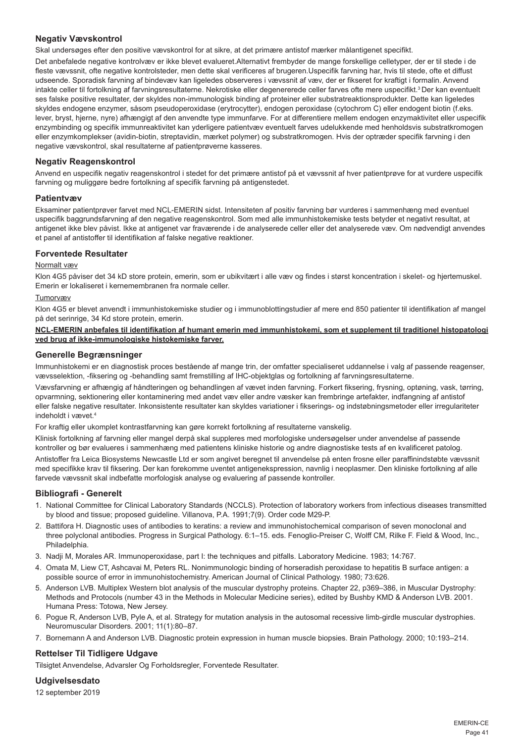# **Negativ Vævskontrol**

Skal undersøges efter den positive vævskontrol for at sikre, at det primære antistof mærker målantigenet specifikt.

Det anbefalede negative kontrolvæv er ikke blevet evalueret.Alternativt frembyder de mange forskellige celletyper, der er til stede i de fleste vævssnit, ofte negative kontrolsteder, men dette skal verificeres af brugeren.Uspecifik farvning har, hvis til stede, ofte et diffust udseende. Sporadisk farvning af bindevæv kan ligeledes observeres i vævssnit af væv, der er fikseret for kraftigt i formalin. Anvend intakte celler til fortolkning af farvningsresultaterne. Nekrotiske eller degenererede celler farves ofte mere uspecifikt.<sup>3</sup>Der kan eventuelt ses falske positive resultater, der skyldes non-immunologisk binding af proteiner eller substratreaktionsprodukter. Dette kan ligeledes skyldes endogene enzymer, såsom pseudoperoxidase (erytrocytter), endogen peroxidase (cytochrom C) eller endogent biotin (f.eks. lever, bryst, hjerne, nyre) afhængigt af den anvendte type immunfarve. For at differentiere mellem endogen enzymaktivitet eller uspecifik enzymbinding og specifik immunreaktivitet kan yderligere patientvæv eventuelt farves udelukkende med henholdsvis substratkromogen eller enzymkomplekser (avidin-biotin, streptavidin, mærket polymer) og substratkromogen. Hvis der optræder specifik farvning i den negative vævskontrol, skal resultaterne af patientprøverne kasseres.

## **Negativ Reagenskontrol**

Anvend en uspecifik negativ reagenskontrol i stedet for det primære antistof på et vævssnit af hver patientprøve for at vurdere uspecifik farvning og muliggøre bedre fortolkning af specifik farvning på antigenstedet.

## **Patientvæv**

Eksaminer patientprøver farvet med NCL-EMERIN sidst. Intensiteten af positiv farvning bør vurderes i sammenhæng med eventuel uspecifik baggrundsfarvning af den negative reagenskontrol. Som med alle immunhistokemiske tests betyder et negativt resultat, at antigenet ikke blev påvist. Ikke at antigenet var fraværende i de analyserede celler eller det analyserede væv. Om nødvendigt anvendes et panel af antistoffer til identifikation af falske negative reaktioner.

# **Forventede Resultater**

# Normalt væv

Klon 4G5 påviser det 34 kD store protein, emerin, som er ubikvitært i alle væv og findes i størst koncentration i skelet- og hjertemuskel. Emerin er lokaliseret i kernemembranen fra normale celler.

## Tumorvæv

Klon 4G5 er blevet anvendt i immunhistokemiske studier og i immunoblottingstudier af mere end 850 patienter til identifikation af mangel på det serinrige, 34 Kd store protein, emerin.

## **NCL-EMERIN anbefales til identifikation af humant emerin med immunhistokemi, som et supplement til traditionel histopatologi ved brug af ikke-immunologiske histokemiske farver.**

## **Generelle Begrænsninger**

Immunhistokemi er en diagnostisk proces bestående af mange trin, der omfatter specialiseret uddannelse i valg af passende reagenser, vævsselektion, -fiksering og -behandling samt fremstilling af IHC-objektglas og fortolkning af farvningsresultaterne.

Vævsfarvning er afhængig af håndteringen og behandlingen af vævet inden farvning. Forkert fiksering, frysning, optøning, vask, tørring, opvarmning, sektionering eller kontaminering med andet væv eller andre væsker kan frembringe artefakter, indfangning af antistof eller falske negative resultater. Inkonsistente resultater kan skyldes variationer i fikserings- og indstøbningsmetoder eller irregulariteter indeholdt i vævet.<sup>4</sup>

For kraftig eller ukomplet kontrastfarvning kan gøre korrekt fortolkning af resultaterne vanskelig.

Klinisk fortolkning af farvning eller mangel derpå skal suppleres med morfologiske undersøgelser under anvendelse af passende kontroller og bør evalueres i sammenhæng med patientens kliniske historie og andre diagnostiske tests af en kvalificeret patolog.

Antistoffer fra Leica Biosystems Newcastle Ltd er som angivet beregnet til anvendelse på enten frosne eller paraffinindstøbte vævssnit med specifikke krav til fiksering. Der kan forekomme uventet antigenekspression, navnlig i neoplasmer. Den kliniske fortolkning af alle farvede vævssnit skal indbefatte morfologisk analyse og evaluering af passende kontroller.

## **Bibliografi - Generelt**

- 1. National Committee for Clinical Laboratory Standards (NCCLS). Protection of laboratory workers from infectious diseases transmitted by blood and tissue; proposed guideline. Villanova, P.A. 1991;7(9). Order code M29-P.
- 2. Battifora H. Diagnostic uses of antibodies to keratins: a review and immunohistochemical comparison of seven monoclonal and three polyclonal antibodies. Progress in Surgical Pathology. 6:1–15. eds. Fenoglio-Preiser C, Wolff CM, Rilke F. Field & Wood, Inc., Philadelphia.
- 3. Nadji M, Morales AR. Immunoperoxidase, part I: the techniques and pitfalls. Laboratory Medicine. 1983; 14:767.
- 4. Omata M, Liew CT, Ashcavai M, Peters RL. Nonimmunologic binding of horseradish peroxidase to hepatitis B surface antigen: a possible source of error in immunohistochemistry. American Journal of Clinical Pathology. 1980; 73:626.
- 5. Anderson LVB. Multiplex Western blot analysis of the muscular dystrophy proteins. Chapter 22, p369–386, in Muscular Dystrophy: Methods and Protocols (number 43 in the Methods in Molecular Medicine series), edited by Bushby KMD & Anderson LVB. 2001. Humana Press: Totowa, New Jersey.
- 6. Pogue R, Anderson LVB, Pyle A, et al. Strategy for mutation analysis in the autosomal recessive limb-girdle muscular dystrophies. Neuromuscular Disorders. 2001; 11(1):80–87.
- 7. Bornemann A and Anderson LVB. Diagnostic protein expression in human muscle biopsies. Brain Pathology. 2000; 10:193–214.

# **Rettelser Til Tidligere Udgave**

Tilsigtet Anvendelse, Advarsler Og Forholdsregler, Forventede Resultater.

# **Udgivelsesdato**

12 september 2019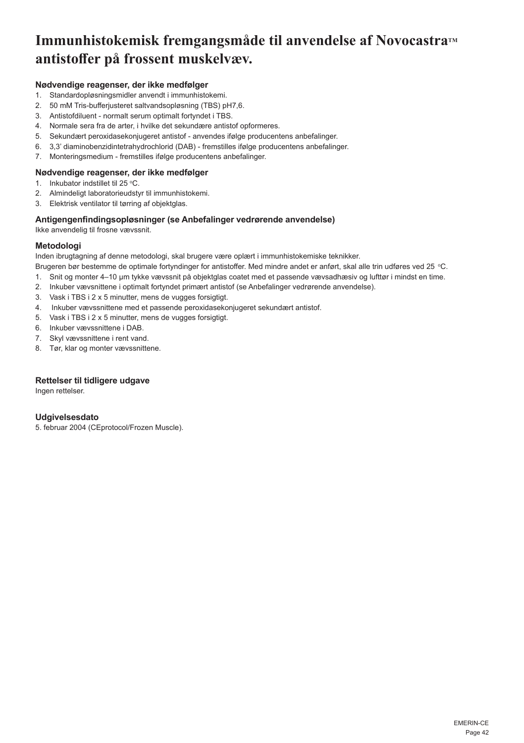# **Immunhistokemisk fremgangsmåde til anvendelse af Novocastra™ antistoffer på frossent muskelvæv.**

# **Nødvendige reagenser, der ikke medfølger**

- 1. Standardopløsningsmidler anvendt i immunhistokemi.
- 2. 50 mM Tris-bufferjusteret saltvandsopløsning (TBS) pH7,6.
- 3. Antistofdiluent normalt serum optimalt fortyndet i TBS.
- 4. Normale sera fra de arter, i hvilke det sekundære antistof opformeres.
- 5. Sekundært peroxidasekonjugeret antistof anvendes ifølge producentens anbefalinger.
- 6. 3,3' diaminobenzidintetrahydrochlorid (DAB) fremstilles ifølge producentens anbefalinger.
- 7. Monteringsmedium fremstilles ifølge producentens anbefalinger.

# **Nødvendige reagenser, der ikke medfølger**

- 1. Inkubator indstillet til 25 °C.
- 2. Almindeligt laboratorieudstyr til immunhistokemi.
- 3. Elektrisk ventilator til tørring af objektglas.

# **Antigengenfindingsopløsninger (se Anbefalinger vedrørende anvendelse)**

Ikke anvendelig til frosne vævssnit.

# **Metodologi**

Inden ibrugtagning af denne metodologi, skal brugere være oplært i immunhistokemiske teknikker.

Brugeren bør bestemme de optimale fortyndinger for antistoffer. Med mindre andet er anført, skal alle trin udføres ved 25 °C.

- 1. Snit og monter 4–10 µm tykke vævssnit på objektglas coatet med et passende vævsadhæsiv og lufttør i mindst en time.
- 2. Inkuber vævsnittene i optimalt fortyndet primært antistof (se Anbefalinger vedrørende anvendelse).
- 3. Vask i TBS i 2 x 5 minutter, mens de vugges forsigtigt.
- 4. Inkuber vævssnittene med et passende peroxidasekonjugeret sekundært antistof.
- 5. Vask i TBS i 2 x 5 minutter, mens de vugges forsigtigt.
- 6. Inkuber vævssnittene i DAB.
- 7. Skyl vævssnittene i rent vand.
- 8. Tør, klar og monter vævssnittene.

# **Rettelser til tidligere udgave**

Ingen rettelser.

# **Udgivelsesdato**

5. februar 2004 (CEprotocol/Frozen Muscle).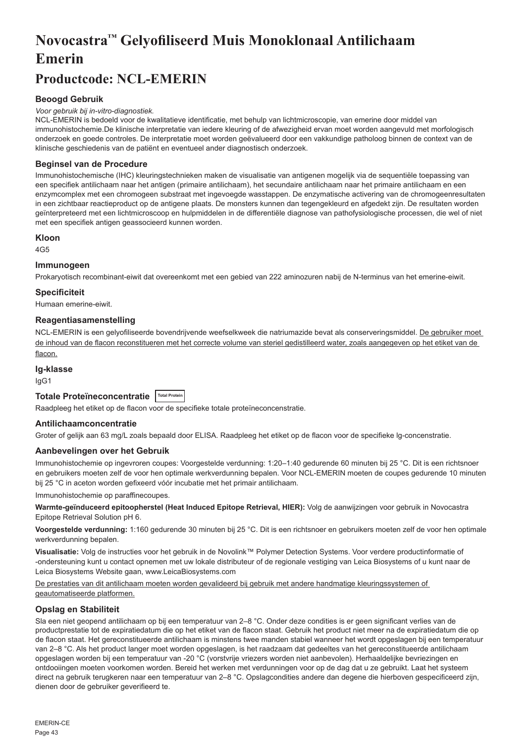# **Novocastra™ Gelyofiliseerd Muis Monoklonaal Antilichaam Emerin**

# **Productcode: NCL-EMERIN**

# **Beoogd Gebruik**

## *Voor gebruik bij in-vitro-diagnostiek.*

NCL-EMERIN is bedoeld voor de kwalitatieve identificatie, met behulp van lichtmicroscopie, van emerine door middel van immunohistochemie.De klinische interpretatie van iedere kleuring of de afwezigheid ervan moet worden aangevuld met morfologisch onderzoek en goede controles. De interpretatie moet worden geëvalueerd door een vakkundige patholoog binnen de context van de klinische geschiedenis van de patiënt en eventueel ander diagnostisch onderzoek.

# **Beginsel van de Procedure**

Immunohistochemische (IHC) kleuringstechnieken maken de visualisatie van antigenen mogelijk via de sequentiële toepassing van een specifiek antilichaam naar het antigen (primaire antilichaam), het secundaire antilichaam naar het primaire antilichaam en een enzymcomplex met een chromogeen substraat met ingevoegde wasstappen. De enzymatische activering van de chromogeenresultaten in een zichtbaar reactieproduct op de antigene plaats. De monsters kunnen dan tegengekleurd en afgedekt zijn. De resultaten worden geïnterpreteerd met een lichtmicroscoop en hulpmiddelen in de differentiële diagnose van pathofysiologische processen, die wel of niet met een specifiek antigen geassocieerd kunnen worden.

# **Kloon**

4G5

# **Immunogeen**

Prokaryotisch recombinant-eiwit dat overeenkomt met een gebied van 222 aminozuren nabij de N-terminus van het emerine-eiwit.

## **Specificiteit**

Humaan emerine-eiwit.

## **Reagentiasamenstelling**

NCL-EMERIN is een gelyofiliseerde bovendrijvende weefselkweek die natriumazide bevat als conserveringsmiddel. De gebruiker moet de inhoud van de flacon reconstitueren met het correcte volume van steriel gedistilleerd water, zoals aangegeven op het etiket van de flacon.

## **Ig-klasse**

IgG1

# **Totale Proteïneconcentratie Total Protein**

Raadpleeg het etiket op de flacon voor de specifieke totale proteïneconcenstratie.

# **Antilichaamconcentratie**

Groter of gelijk aan 63 mg/L zoals bepaald door ELISA. Raadpleeg het etiket op de flacon voor de specifieke lg-concenstratie.

# **Aanbevelingen over het Gebruik**

Immunohistochemie op ingevroren coupes: Voorgestelde verdunning: 1:20–1:40 gedurende 60 minuten bij 25 °C. Dit is een richtsnoer en gebruikers moeten zelf de voor hen optimale werkverdunning bepalen. Voor NCL-EMERIN moeten de coupes gedurende 10 minuten bij 25 °C in aceton worden gefixeerd vóór incubatie met het primair antilichaam.

Immunohistochemie op paraffinecoupes.

**Warmte-geïnduceerd epitoopherstel (Heat Induced Epitope Retrieval, HIER):** Volg de aanwijzingen voor gebruik in Novocastra Epitope Retrieval Solution pH 6.

**Voorgestelde verdunning:** 1:160 gedurende 30 minuten bij 25 °C. Dit is een richtsnoer en gebruikers moeten zelf de voor hen optimale werkverdunning bepalen.

**Visualisatie:** Volg de instructies voor het gebruik in de Novolink™ Polymer Detection Systems. Voor verdere productinformatie of -ondersteuning kunt u contact opnemen met uw lokale distributeur of de regionale vestiging van Leica Biosystems of u kunt naar de Leica Biosystems Website gaan, www.LeicaBiosystems.com

De prestaties van dit antilichaam moeten worden gevalideerd bij gebruik met andere handmatige kleuringssystemen of geautomatiseerde platformen.

# **Opslag en Stabiliteit**

Sla een niet geopend antilichaam op bij een temperatuur van 2–8 °C. Onder deze condities is er geen significant verlies van de productprestatie tot de expiratiedatum die op het etiket van de flacon staat. Gebruik het product niet meer na de expiratiedatum die op de flacon staat. Het gereconstitueerde antilichaam is minstens twee manden stabiel wanneer het wordt opgeslagen bij een temperatuur van 2–8 °C. Als het product langer moet worden opgeslagen, is het raadzaam dat gedeeltes van het gereconstitueerde antilichaam opgeslagen worden bij een temperatuur van -20 °C (vorstvrije vriezers worden niet aanbevolen). Herhaaldelijke bevriezingen en ontdooiingen moeten voorkomen worden. Bereid het werken met verdunningen voor op de dag dat u ze gebruikt. Laat het systeem direct na gebruik terugkeren naar een temperatuur van 2–8 °C. Opslagcondities andere dan degene die hierboven gespecificeerd zijn, dienen door de gebruiker geverifieerd te.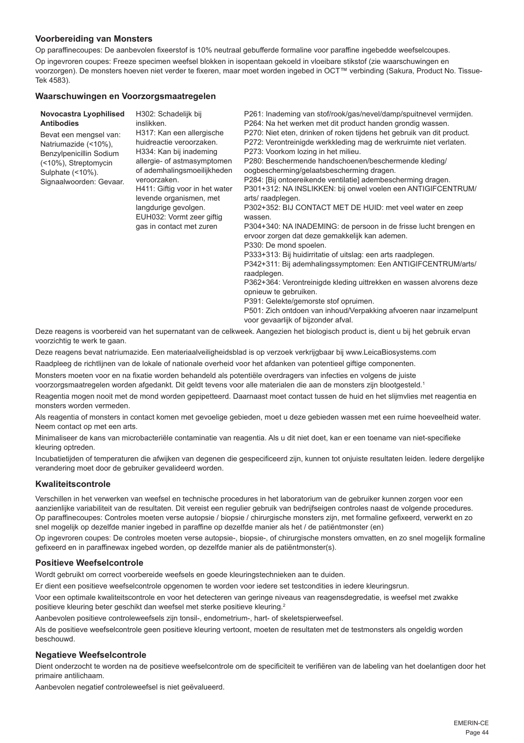# **Voorbereiding van Monsters**

Op paraffinecoupes: De aanbevolen fixeerstof is 10% neutraal gebufferde formaline voor paraffine ingebedde weefselcoupes. Op ingevroren coupes: Freeze specimen weefsel blokken in isopentaan gekoeld in vloeibare stikstof (zie waarschuwingen en voorzorgen). De monsters hoeven niet verder te fixeren, maar moet worden ingebed in OCT™ verbinding (Sakura, Product No. Tissue-Tek 4583).

# **Waarschuwingen en Voorzorgsmaatregelen**

| Novocastra Lyophilised<br>H302: Schadelijk bij<br><b>Antibodies</b><br>inslikken.<br>H317: Kan een allergische<br>Bevat een mengsel van:<br>huidreactie veroorzaken.<br>Natriumazide (<10%),<br>H334: Kan bij inademing<br>Benzylpenicillin Sodium<br>allergie- of astmasymptomen<br>(<10%), Streptomycin<br>of ademhalingsmoeilijkheden<br>Sulphate (<10%).<br>veroorzaken.<br>Signaalwoorden: Gevaar.<br>H411: Giftig voor in het water<br>levende organismen, met<br>langdurige gevolgen.<br>EUH032: Vormt zeer giftig<br>gas in contact met zuren | P261: Inademing van stof/rook/gas/nevel/damp/spuitnevel vermijden.<br>P264: Na het werken met dit product handen grondig wassen.<br>P270: Niet eten, drinken of roken tijdens het gebruik van dit product.<br>P272: Verontreinigde werkkleding mag de werkruimte niet verlaten.<br>P273: Voorkom lozing in het milieu.<br>P280: Beschermende handschoenen/beschermende kleding/<br>oogbescherming/gelaatsbescherming dragen.<br>P284: [Bij ontoereikende ventilatie] adembescherming dragen.<br>P301+312: NA INSLIKKEN: bij onwel voelen een ANTIGIFCENTRUM/<br>arts/raadplegen.<br>P302+352: BIJ CONTACT MET DE HUID: met veel water en zeep<br>wassen.<br>P304+340: NA INADEMING: de persoon in de frisse lucht brengen en<br>ervoor zorgen dat deze gemakkelijk kan ademen.<br>P330: De mond spoelen.<br>P333+313: Bij huidirritatie of uitslag: een arts raadplegen.<br>P342+311: Bij ademhalingssymptomen: Een ANTIGIFCENTRUM/arts/<br>raadplegen.<br>P362+364: Verontreinigde kleding uittrekken en wassen alvorens deze<br>opnieuw te gebruiken.<br>P391: Gelekte/gemorste stof opruimen.<br>P501: Zich ontdoen van inhoud/Verpakking afvoeren naar inzamelpunt<br>voor gevaarlijk of bijzonder afval. |
|-------------------------------------------------------------------------------------------------------------------------------------------------------------------------------------------------------------------------------------------------------------------------------------------------------------------------------------------------------------------------------------------------------------------------------------------------------------------------------------------------------------------------------------------------------|---------------------------------------------------------------------------------------------------------------------------------------------------------------------------------------------------------------------------------------------------------------------------------------------------------------------------------------------------------------------------------------------------------------------------------------------------------------------------------------------------------------------------------------------------------------------------------------------------------------------------------------------------------------------------------------------------------------------------------------------------------------------------------------------------------------------------------------------------------------------------------------------------------------------------------------------------------------------------------------------------------------------------------------------------------------------------------------------------------------------------------------------------------------------------------------------------------------|
|-------------------------------------------------------------------------------------------------------------------------------------------------------------------------------------------------------------------------------------------------------------------------------------------------------------------------------------------------------------------------------------------------------------------------------------------------------------------------------------------------------------------------------------------------------|---------------------------------------------------------------------------------------------------------------------------------------------------------------------------------------------------------------------------------------------------------------------------------------------------------------------------------------------------------------------------------------------------------------------------------------------------------------------------------------------------------------------------------------------------------------------------------------------------------------------------------------------------------------------------------------------------------------------------------------------------------------------------------------------------------------------------------------------------------------------------------------------------------------------------------------------------------------------------------------------------------------------------------------------------------------------------------------------------------------------------------------------------------------------------------------------------------------|

Deze reagens is voorbereid van het supernatant van de celkweek. Aangezien het biologisch product is, dient u bij het gebruik ervan voorzichtig te werk te gaan.

Deze reagens bevat natriumazide. Een materiaalveiligheidsblad is op verzoek verkrijgbaar bij www.LeicaBiosystems.com

Raadpleeg de richtlijnen van de lokale of nationale overheid voor het afdanken van potentieel giftige componenten.

Monsters moeten voor en na fixatie worden behandeld als potentiële overdragers van infecties en volgens de juiste

voorzorgsmaatregelen worden afgedankt. Dit geldt tevens voor alle materialen die aan de monsters zijn blootgesteld.<sup>1</sup>

Reagentia mogen nooit met de mond worden gepipetteerd. Daarnaast moet contact tussen de huid en het slijmvlies met reagentia en monsters worden vermeden.

Als reagentia of monsters in contact komen met gevoelige gebieden, moet u deze gebieden wassen met een ruime hoeveelheid water. Neem contact op met een arts.

Minimaliseer de kans van microbacteriële contaminatie van reagentia. Als u dit niet doet, kan er een toename van niet-specifieke kleuring optreden.

Incubatietijden of temperaturen die afwijken van degenen die gespecificeerd zijn, kunnen tot onjuiste resultaten leiden. Iedere dergelijke verandering moet door de gebruiker gevalideerd worden.

# **Kwaliteitscontrole**

Verschillen in het verwerken van weefsel en technische procedures in het laboratorium van de gebruiker kunnen zorgen voor een aanzienlijke variabiliteit van de resultaten. Dit vereist een regulier gebruik van bedrijfseigen controles naast de volgende procedures. Op paraffinecoupes: Controles moeten verse autopsie / biopsie / chirurgische monsters zijn, met formaline gefixeerd, verwerkt en zo snel mogelijk op dezelfde manier ingebed in paraffine op dezelfde manier als het / de patiëntmonster (en)

Op ingevroren coupes: De controles moeten verse autopsie-, biopsie-, of chirurgische monsters omvatten, en zo snel mogelijk formaline gefixeerd en in paraffinewax ingebed worden, op dezelfde manier als de patiëntmonster(s).

# **Positieve Weefselcontrole**

Wordt gebruikt om correct voorbereide weefsels en goede kleuringstechnieken aan te duiden.

Er dient een positieve weefselcontrole opgenomen te worden voor iedere set testcondities in iedere kleuringsrun.

Voor een optimale kwaliteitscontrole en voor het detecteren van geringe niveaus van reagensdegredatie, is weefsel met zwakke positieve kleuring beter geschikt dan weefsel met sterke positieve kleuring.<sup>2</sup>

Aanbevolen positieve controleweefsels zijn tonsil-, endometrium-, hart- of skeletspierweefsel.

Als de positieve weefselcontrole geen positieve kleuring vertoont, moeten de resultaten met de testmonsters als ongeldig worden beschouwd.

# **Negatieve Weefselcontrole**

Dient onderzocht te worden na de positieve weefselcontrole om de specificiteit te verifiëren van de labeling van het doelantigen door het primaire antilichaam.

Aanbevolen negatief controleweefsel is niet geëvalueerd.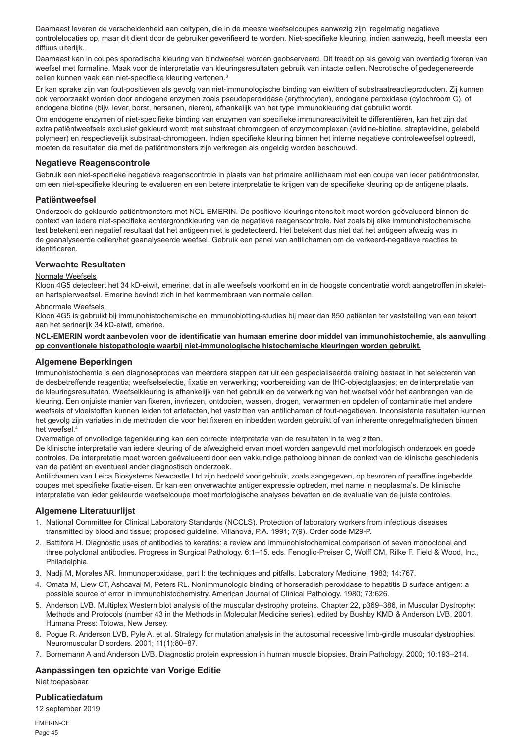Daarnaast leveren de verscheidenheid aan celtypen, die in de meeste weefselcoupes aanwezig zijn, regelmatig negatieve controlelocaties op, maar dit dient door de gebruiker geverifieerd te worden. Niet-specifieke kleuring, indien aanwezig, heeft meestal een diffuus uiterlijk.

Daarnaast kan in coupes sporadische kleuring van bindweefsel worden geobserveerd. Dit treedt op als gevolg van overdadig fixeren van weefsel met formaline. Maak voor de interpretatie van kleuringsresultaten gebruik van intacte cellen. Necrotische of gedegenereerde cellen kunnen vaak een niet-specifieke kleuring vertonen.<sup>3</sup>

Er kan sprake zijn van fout-positieven als gevolg van niet-immunologische binding van eiwitten of substraatreactieproducten. Zij kunnen ook veroorzaakt worden door endogene enzymen zoals pseudoperoxidase (erythrocyten), endogene peroxidase (cytochroom C), of endogene biotine (bijv. lever, borst, hersenen, nieren), afhankelijk van het type immunokleuring dat gebruikt wordt.

Om endogene enzymen of niet-specifieke binding van enzymen van specifieke immunoreactiviteit te differentiëren, kan het zijn dat extra patiëntweefsels exclusief gekleurd wordt met substraat chromogeen of enzymcomplexen (avidine-biotine, streptavidine, gelabeld polymeer) en respectievelijk substraat-chromogeen. Indien specifieke kleuring binnen het interne negatieve controleweefsel optreedt, moeten de resultaten die met de patiëntmonsters zijn verkregen als ongeldig worden beschouwd.

## **Negatieve Reagenscontrole**

Gebruik een niet-specifieke negatieve reagenscontrole in plaats van het primaire antilichaam met een coupe van ieder patiëntmonster, om een niet-specifieke kleuring te evalueren en een betere interpretatie te krijgen van de specifieke kleuring op de antigene plaats.

## **Patiëntweefsel**

Onderzoek de gekleurde patiëntmonsters met NCL-EMERIN. De positieve kleuringsintensiteit moet worden geëvalueerd binnen de context van iedere niet-specifieke achtergrondkleuring van de negatieve reagenscontrole. Net zoals bij elke immunohistochemische test betekent een negatief resultaat dat het antigeen niet is gedetecteerd. Het betekent dus niet dat het antigeen afwezig was in de geanalyseerde cellen/het geanalyseerde weefsel. Gebruik een panel van antilichamen om de verkeerd-negatieve reacties te identificeren.

## **Verwachte Resultaten**

## Normale Weefsels

Kloon 4G5 detecteert het 34 kD-eiwit, emerine, dat in alle weefsels voorkomt en in de hoogste concentratie wordt aangetroffen in skeleten hartspierweefsel. Emerine bevindt zich in het kernmembraan van normale cellen.

#### Abnormale Weefsels

Kloon 4G5 is gebruikt bij immunohistochemische en immunoblotting-studies bij meer dan 850 patiënten ter vaststelling van een tekort aan het serinerijk 34 kD-eiwit, emerine.

#### **NCL-EMERIN wordt aanbevolen voor de identificatie van humaan emerine door middel van immunohistochemie, als aanvulling op conventionele histopathologie waarbij niet-immunologische histochemische kleuringen worden gebruikt.**

## **Algemene Beperkingen**

Immunohistochemie is een diagnoseproces van meerdere stappen dat uit een gespecialiseerde training bestaat in het selecteren van de desbetreffende reagentia; weefselselectie, fixatie en verwerking; voorbereiding van de IHC-objectglaasjes; en de interpretatie van de kleuringsresultaten. Weefselkleuring is afhankelijk van het gebruik en de verwerking van het weefsel vóór het aanbrengen van de kleuring. Een onjuiste manier van fixeren, invriezen, ontdooien, wassen, drogen, verwarmen en opdelen of contaminatie met andere weefsels of vloeistoffen kunnen leiden tot artefacten, het vastzitten van antilichamen of fout-negatieven. Inconsistente resultaten kunnen het gevolg zijn variaties in de methoden die voor het fixeren en inbedden worden gebruikt of van inherente onregelmatigheden binnen het weefsel.<sup>4</sup>

Overmatige of onvolledige tegenkleuring kan een correcte interpretatie van de resultaten in te weg zitten.

De klinische interpretatie van iedere kleuring of de afwezigheid ervan moet worden aangevuld met morfologisch onderzoek en goede controles. De interpretatie moet worden geëvalueerd door een vakkundige patholoog binnen de context van de klinische geschiedenis van de patiënt en eventueel ander diagnostisch onderzoek.

Antilichamen van Leica Biosystems Newcastle Ltd zijn bedoeld voor gebruik, zoals aangegeven, op bevroren of paraffine ingebedde coupes met specifieke fixatie-eisen. Er kan een onverwachte antigenexpressie optreden, met name in neoplasma's. De klinische interpretatie van ieder gekleurde weefselcoupe moet morfologische analyses bevatten en de evaluatie van de juiste controles.

## **Algemene Literatuurlijst**

- 1. National Committee for Clinical Laboratory Standards (NCCLS). Protection of laboratory workers from infectious diseases transmitted by blood and tissue; proposed guideline. Villanova, P.A. 1991; 7(9). Order code M29-P.
- 2. Battifora H. Diagnostic uses of antibodies to keratins: a review and immunohistochemical comparison of seven monoclonal and three polyclonal antibodies. Progress in Surgical Pathology. 6:1–15. eds. Fenoglio-Preiser C, Wolff CM, Rilke F. Field & Wood, Inc., Philadelphia.
- 3. Nadji M, Morales AR. Immunoperoxidase, part I: the techniques and pitfalls. Laboratory Medicine. 1983; 14:767.
- 4. Omata M, Liew CT, Ashcavai M, Peters RL. Nonimmunologic binding of horseradish peroxidase to hepatitis B surface antigen: a possible source of error in immunohistochemistry. American Journal of Clinical Pathology. 1980; 73:626.
- 5. Anderson LVB. Multiplex Western blot analysis of the muscular dystrophy proteins. Chapter 22, p369–386, in Muscular Dystrophy: Methods and Protocols (number 43 in the Methods in Molecular Medicine series), edited by Bushby KMD & Anderson LVB. 2001. Humana Press: Totowa, New Jersey.
- 6. Pogue R, Anderson LVB, Pyle A, et al. Strategy for mutation analysis in the autosomal recessive limb-girdle muscular dystrophies. Neuromuscular Disorders. 2001; 11(1):80–87.
- 7. Bornemann A and Anderson LVB. Diagnostic protein expression in human muscle biopsies. Brain Pathology. 2000; 10:193–214.

# **Aanpassingen ten opzichte van Vorige Editie**

Niet toepasbaar.

# **Publicatiedatum**

12 september 2019

EMERIN-CE Page 45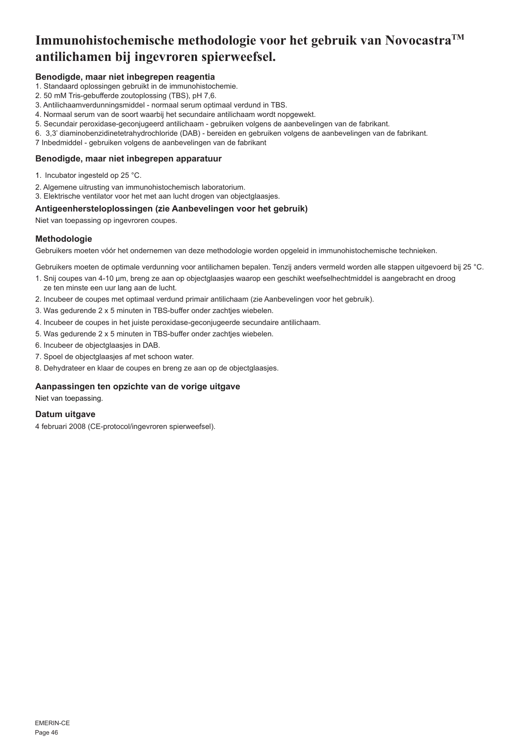# **Immunohistochemische methodologie voor het gebruik van NovocastraTM antilichamen bij ingevroren spierweefsel.**

# **Benodigde, maar niet inbegrepen reagentia**

- 1. Standaard oplossingen gebruikt in de immunohistochemie.
- 2. 50 mM Tris-gebufferde zoutoplossing (TBS), pH 7,6.
- 3. Antilichaamverdunningsmiddel normaal serum optimaal verdund in TBS.
- 4. Normaal serum van de soort waarbij het secundaire antilichaam wordt nopgewekt.
- 5. Secundair peroxidase-geconjugeerd antilichaam gebruiken volgens de aanbevelingen van de fabrikant.
- 6. 3,3' diaminobenzidinetetrahydrochloride (DAB) bereiden en gebruiken volgens de aanbevelingen van de fabrikant.
- 7 Inbedmiddel gebruiken volgens de aanbevelingen van de fabrikant

# **Benodigde, maar niet inbegrepen apparatuur**

- 1. Incubator ingesteld op 25 °C.
- 2. Algemene uitrusting van immunohistochemisch laboratorium.
- 3. Elektrische ventilator voor het met aan lucht drogen van objectglaasjes.

## **Antigeenhersteloplossingen (zie Aanbevelingen voor het gebruik)**

Niet van toepassing op ingevroren coupes.

# **Methodologie**

Gebruikers moeten vóór het ondernemen van deze methodologie worden opgeleid in immunohistochemische technieken.

Gebruikers moeten de optimale verdunning voor antilichamen bepalen. Tenzij anders vermeld worden alle stappen uitgevoerd bij 25 °C.

- 1. Snij coupes van 4-10 µm, breng ze aan op objectglaasjes waarop een geschikt weefselhechtmiddel is aangebracht en droog ze ten minste een uur lang aan de lucht.
- 2. Incubeer de coupes met optimaal verdund primair antilichaam (zie Aanbevelingen voor het gebruik).
- 3. Was gedurende 2 x 5 minuten in TBS-buffer onder zachtjes wiebelen.
- 4. Incubeer de coupes in het juiste peroxidase-geconjugeerde secundaire antilichaam.
- 5. Was gedurende 2 x 5 minuten in TBS-buffer onder zachtjes wiebelen.
- 6. Incubeer de objectglaasjes in DAB.
- 7. Spoel de objectglaasjes af met schoon water.
- 8. Dehydrateer en klaar de coupes en breng ze aan op de objectglaasjes.

# **Aanpassingen ten opzichte van de vorige uitgave**

Niet van toepassing.

# **Datum uitgave**

4 februari 2008 (CE-protocol/ingevroren spierweefsel).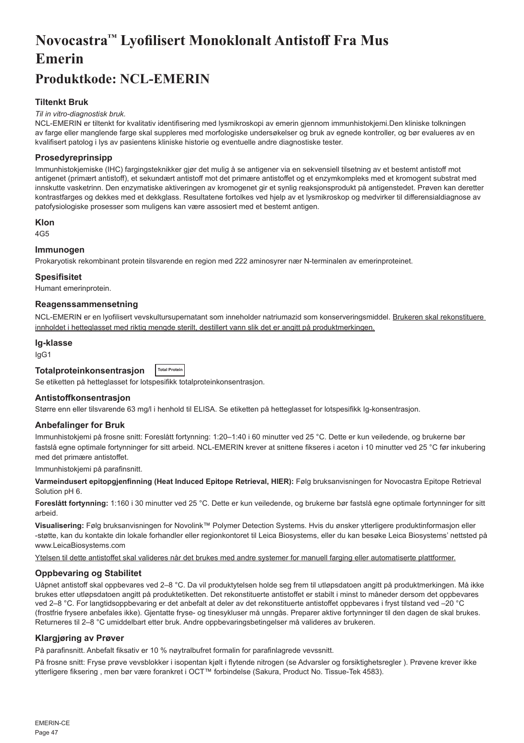# **Novocastra™ Lyofilisert Monoklonalt Antistoff Fra Mus Emerin**

# **Produktkode: NCL-EMERIN**

# **Tiltenkt Bruk**

#### *Til in vitro-diagnostisk bruk.*

NCL-EMERIN er tiltenkt for kvalitativ identifisering med lysmikroskopi av emerin gjennom immunhistokjemi.Den kliniske tolkningen av farge eller manglende farge skal suppleres med morfologiske undersøkelser og bruk av egnede kontroller, og bør evalueres av en kvalifisert patolog i lys av pasientens kliniske historie og eventuelle andre diagnostiske tester.

# **Prosedyreprinsipp**

Immunhistokjemiske (IHC) fargingsteknikker gjør det mulig å se antigener via en sekvensiell tilsetning av et bestemt antistoff mot antigenet (primært antistoff), et sekundært antistoff mot det primære antistoffet og et enzymkompleks med et kromogent substrat med innskutte vasketrinn. Den enzymatiske aktiveringen av kromogenet gir et synlig reaksjonsprodukt på antigenstedet. Prøven kan deretter kontrastfarges og dekkes med et dekkglass. Resultatene fortolkes ved hjelp av et lysmikroskop og medvirker til differensialdiagnose av patofysiologiske prosesser som muligens kan være assosiert med et bestemt antigen.

## **Klon**

4G5

# **Immunogen**

Prokaryotisk rekombinant protein tilsvarende en region med 222 aminosyrer nær N-terminalen av emerinproteinet.

## **Spesifisitet**

Humant emerinprotein.

# **Reagenssammensetning**

NCL-EMERIN er en lyofilisert vevskultursupernatant som inneholder natriumazid som konserveringsmiddel. Brukeren skal rekonstituere innholdet i hetteglasset med riktig mengde sterilt, destillert vann slik det er angitt på produktmerkingen.

#### **Ig-klasse**

IgG1

#### **Totalproteinkonsentrasjon Total Protein**

Se etiketten på hetteglasset for lotspesifikk totalproteinkonsentrasjon.

## **Antistoffkonsentrasjon**

Større enn eller tilsvarende 63 mg/l i henhold til ELISA. Se etiketten på hetteglasset for lotspesifikk Ig-konsentrasjon.

## **Anbefalinger for Bruk**

Immunhistokjemi på frosne snitt: Foreslått fortynning: 1:20–1:40 i 60 minutter ved 25 °C. Dette er kun veiledende, og brukerne bør fastslå egne optimale fortynninger for sitt arbeid. NCL-EMERIN krever at snittene fikseres i aceton i 10 minutter ved 25 °C før inkubering med det primære antistoffet.

Immunhistokjemi på parafinsnitt.

**Varmeindusert epitopgjenfinning (Heat Induced Epitope Retrieval, HIER):** Følg bruksanvisningen for Novocastra Epitope Retrieval Solution pH 6.

**Foreslått fortynning:** 1:160 i 30 minutter ved 25 °C. Dette er kun veiledende, og brukerne bør fastslå egne optimale fortynninger for sitt arbeid.

**Visualisering:** Følg bruksanvisningen for Novolink™ Polymer Detection Systems. Hvis du ønsker ytterligere produktinformasjon eller -støtte, kan du kontakte din lokale forhandler eller regionkontoret til Leica Biosystems, eller du kan besøke Leica Biosystems' nettsted på www.LeicaBiosystems.com

Ytelsen til dette antistoffet skal valideres når det brukes med andre systemer for manuell farging eller automatiserte plattformer.

# **Oppbevaring og Stabilitet**

Uåpnet antistoff skal oppbevares ved 2–8 °C. Da vil produktytelsen holde seg frem til utløpsdatoen angitt på produktmerkingen. Må ikke brukes etter utløpsdatoen angitt på produktetiketten. Det rekonstituerte antistoffet er stabilt i minst to måneder dersom det oppbevares ved 2–8 °C. For langtidsoppbevaring er det anbefalt at deler av det rekonstituerte antistoffet oppbevares i fryst tilstand ved –20 °C (frostfrie frysere anbefales ikke). Gjentatte fryse- og tinesykluser må unngås. Preparer aktive fortynninger til den dagen de skal brukes. Returneres til 2–8 °C umiddelbart etter bruk. Andre oppbevaringsbetingelser må valideres av brukeren.

# **Klargjøring av Prøver**

På parafinsnitt. Anbefalt fiksativ er 10 % nøytralbufret formalin for parafinlagrede vevssnitt.

På frosne snitt: Fryse prøve vevsblokker i isopentan kjølt i flytende nitrogen (se Advarsler og forsiktighetsregler ). Prøvene krever ikke ytterligere fiksering , men bør være forankret i OCT™ forbindelse (Sakura, Product No. Tissue-Tek 4583).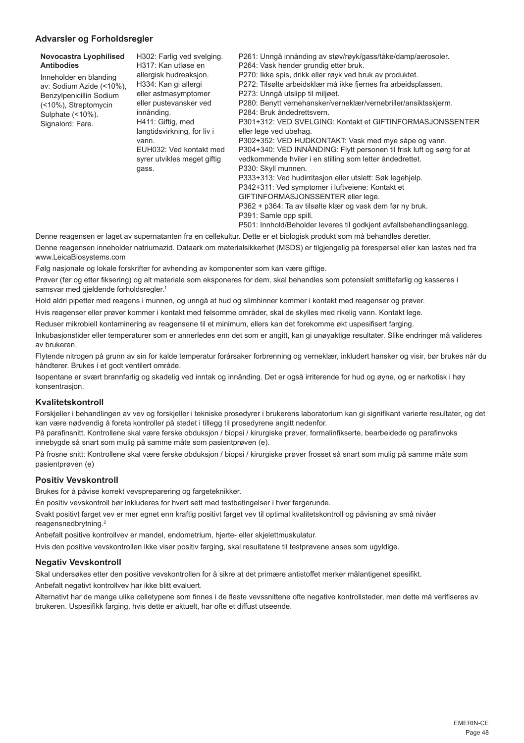# **Advarsler og Forholdsregler**

| Novocastra Lyophilised   | H302: Farlig ved svelging.  | P261: Unngå innånding av støv/røyk/gass/tåke/damp/aerosoler.          |
|--------------------------|-----------------------------|-----------------------------------------------------------------------|
| <b>Antibodies</b>        | H317: Kan utløse en         | P264: Vask hender grundig etter bruk.                                 |
| Inneholder en blanding   | allergisk hudreaksjon.      | P270: Ikke spis, drikk eller røyk ved bruk av produktet.              |
| av: Sodium Azide (<10%), | H334: Kan gi allergi        | P272: Tilsølte arbeidsklær må ikke fjernes fra arbeidsplassen.        |
| Benzylpenicillin Sodium  | eller astmasymptomer        | P273: Unngå utslipp til miljøet.                                      |
| (<10%), Streptomycin     | eller pustevansker ved      | P280: Benytt vernehansker/verneklær/vernebriller/ansiktsskjerm.       |
| Sulphate (<10%).         | innånding.                  | P284: Bruk åndedrettsvern.                                            |
| Signalord: Fare.         | H411: Giftig, med           | P301+312: VED SVELGING: Kontakt et GIFTINFORMASJONSSENTER             |
|                          | langtidsvirkning, for liv i | eller lege ved ubehag.                                                |
|                          | vann.                       | P302+352: VED HUDKONTAKT: Vask med mye såpe og vann.                  |
|                          | EUH032: Ved kontakt med     | P304+340: VED INNÅNDING: Flytt personen til frisk luft og sørg for at |
|                          | syrer utvikles meget giftig | vedkommende hviler i en stilling som letter åndedrettet.              |
|                          | gass.                       | P330: Skyll munnen.                                                   |
|                          |                             | P333+313: Ved hudirritasjon eller utslett: Søk legehjelp.             |
|                          |                             | P342+311: Ved symptomer i luftveiene: Kontakt et                      |
|                          |                             | GIFTINFORMASJONSSENTER eller lege.                                    |
|                          |                             | P362 + p364: Ta av tilsølte klær og vask dem før ny bruk.             |
|                          |                             | P391: Samle opp spill.                                                |
|                          |                             | P501: Innhold/Beholder leveres til godkjent avfallsbehandlingsanlegg. |

Denne reagensen er laget av supernatanten fra en cellekultur. Dette er et biologisk produkt som må behandles deretter.

Denne reagensen inneholder natriumazid. Dataark om materialsikkerhet (MSDS) er tilgjengelig på forespørsel eller kan lastes ned fra www.LeicaBiosystems.com

Følg nasjonale og lokale forskrifter for avhending av komponenter som kan være giftige.

Prøver (før og etter fiksering) og alt materiale som eksponeres for dem, skal behandles som potensielt smittefarlig og kasseres i samsvar med gjeldende forholdsregler.<sup>1</sup>

Hold aldri pipetter med reagens i munnen, og unngå at hud og slimhinner kommer i kontakt med reagenser og prøver.

Hvis reagenser eller prøver kommer i kontakt med følsomme områder, skal de skylles med rikelig vann. Kontakt lege.

Reduser mikrobiell kontaminering av reagensene til et minimum, ellers kan det forekomme økt uspesifisert farging.

Inkubasjonstider eller temperaturer som er annerledes enn det som er angitt, kan gi unøyaktige resultater. Slike endringer må valideres av brukeren.

Flytende nitrogen på grunn av sin for kalde temperatur forårsaker forbrenning og verneklær, inkludert hansker og visir, bør brukes når du håndterer. Brukes i et godt ventilert område.

Isopentane er svært brannfarlig og skadelig ved inntak og innånding. Det er også irriterende for hud og øyne, og er narkotisk i høy konsentrasjon.

## **Kvalitetskontroll**

Forskjeller i behandlingen av vev og forskjeller i tekniske prosedyrer i brukerens laboratorium kan gi signifikant varierte resultater, og det kan være nødvendig å foreta kontroller på stedet i tillegg til prosedyrene angitt nedenfor.

På parafinsnitt. Kontrollene skal være ferske obduksjon / biopsi / kirurgiske prøver, formalinfikserte, bearbeidede og parafinvoks innebygde så snart som mulig på samme måte som pasientprøven (e).

På frosne snitt: Kontrollene skal være ferske obduksjon / biopsi / kirurgiske prøver frosset så snart som mulig på samme måte som pasientprøven (e)

## **Positiv Vevskontroll**

Brukes for å påvise korrekt vevspreparering og fargeteknikker.

Én positiv vevskontroll bør inkluderes for hvert sett med testbetingelser i hver fargerunde.

Svakt positivt farget vev er mer egnet enn kraftig positivt farget vev til optimal kvalitetskontroll og påvisning av små nivåer reagensnedbrytning.<sup>2</sup>

Anbefalt positive kontrollvev er mandel, endometrium, hjerte- eller skjelettmuskulatur.

Hvis den positive vevskontrollen ikke viser positiv farging, skal resultatene til testprøvene anses som ugyldige.

# **Negativ Vevskontroll**

Skal undersøkes etter den positive vevskontrollen for å sikre at det primære antistoffet merker målantigenet spesifikt.

Anbefalt negativt kontrollvev har ikke blitt evaluert.

Alternativt har de mange ulike celletypene som finnes i de fleste vevssnittene ofte negative kontrollsteder, men dette må verifiseres av brukeren. Uspesifikk farging, hvis dette er aktuelt, har ofte et diffust utseende.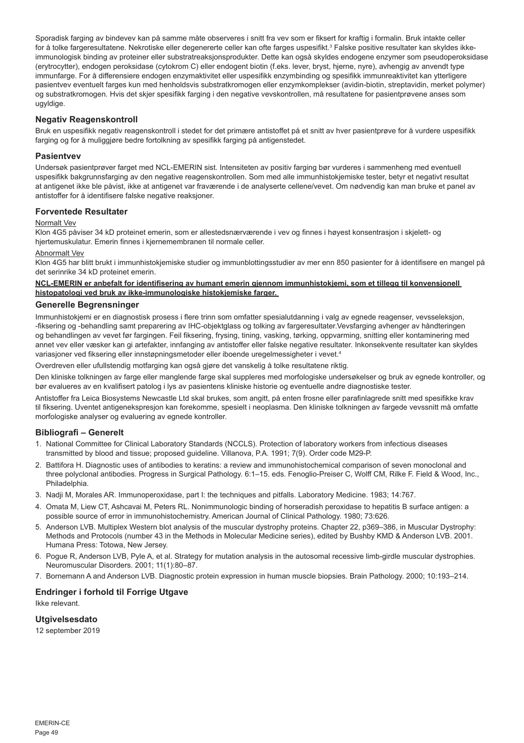Sporadisk farging av bindevev kan på samme måte observeres i snitt fra vev som er fiksert for kraftig i formalin. Bruk intakte celler for å tolke fargeresultatene. Nekrotiske eller degenererte celler kan ofte farges uspesifikt.<sup>3</sup> Falske positive resultater kan skyldes ikkeimmunologisk binding av proteiner eller substratreaksjonsprodukter. Dette kan også skyldes endogene enzymer som pseudoperoksidase (erytrocytter), endogen peroksidase (cytokrom C) eller endogent biotin (f.eks. lever, bryst, hjerne, nyre), avhengig av anvendt type immunfarge. For å differensiere endogen enzymaktivitet eller uspesifikk enzymbinding og spesifikk immunreaktivitet kan ytterligere pasientvev eventuelt farges kun med henholdsvis substratkromogen eller enzymkomplekser (avidin-biotin, streptavidin, merket polymer) og substratkromogen. Hvis det skjer spesifikk farging i den negative vevskontrollen, må resultatene for pasientprøvene anses som ugyldige.

# **Negativ Reagenskontroll**

Bruk en uspesifikk negativ reagenskontroll i stedet for det primære antistoffet på et snitt av hver pasientprøve for å vurdere uspesifikk farging og for å muliggjøre bedre fortolkning av spesifikk farging på antigenstedet.

## **Pasientvev**

Undersøk pasientprøver farget med NCL-EMERIN sist. Intensiteten av positiv farging bør vurderes i sammenheng med eventuell uspesifikk bakgrunnsfarging av den negative reagenskontrollen. Som med alle immunhistokjemiske tester, betyr et negativt resultat at antigenet ikke ble påvist, ikke at antigenet var fraværende i de analyserte cellene/vevet. Om nødvendig kan man bruke et panel av antistoffer for å identifisere falske negative reaksjoner.

## **Forventede Resultater**

#### Normalt Vev

Klon 4G5 påviser 34 kD proteinet emerin, som er allestedsnærværende i vev og finnes i høyest konsentrasjon i skjelett- og hjertemuskulatur. Emerin finnes i kjernemembranen til normale celler.

#### Abnormalt Vev

Klon 4G5 har blitt brukt i immunhistokjemiske studier og immunblottingsstudier av mer enn 850 pasienter for å identifisere en mangel på det serinrike 34 kD proteinet emerin.

## **NCL-EMERIN er anbefalt for identifisering av humant emerin gjennom immunhistokjemi, som et tillegg til konvensjonell histopatologi ved bruk av ikke-immunologiske histokjemiske farger.**

## **Generelle Begrensninger**

Immunhistokjemi er en diagnostisk prosess i flere trinn som omfatter spesialutdanning i valg av egnede reagenser, vevsseleksjon, -fiksering og -behandling samt preparering av IHC-objektglass og tolking av fargeresultater.Vevsfarging avhenger av håndteringen og behandlingen av vevet før fargingen. Feil fiksering, frysing, tining, vasking, tørking, oppvarming, snitting eller kontaminering med annet vev eller væsker kan gi artefakter, innfanging av antistoffer eller falske negative resultater. Inkonsekvente resultater kan skyldes variasjoner ved fiksering eller innstøpningsmetoder eller iboende uregelmessigheter i vevet.<sup>4</sup>

Overdreven eller ufullstendig motfarging kan også gjøre det vanskelig å tolke resultatene riktig.

Den kliniske tolkningen av farge eller manglende farge skal suppleres med morfologiske undersøkelser og bruk av egnede kontroller, og bør evalueres av en kvalifisert patolog i lys av pasientens kliniske historie og eventuelle andre diagnostiske tester.

Antistoffer fra Leica Biosystems Newcastle Ltd skal brukes, som angitt, på enten frosne eller parafinlagrede snitt med spesifikke krav til fiksering. Uventet antigenekspresjon kan forekomme, spesielt i neoplasma. Den kliniske tolkningen av fargede vevssnitt må omfatte morfologiske analyser og evaluering av egnede kontroller.

## **Bibliografi – Generelt**

- 1. National Committee for Clinical Laboratory Standards (NCCLS). Protection of laboratory workers from infectious diseases transmitted by blood and tissue; proposed guideline. Villanova, P.A. 1991; 7(9). Order code M29-P.
- 2. Battifora H. Diagnostic uses of antibodies to keratins: a review and immunohistochemical comparison of seven monoclonal and three polyclonal antibodies. Progress in Surgical Pathology. 6:1–15. eds. Fenoglio-Preiser C, Wolff CM, Rilke F. Field & Wood, Inc., Philadelphia.
- 3. Nadji M, Morales AR. Immunoperoxidase, part I: the techniques and pitfalls. Laboratory Medicine. 1983; 14:767.
- 4. Omata M, Liew CT, Ashcavai M, Peters RL. Nonimmunologic binding of horseradish peroxidase to hepatitis B surface antigen: a possible source of error in immunohistochemistry. American Journal of Clinical Pathology. 1980; 73:626.
- 5. Anderson LVB. Multiplex Western blot analysis of the muscular dystrophy proteins. Chapter 22, p369–386, in Muscular Dystrophy: Methods and Protocols (number 43 in the Methods in Molecular Medicine series), edited by Bushby KMD & Anderson LVB. 2001. Humana Press: Totowa, New Jersey.
- 6. Pogue R, Anderson LVB, Pyle A, et al. Strategy for mutation analysis in the autosomal recessive limb-girdle muscular dystrophies. Neuromuscular Disorders. 2001; 11(1):80–87.
- 7. Bornemann A and Anderson LVB. Diagnostic protein expression in human muscle biopsies. Brain Pathology. 2000; 10:193–214.

# **Endringer i forhold til Forrige Utgave**

Ikke relevant.

# **Utgivelsesdato**

12 september 2019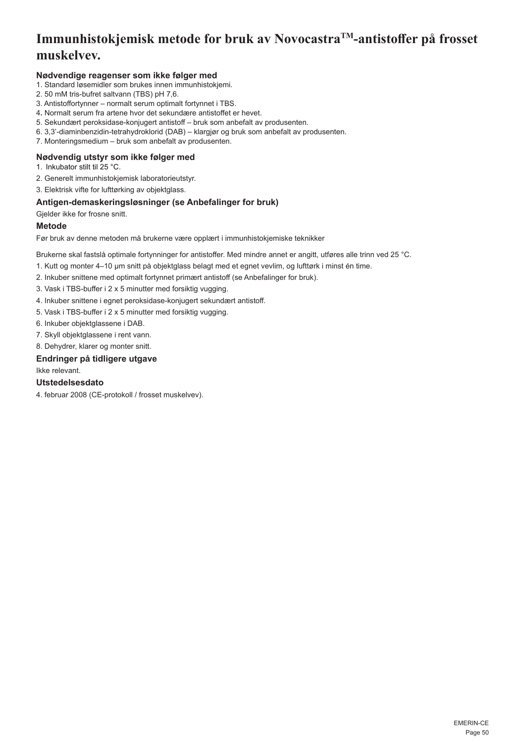# **Immunhistokjemisk metode for bruk av NovocastraTM-antistoffer på frosset muskelvev.**

# **Nødvendige reagenser som ikke følger med**

- 1. Standard løsemidler som brukes innen immunhistokjemi.
- 2. 50 mM tris-bufret saltvann (TBS) pH 7,6.
- 3. Antistoffortynner normalt serum optimalt fortynnet i TBS.
- 4**.** Normalt serum fra artene hvor det sekundære antistoffet er hevet.
- 5. Sekundært peroksidase-konjugert antistoff bruk som anbefalt av produsenten.
- 6. 3,3'-diaminbenzidin-tetrahydroklorid (DAB) klargjør og bruk som anbefalt av produsenten.
- 7. Monteringsmedium bruk som anbefalt av produsenten.

## **Nødvendig utstyr som ikke følger med**

- 1. Inkubator stilt til 25 °C.
- 2. Generelt immunhistokjemisk laboratorieutstyr.
- 3. Elektrisk vifte for lufttørking av objektglass.

# **Antigen-demaskeringsløsninger (se Anbefalinger for bruk)**

Gielder ikke for frosne snitt.

# **Metode**

Før bruk av denne metoden må brukerne være opplært i immunhistokjemiske teknikker

Brukerne skal fastslå optimale fortynninger for antistoffer. Med mindre annet er angitt, utføres alle trinn ved 25 °C.

- 1. Kutt og monter 4–10 µm snitt på objektglass belagt med et egnet vevlim, og lufttørk i minst én time.
- 2. Inkuber snittene med optimalt fortynnet primært antistoff (se Anbefalinger for bruk).
- 3. Vask i TBS-buffer i 2 x 5 minutter med forsiktig vugging.
- 4. Inkuber snittene i egnet peroksidase-konjugert sekundært antistoff.
- 5. Vask i TBS-buffer i 2 x 5 minutter med forsiktig vugging.
- 6. Inkuber objektglassene i DAB.
- 7. Skyll objektglassene i rent vann.

8. Dehydrer, klarer og monter snitt.

# **Endringer på tidligere utgave**

Ikke relevant.

# **Utstedelsesdato**

4. februar 2008 (CE-protokoll / frosset muskelvev).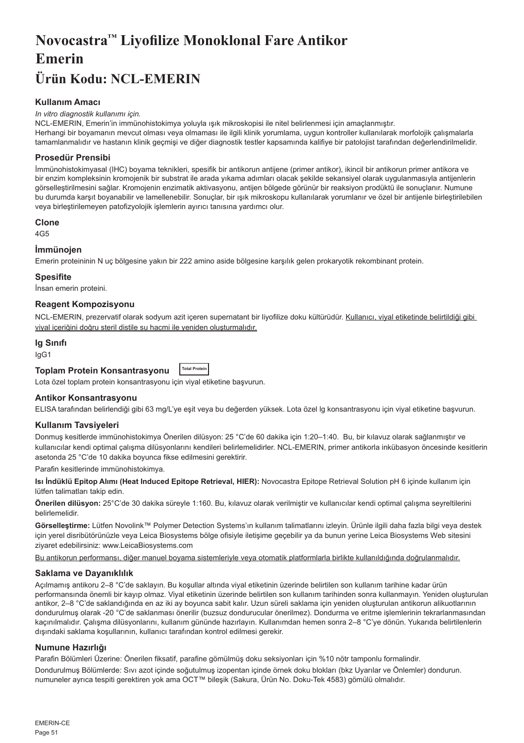# **Novocastra™ Liyofilize Monoklonal Fare Antikor Emerin Ürün Kodu: NCL-EMERIN**

# **Kullanım Amacı**

#### *In vitro diagnostik kullanımı için.*

NCL-EMERIN, Emerin'in immünohistokimya yoluyla ışık mikroskopisi ile nitel belirlenmesi için amaçlanmıştır. Herhangi bir boyamanın mevcut olması veya olmaması ile ilgili klinik yorumlama, uygun kontroller kullanılarak morfolojik çalışmalarla tamamlanmalıdır ve hastanın klinik geçmişi ve diğer diagnostik testler kapsamında kalifiye bir patolojist tarafından değerlendirilmelidir.

## **Prosedür Prensibi**

İmmünohistokimyasal (IHC) boyama teknikleri, spesifik bir antikorun antijene (primer antikor), ikincil bir antikorun primer antikora ve bir enzim kompleksinin kromojenik bir substrat ile arada yıkama adımları olacak şekilde sekansiyel olarak uygulanmasıyla antijenlerin görselleştirilmesini sağlar. Kromojenin enzimatik aktivasyonu, antijen bölgede görünür bir reaksiyon prodüktü ile sonuçlanır. Numune bu durumda karşıt boyanabilir ve lamellenebilir. Sonuçlar, bir ışık mikroskopu kullanılarak yorumlanır ve özel bir antijenle birleştirilebilen veya birleştirilemeyen patofizyolojik işlemlerin ayırıcı tanısına yardımcı olur.

## **Clone**

4G5

# **İmmünojen**

Emerin proteininin N uç bölgesine yakın bir 222 amino aside bölgesine karşılık gelen prokaryotik rekombinant protein.

## **Spesifite**

İnsan emerin proteini.

# **Reagent Kompozisyonu**

NCL-EMERIN, prezervatif olarak sodyum azit içeren supernatant bir liyofilize doku kültürüdür. Kullanıcı, viyal etiketinde belirtildiği gibi viyal içeriğini doğru steril distile su hacmi ile yeniden oluşturmalıdır.

## **Ig Sınıfı**

IgG1

#### **Toplam Protein Konsantrasyonu Total Protein**

Lota özel toplam protein konsantrasyonu için viyal etiketine başvurun.

## **Antikor Konsantrasyonu**

ELISA tarafından belirlendiği gibi 63 mg/L'ye eşit veya bu değerden yüksek. Lota özel lg konsantrasyonu için viyal etiketine başvurun.

# **Kullanım Tavsiyeleri**

Donmuş kesitlerde immünohistokimya Önerilen dilüsyon: 25 °C'de 60 dakika için 1:20–1:40. Bu, bir kılavuz olarak sağlanmıştır ve kullanıcılar kendi optimal çalışma dilüsyonlarını kendileri belirlemelidirler. NCL-EMERIN, primer antikorla inkübasyon öncesinde kesitlerin asetonda 25 °C'de 10 dakika boyunca fikse edilmesini gerektirir.

Parafin kesitlerinde immünohistokimya.

**Isı İndüklü Epitop Alımı (Heat Induced Epitope Retrieval, HIER):** Novocastra Epitope Retrieval Solution pH 6 içinde kullanım için lütfen talimatları takip edin.

**Önerilen dilüsyon:** 25°C'de 30 dakika süreyle 1:160. Bu, kılavuz olarak verilmiştir ve kullanıcılar kendi optimal çalışma seyreltilerini belirlemelidir.

**Görselleştirme:** Lütfen Novolink™ Polymer Detection Systems'ın kullanım talimatlarını izleyin. Ürünle ilgili daha fazla bilgi veya destek için yerel disribütörünüzle veya Leica Biosystems bölge ofisiyle iletişime geçebilir ya da bunun yerine Leica Biosystems Web sitesini ziyaret edebilirsiniz: www.LeicaBiosystems.com

Bu antikorun performansı, diğer manuel boyama sistemleriyle veya otomatik platformlarla birlikte kullanıldığında doğrulanmalıdır.

# **Saklama ve Dayanıklılık**

Açılmamış antikoru 2–8 °C'de saklayın. Bu koşullar altında viyal etiketinin üzerinde belirtilen son kullanım tarihine kadar ürün performansında önemli bir kayıp olmaz. Viyal etiketinin üzerinde belirtilen son kullanım tarihinden sonra kullanmayın. Yeniden oluşturulan antikor, 2–8 °C'de saklandığında en az iki ay boyunca sabit kalır. Uzun süreli saklama için yeniden oluşturulan antikorun alikuotlarının dondurulmuş olarak -20 °C'de saklanması önerilir (buzsuz dondurucular önerilmez). Dondurma ve eritme işlemlerinin tekrarlanmasından kaçınılmalıdır. Çalışma dilüsyonlarını, kullanım gününde hazırlayın. Kullanımdan hemen sonra 2–8 °C'ye dönün. Yukarıda belirtilenlerin dışındaki saklama koşullarının, kullanıcı tarafından kontrol edilmesi gerekir.

## **Numune Hazırlığı**

Parafin Bölümleri Üzerine: Önerilen fiksatif, parafine gömülmüş doku seksiyonları için %10 nötr tamponlu formalindir. Dondurulmuş Bölümlerde: Sıvı azot içinde soğutulmuş izopentan içinde örnek doku blokları (bkz Uyarılar ve Önlemler) dondurun. numuneler ayrıca tespiti gerektiren yok ama OCT™ bileşik (Sakura, Ürün No. Doku-Tek 4583) gömülü olmalıdır.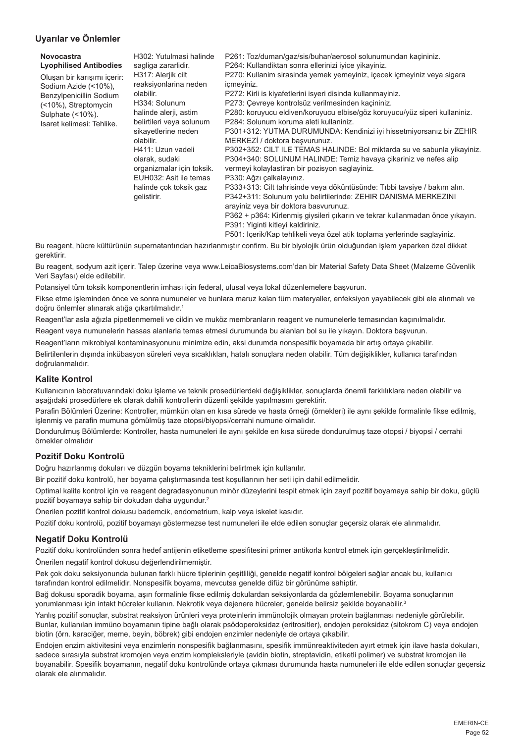# **Uyarılar ve Önlemler**

#### **Novocastra Lyophilised Antibodies**

Oluşan bir karışımı içerir: Sodium Azide (<10%), Benzylpenicillin Sodium (<10%), Streptomycin  $\sum_{n=1}^{\infty}$ Sulphate  $($ <10%). Isaret kelimesi: Tehlike.

| H302: Yutulmasi halinde<br>sagliga zararlidir.<br>H317: Alerjik cilt<br>reaksiyonlarina neden<br>olabilir.<br>H334: Solunum<br>halinde alerji, astim<br>belirtileri veya solunum<br>sikayetlerine neden<br>olabilir.<br>H411: Uzun vadeli<br>olarak, sudaki<br>organizmalar için toksik.<br>EUH032: Asit ile temas<br>halinde çok toksik gaz<br>gelistirir. | P261: Toz/duman/gaz/sis/buhar/aerosol solunumundan kacininiz.<br>P264: Kullandiktan sonra ellerinizi iyice yikayiniz.<br>P270: Kullanim sirasinda yemek yemeyiniz, içecek içmeyiniz veya sigara<br>icmeyiniz.<br>P272: Kirli is kiyafetlerini isyeri disinda kullanmayiniz.<br>P273: Cevreye kontrolsüz verilmesinden kaçininiz.<br>P280: koruyucu eldiven/koruyucu elbise/göz koruyucu/yüz siperi kullaniniz.<br>P284: Solunum koruma aleti kullaniniz.<br>P301+312: YUTMA DURUMUNDA: Kendinizi iyi hissetmiyorsanız bir ZEHIR<br>MERKEZİ / doktora başvurunuz.<br>P302+352: CILT ILE TEMAS HALINDE: Bol miktarda su ve sabunla yikayiniz.<br>P304+340: SOLUNUM HALINDE: Temiz havaya cikariniz ve nefes alip<br>vermeyi kolaylastiran bir pozisyon saqlayiniz.<br>P330: Ağzı çalkalayınız.<br>P333+313: Cilt tahrisinde veya döküntüsünde: Tibbi tavsiye / bakım alın.<br>P342+311: Solunum yolu belirtilerinde: ZEHIR DANISMA MERKEZINI<br>arayiniz veya bir doktora basvurunuz.<br>P362 + p364: Kirlenmiş giysileri çıkarın ve tekrar kullanmadan önce yıkayın. |
|-------------------------------------------------------------------------------------------------------------------------------------------------------------------------------------------------------------------------------------------------------------------------------------------------------------------------------------------------------------|---------------------------------------------------------------------------------------------------------------------------------------------------------------------------------------------------------------------------------------------------------------------------------------------------------------------------------------------------------------------------------------------------------------------------------------------------------------------------------------------------------------------------------------------------------------------------------------------------------------------------------------------------------------------------------------------------------------------------------------------------------------------------------------------------------------------------------------------------------------------------------------------------------------------------------------------------------------------------------------------------------------------------------------------------------------------|
|                                                                                                                                                                                                                                                                                                                                                             | P391: Yiginti kitleyi kaldiriniz.<br>P501: Içerik/Kap tehlikeli veya özel atik toplama yerlerinde saglayiniz.                                                                                                                                                                                                                                                                                                                                                                                                                                                                                                                                                                                                                                                                                                                                                                                                                                                                                                                                                       |
|                                                                                                                                                                                                                                                                                                                                                             |                                                                                                                                                                                                                                                                                                                                                                                                                                                                                                                                                                                                                                                                                                                                                                                                                                                                                                                                                                                                                                                                     |

Bu reagent, hücre kültürünün supernatantından hazırlanmıştır confirm. Bu bir biyolojik ürün olduğundan işlem yaparken özel dikkat gerektirir.

Bu reagent, sodyum azit içerir. Talep üzerine veya www.LeicaBiosystems.com'dan bir Material Safety Data Sheet (Malzeme Güvenlik Veri Sayfası) elde edilebilir.

Potansiyel tüm toksik komponentlerin imhası için federal, ulusal veya lokal düzenlemelere başvurun.

Fikse etme işleminden önce ve sonra numuneler ve bunlara maruz kalan tüm materyaller, enfeksiyon yayabilecek gibi ele alınmalı ve doğru önlemler alınarak atığa çıkartılmalıdır.<sup>1</sup>

Reagent'lar asla ağızla pipetlenmemeli ve cildin ve muköz membranların reagent ve numunelerle temasından kaçınılmalıdır.

Reagent veya numunelerin hassas alanlarla temas etmesi durumunda bu alanları bol su ile yıkayın. Doktora başvurun.

Reagent'ların mikrobiyal kontaminasyonunu minimize edin, aksi durumda nonspesifik boyamada bir artış ortaya çıkabilir.

Belirtilenlerin dışında inkübasyon süreleri veya sıcaklıkları, hatalı sonuçlara neden olabilir. Tüm değişiklikler, kullanıcı tarafından doğrulanmalıdır.

## **Kalite Kontrol**

Kullanıcının laboratuvarındaki doku işleme ve teknik prosedürlerdeki değişiklikler, sonuçlarda önemli farklılıklara neden olabilir ve aşağıdaki prosedürlere ek olarak dahili kontrollerin düzenli şekilde yapılmasını gerektirir.

Parafin Bölümleri Üzerine: Kontroller, mümkün olan en kısa sürede ve hasta örneği (örnekleri) ile aynı şekilde formalinle fikse edilmiş, işlenmiş ve parafin mumuna gömülmüş taze otopsi/biyopsi/cerrahi numune olmalıdır.

Dondurulmuş Bölümlerde: Kontroller, hasta numuneleri ile aynı şekilde en kısa sürede dondurulmuş taze otopsi / biyopsi / cerrahi örnekler olmalıdır

# **Pozitif Doku Kontrolü**

Doğru hazırlanmış dokuları ve düzgün boyama tekniklerini belirtmek için kullanılır.

Bir pozitif doku kontrolü, her boyama çalıştırmasında test koşullarının her seti için dahil edilmelidir.

Optimal kalite kontrol için ve reagent degradasyonunun minör düzeylerini tespit etmek için zayıf pozitif boyamaya sahip bir doku, güçlü pozitif boyamaya sahip bir dokudan daha uygundur.<sup>2</sup>

Önerilen pozitif kontrol dokusu bademcik, endometrium, kalp veya iskelet kasıdır.

Pozitif doku kontrolü, pozitif boyamayı göstermezse test numuneleri ile elde edilen sonuçlar geçersiz olarak ele alınmalıdır.

#### **Negatif Doku Kontrolü**

Pozitif doku kontrolünden sonra hedef antijenin etiketleme spesifitesini primer antikorla kontrol etmek için gerçekleştirilmelidir. Önerilen negatif kontrol dokusu değerlendirilmemiştir.

Pek çok doku seksiyonunda bulunan farklı hücre tiplerinin çeşitliliği, genelde negatif kontrol bölgeleri sağlar ancak bu, kullanıcı tarafından kontrol edilmelidir. Nonspesifik boyama, mevcutsa genelde difüz bir görünüme sahiptir.

Bağ dokusu sporadik boyama, aşırı formalinle fikse edilmiş dokulardan seksiyonlarda da gözlemlenebilir. Boyama sonuçlarının yorumlanması için intakt hücreler kullanın. Nekrotik veya dejenere hücreler, genelde belirsiz şekilde boyanabilir.<sup>3</sup>

Yanlış pozitif sonuçlar, substrat reaksiyon ürünleri veya proteinlerin immünolojik olmayan protein bağlanması nedeniyle görülebilir. Bunlar, kullanılan immüno boyamanın tipine bağlı olarak psödoperoksidaz (eritrositler), endojen peroksidaz (sitokrom C) veya endojen biotin (örn. karaciğer, meme, beyin, böbrek) gibi endojen enzimler nedeniyle de ortaya çıkabilir.

Endojen enzim aktivitesini veya enzimlerin nonspesifik bağlanmasını, spesifik immünreaktiviteden ayırt etmek için ilave hasta dokuları, sadece sırasıyla substrat kromojen veya enzim kompleksleriyle (avidin biotin, streptavidin, etiketli polimer) ve substrat kromojen ile boyanabilir. Spesifik boyamanın, negatif doku kontrolünde ortaya çıkması durumunda hasta numuneleri ile elde edilen sonuçlar geçersiz olarak ele alınmalıdır.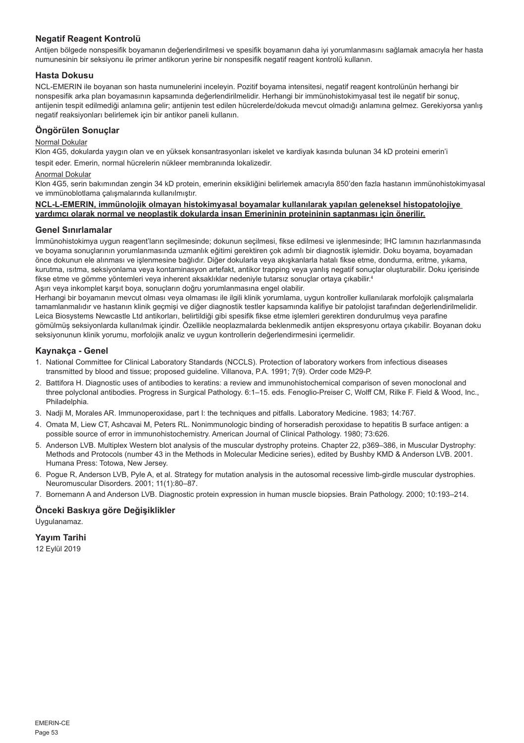# **Negatif Reagent Kontrolü**

Antijen bölgede nonspesifik boyamanın değerlendirilmesi ve spesifik boyamanın daha iyi yorumlanmasını sağlamak amacıyla her hasta numunesinin bir seksiyonu ile primer antikorun yerine bir nonspesifik negatif reagent kontrolü kullanın.

## **Hasta Dokusu**

NCL-EMERIN ile boyanan son hasta numunelerini inceleyin. Pozitif boyama intensitesi, negatif reagent kontrolünün herhangi bir nonspesifik arka plan boyamasının kapsamında değerlendirilmelidir. Herhangi bir immünohistokimyasal test ile negatif bir sonuç, antijenin tespit edilmediği anlamına gelir; antijenin test edilen hücrelerde/dokuda mevcut olmadığı anlamına gelmez. Gerekiyorsa yanlış negatif reaksiyonları belirlemek için bir antikor paneli kullanın.

# **Öngörülen Sonuçlar**

# Normal Dokular

Klon 4G5, dokularda yaygın olan ve en yüksek konsantrasyonları iskelet ve kardiyak kasında bulunan 34 kD proteini emerin'i

tespit eder. Emerin, normal hücrelerin nükleer membranında lokalizedir.

# Anormal Dokular

Klon 4G5, serin bakımından zengin 34 kD protein, emerinin eksikliğini belirlemek amacıyla 850'den fazla hastanın immünohistokimyasal ve immünoblotlama çalışmalarında kullanılmıştır.

## **NCL-L-EMERIN, immünolojik olmayan histokimyasal boyamalar kullanılarak yapılan geleneksel histopatolojiye yardımcı olarak normal ve neoplastik dokularda insan Emerininin proteininin saptanması için önerilir.**

## **Genel Sınırlamalar**

İmmünohistokimya uygun reagent'ların seçilmesinde; dokunun seçilmesi, fikse edilmesi ve işlenmesinde; IHC lamının hazırlanmasında ve boyama sonuçlarının yorumlanmasında uzmanlık eğitimi gerektiren çok adımlı bir diagnostik işlemidir. Doku boyama, boyamadan önce dokunun ele alınması ve işlenmesine bağlıdır. Diğer dokularla veya akışkanlarla hatalı fikse etme, dondurma, eritme, yıkama, kurutma, ısıtma, seksiyonlama veya kontaminasyon artefakt, antikor trapping veya yanlış negatif sonuçlar oluşturabilir. Doku içerisinde fikse etme ve gömme yöntemleri veya inherent aksaklıklar nedeniyle tutarsız sonuçlar ortaya çıkabilir. 4 Aşırı veya inkomplet karşıt boya, sonuçların doğru yorumlanmasına engel olabilir.

Herhangi bir boyamanın mevcut olması veya olmaması ile ilgili klinik yorumlama, uygun kontroller kullanılarak morfolojik çalışmalarla tamamlanmalıdır ve hastanın klinik geçmişi ve diğer diagnostik testler kapsamında kalifiye bir patolojist tarafından değerlendirilmelidir. Leica Biosystems Newcastle Ltd antikorları, belirtildiği gibi spesifik fikse etme işlemleri gerektiren dondurulmuş veya parafine gömülmüş seksiyonlarda kullanılmak içindir. Özellikle neoplazmalarda beklenmedik antijen ekspresyonu ortaya çıkabilir. Boyanan doku seksiyonunun klinik yorumu, morfolojik analiz ve uygun kontrollerin değerlendirmesini içermelidir.

# **Kaynakça - Genel**

- 1. National Committee for Clinical Laboratory Standards (NCCLS). Protection of laboratory workers from infectious diseases transmitted by blood and tissue; proposed guideline. Villanova, P.A. 1991; 7(9). Order code M29-P.
- 2. Battifora H. Diagnostic uses of antibodies to keratins: a review and immunohistochemical comparison of seven monoclonal and three polyclonal antibodies. Progress in Surgical Pathology. 6:1–15. eds. Fenoglio-Preiser C, Wolff CM, Rilke F. Field & Wood, Inc., Philadelphia.
- 3. Nadji M, Morales AR. Immunoperoxidase, part I: the techniques and pitfalls. Laboratory Medicine. 1983; 14:767.
- 4. Omata M, Liew CT, Ashcavai M, Peters RL. Nonimmunologic binding of horseradish peroxidase to hepatitis B surface antigen: a possible source of error in immunohistochemistry. American Journal of Clinical Pathology. 1980; 73:626.
- 5. Anderson LVB. Multiplex Western blot analysis of the muscular dystrophy proteins. Chapter 22, p369–386, in Muscular Dystrophy: Methods and Protocols (number 43 in the Methods in Molecular Medicine series), edited by Bushby KMD & Anderson LVB. 2001. Humana Press: Totowa, New Jersey.
- 6. Pogue R, Anderson LVB, Pyle A, et al. Strategy for mutation analysis in the autosomal recessive limb-girdle muscular dystrophies. Neuromuscular Disorders. 2001; 11(1):80–87.
- 7. Bornemann A and Anderson LVB. Diagnostic protein expression in human muscle biopsies. Brain Pathology. 2000; 10:193–214.

# **Önceki Baskıya göre Değişiklikler**

Uygulanamaz.

# **Yayım Tarihi**

12 Eylül 2019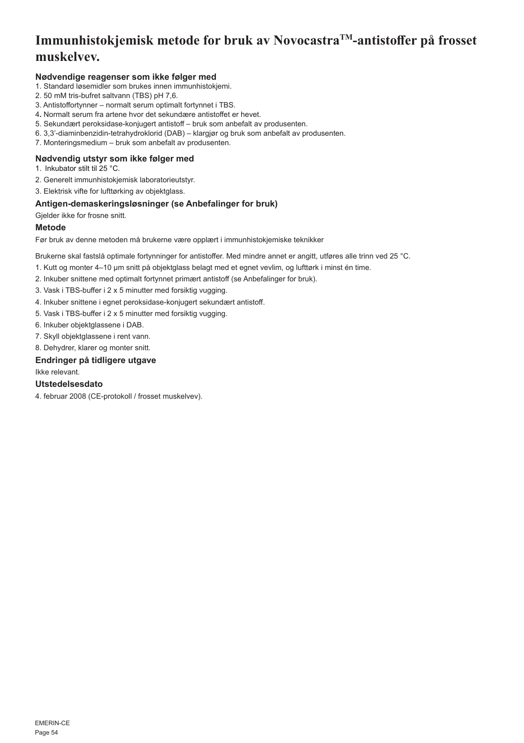# **Immunhistokjemisk metode for bruk av NovocastraTM-antistoffer på frosset muskelvev.**

# **Nødvendige reagenser som ikke følger med**

- 1. Standard løsemidler som brukes innen immunhistokjemi.
- 2. 50 mM tris-bufret saltvann (TBS) pH 7,6.
- 3. Antistoffortynner normalt serum optimalt fortynnet i TBS.
- 4**.** Normalt serum fra artene hvor det sekundære antistoffet er hevet.
- 5. Sekundært peroksidase-konjugert antistoff bruk som anbefalt av produsenten.
- 6. 3,3'-diaminbenzidin-tetrahydroklorid (DAB) klargjør og bruk som anbefalt av produsenten.
- 7. Monteringsmedium bruk som anbefalt av produsenten.

## **Nødvendig utstyr som ikke følger med**

- 1. Inkubator stilt til 25 °C.
- 2. Generelt immunhistokjemisk laboratorieutstyr.
- 3. Elektrisk vifte for lufttørking av objektglass.

# **Antigen-demaskeringsløsninger (se Anbefalinger for bruk)**

Gjelder ikke for frosne snitt.

# **Metode**

Før bruk av denne metoden må brukerne være opplært i immunhistokjemiske teknikker

Brukerne skal fastslå optimale fortynninger for antistoffer. Med mindre annet er angitt, utføres alle trinn ved 25 °C.

- 1. Kutt og monter 4–10 µm snitt på objektglass belagt med et egnet vevlim, og lufttørk i minst én time.
- 2. Inkuber snittene med optimalt fortynnet primært antistoff (se Anbefalinger for bruk).
- 3. Vask i TBS-buffer i 2 x 5 minutter med forsiktig vugging.
- 4. Inkuber snittene i egnet peroksidase-konjugert sekundært antistoff.
- 5. Vask i TBS-buffer i 2 x 5 minutter med forsiktig vugging.
- 6. Inkuber objektglassene i DAB.
- 7. Skyll objektglassene i rent vann.
- 8. Dehydrer, klarer og monter snitt.

# **Endringer på tidligere utgave**

# Ikke relevant.

# **Utstedelsesdato**

4. februar 2008 (CE-protokoll / frosset muskelvev).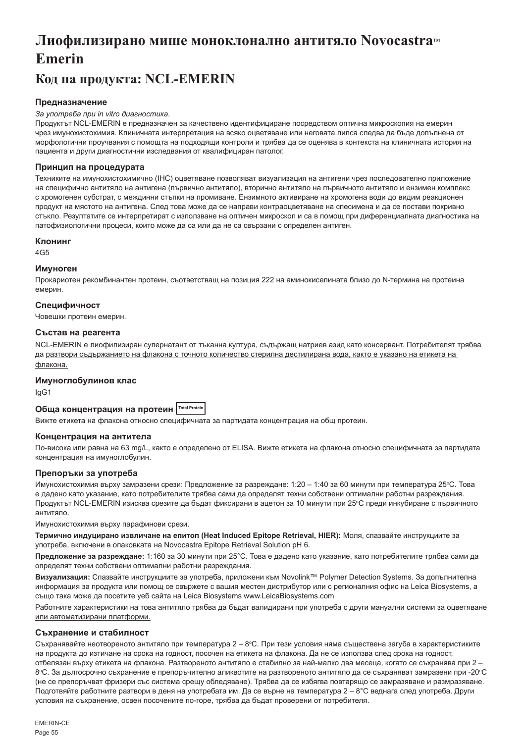# **Лиофилизирано мише моноклонално антитяло Novocastra Emerin**

# **Код на продукта: NCL-EMERIN**

# **Предназначение**

## *За употреба при in vitro диагностика.*

Продуктът NCL-EMERIN е предназначен за качествено идентифициране посредством оптична микроскопия на емерин чрез имунохистохимия. Клиничната интерпретация на всяко оцветяване или неговата липса следва да бъде допълнена от морфологични проучвания с помощта на подходящи контроли и трябва да се оценява в контекста на клиничната история на пациента и други диагностични изследвания от квалифициран патолог.

# **Принцип на процедурата**

Техниките на имунохистохимично (IHC) оцветяване позволяват визуализация на антигени чрез последователно приложение на специфично антитяло на антигена (първично антитяло), вторично антитяло на първичното антитяло и ензимен комплекс с хромогенен субстрат, с междинни стъпки на промиване. Ензимното активиране на хромогена води до видим реакционен продукт на мястото на антигена. След това може да се направи контраоцветяване на спесимена и да се постави покривно стъкло. Резултатите се интерпретират с използване на оптичен микроскоп и са в помощ при диференциалната диагностика на патофизиологични процеси, които може да са или да не са свързани с определен антиген.

## **Клонинг**

4G5

## **Имуноген**

Прокариотен рекомбинантен протеин, съответстващ на позиция 222 на аминокиселината близо до N-термина на протеина емерин.

## **Специфичност**

Човешки протеин емерин.

## **Състав на реагента**

NCL-EMERIN е лиофилизиран супернатант от тъканна култура, съдържащ натриев азид като консервант. Потребителят трябва да разтвори съдържанието на флакона с точното количество стерилна дестилирана вода, както е указано на етикета на флакона.

# **Имуноглобулинов клас**

IgG1

# **Обща концентрация на протеин Total Protein**

Вижте етикета на флакона относно специфичната за партидата концентрация на общ протеин.

## **Концентрация на антитела**

По-висока или равна на 63 mg/L, както е определено от ELISA. Вижте етикета на флакона относно специфичната за партидата концентрация на имуноглобулин.

# **Препоръки за употреба**

Имунохистохимия върху замразени срези: Предложение за разреждане: 1:20 – 1:40 за 60 минути при температура 25ºС. Това е дадено като указание, като потребителите трябва сами да определят техни собствени оптимални работни разреждания. Продуктът NCL-EMERIN изисква срезите да бъдат фиксирани в ацетон за 10 минути при 25°С преди инкубиране с първичното антитяло.

Имунохистохимия върху парафинови срези.

**Термично индуцирано извличане на епитоп (Heat Induced Epitope Retrieval, HIER):** Моля, спазвайте инструкциите за употреба, включени в опаковката на Novocastra Epitope Retrieval Solution pH 6.

**Предложение за разреждане:** 1:160 за 30 минути при 25°C. Това е дадено като указание, като потребителите трябва сами да определят техни собствени оптимални работни разреждания.

**Визуализация:** Спазвайте инструкциите за употреба, приложени към Novolink™ Polymer Detection Systems. За допълнителна информация за продукта или помощ се свържете с вашия местен дистрибутор или с регионалния офис на Leica Biosystems, а също така може да посетите уеб сайта на Leica Biosystems www.LeicaBiosystems.com

Работните характеристики на това антитяло трябва да бъдат валидирани при употреба с други мануални системи за оцветяване или автоматизирани платформи.

## **Съхранение и стабилност**

Съхранявайте неотвореното антитяло при температура 2 – 8℃. При тези условия няма съществена загуба в характеристиките на продукта до изтичане на срока на годност, посочен на етикета на флакона. Да не се използва след срока на годност, отбелязан върху етикета на флакона. Разтвореното антитяло е стабилно за най-малко два месеца, когато се съхранява при 2 – 8℃. За дългосрочно съхранение е препоръчително аликвотите на разтвореното антитяло да се съхраняват замразени при -20℃ (не се препоръчват фризери със система срещу обледяване). Трябва да се избягва повтарящо се замразяване и размразяване. Подготвяйте работните разтвори в деня на употребата им. Да се върне на температура 2 – 8°C веднага след употреба. Други условия на съхранение, освен посочените по-горе, трябва да бъдат проверени от потребителя.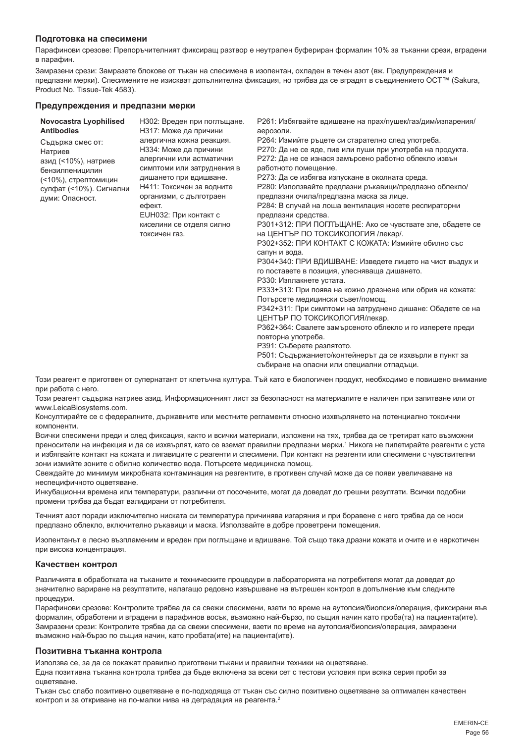## **Подготовка на спесимени**

Парафинови срезове: Препоръчителният фиксиращ разтвор е неутрален буфериран формалин 10% за тъканни срези, вградени в парафин.

Замразени срези: Замразете блокове от тъкан на спесимена в изопентан, охладен в течен азот (вж. Предупреждения и предпазни мерки). Спесимените не изискват допълнителна фиксация, но трябва да се вградят в съединението OCT™ (Sakura, Product No. Tissue-Tek 4583).

#### **Предупреждения и предпазни мерки**

| Novocastra Lyophilised<br><b>Antibodies</b><br>Съдържа смес от:<br>Натриев<br>азид (<10%), натриев<br>бензилпеницилин<br>(<10%), стрептомицин<br>сулфат (<10%). Сигнални<br>думи: Опасност. | Н302: Вреден при поглъщане.<br>Н317: Може да причини<br>алергична кожна реакция.<br>Н334: Може да причини<br>алергични или астматични<br>симптоми или затруднения в<br>дишането при вдишване.<br>Н411: Токсичен за водните<br>организми, с дълготраен<br>ефект.<br><b>EUH032: При контакт с</b><br>киселини се отделя силно<br>токсичен газ. | Р261: Избягвайте вдишване на прах/пушек/газ/дим/изпарения/<br>аерозоли.<br>Р264: Измийте ръцете си старателно след употреба.<br>Р270: Да не се яде, пие или пуши при употреба на продукта.<br>Р272: Да не се изнася замърсено работно облекло извън<br>работното помещение.<br>Р273: Да се избягва изпускане в околната среда.<br>Р280: Използвайте предпазни ръкавици/предпазно облекло/<br>предпазни очила/предпазна маска за лице.<br>Р284: В случай на лоша вентилация носете респираторни<br>предпазни средства.<br>РЗ01+312: ПРИ ПОГЛЪЩАНЕ: Ако се чувствате зле, обадете се<br>на ЦЕНТЪР ПО ТОКСИКОЛОГИЯ /лекар/.<br>РЗ02+352: ПРИ КОНТАКТ С КОЖАТА: Измийте обилно със<br>сапун и вода.<br>РЗ04+340: ПРИ ВДИШВАНЕ: Изведете лицето на чист въздух и<br>го поставете в позиция, улесняваща дишането.<br>РЗЗО: Изплакнете устата.<br>РЗЗЗ+313: При поява на кожно дразнене или обрив на кожата:<br>Потърсете медицински съвет/помощ.<br>РЗ42+311: При симптоми на затруднено дишане: Обадете се на<br>ЦЕНТЪР ПО ТОКСИКОЛОГИЯ/лекар.<br>РЗ62+364: Свалете замърсеното облекло и го изперете преди<br>повторна употреба. |
|---------------------------------------------------------------------------------------------------------------------------------------------------------------------------------------------|----------------------------------------------------------------------------------------------------------------------------------------------------------------------------------------------------------------------------------------------------------------------------------------------------------------------------------------------|------------------------------------------------------------------------------------------------------------------------------------------------------------------------------------------------------------------------------------------------------------------------------------------------------------------------------------------------------------------------------------------------------------------------------------------------------------------------------------------------------------------------------------------------------------------------------------------------------------------------------------------------------------------------------------------------------------------------------------------------------------------------------------------------------------------------------------------------------------------------------------------------------------------------------------------------------------------------------------------------------------------------------------------------------------------------------------------------------------------------------|
|---------------------------------------------------------------------------------------------------------------------------------------------------------------------------------------------|----------------------------------------------------------------------------------------------------------------------------------------------------------------------------------------------------------------------------------------------------------------------------------------------------------------------------------------------|------------------------------------------------------------------------------------------------------------------------------------------------------------------------------------------------------------------------------------------------------------------------------------------------------------------------------------------------------------------------------------------------------------------------------------------------------------------------------------------------------------------------------------------------------------------------------------------------------------------------------------------------------------------------------------------------------------------------------------------------------------------------------------------------------------------------------------------------------------------------------------------------------------------------------------------------------------------------------------------------------------------------------------------------------------------------------------------------------------------------------|

P391: Съберете разлятото.

P501: Съдържанието/контейнерът да се изхвърли в пункт за събиране на опасни или специални отпадъци.

Този реагент е приготвен от супернатант от клетъчна култура. Тъй като е биологичен продукт, необходимо е повишено внимание при работа с него.

Този реагент съдържа натриев азид. Информационният лист за безопасност на материалите е наличен при запитване или от www.LeicaBiosystems.com.

Консултирайте се с федералните, държавните или местните регламенти относно изхвърлянето на потенциално токсични компоненти.

Всички спесимени преди и след фиксация, както и всички материали, изложени на тях, трябва да се третират като възможни преносители на инфекция и да се изхвърлят, като се вземат правилни предпазни мерки.<sup>1</sup> Никога не пипетирайте реагенти с уста и избягвайте контакт на кожата и лигавиците с реагенти и спесимени. При контакт на реагенти или спесимени с чувствителни зони измийте зоните с обилно количество вода. Потърсете медицинска помощ.

Свеждайте до минимум микробната контаминация на реагентите, в противен случай може да се появи увеличаване на неспецифичното оцветяване.

Инкубационни времена или температури, различни от посочените, могат да доведат до грешни резултати. Всички подобни промени трябва да бъдат валидирани от потребителя.

Течният азот поради изключително ниската си температура причинява изгаряния и при боравене с него трябва да се носи предпазно облекло, включително ръкавици и маска. Използвайте в добре проветрени помещения.

Изопентанът е лесно възпламеним и вреден при поглъщане и вдишване. Той също така дразни кожата и очите и е наркотичен при висока концентрация.

## **Качествен контрол**

Различията в обработката на тъканите и техническите процедури в лабораторията на потребителя могат да доведат до значително вариране на резултатите, налагащо редовно извършване на вътрешен контрол в допълнение към следните процедури.

Парафинови срезове: Контролите трябва да са свежи спесимени, взети по време на аутопсия/биопсия/операция, фиксирани във формалин, обработени и вградени в парафинов восък, възможно най-бързо, по същия начин като проба(та) на пациента(ите). Замразени срези: Контролите трябва да са свежи спесимени, взети по време на аутопсия/биопсия/операция, замразени възможно най-бързо по същия начин, като пробата(ите) на пациента(ите).

#### **Позитивна тъканна контрола**

Използва се, за да се покажат правилно приготвени тъкани и правилни техники на оцветяване.

Една позитивна тъканна контрола трябва да бъде включена за всеки сет с тестови условия при всяка серия проби за оцветяване.

Тъкан със слабо позитивно оцветяване е по-подходяща от тъкан със силно позитивно оцветяване за оптимален качествен контрол и за откриване на по-малки нива на деградация на реагента.2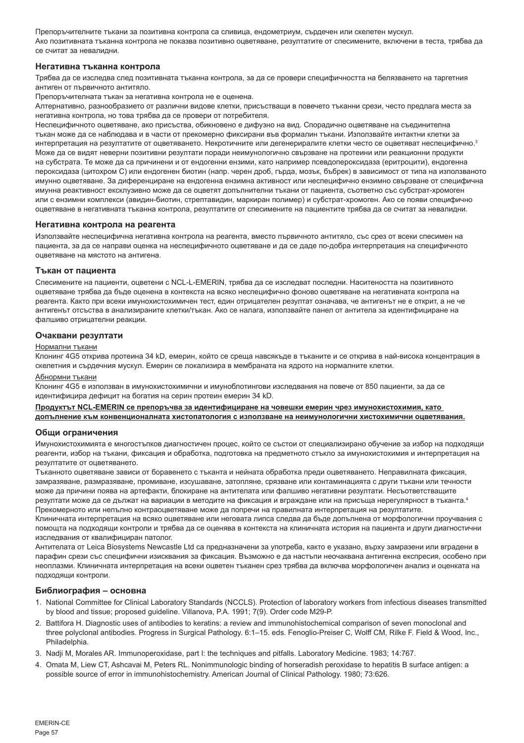Препоръчителните тъкани за позитивна контрола са сливица, ендометриум, сърдечен или скелетен мускул. Ако позитивната тъканна контрола не показва позитивно оцветяване, резултатите от спесимените, включени в теста, трябва да се считат за невалидни.

# **Негативна тъканна контрола**

Трябва да се изследва след позитивната тъканна контрола, за да се провери специфичността на белязването на таргетния антиген от първичното антитяло.

Препоръчителната тъкан за негативна контрола не е оценена.

Алтернативно, разнообразието от различни видове клетки, присъстващи в повечето тъканни срези, често предлага места за негативна контрола, но това трябва да се провери от потребителя.

Неспецифичното оцветяване, ако присъства, обикновено е дифузно на вид. Спорадично оцветяване на съединителна тъкан може да се наблюдава и в части от прекомерно фиксирани във формалин тъкани. Използвайте интактни клетки за интерпретация на резултатите от оцветяването. Некротичните или дегенериралите клетки често се оцветяват неспецифично.<sup>3</sup> Може да се видят неверни позитивни резултати поради неимунологично свързване на протеини или реакционни продукти на субстрата. Те може да са причинени и от ендогенни ензими, като например псевдопероксидаза (еритроцити), ендогенна пероксидаза (цитохром C) или ендогенен биотин (напр. черен дроб, гърда, мозък, бъбрек) в зависимост от типа на използваното имунно оцветяване. За диференциране на ендогенна ензимна активност или неспецифично ензимно свързване от специфична имунна реактивност ексклузивно може да се оцветят допълнителни тъкани от пациента, съответно със субстрат-хромоген или с ензимни комплекси (авидин-биотин, стрептавидин, маркиран полимер) и субстрат-хромоген. Ако се появи специфично оцветяване в негативната тъканна контрола, резултатите от спесимените на пациентите трябва да се считат за невалидни.

#### **Негативна контрола на реагента**

Използвайте неспецифична негативна контрола на реагента, вместо първичното антитяло, със срез от всеки спесимен на пациента, за да се направи оценка на неспецифичното оцветяване и да се даде по-добра интерпретация на специфичното оцветяване на мястото на антигена.

## **Тъкан от пациента**

Спесимените на пациенти, оцветени с NCL-L-EMERIN, трябва да се изследват последни. Наситеността на позитивното оцветяване трябва да бъде оценена в контекста на всяко неспецифично фоново оцветяване на негативната контрола на реагента. Както при всеки имунохистохимичен тест, един отрицателен резултат означава, че антигенът не е открит, а не че антигенът отсъства в анализираните клетки/тъкан. Ако се налага, използвайте панел от антитела за идентифициране на фалшиво отрицателни реакции.

## **Очаквани резултати**

## Нормални тъкани

Клонинг 4G5 открива протеина 34 kD, емерин, който се среща навсякъде в тъканите и се открива в най-висока концентрация в скелетния и сърдечния мускул. Емерин се локализира в мембраната на ядрото на нормалните клетки.

#### Абнормни тъкани

Клонинг 4G5 е използван в имунохистохимични и имуноблотингови изследвания на повече от 850 пациенти, за да се идентифицира дефицит на богатия на серин протеин емерин 34 kD.

# **Продуктът NCL-EMERIN се препоръчва за идентифициране на човешки емерин чрез имунохистохимия, като допълнение към конвенционалната хистопатология с използване на неимунологични хистохимични оцветявания.**

## **Общи ограничения**

Имунохистохимията е многостъпков диагностичен процес, който се състои от специализирано обучение за избор на подходящи реагенти, избор на тъкани, фиксация и обработка, подготовка на предметното стъкло за имунохистохимия и интерпретация на резултатите от оцветяването.

Тъканното оцветяване зависи от боравенето с тъканта и нейната обработка преди оцветяването. Неправилната фиксация, замразяване, размразяване, промиване, изсушаване, затопляне, срязване или контаминацията с други тъкани или течности може да причини поява на артефакти, блокиране на антителата или фалшиво негативни резултати. Несъответстващите резултати може да се дължат на вариации в методите на фиксация и вграждане или на присъща нерегулярност в тъканта.<sup>4</sup> Прекомерното или непълно контраоцветяване може да попречи на правилната интерпретация на резултатите.

Клиничната интерпретация на всяко оцветяване или неговата липса следва да бъде допълнена от морфологични проучвания с помощта на подходящи контроли и трябва да се оценява в контекста на клиничната история на пациента и други диагностични изследвания от квалифициран патолог.

Антителата от Leica Biosystems Newcastle Ltd са предназначени за употреба, както е указано, върху замразени или вградени в парафин срези със специфични изисквания за фиксация. Възможно е да настъпи неочаквана антигенна експресия, особено при неоплазми. Клиничната интерпретация на всеки оцветен тъканен срез трябва да включва морфологичен анализ и оценката на подходящи контроли.

## **Библиография – основна**

- 1. National Committee for Clinical Laboratory Standards (NCCLS). Protection of laboratory workers from infectious diseases transmitted by blood and tissue; proposed guideline. Villanova, P.A. 1991; 7(9). Order code M29-P.
- 2. Battifora H. Diagnostic uses of antibodies to keratins: a review and immunohistochemical comparison of seven monoclonal and three polyclonal antibodies. Progress in Surgical Pathology. 6:1–15. eds. Fenoglio-Preiser C, Wolff CM, Rilke F. Field & Wood, Inc., **Philadelphia**
- 3. Nadji M, Morales AR. Immunoperoxidase, part I: the techniques and pitfalls. Laboratory Medicine. 1983; 14:767.
- 4. Omata M, Liew CT, Ashcavai M, Peters RL. Nonimmunologic binding of horseradish peroxidase to hepatitis B surface antigen: a possible source of error in immunohistochemistry. American Journal of Clinical Pathology. 1980; 73:626.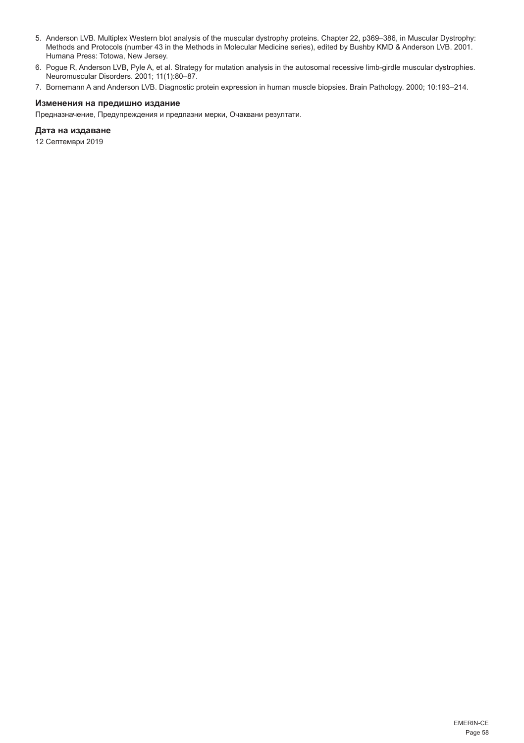- 5. Anderson LVB. Multiplex Western blot analysis of the muscular dystrophy proteins. Chapter 22, p369–386, in Muscular Dystrophy: Methods and Protocols (number 43 in the Methods in Molecular Medicine series), edited by Bushby KMD & Anderson LVB. 2001. Humana Press: Totowa, New Jersey.
- 6. Pogue R, Anderson LVB, Pyle A, et al. Strategy for mutation analysis in the autosomal recessive limb-girdle muscular dystrophies. Neuromuscular Disorders. 2001; 11(1):80–87.
- 7. Bornemann A and Anderson LVB. Diagnostic protein expression in human muscle biopsies. Brain Pathology. 2000; 10:193–214.

# **Изменения на предишно издание**

Предназначение, Предупреждения и предпазни мерки, Очаквани резултати.

## **Дата на издаване**

12 Септември 2019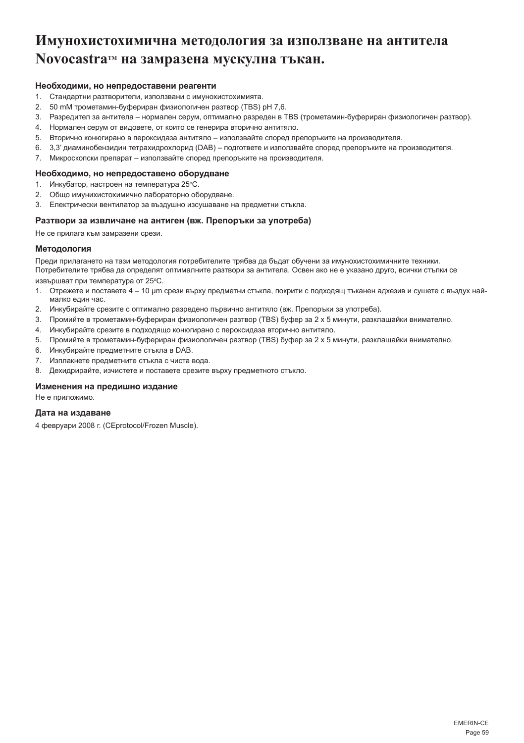# **Имунохистохимична методология за използване на антитела NovocastraTM на замразена мускулна тъкан.**

# **Необходими, но непредоставени реагенти**

- 1. Стандартни разтворители, използвани с имунохистохимията.
- 2. 50 mM трометамин-буфериран физиологичен разтвор (TBS) pH 7,6.
- 3. Разредител за антитела нормален серум, оптимално разреден в TBS (трометамин-буфериран физиологичен разтвор).
- 4. Нормален серум от видовете, от които се генерира вторично антитяло.
- 5. Вторично конюгирано в пероксидаза антитяло използвайте според препоръките на производителя.
- 6. 3,3' диаминобензидин тетрахидрохлорид (DAB) подгответе и използвайте според препоръките на производителя.
- 7. Микроскопски препарат използвайте според препоръките на производителя.

# **Необходимо, но непредоставено оборудване**

- 1. Инкубатор, настроен на температура 25°С.
- 2. Общо имунихистохимично лабораторно оборудване.
- 3. Електрически вентилатор за въздушно изсушаване на предметни стъкла.

# **Разтвори за извличане на антиген (вж. Препоръки за употреба)**

Не се прилага към замразени срези.

# **Методология**

Преди прилагането на тази методология потребителите трябва да бъдат обучени за имунохистохимичните техники. Потребителите трябва да определят оптималните разтвори за антитела. Освен ако не е указано друго, всички стъпки се извършват при температура от 25ºC.

- 1. Отрежете и поставете 4 10 µm срези върху предметни стъкла, покрити с подходящ тъканен адхезив и сушете с въздух наймалко един час.
- 2. Инкубирайте срезите с оптимално разредено първично антитяло (вж. Препоръки за употреба).
- 3. Промийте в трометамин-буфериран физиологичен разтвор (TBS) буфер за 2 x 5 минути, разклащайки внимателно.
- 4. Инкубирайте срезите в подходящо конюгирано с пероксидаза вторично антитяло.
- 5. Промийте в трометамин-буфериран физиологичен разтвор (TBS) буфер за 2 x 5 минути, разклащайки внимателно.
- 6. Инкубирайте предметните стъкла в DAB.
- 7. Изплакнете предметните стъкла с чиста вода.
- 8. Дехидрирайте, изчистете и поставете срезите върху предметното стъкло.

## **Изменения на предишно издание**

Не е приложимо.

## **Дата на издаване**

4 февруари 2008 г. (CEprotocol/Frozen Muscle).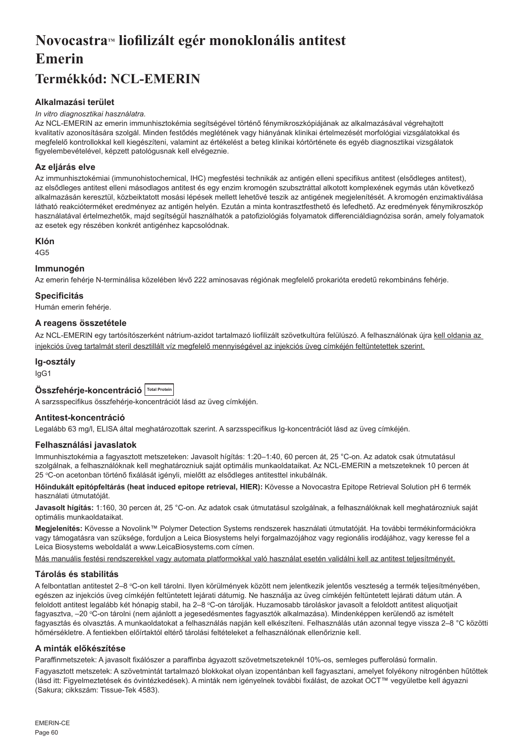# **NovocastraTM liofilizált egér monoklonális antitest Emerin**

# **Termékkód: NCL-EMERIN**

# **Alkalmazási terület**

## *In vitro diagnosztikai használatra.*

Az NCL-EMERIN az emerin immunhisztokémia segítségével történő fénymikroszkópiájának az alkalmazásával végrehajtott kvalitatív azonosítására szolgál. Minden festődés meglétének vagy hiányának klinikai értelmezését morfológiai vizsgálatokkal és megfelelő kontrollokkal kell kiegészíteni, valamint az értékelést a beteg klinikai kórtörténete és egyéb diagnosztikai vizsgálatok figyelembevételével, képzett patológusnak kell elvégeznie.

# **Az eljárás elve**

Az immunhisztokémiai (immunohistochemical, IHC) megfestési technikák az antigén elleni specifikus antitest (elsődleges antitest), az elsődleges antitest elleni másodlagos antitest és egy enzim kromogén szubsztráttal alkotott komplexének egymás után következő alkalmazásán keresztül, közbeiktatott mosási lépések mellett lehetővé teszik az antigének megjelenítését. A kromogén enzimaktiválása látható reakcióterméket eredményez az antigén helyén. Ezután a minta kontrasztfesthető és lefedhető. Az eredmények fénymikroszkóp használatával értelmezhetők, majd segítségül használhatók a patofiziológiás folyamatok differenciáldiagnózisa során, amely folyamatok az esetek egy részében konkrét antigénhez kapcsolódnak.

# **Klón**

4G5

# **Immunogén**

Az emerin fehérje N-terminálisa közelében lévő 222 aminosavas régiónak megfelelő prokarióta eredetű rekombináns fehérje.

# **Specificitás**

Humán emerin fehérje.

# **A reagens összetétele**

Az NCL-EMERIN egy tartósítószerként nátrium-azidot tartalmazó liofilizált szövetkultúra felülúszó. A felhasználónak újra kell oldania az injekciós üveg tartalmát steril desztillált víz megfelelő mennyiségével az injekciós üveg címkéjén feltüntetettek szerint.

# **Ig-osztály**

IgG1

# **Összfehérje-koncentráció Total Protein**

A sarzsspecifikus összfehérje-koncentrációt lásd az üveg címkéjén.

# **Antitest-koncentráció**

Legalább 63 mg/l, ELISA által meghatározottak szerint. A sarzsspecifikus Ig-koncentrációt lásd az üveg címkéjén.

# **Felhasználási javaslatok**

Immunhisztokémia a fagyasztott metszeteken: Javasolt hígítás: 1:20–1:40, 60 percen át, 25 °C-on. Az adatok csak útmutatásul szolgálnak, a felhasználóknak kell meghatározniuk saját optimális munkaoldataikat. Az NCL-EMERIN a metszeteknek 10 percen át 25 °C-on acetonban történő fixálását igényli, mielőtt az elsődleges antitesttel inkubálnák.

**Hőindukált epitópfeltárás (heat induced epitope retrieval, HIER):** Kövesse a Novocastra Epitope Retrieval Solution pH 6 termék használati útmutatóját.

**Javasolt hígítás:** 1:160, 30 percen át, 25 °C-on. Az adatok csak útmutatásul szolgálnak, a felhasználóknak kell meghatározniuk saját optimális munkaoldataikat.

**Megjelenítés:** Kövesse a Novolink™ Polymer Detection Systems rendszerek használati útmutatóját. Ha további termékinformációkra vagy támogatásra van szüksége, forduljon a Leica Biosystems helyi forgalmazójához vagy regionális irodájához, vagy keresse fel a Leica Biosystems weboldalát a www.LeicaBiosystems.com címen.

Más manuális festési rendszerekkel vagy automata platformokkal való használat esetén validálni kell az antitest teljesítményét.

# **Tárolás és stabilitás**

A felbontatlan antitestet 2–8 ℃-on kell tárolni. Ilyen körülmények között nem jelentkezik jelentős veszteség a termék teljesítményében, egészen az injekciós üveg címkéjén feltüntetett lejárati dátumig. Ne használja az üveg címkéjén feltüntetett lejárati dátum után. A feloldott antitest legalább két hónapig stabil, ha 2–8 °C-on tárolják. Huzamosabb tároláskor javasolt a feloldott antitest aliquotjait fagyasztva, –20 °C-on tárolni (nem ajánlott a jegesedésmentes fagyasztók alkalmazása). Mindenképpen kerülendő az ismételt fagyasztás és olvasztás. A munkaoldatokat a felhasználás napján kell elkészíteni. Felhasználás után azonnal tegye vissza 2–8 °C közötti hőmérsékletre. A fentiekben előírtaktól eltérő tárolási feltételeket a felhasználónak ellenőriznie kell.

## **A minták előkészítése**

Paraffinmetszetek: A javasolt fixálószer a paraffinba ágyazott szövetmetszeteknél 10%-os, semleges pufferolású formalin. Fagyasztott metszetek: A szövetmintát tartalmazó blokkokat olyan izopentánban kell fagyasztani, amelyet folyékony nitrogénben hűtöttek (lásd itt: Figyelmeztetések és óvintézkedések). A minták nem igényelnek további fixálást, de azokat OCT™ vegyületbe kell ágyazni

(Sakura; cikkszám: Tissue-Tek 4583).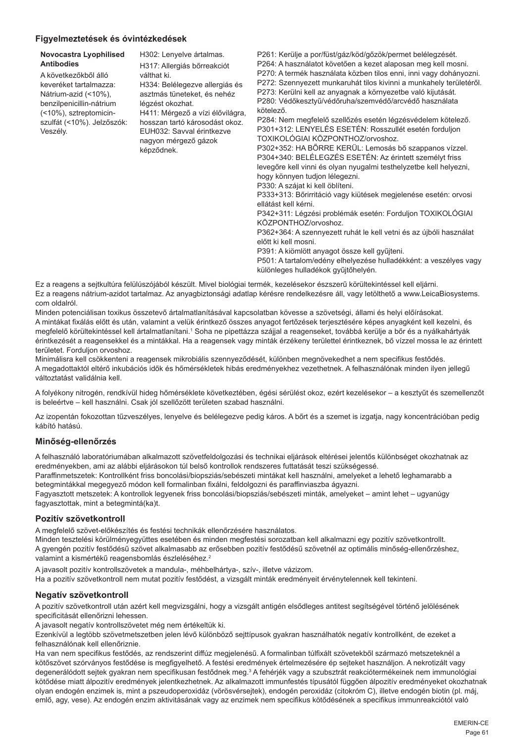## **Figyelmeztetések és óvintézkedések**

| Novocastra Lyophilised                                                                                                                                                 | H302: Lenyelve ártalmas.                                                                                                                                                                                                                  | P261: Kerülje a por/füst/gáz/köd/gőzök/permet belélegzését.                                                                                                                                                                                                                                                                                                                                                                                                                                                                                                                                                                                                                                                                                                                                                                                                                                                                                                                                                                                                                                                                                                  |
|------------------------------------------------------------------------------------------------------------------------------------------------------------------------|-------------------------------------------------------------------------------------------------------------------------------------------------------------------------------------------------------------------------------------------|--------------------------------------------------------------------------------------------------------------------------------------------------------------------------------------------------------------------------------------------------------------------------------------------------------------------------------------------------------------------------------------------------------------------------------------------------------------------------------------------------------------------------------------------------------------------------------------------------------------------------------------------------------------------------------------------------------------------------------------------------------------------------------------------------------------------------------------------------------------------------------------------------------------------------------------------------------------------------------------------------------------------------------------------------------------------------------------------------------------------------------------------------------------|
| <b>Antibodies</b>                                                                                                                                                      | H317: Allergiás bőrreakciót                                                                                                                                                                                                               | P264: A használatot követően a kezet alaposan meg kell mosni.                                                                                                                                                                                                                                                                                                                                                                                                                                                                                                                                                                                                                                                                                                                                                                                                                                                                                                                                                                                                                                                                                                |
| A következőkből álló<br>keveréket tartalmazza:<br>Nátrium-azid (<10%),<br>benzilpenicillin-nátrium<br>(<10%), sztreptomicin-<br>szulfát (<10%). Jelzőszók:<br>Veszély. | válthat ki.<br>H334: Belélegezve allergiás és<br>asztmás tüneteket, és nehéz<br>légzést okozhat.<br>H411: Mérgező a vízi élővilágra,<br>hosszan tartó károsodást okoz.<br>EUH032: Savval érintkezve<br>nagyon mérgező gázok<br>képződnek. | P270: A termék használata közben tilos enni, inni vagy dohányozni.<br>P272: Szennyezett munkaruhát tilos kivinni a munkahely területéről.<br>P273: Kerülni kell az anyagnak a környezetbe való kijutását.<br>P280: Védőkesztyű/védőruha/szemvédő/arcvédő használata<br>kötelező.<br>P284: Nem megfelelő szellőzés esetén légzésvédelem kötelező.<br>P301+312: LENYELÉS ESETÉN: Rosszullét esetén forduljon<br>TOXIKOLÓGIAI KÖZPONTHOZ/orvoshoz.<br>P302+352: HA BŐRRE KERÜL: Lemosás bő szappanos vízzel.<br>P304+340: BELÉLEGZÉS ESETÉN: Az érintett személyt friss<br>levegőre kell vinni és olyan nyugalmi testhelyzetbe kell helyezni,<br>hogy könnyen tudjon lélegezni.<br>P330: A szájat ki kell öblíteni.<br>P333+313: Bőrirritáció vagy kiütések megjelenése esetén: orvosi<br>ellátást kell kérni.<br>P342+311: Légzési problémák esetén: Forduljon TOXIKOLÓGIAI<br>KÖZPONTHOZ/orvoshoz.<br>P362+364: A szennyezett ruhát le kell vetni és az újbóli használat<br>előtt ki kell mosni.<br>P391: A kiömlött anyagot össze kell gyűjteni.<br>P501: A tartalom/edény elhelyezése hulladékként: a veszélyes vagy<br>különleges hulladékok gyűjtőhelyén. |

Ez a reagens a sejtkultúra felülúszójából készült. Mivel biológiai termék, kezelésekor észszerű körültekintéssel kell eljárni. Ez a reagens nátrium-azidot tartalmaz. Az anyagbiztonsági adatlap kérésre rendelkezésre áll, vagy letölthető a www.LeicaBiosystems. com oldalról.

Minden potenciálisan toxikus összetevő ártalmatlanításával kapcsolatban kövesse a szövetségi, állami és helyi előírásokat. A mintákat fixálás előtt és után, valamint a velük érintkező összes anyagot fertőzések terjesztésére képes anyagként kell kezelni, és megfelelő körültekintéssel kell ártalmatlanítani.' Soha ne pipettázza szájjal a reagenseket, továbbá kerülje a bőr és a nyálkahártyák érintkezését a reagensekkel és a mintákkal. Ha a reagensek vagy minták érzékeny területtel érintkeznek, bő vízzel mossa le az érintett területet. Fordulion orvoshoz.

Minimálisra kell csökkenteni a reagensek mikrobiális szennyeződését, különben megnövekedhet a nem specifikus festődés. A megadottaktól eltérő inkubációs idők és hőmérsékletek hibás eredményekhez vezethetnek. A felhasználónak minden ilyen jellegű változtatást validálnia kell.

A folyékony nitrogén, rendkívül hideg hőmérséklete következtében, égési sérülést okoz, ezért kezelésekor – a kesztyűt és szemellenzőt is beleértve – kell használni. Csak jól szellőzött területen szabad használni.

Az izopentán fokozottan tűzveszélyes, lenyelve és belélegezve pedig káros. A bőrt és a szemet is izgatja, nagy koncentrációban pedig kábító hatású.

# **Minőség-ellenőrzés**

A felhasználó laboratóriumában alkalmazott szövetfeldolgozási és technikai eljárások eltérései jelentős különbséget okozhatnak az eredményekben, ami az alábbi eljárásokon túl belső kontrollok rendszeres futtatását teszi szükségessé.

Paraffinmetszetek: Kontrollként friss boncolási/biopsziás/sebészeti mintákat kell használni, amelyeket a lehető leghamarabb a betegmintákkal megegyező módon kell formalinban fixálni, feldolgozni és paraffinviaszba ágyazni.

Fagyasztott metszetek: A kontrollok legyenek friss boncolási/biopsziás/sebészeti minták, amelyeket – amint lehet – ugyanúgy fagyasztottak, mint a betegmintá(ka)t.

## **Pozitív szövetkontroll**

A megfelelő szövet-előkészítés és festési technikák ellenőrzésére használatos.

Minden tesztelési körülményegyüttes esetében és minden megfestési sorozatban kell alkalmazni egy pozitív szövetkontrollt. A gyengén pozitív festődésű szövet alkalmasabb az erősebben pozitív festődésű szövetnél az optimális minőség-ellenőrzéshez, valamint a kismértékű reagensbomlás észleléséhez.<sup>2</sup>

A javasolt pozitív kontrollszövetek a mandula-, méhbelhártya-, szív-, illetve vázizom.

Ha a pozitív szövetkontroll nem mutat pozitív festődést, a vizsgált minták eredményeit érvénytelennek kell tekinteni.

## **Negatív szövetkontroll**

A pozitív szövetkontroll után azért kell megvizsgálni, hogy a vizsgált antigén elsődleges antitest segítségével történő jelölésének specificitását ellenőrizni lehessen.

A javasolt negatív kontrollszövetet még nem értékeltük ki.

Ezenkívül a legtöbb szövetmetszetben jelen lévő különböző sejttípusok gyakran használhatók negatív kontrollként, de ezeket a felhasználónak kell ellenőriznie.

Ha van nem specifikus festődés, az rendszerint diffúz megjelenésű. A formalinban túlfixált szövetekből származó metszeteknél a kötőszövet szórványos festődése is megfigyelhető. A festési eredmények értelmezésére ép sejteket használjon. A nekrotizált vagy degenerálódott sejtek gyakran nem specifikusan festődnek meg.<sup>3</sup> A fehérjék vagy a szubsztrát reakciótermékeinek nem immunológiai kötődése miatt álpozitív eredmények jelentkezhetnek. Az alkalmazott immunfestés típusától függően álpozitív eredményeket okozhatnak olyan endogén enzimek is, mint a pszeudoperoxidáz (vörösvérsejtek), endogén peroxidáz (citokróm C), illetve endogén biotin (pl. máj, emlő, agy, vese). Az endogén enzim aktivitásának vagy az enzimek nem specifikus kötődésének a specifikus immunreakciótól való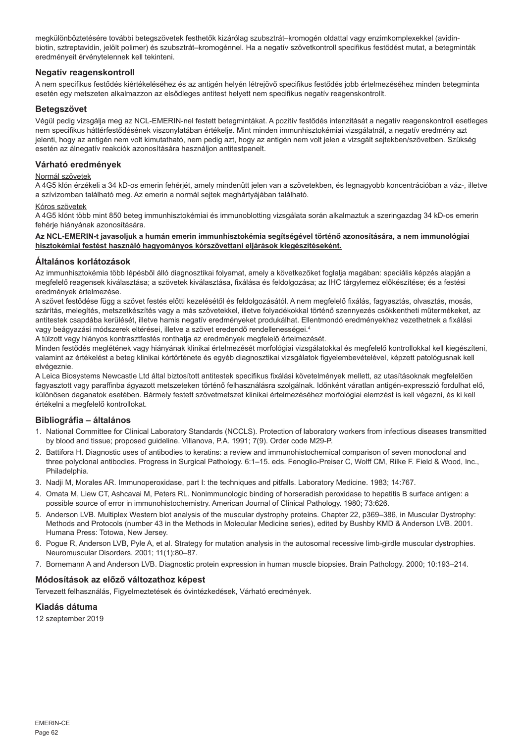megkülönböztetésére további betegszövetek festhetők kizárólag szubsztrát–kromogén oldattal vagy enzimkomplexekkel (avidinbiotin, sztreptavidin, jelölt polimer) és szubsztrát–kromogénnel. Ha a negatív szövetkontroll specifikus festődést mutat, a betegminták eredményeit érvénytelennek kell tekinteni.

# **Negatív reagenskontroll**

A nem specifikus festődés kiértékeléséhez és az antigén helyén létrejövő specifikus festődés jobb értelmezéséhez minden betegminta esetén egy metszeten alkalmazzon az elsődleges antitest helyett nem specifikus negatív reagenskontrollt.

## **Betegszövet**

Végül pedig vizsgálja meg az NCL-EMERIN-nel festett betegmintákat. A pozitív festődés intenzitását a negatív reagenskontroll esetleges nem specifikus háttérfestődésének viszonylatában értékelje. Mint minden immunhisztokémiai vizsgálatnál, a negatív eredmény azt jelenti, hogy az antigén nem volt kimutatható, nem pedig azt, hogy az antigén nem volt jelen a vizsgált sejtekben/szövetben. Szükség esetén az álnegatív reakciók azonosítására használjon antitestpanelt.

## **Várható eredmények**

## Normál szövetek

A 4G5 klón érzékeli a 34 kD-os emerin fehérjét, amely mindenütt jelen van a szövetekben, és legnagyobb koncentrációban a váz-, illetve a szívizomban található meg. Az emerin a normál sejtek maghártyájában található.

#### Kóros szövetek

A 4G5 klónt több mint 850 beteg immunhisztokémiai és immunoblotting vizsgálata során alkalmaztuk a szeringazdag 34 kD-os emerin fehérje hiányának azonosítására.

## **Az NCL-EMERIN-t javasoljuk a humán emerin immunhisztokémia segítségével történő azonosítására, a nem immunológiai hisztokémiai festést használó hagyományos kórszövettani eljárások kiegészítéseként.**

## **Általános korlátozások**

Az immunhisztokémia több lépésből álló diagnosztikai folyamat, amely a következőket foglalja magában: speciális képzés alapján a megfelelő reagensek kiválasztása; a szövetek kiválasztása, fixálása és feldolgozása; az IHC tárgylemez előkészítése; és a festési eredmények értelmezése.

A szövet festődése függ a szövet festés előtti kezelésétől és feldolgozásától. A nem megfelelő fixálás, fagyasztás, olvasztás, mosás, szárítás, melegítés, metszetkészítés vagy a más szövetekkel, illetve folyadékokkal történő szennyezés csökkentheti műtermékeket, az antitestek csapdába kerülését, illetve hamis negatív eredményeket produkálhat. Ellentmondó eredményekhez vezethetnek a fixálási vagy beágyazási módszerek eltérései, illetve a szövet eredendő rendellenességei.<sup>4</sup>

A túlzott vagy hiányos kontrasztfestés ronthatja az eredmények megfelelő értelmezését.

Minden festődés meglétének vagy hiányának klinikai értelmezését morfológiai vizsgálatokkal és megfelelő kontrollokkal kell kiegészíteni, valamint az értékelést a beteg klinikai kórtörténete és egyéb diagnosztikai vizsgálatok figyelembevételével, képzett patológusnak kell elvégeznie.

A Leica Biosystems Newcastle Ltd által biztosított antitestek specifikus fixálási követelmények mellett, az utasításoknak megfelelően fagyasztott vagy paraffinba ágyazott metszeteken történő felhasználásra szolgálnak. Időnként váratlan antigén-expresszió fordulhat elő, különösen daganatok esetében. Bármely festett szövetmetszet klinikai értelmezéséhez morfológiai elemzést is kell végezni, és ki kell értékelni a megfelelő kontrollokat.

## **Bibliográfia – általános**

- 1. National Committee for Clinical Laboratory Standards (NCCLS). Protection of laboratory workers from infectious diseases transmitted by blood and tissue; proposed guideline. Villanova, P.A. 1991; 7(9). Order code M29-P.
- 2. Battifora H. Diagnostic uses of antibodies to keratins: a review and immunohistochemical comparison of seven monoclonal and three polyclonal antibodies. Progress in Surgical Pathology. 6:1–15. eds. Fenoglio-Preiser C, Wolff CM, Rilke F. Field & Wood, Inc., Philadelphia.
- 3. Nadji M, Morales AR. Immunoperoxidase, part I: the techniques and pitfalls. Laboratory Medicine. 1983; 14:767.
- 4. Omata M, Liew CT, Ashcavai M, Peters RL. Nonimmunologic binding of horseradish peroxidase to hepatitis B surface antigen: a possible source of error in immunohistochemistry. American Journal of Clinical Pathology. 1980; 73:626.
- 5. Anderson LVB. Multiplex Western blot analysis of the muscular dystrophy proteins. Chapter 22, p369–386, in Muscular Dystrophy: Methods and Protocols (number 43 in the Methods in Molecular Medicine series), edited by Bushby KMD & Anderson LVB. 2001. Humana Press: Totowa, New Jersey.
- 6. Pogue R, Anderson LVB, Pyle A, et al. Strategy for mutation analysis in the autosomal recessive limb-girdle muscular dystrophies. Neuromuscular Disorders. 2001; 11(1):80–87.
- 7. Bornemann A and Anderson LVB. Diagnostic protein expression in human muscle biopsies. Brain Pathology. 2000; 10:193–214.

## **Módosítások az előző változathoz képest**

Tervezett felhasználás, Figyelmeztetések és óvintézkedések, Várható eredmények.

## **Kiadás dátuma**

12 szeptember 2019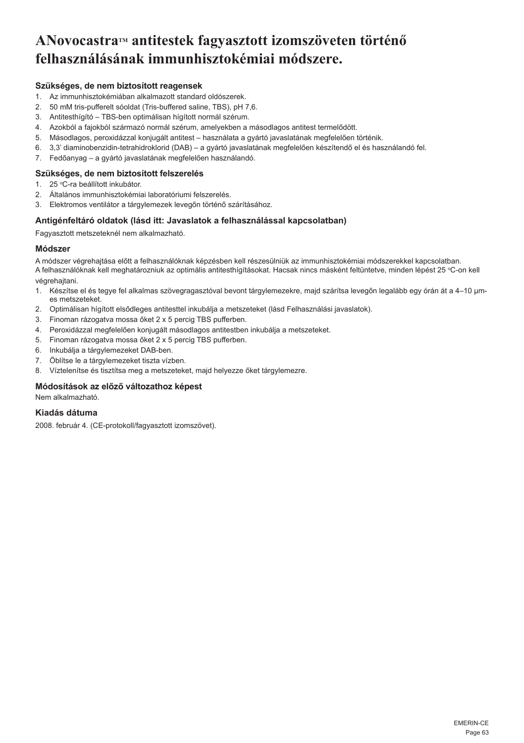# **ANovocastraTM antitestek fagyasztott izomszöveten történő felhasználásának immunhisztokémiai módszere.**

# **Szükséges, de nem biztosított reagensek**

- 1. Az immunhisztokémiában alkalmazott standard oldószerek.
- 2. 50 mM tris-pufferelt sóoldat (Tris-buffered saline, TBS), pH 7,6.
- 3. Antitesthígító TBS-ben optimálisan hígított normál szérum.
- 4. Azokból a fajokból származó normál szérum, amelyekben a másodlagos antitest termelődött.
- 5. Másodlagos, peroxidázzal konjugált antitest használata a gyártó javaslatának megfelelően történik.
- 6. 3,3' diaminobenzidin-tetrahidroklorid (DAB) a gyártó javaslatának megfelelően készítendő el és használandó fel.
- 7. Fedőanyag a gyártó javaslatának megfelelően használandó.

# **Szükséges, de nem biztosított felszerelés**

- 1. 25 °C-ra beállított inkubátor.
- 2. Általános immunhisztokémiai laboratóriumi felszerelés.
- 3. Elektromos ventilátor a tárgylemezek levegőn történő szárításához.

# **Antigénfeltáró oldatok (lásd itt: Javaslatok a felhasználással kapcsolatban)**

Fagyasztott metszeteknél nem alkalmazható.

# **Módszer**

A módszer végrehajtása előtt a felhasználóknak képzésben kell részesülniük az immunhisztokémiai módszerekkel kapcsolatban. A felhasználóknak kell meghatározniuk az optimális antitesthígításokat. Hacsak nincs másként feltüntetve, minden lépést 25 °C-on kell végrehajtani.

- 1. Készítse el és tegye fel alkalmas szövegragasztóval bevont tárgylemezekre, majd szárítsa levegőn legalább egy órán át a 4–10 µmes metszeteket.
- 2. Optimálisan hígított elsődleges antitesttel inkubálja a metszeteket (lásd Felhasználási javaslatok).
- 3. Finoman rázogatva mossa őket 2 x 5 percig TBS pufferben.
- 4. Peroxidázzal megfelelően konjugált másodlagos antitestben inkubálja a metszeteket.
- 5. Finoman rázogatva mossa őket 2 x 5 percig TBS pufferben.
- 6. Inkubálja a tárgylemezeket DAB-ben.
- 7. Öblítse le a tárgylemezeket tiszta vízben.
- 8. Víztelenítse és tisztítsa meg a metszeteket, majd helyezze őket tárgylemezre.

# **Módosítások az előző változathoz képest**

Nem alkalmazható.

# **Kiadás dátuma**

2008. február 4. (CE-protokoll/fagyasztott izomszövet).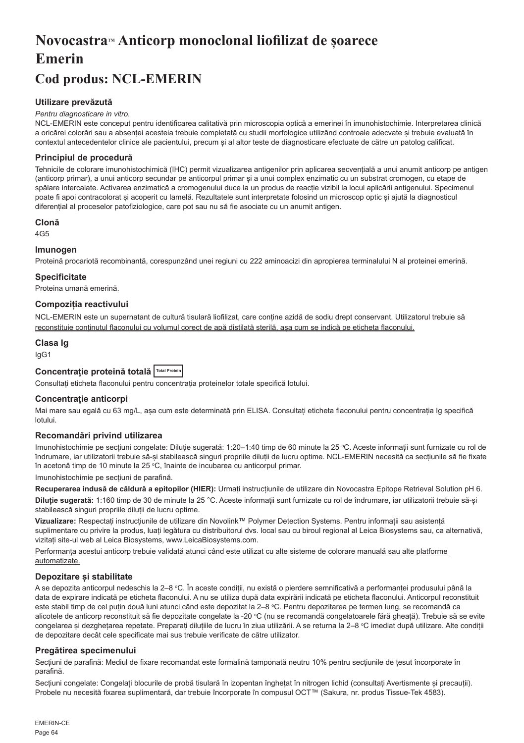# Novocastra™ Anticorp monoclonal liofilizat de soarece **Emerin**

# **Cod produs: NCL-EMERIN**

# **Utilizare prevăzută**

## *Pentru diagnosticare in vitro.*

NCL-EMERIN este conceput pentru identificarea calitativă prin microscopia optică a emerinei în imunohistochimie. Interpretarea clinică a oricărei colorări sau a absenței acesteia trebuie completată cu studii morfologice utilizând controale adecvate și trebuie evaluată în contextul antecedentelor clinice ale pacientului, precum și al altor teste de diagnosticare efectuate de către un patolog calificat.

# **Principiul de procedură**

Tehnicile de colorare imunohistochimică (IHC) permit vizualizarea antigenilor prin aplicarea secvențială a unui anumit anticorp pe antigen (anticorp primar), a unui anticorp secundar pe anticorpul primar și a unui complex enzimatic cu un substrat cromogen, cu etape de spălare intercalate. Activarea enzimatică a cromogenului duce la un produs de reacție vizibil la locul aplicării antigenului. Specimenul poate fi apoi contracolorat și acoperit cu lamelă. Rezultatele sunt interpretate folosind un microscop optic și ajută la diagnosticul diferențial al proceselor patofiziologice, care pot sau nu să fie asociate cu un anumit antigen.

# **Clonă**

4G5

# **Imunogen**

Proteină procariotă recombinantă, corespunzând unei regiuni cu 222 aminoacizi din apropierea terminalului N al proteinei emerină.

## **Specificitate**

Proteina umană emerină.

## **Compoziția reactivului**

NCL-EMERIN este un supernatant de cultură tisulară liofilizat, care conține azidă de sodiu drept conservant. Utilizatorul trebuie să reconstituie conținutul flaconului cu volumul corect de apă distilată sterilă, așa cum se indică pe eticheta flaconului.

## **Clasa Ig**

IgG1

# **Concentrație proteină totală Total Protein**

Consultați eticheta flaconului pentru concentrația proteinelor totale specifică lotului.

# **Concentrație anticorpi**

Mai mare sau egală cu 63 mg/L, așa cum este determinată prin ELISA. Consultați eticheta flaconului pentru concentrația Ig specifică lotului.

# **Recomandări privind utilizarea**

lmunohistochimie pe secțiuni congelate: Diluție sugerată: 1:20–1:40 timp de 60 minute la 25 °C. Aceste informații sunt furnizate cu rol de îndrumare, iar utilizatorii trebuie să-și stabilească singuri propriile diluții de lucru optime. NCL-EMERIN necesită ca secțiunile să fie fixate în acetonă timp de 10 minute la 25 °C, înainte de incubarea cu anticorpul primar.

Imunohistochimie pe secțiuni de parafină.

**Recuperarea indusă de căldură a epitopilor (HIER):** Urmați instrucțiunile de utilizare din Novocastra Epitope Retrieval Solution pH 6.

**Diluție sugerată:** 1:160 timp de 30 de minute la 25 °C. Aceste informații sunt furnizate cu rol de îndrumare, iar utilizatorii trebuie să-și stabilească singuri propriile diluții de lucru optime.

**Vizualizare:** Respectați instrucțiunile de utilizare din Novolink™ Polymer Detection Systems. Pentru informații sau asistență suplimentare cu privire la produs, luați legătura cu distribuitorul dvs. local sau cu biroul regional al Leica Biosystems sau, ca alternativă, vizitați site-ul web al Leica Biosystems, www.LeicaBiosystems.com.

Performanța acestui anticorp trebuie validată atunci când este utilizat cu alte sisteme de colorare manuală sau alte platforme automatizate.

# **Depozitare și stabilitate**

A se depozita anticorpul nedeschis la 2–8 °C. In aceste condiții, nu există o pierdere semnificativă a performanței produsului până la data de expirare indicată pe eticheta flaconului. A nu se utiliza după data expirării indicată pe eticheta flaconului. Anticorpul reconstituit este stabil timp de cel puțin două luni atunci când este depozitat la 2–8 °C. Pentru depozitarea pe termen lung, se recomandă ca alicotele de anticorp reconstituit să fie depozitate congelate la -20 °C (nu se recomandă congelatoarele fără gheață). Trebuie să se evite congelarea și dezghețarea repetate. Preparați diluțiile de lucru în ziua utilizării. A se returna la 2–8 °C imediat după utilizare. Alte condiții de depozitare decât cele specificate mai sus trebuie verificate de către utilizator.

# **Pregătirea specimenului**

Sectiuni de parafină: Mediul de fixare recomandat este formalină tamponată neutru 10% pentru sectiunile de tesut încorporate în parafină.

Secțiuni congelate: Congelați blocurile de probă tisulară în izopentan înghețat în nitrogen lichid (consultați Avertismente și precauții). Probele nu necesită fixarea suplimentară, dar trebuie încorporate în compusul OCT™ (Sakura, nr. produs Tissue-Tek 4583).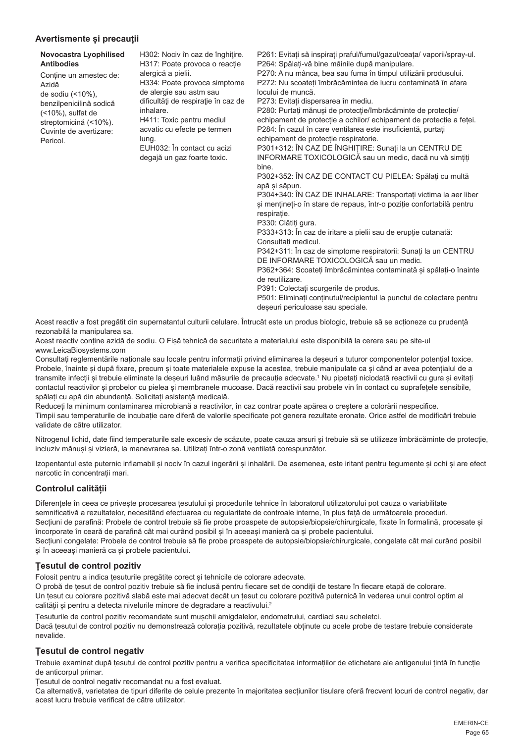## **Avertismente și precauții**

| Novocastra Lyophilised |  |
|------------------------|--|
| <b>Antibodies</b>      |  |

Conține un amestec de: Azidă de sodiu  $( < 10\%)$ benzilpenicilină sodică  $($ <10%), sulfat de streptomicină (<10%). Cuvinte de avertizare: Pericol.

H302: Nociv în caz de înghițire. H317: Poate provoca o reacție alergică a pielii. H334: Poate provoca simptome de alergie sau astm sau dificultăţi de respiraţie în caz de inhalare. H411: Toxic pentru mediul acvatic cu efecte pe termen lung. EUH032: În contact cu acizi degajă un gaz foarte toxic.

P261: Evitați să inspirați praful/fumul/gazul/ceața/ vaporii/spray-ul.

P264: Spălați-vă bine mâinile după manipulare.

P270: A nu mânca, bea sau fuma în timpul utilizării produsului. P272: Nu scoateți îmbrăcămintea de lucru contaminată în afara locului de muncă.

P273: Evitați dispersarea în mediu.

P280: Purtați mănuși de protecție/îmbrăcăminte de protecție/ echipament de protecție a ochilor/ echipament de protecție a feței. P284: În cazul în care ventilarea este insuficientă, purtați echipament de protectie respiratorie.

P301+312: ÎN CAZ DE ÎNGHIȚIRE: Sunați la un CENTRU DE INFORMARE TOXICOLOGICĂ sau un medic, dacă nu vă simțiți bine.

P302+352: ÎN CAZ DE CONTACT CU PIELEA: Spălați cu multă apă și săpun.

P304+340: ÎN CAZ DE INHALARE: Transportați victima la aer liber si mentineți-o în stare de repaus, într-o poziție confortabilă pentru respirație.

P330: Clătiti gura.

P333+313: În caz de iritare a pielii sau de erupție cutanată: Consultați medicul.

P342+311: În caz de simptome respiratorii: Sunați la un CENTRU DE INFORMARE TOXICOLOGICĂ sau un medic.

P362+364: Scoateți îmbrăcămintea contaminată și spălați-o înainte de reutilizare.

P391: Colectați scurgerile de produs.

P501: Eliminați conținutul/recipientul la punctul de colectare pentru deșeuri periculoase sau speciale.

Acest reactiv a fost pregătit din supernatantul culturii celulare. Întrucât este un produs biologic, trebuie să se actioneze cu prudentă rezonabilă la manipularea sa.

Acest reactiv conține azidă de sodiu. O Fișă tehnică de securitate a materialului este disponibilă la cerere sau pe site-ul www.LeicaBiosystems.com

Consultați reglementările naționale sau locale pentru informații privind eliminarea la deșeuri a tuturor componentelor potențial toxice. Probele, înainte și după fixare, precum și toate materialele expuse la acestea, trebuie manipulate ca și când ar avea potentialul de a transmite infecții și trebuie eliminate la deșeuri luând măsurile de precauție adecvate.<sup>1</sup> Nu pipetați niciodată reactivii cu gura și evitați contactul reactivilor și probelor cu pielea și membranele mucoase. Dacă reactivii sau probele vin în contact cu suprafețele sensibile, spălați cu apă din abundență. Solicitați asistență medicală.

Reduceți la minimum contaminarea microbiană a reactivilor, în caz contrar poate apărea o creștere a colorării nespecifice. Timpii sau temperaturile de incubație care diferă de valorile specificate pot genera rezultate eronate. Orice astfel de modificări trebuie validate de către utilizator.

Nitrogenul lichid, date fiind temperaturile sale excesiv de scăzute, poate cauza arsuri și trebuie să se utilizeze îmbrăcăminte de protecție, incluziv mănuși și vizieră, la manevrarea sa. Utilizați într-o zonă ventilată corespunzător.

Izopentantul este puternic inflamabil și nociv în cazul ingerării și inhalării. De asemenea, este iritant pentru tegumente și ochi și are efect narcotic în concentrații mari.

# **Controlul calității**

Diferentele în ceea ce priveste procesarea tesutului și procedurile tehnice în laboratorul utilizatorului pot cauza o variabilitate semnificativă a rezultatelor, necesitând efectuarea cu regularitate de controale interne, în plus față de următoarele proceduri. Secțiuni de parafină: Probele de control trebuie să fie probe proaspete de autopsie/biopsie/chirurgicale, fixate în formalină, procesate și încorporate în ceară de parafină cât mai curând posibil și în aceeași manieră ca și probele pacientului.

Secțiuni congelate: Probele de control trebuie să fie probe proaspete de autopsie/biopsie/chirurgicale, congelate cât mai curând posibil și în aceeași manieră ca și probele pacientului.

# **Țesutul de control pozitiv**

Folosit pentru a indica țesuturile pregătite corect și tehnicile de colorare adecvate.

O probă de țesut de control pozitiv trebuie să fie inclusă pentru fiecare set de condiții de testare în fiecare etapă de colorare. Un țesut cu colorare pozitivă slabă este mai adecvat decât un țesut cu colorare pozitivă puternică în vederea unui control optim al calității și pentru a detecta nivelurile minore de degradare a reactivului.<sup>2</sup>

Țesuturile de control pozitiv recomandate sunt mușchii amigdalelor, endometrului, cardiaci sau scheletci.

Dacă țesutul de control pozitiv nu demonstrează colorația pozitivă, rezultatele obținute cu acele probe de testare trebuie considerate nevalide.

# **Țesutul de control negativ**

Trebuie examinat după țesutul de control pozitiv pentru a verifica specificitatea informațiilor de etichetare ale antigenului țintă în funcție de anticorpul primar.

Țesutul de control negativ recomandat nu a fost evaluat.

Ca alternativă, varietatea de tipuri diferite de celule prezente în majoritatea secțiunilor tisulare oferă frecvent locuri de control negativ, dar acest lucru trebuie verificat de către utilizator.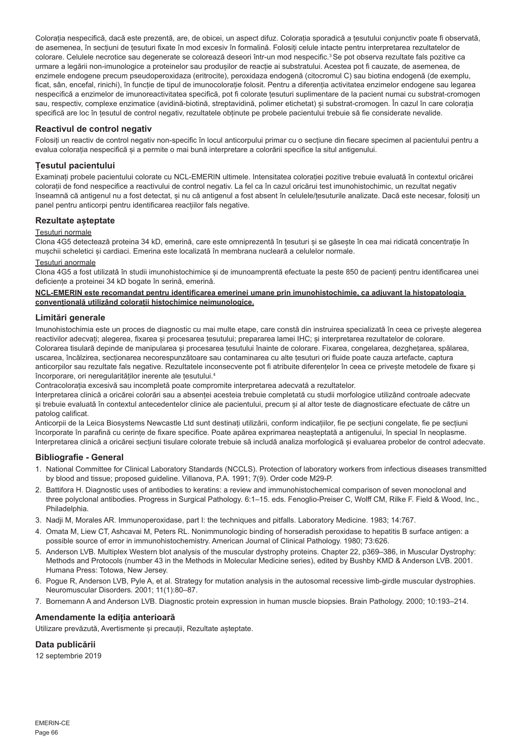Colorația nespecifică, dacă este prezentă, are, de obicei, un aspect difuz. Colorația sporadică a țesutului conjunctiv poate fi observată, de asemenea, în secțiuni de țesuturi fixate în mod excesiv în formalină. Folosiți celule intacte pentru interpretarea rezultatelor de colorare. Celulele necrotice sau degenerate se colorează deseori într-un mod nespecific.<sup>3</sup>Se pot observa rezultate fals pozitive ca urmare a legării non-imunologice a proteinelor sau produșilor de reacție ai substratului. Acestea pot fi cauzate, de asemenea, de enzimele endogene precum pseudoperoxidaza (eritrocite), peroxidaza endogenă (citocromul C) sau biotina endogenă (de exemplu, ficat, sân, encefal, rinichi), în funcție de tipul de imunocolorație folosit. Pentru a diferenția activitatea enzimelor endogene sau legarea nespecifică a enzimelor de imunoreactivitatea specifică, pot fi colorate țesuturi suplimentare de la pacient numai cu substrat-cromogen sau, respectiv, complexe enzimatice (avidină-biotină, streptavidină, polimer etichetat) și substrat-cromogen. În cazul în care colorația specifică are loc în țesutul de control negativ, rezultatele obținute pe probele pacientului trebuie să fie considerate nevalide.

# **Reactivul de control negativ**

Folosiți un reactiv de control negativ non-specific în locul anticorpului primar cu o secțiune din fiecare specimen al pacientului pentru a evalua colorația nespecifică și a permite o mai bună interpretare a colorării specifice la situl antigenului.

# **Țesutul pacientului**

Examinați probele pacientului colorate cu NCL-EMERIN ultimele. Intensitatea colorației pozitive trebuie evaluată în contextul oricărei colorații de fond nespecifice a reactivului de control negativ. La fel ca în cazul oricărui test imunohistochimic, un rezultat negativ înseamnă că antigenul nu a fost detectat, și nu că antigenul a fost absent în celulele/țesuturile analizate. Dacă este necesar, folosiți un panel pentru anticorpi pentru identificarea reacțiilor fals negative.

# **Rezultate așteptate**

## Țesuturi normale

Clona 4G5 detectează proteina 34 kD, emerină, care este omniprezentă în țesuturi și se găsește în cea mai ridicată concentrație în mușchii scheletici și cardiaci. Emerina este localizată în membrana nucleară a celulelor normale.

## Țesuturi anormale

Clona 4G5 a fost utilizată în studii imunohistochimice și de imunoamprentă efectuate la peste 850 de pacienți pentru identificarea unei deficiențe a proteinei 34 kD bogate în serină, emerină.

## **NCL-EMERIN este recomandat pentru identificarea emerinei umane prin imunohistochimie, ca adjuvant la histopatologia convențională utilizând colorații histochimice neimunologice.**

# **Limitări generale**

Imunohistochimia este un proces de diagnostic cu mai multe etape, care constă din instruirea specializată în ceea ce privește alegerea reactivilor adecvati; alegerea, fixarea și procesarea tesutului; prepararea lamei IHC; și interpretarea rezultatelor de colorare. Colorarea tisulară depinde de manipularea și procesarea tesutului înainte de colorare. Fixarea, congelarea, dezghetarea, spălarea, uscarea, încălzirea, secționarea necorespunzătoare sau contaminarea cu alte țesuturi ori fluide poate cauza artefacte, captura anticorpilor sau rezultate fals negative. Rezultatele inconsecvente pot fi atribuite diferențelor în ceea ce privește metodele de fixare și încorporare, ori neregularităților inerente ale tesutului.<sup>4</sup>

Contracolorația excesivă sau incompletă poate compromite interpretarea adecvată a rezultatelor.

Interpretarea clinică a oricărei colorări sau a absenței acesteia trebuie completată cu studii morfologice utilizând controale adecvate și trebuie evaluată în contextul antecedentelor clinice ale pacientului, precum și al altor teste de diagnosticare efectuate de către un patolog calificat.

Anticorpii de la Leica Biosystems Newcastle Ltd sunt destinați utilizării, conform indicațiilor, fie pe secțiuni congelate, fie pe secțiuni încorporate în parafină cu cerințe de fixare specifice. Poate apărea exprimarea neașteptată a antigenului, în special în neoplasme. Interpretarea clinică a oricărei secțiuni tisulare colorate trebuie să includă analiza morfologică și evaluarea probelor de control adecvate.

# **Bibliografie - General**

- 1. National Committee for Clinical Laboratory Standards (NCCLS). Protection of laboratory workers from infectious diseases transmitted by blood and tissue; proposed guideline. Villanova, P.A. 1991; 7(9). Order code M29-P.
- 2. Battifora H. Diagnostic uses of antibodies to keratins: a review and immunohistochemical comparison of seven monoclonal and three polyclonal antibodies. Progress in Surgical Pathology. 6:1–15. eds. Fenoglio-Preiser C, Wolff CM, Rilke F. Field & Wood, Inc., Philadelphia.
- 3. Nadji M, Morales AR. Immunoperoxidase, part I: the techniques and pitfalls. Laboratory Medicine. 1983; 14:767.
- 4. Omata M, Liew CT, Ashcavai M, Peters RL. Nonimmunologic binding of horseradish peroxidase to hepatitis B surface antigen: a possible source of error in immunohistochemistry. American Journal of Clinical Pathology. 1980; 73:626.
- 5. Anderson LVB. Multiplex Western blot analysis of the muscular dystrophy proteins. Chapter 22, p369–386, in Muscular Dystrophy: Methods and Protocols (number 43 in the Methods in Molecular Medicine series), edited by Bushby KMD & Anderson LVB. 2001. Humana Press: Totowa, New Jersey.
- 6. Pogue R, Anderson LVB, Pyle A, et al. Strategy for mutation analysis in the autosomal recessive limb-girdle muscular dystrophies. Neuromuscular Disorders. 2001; 11(1):80–87.
- 7. Bornemann A and Anderson LVB. Diagnostic protein expression in human muscle biopsies. Brain Pathology. 2000; 10:193–214.

# **Amendamente la ediția anterioară**

Utilizare prevăzută, Avertismente și precauții, Rezultate așteptate.

# **Data publicării**

12 septembrie 2019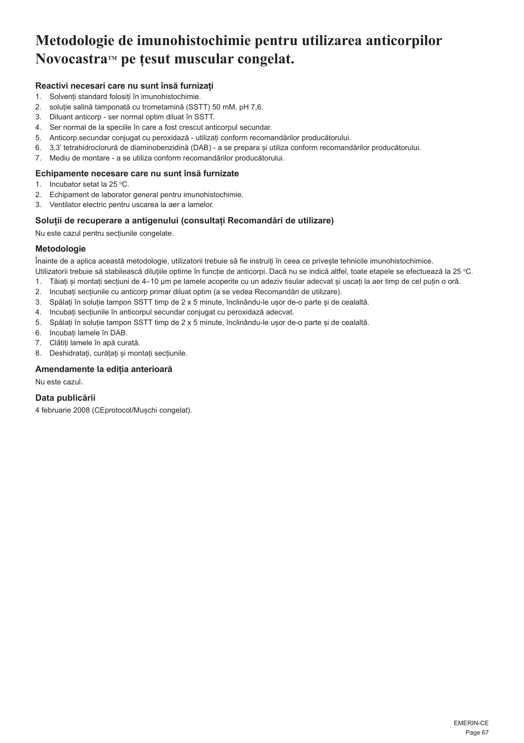# **Metodologie de imunohistochimie pentru utilizarea anticorpilor**  Novocastra™ pe țesut muscular congelat.

# **Reactivi necesari care nu sunt însă furnizați**

- 1. Solvenți standard folosiți în imunohistochimie.
- 2. soluție salină tamponată cu trometamină (SSTT) 50 mM, pH 7,6.
- 3. Diluant anticorp ser normal optim diluat în SSTT.
- 4. Ser normal de la speciile în care a fost crescut anticorpul secundar.
- 5. Anticorp secundar conjugat cu peroxidază utilizați conform recomandărilor producătorului.
- 6. 3,3' tetrahidroclorură de diaminobenzidină (DAB) a se prepara și utiliza conform recomandărilor producătorului.
- 7. Mediu de montare a se utiliza conform recomandărilor producătorului.

# **Echipamente necesare care nu sunt însă furnizate**

- 1. Incubator setat la 25  $\degree$ C.
- 2. Echipament de laborator general pentru imunohistochimie.
- 3. Ventilator electric pentru uscarea la aer a lamelor.

# **Soluții de recuperare a antigenului (consultați Recomandări de utilizare)**

Nu este cazul pentru secțiunile congelate.

# **Metodologie**

Înainte de a aplica această metodologie, utilizatorii trebuie să fie instruiți în ceea ce privește tehnicile imunohistochimice.

- Utilizatorii trebuie să stabilească diluțiile optime în funcție de anticorpi. Dacă nu se indică altfel, toate etapele se efectuează la 25 °C. 1. Tăiați și montați secțiuni de 4–10 µm pe lamele acoperite cu un adeziv tisular adecvat și uscați la aer timp de cel puțin o oră.
- 2. Incubați secțiunile cu anticorp primar diluat optim (a se vedea Recomandări de utilizare).
- 3. Spălați în soluție tampon SSTT timp de 2 x 5 minute, înclinându-le ușor de-o parte și de cealaltă.
- 4. Incubați secțiunile în anticorpul secundar conjugat cu peroxidază adecvat.
- 5. Spălați în soluție tampon SSTT timp de 2 x 5 minute, înclinându-le ușor de-o parte și de cealaltă.
- 6. Incubați lamele în DAB.
- 7. Clătiți lamele în apă curată.
- 8. Deshidratați, curătați și montați secțiunile.

# **Amendamente la ediția anterioară**

Nu este cazul.

# **Data publicării**

4 februarie 2008 (CEprotocol/Mușchi congelat).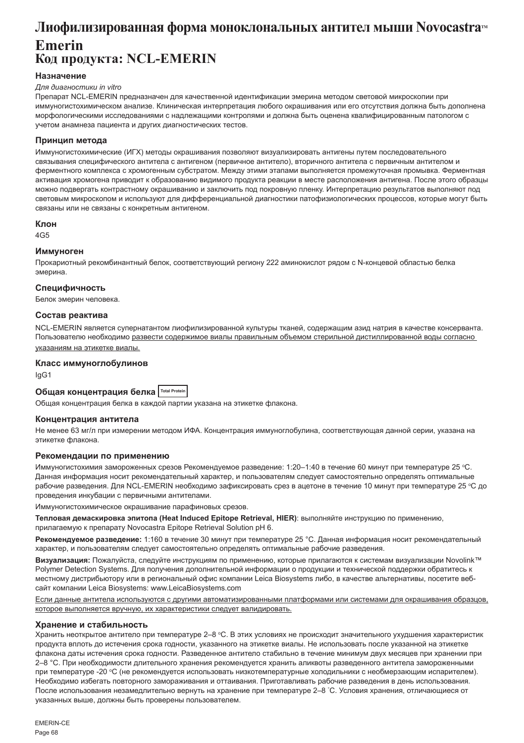# Лиофилизированная форма моноклональных антител мыши Novocastra<sup>™</sup> **Emerin Код продукта: NCL-EMERIN**

# **Назначение**

## *Для диагностики in vitro*

Препарат NCL-EMERIN предназначен для качественной идентификации эмерина методом световой микроскопии при иммуногистохимическом анализе. Клиническая интерпретация любого окрашивания или его отсутствия должна быть дополнена морфологическими исследованиями с надлежащими контролями и должна быть оценена квалифицированным патологом с учетом анамнеза пациента и других диагностических тестов.

## **Принцип метода**

Иммуногистохимические (ИГХ) методы окрашивания позволяют визуализировать антигены путем последовательного связывания специфического антитела с антигеном (первичное антитело), вторичного антитела с первичным антителом и ферментного комплекса с хромогенным субстратом. Между этими этапами выполняется промежуточная промывка. Ферментная активация хромогена приводит к образованию видимого продукта реакции в месте расположения антигена. После этого образцы можно подвергать контрастному окрашиванию и заключить под покровную пленку. Интерпретацию результатов выполняют под световым микроскопом и используют для дифференциальной диагностики патофизиологических процессов, которые могут быть связаны или не связаны с конкретным антигеном.

## **Клон**

4G5

## **Иммуноген**

Прокариотный рекомбинантный белок, соответствующий региону 222 аминокислот рядом с N-концевой областью белка эмерина.

# **Специфичность**

Белок эмерин человека.

## **Состав реактива**

NCL-EMERIN является супернатантом лиофилизированной культуры тканей, содержащим азид натрия в качестве консерванта. Пользователю необходимо развести содержимое виалы правильным объемом стерильной дистиллированной воды согласно указаниям на этикетке виалы.

## **Класс иммуноглобулинов**

IgG1

# **Общая концентрация белка Total Protein**

Общая концентрация белка в каждой партии указана на этикетке флакона.

## **Концентрация антитела**

Не менее 63 мг/л при измерении методом ИФА. Концентрация иммуноглобулина, соответствующая данной серии, указана на этикетке флакона.

## **Рекомендации по применению**

Иммуногистохимия замороженных срезов Рекомендуемое разведение: 1:20–1:40 в течение 60 минут при температуре 25 °C. Данная информация носит рекомендательный характер, и пользователям следует самостоятельно определять оптимальные рабочие разведения. Для NCL-EMERIN необходимо зафиксировать срез в ацетоне в течение 10 минут при температуре 25 °C до проведения инкубации с первичными антителами.

Иммуногистохимическое окрашивание парафиновых срезов.

**Тепловая демаскировка эпитопа (Heat Induced Epitope Retrieval, HIER)**: выполняйте инструкцию по применению, прилагаемую к препарату Novocastra Epitope Retrieval Solution pH 6.

**Рекомендуемое разведение:** 1:160 в течение 30 минут при температуре 25 °C. Данная информация носит рекомендательный характер, и пользователям следует самостоятельно определять оптимальные рабочие разведения.

**Визуализация:** Пожалуйста, следуйте инструкциям по применению, которые прилагаются к системам визуализации Novolink™ Polymer Detection Systems. Для получения дополнительной информации о продукции и технической поддержки обратитесь к местному дистрибьютору или в региональный офис компании Leica Biosystems либо, в качестве альтернативы, посетите вебсайт компании Leica Biosystems: www.LeicaBiosystems.com

Если данные антитела используются с другими автоматизированными платформами или системами для окрашивания образцов, которое выполняется вручную, их характеристики следует валидировать.

## **Хранение и стабильность**

Хранить неоткрытое антитело при температуре 2–8 °C. В этих условиях не происходит значительного ухудшения характеристик продукта вплоть до истечения срока годности, указанного на этикетке виалы. Не использовать после указанной на этикетке флакона даты истечения срока годности. Разведенное антитело стабильно в течение минимум двух месяцев при хранении при 2–8 °C. При необходимости длительного хранения рекомендуется хранить аликвоты разведенного антитела замороженными при температуре -20 °C (не рекомендуется использовать низкотемпературные холодильники с необмерзающим испарителем). Необходимо избегать повторного замораживания и оттаивания. Приготавливать рабочие разведения в день использования. После использования незамедлительно вернуть на хранение при температуре 2–8 ° C. Условия хранения, отличающиеся от указанных выше, должны быть проверены пользователем.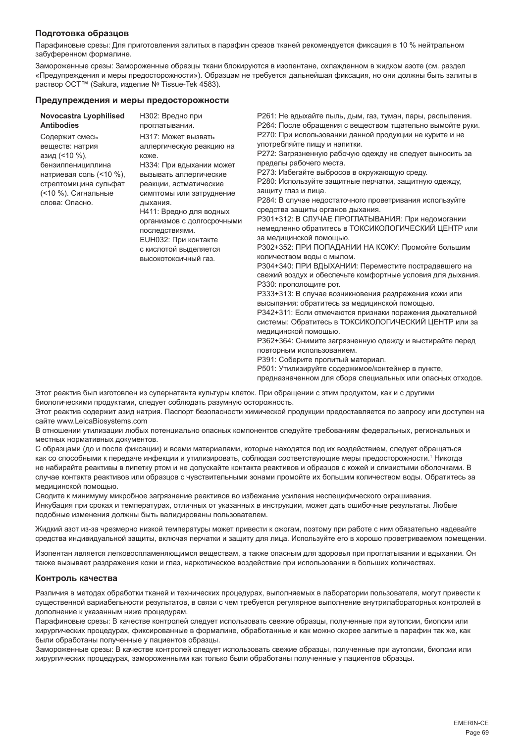# **Подготовка образцов**

Парафиновые срезы: Для приготовления залитых в парафин срезов тканей рекомендуется фиксация в 10 % нейтральном забуференном формалине.

Замороженные срезы: Замороженные образцы ткани блокируются в изопентане, охлажденном в жидком азоте (см. раздел «Предупреждения и меры предосторожности»). Образцам не требуется дальнейшая фиксация, но они должны быть залиты в раствор OCT™ (Sakura, изделие № Tissue-Tek 4583).

#### **Предупреждения и меры предосторожности**

| Р272: Загрязненную рабочую одежду не следует выносить за<br>азид (<10 %),<br>коже.<br>пределы рабочего места.<br>бензилпенициллина<br>Н334: При вдыхании может<br>Р273: Избегайте выбросов в окружающую среду.<br>натриевая соль (<10 %),<br>вызывать аллергические<br>Р280: Используйте защитные перчатки, защитную одежду,<br>стрептомицина сульфат<br>реакции, астматические<br>защиту глаз и лица.<br>(<10 %). Сигнальные<br>симптомы или затруднение<br>Р284: В случае недостаточного проветривания используйте<br>слова: Опасно.<br>дыхания.<br>средства защиты органов дыхания.<br>Н411: Вредно для водных<br>РЗ01+312: В СЛУЧАЕ ПРОГЛАТЫВАНИЯ: При недомогании<br>организмов с долгосрочными<br>немедленно обратитесь в ТОКСИКОЛОГИЧЕСКИЙ ЦЕНТР или<br>последствиями.<br>за медицинской помощью.<br><b>EUH032: При контакте</b><br>РЗ02+352: ПРИ ПОПАДАНИИ НА КОЖУ: Промойте большим<br>с кислотой выделяется<br>количеством воды с мылом.<br>высокотоксичный газ.<br>РЗ04+340: ПРИ ВДЫХАНИИ: Переместите пострадавшего на<br>свежий воздух и обеспечьте комфортные условия для дыхания.<br>РЗЗ0: прополощите рот.<br>РЗЗЗ+313: В случае возникновения раздражения кожи или<br>высыпания: обратитесь за медицинской помощью.<br>$\blacksquare$ |
|--------------------------------------------------------------------------------------------------------------------------------------------------------------------------------------------------------------------------------------------------------------------------------------------------------------------------------------------------------------------------------------------------------------------------------------------------------------------------------------------------------------------------------------------------------------------------------------------------------------------------------------------------------------------------------------------------------------------------------------------------------------------------------------------------------------------------------------------------------------------------------------------------------------------------------------------------------------------------------------------------------------------------------------------------------------------------------------------------------------------------------------------------------------------------------------------------------------------------------------------------------|
|--------------------------------------------------------------------------------------------------------------------------------------------------------------------------------------------------------------------------------------------------------------------------------------------------------------------------------------------------------------------------------------------------------------------------------------------------------------------------------------------------------------------------------------------------------------------------------------------------------------------------------------------------------------------------------------------------------------------------------------------------------------------------------------------------------------------------------------------------------------------------------------------------------------------------------------------------------------------------------------------------------------------------------------------------------------------------------------------------------------------------------------------------------------------------------------------------------------------------------------------------------|

P342+311: Если отмечаются признаки поражения дыхательной системы: Обратитесь в ТОКСИКОЛОГИЧЕСКИЙ ЦЕНТР или за медицинской помощью.

P362+364: Снимите загрязненную одежду и выстирайте перед повторным использованием.

P391: Соберите пролитый материал.

P501: Утилизируйте содержимое/контейнер в пункте,

предназначенном для сбора специальных или опасных отходов.

Этот реактив был изготовлен из супернатанта культуры клеток. При обращении с этим продуктом, как и с другими биологическими продуктами, следует соблюдать разумную осторожность.

Этот реактив содержит азид натрия. Паспорт безопасности химической продукции предоставляется по запросу или доступен на сайте www.LeicaBiosystems.com

В отношении утилизации любых потенциально опасных компонентов следуйте требованиям федеральных, региональных и местных нормативных документов.

С образцами (до и после фиксации) и всеми материалами, которые находятся под их воздействием, следует обращаться как со способными к передаче инфекции и утилизировать, соблюдая соответствующие меры предосторожности.1 Никогда не набирайте реактивы в пипетку ртом и не допускайте контакта реактивов и образцов с кожей и слизистыми оболочками. В случае контакта реактивов или образцов с чувствительными зонами промойте их большим количеством воды. Обратитесь за медицинской помощью.

Сводите к минимуму микробное загрязнение реактивов во избежание усиления неспецифического окрашивания. Инкубация при сроках и температурах, отличных от указанных в инструкции, может дать ошибочные результаты. Любые подобные изменения должны быть валидированы пользователем.

Жидкий азот из-за чрезмерно низкой температуры может привести к ожогам, поэтому при работе с ним обязательно надевайте средства индивидуальной защиты, включая перчатки и защиту для лица. Используйте его в хорошо проветриваемом помещении.

Изопентан является легковоспламеняющимся веществам, а также опасным для здоровья при проглатывании и вдыхании. Он также вызывает раздражения кожи и глаз, наркотическое воздействие при использовании в больших количествах.

## **Контроль качества**

Различия в методах обработки тканей и технических процедурах, выполняемых в лаборатории пользователя, могут привести к существенной вариабельности результатов, в связи с чем требуется регулярное выполнение внутрилабораторных контролей в дополнение к указанным ниже процедурам.

Парафиновые срезы: В качестве контролей следует использовать свежие образцы, полученные при аутопсии, биопсии или хирургических процедурах, фиксированные в формалине, обработанные и как можно скорее залитые в парафин так же, как были обработаны полученные у пациентов образцы.

Замороженные срезы: В качестве контролей следует использовать свежие образцы, полученные при аутопсии, биопсии или хирургических процедурах, замороженными как только были обработаны полученные у пациентов образцы.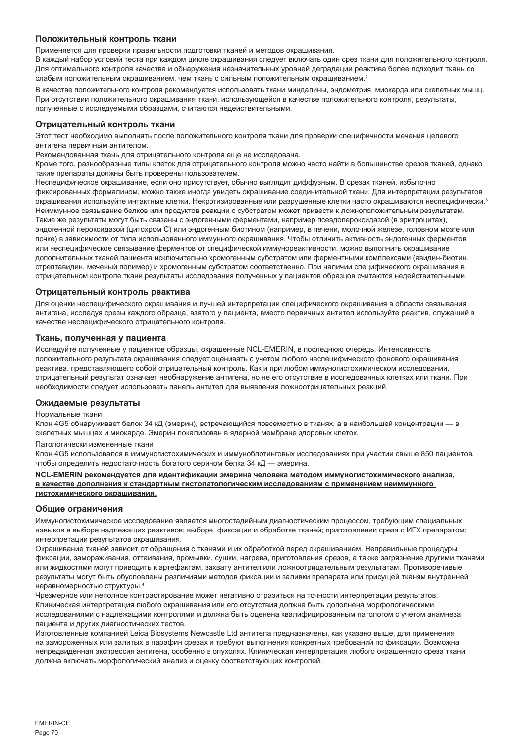## **Положительный контроль ткани**

Применяется для проверки правильности подготовки тканей и методов окрашивания.

В каждый набор условий теста при каждом цикле окрашивания следует включать один срез ткани для положительного контроля. Для оптимального контроля качества и обнаружения незначительных уровней деградации реактива более подходит ткань со слабым положительным окрашиванием, чем ткань с сильным положительным окрашиванием.<sup>2</sup>

В качестве положительного контроля рекомендуется использовать ткани миндалины, эндометрия, миокарда или скелетных мышц. При отсутствии положительного окрашивания ткани, использующейся в качестве положительного контроля, результаты, полученные с исследуемыми образцами, считаются недействительными.

#### **Отрицательный контроль ткани**

Этот тест необходимо выполнять после положительного контроля ткани для проверки специфичности мечения целевого антигена первичным антителом.

Рекомендованная ткань для отрицательного контроля еще не исследована.

Кроме того, разнообразные типы клеток для отрицательного контроля можно часто найти в большинстве срезов тканей, однако такие препараты должны быть проверены пользователем.

Неспецифическое окрашивание, если оно присутствует, обычно выглядит диффузным. В срезах тканей, избыточно фиксированных формалином, можно также иногда увидеть окрашивание соединительной ткани. Для интерпретации результатов окрашивания используйте интактные клетки. Некротизированные или разрушенные клетки часто окрашиваются неспецифически.<sup>3</sup> Неиммунное связывание белков или продуктов реакции с субстратом может привести к ложноположительным результатам. Такие же результаты могут быть связаны с эндогенными ферментами, например псевдопероксидазой (в эритроцитах), эндогенной пероксидазой (цитохром C) или эндогенным биотином (например, в печени, молочной железе, головном мозге или почке) в зависимости от типа использованного иммунного окрашивания. Чтобы отличить активность эндогенных ферментов или неспецифическое связывание ферментов от специфической иммунореактивности, можно выполнить окрашивание дополнительных тканей пациента исключительно хромогенным субстратом или ферментными комплексами (авидин-биотин, стрептавидин, меченый полимер) и хромогенным субстратом соответственно. При наличии специфического окрашивания в отрицательном контроле ткани результаты исследования полученных у пациентов образцов считаются недействительными.

#### **Отрицательный контроль реактива**

Для оценки неспецифического окрашивания и лучшей интерпретации специфического окрашивания в области связывания антигена, исследуя срезы каждого образца, взятого у пациента, вместо первичных антител используйте реактив, служащий в качестве неспецифического отрицательного контроля.

# **Ткань, полученная у пациента**

Исследуйте полученные у пациентов образцы, окрашенные NCL-EMERIN, в последнюю очередь. Интенсивность положительного результата окрашивания следует оценивать с учетом любого неспецифического фонового окрашивания реактива, представляющего собой отрицательный контроль. Как и при любом иммуногистохимическом исследовании, отрицательный результат означает необнаружение антигена, но не его отсутствие в исследованных клетках или ткани. При необходимости следует использовать панель антител для выявления ложноотрицательных реакций.

#### **Ожидаемые результаты**

#### Нормальные ткани

Клон 4G5 обнаруживает белок 34 кД (эмерин), встречающийся повсеместно в тканях, а в наибольшей концентрации — в скелетных мышцах и миокарде. Эмерин локализован в ядерной мембране здоровых клеток.

#### Патологически измененные ткани

Клон 4G5 использовался в иммуногистохимических и иммуноблотинговых исследованиях при участии свыше 850 пациентов, чтобы определить недостаточность богатого серином белка 34 кД — эмерина.

**NCL-EMERIN рекомендуется для идентификации эмерина человека методом иммуногистохимического анализа, в качестве дополнения к стандартным гистопатологическим исследованиям с применением неиммунного гистохимического окрашивания.**

#### **Общие ограничения**

Иммуногистохимическое исследование является многостадийным диагностическим процессом, требующим специальных навыков в выборе надлежащих реактивов; выборе, фиксации и обработке тканей; приготовлении среза с ИГХ препаратом; интерпретации результатов окрашивания.

Окрашивание тканей зависит от обращения с тканями и их обработкой перед окрашиванием. Неправильные процедуры фиксации, замораживания, оттаивания, промывки, сушки, нагрева, приготовления срезов, а также загрязнение другими тканями или жидкостями могут приводить к артефактам, захвату антител или ложноотрицательным результатам. Противоречивые результаты могут быть обусловлены различиями методов фиксации и заливки препарата или присущей тканям внутренней неравномерностью структуры.<sup>4</sup>

Чрезмерное или неполное контрастирование может негативно отразиться на точности интерпретации результатов. Клиническая интерпретация любого окрашивания или его отсутствия должна быть дополнена морфологическими исследованиями с надлежащими контролями и должна быть оценена квалифицированным патологом с учетом анамнеза пациента и других диагностических тестов.

Изготовленные компанией Leica Biosystems Newcastle Ltd антитела предназначены, как указано выше, для применения на замороженных или залитых в парафин срезах и требуют выполнения конкретных требований по фиксации. Возможна непредвиденная экспрессия антигена, особенно в опухолях. Клиническая интерпретация любого окрашенного среза ткани должна включать морфологический анализ и оценку соответствующих контролей.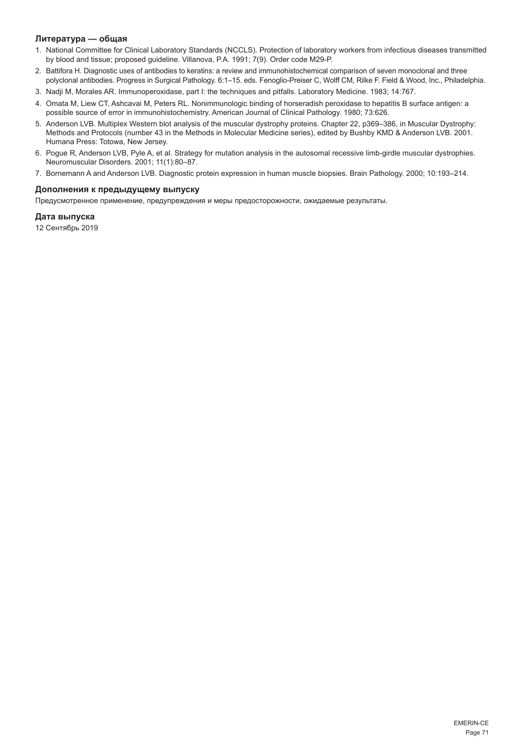# **Литература — общая**

- 1. National Committee for Clinical Laboratory Standards (NCCLS). Protection of laboratory workers from infectious diseases transmitted by blood and tissue; proposed guideline. Villanova, P.A. 1991; 7(9). Order code M29-P.
- 2. Battifora H. Diagnostic uses of antibodies to keratins: a review and immunohistochemical comparison of seven monoclonal and three polyclonal antibodies. Progress in Surgical Pathology. 6:1–15. eds. Fenoglio-Preiser C, Wolff CM, Rilke F. Field & Wood, Inc., Philadelphia.
- 3. Nadji M, Morales AR. Immunoperoxidase, part I: the techniques and pitfalls. Laboratory Medicine. 1983; 14:767.
- 4. Omata M, Liew CT, Ashcavai M, Peters RL. Nonimmunologic binding of horseradish peroxidase to hepatitis B surface antigen: a possible source of error in immunohistochemistry. American Journal of Clinical Pathology. 1980; 73:626.
- 5. Anderson LVB. Multiplex Western blot analysis of the muscular dystrophy proteins. Chapter 22, p369–386, in Muscular Dystrophy: Methods and Protocols (number 43 in the Methods in Molecular Medicine series), edited by Bushby KMD & Anderson LVB. 2001. Humana Press: Totowa, New Jersey.
- 6. Pogue R, Anderson LVB, Pyle A, et al. Strategy for mutation analysis in the autosomal recessive limb-girdle muscular dystrophies. Neuromuscular Disorders. 2001; 11(1):80–87.
- 7. Bornemann A and Anderson LVB. Diagnostic protein expression in human muscle biopsies. Brain Pathology. 2000; 10:193–214.

# **Дополнения к предыдущему выпуску**

Предусмотренное применение, предупреждения и меры предосторожности, ожидаемые результаты.

## **Дата выпуска**

12 Сентябрь 2019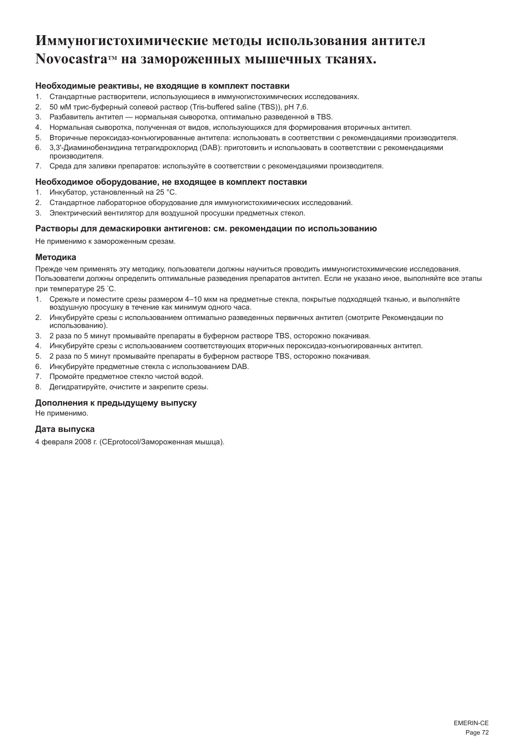# **Иммуногистохимические методы использования антител NovocastraTM на замороженных мышечных тканях.**

### **Необходимые реактивы, не входящие в комплект поставки**

- 1. Стандартные растворители, использующиеся в иммуногистохимических исследованиях.
- 2. 50 мМ трис-буферный солевой раствор (Tris-buffered saline (TBS)), pH 7,6.
- 3. Разбавитель антител нормальная сыворотка, оптимально разведенной в TBS.
- 4. Нормальная сыворотка, полученная от видов, использующихся для формирования вторичных антител.
- 5. Вторичные пероксидаз-конъюгированные антитела: использовать в соответствии с рекомендациями производителя.
- 6. 3,3'-Диаминобензидина тетрагидрохлорид (DAB): приготовить и использовать в соответствии с рекомендациями производителя.
- 7. Среда для заливки препаратов: используйте в соответствии с рекомендациями производителя.

#### **Необходимое оборудование, не входящее в комплект поставки**

- 1. Инкубатор, установленный на 25 °C.
- 2. Стандартное лабораторное оборудование для иммуногистохимических исследований.
- 3. Электрический вентилятор для воздушной просушки предметных стекол.

#### **Растворы для демаскировки антигенов: см. рекомендации по использованию**

Не применимо к замороженным срезам.

#### **Методика**

Прежде чем применять эту методику, пользователи должны научиться проводить иммуногистохимические исследования. Пользователи должны определить оптимальные разведения препаратов антител. Если не указано иное, выполняйте все этапы

при температуре 25 ° C.

- 1. Срежьте и поместите срезы размером 4–10 мкм на предметные стекла, покрытые подходящей тканью, и выполняйте воздушную просушку в течение как минимум одного часа.
- 2. Инкубируйте срезы с использованием оптимально разведенных первичных антител (смотрите Рекомендации по использованию).
- 3. 2 раза по 5 минут промывайте препараты в буферном растворе TBS, осторожно покачивая.
- 4. Инкубируйте срезы с использованием соответствующих вторичных пероксидаз-конъюгированных антител.
- 5. 2 раза по 5 минут промывайте препараты в буферном растворе TBS, осторожно покачивая.
- 6. Инкубируйте предметные стекла с использованием DAB.
- 7. Промойте предметное стекло чистой водой.
- 8. Дегидратируйте, очистите и закрепите срезы.

### **Дополнения к предыдущему выпуску**

Не применимо.

## **Дата выпуска**

4 февраля 2008 г. (CEprotocol/Замороженная мышца).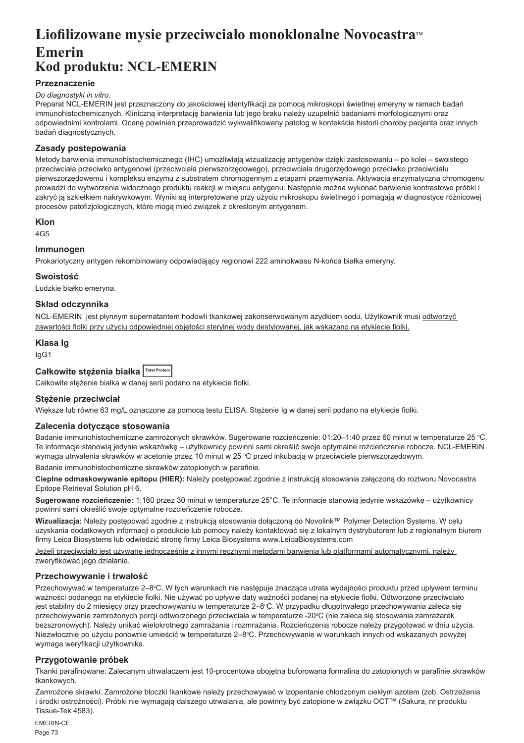# Liofilizowane mysie przeciwciało monoklonalne Novocastra<sup>*M*</sup> **Emerin Kod produktu: NCL-EMERIN**

## **Przeznaczenie**

#### *Do diagnostyki in vitro.*

Preparat NCL-EMERIN jest przeznaczony do jakościowej identyfikacji za pomocą mikroskopii świetlnej emeryny w ramach badań immunohistochemicznych. Kliniczną interpretację barwienia lub jego braku należy uzupełnić badaniami morfologicznymi oraz odpowiednimi kontrolami. Ocenę powinien przeprowadzić wykwalifikowany patolog w kontekście historii choroby pacjenta oraz innych badań diagnostycznych.

### **Zasady postepowania**

Metody barwienia immunohistochemicznego (IHC) umożliwiają wizualizację antygenów dzięki zastosowaniu – po kolei – swoistego przeciwciała przeciwko antygenowi (przeciwciała pierwszorzędowego), przeciwciała drugorzędowego przeciwko przeciwciału pierwszorzędowemu i kompleksu enzymu z substratem chromogennym z etapami przemywania. Aktywacja enzymatyczna chromogenu prowadzi do wytworzenia widocznego produktu reakcji w miejscu antygenu. Następnie można wykonać barwienie kontrastowe próbki i zakryć ją szkiełkiem nakrywkowym. Wyniki są interpretowane przy użyciu mikroskopu świetlnego i pomagają w diagnostyce różnicowej procesów patofizjologicznych, które mogą mieć związek z określonym antygenem.

#### **Klon**

4G5

# **Immunogen**

Prokariotyczny antygen rekombinowany odpowiadający regionowi 222 aminokwasu N-końca białka emeryny.

#### **Swoistość**

Ludzkie białko emeryna.

#### **Skład odczynnika**

NCL-EMERIN jest płynnym supernatantem hodowli tkankowej zakonserwowanym azydkiem sodu. Użytkownik musi odtworzyć zawartości fiolki przy użyciu odpowiedniej objętości sterylnej wody destylowanej, jak wskazano na etykiecie fiolki.

#### **Klasa Ig**

IgG1

### **Całkowite stężenia białka Total Protein**

Całkowite stężenie białka w danej serii podano na etykiecie fiolki.

### **Stężenie przeciwciał**

Większe lub równe 63 mg/L oznaczone za pomocą testu ELISA. Stężenie Ig w danej serii podano na etykiecie fiolki.

### **Zalecenia dotyczące stosowania**

Badanie immunohistochemiczne zamrożonych skrawków. Sugerowane rozcieńczenie: 01:20–1:40 przez 60 minut w temperaturze 25 °C. Te informacje stanowią jedynie wskazówkę – użytkownicy powinni sami określić swoje optymalne rozcieńczenie robocze. NCL-EMERIN wymaga utrwalenia skrawków w acetonie przez 10 minut w 25 °C przed inkubacją w przeciwciele pierwszorzędowym.

Badanie immunohistochemiczne skrawków zatopionych w parafinie.

**Cieplne odmaskowywanie epitopu (HIER):** Należy postępować zgodnie z instrukcją stosowania załączoną do roztworu Novocastra Epitope Retrieval Solution pH 6.

**Sugerowane rozcieńczenie:** 1:160 przez 30 minut w temperaturze 25°C. Te informacje stanowią jedynie wskazówkę – użytkownicy powinni sami określić swoje optymalne rozcieńczenie robocze.

**Wizualizacja:** Należy postępować zgodnie z instrukcją stosowania dołączoną do Novolink™ Polymer Detection Systems. W celu uzyskania dodatkowych informacji o produkcie lub pomocy należy kontaktować się z lokalnym dystrybutorem lub z regionalnym biurem firmy Leica Biosystems lub odwiedzić stronę firmy Leica Biosystems www.LeicaBiosystems.com

Jeżeli przeciwciało jest używane jednocześnie z innymi ręcznymi metodami barwienia lub platformami automatycznymi, należy zweryfikować jego działanie.

### **Przechowywanie i trwałość**

Przechowywać w temperaturze 2–8°C. W tych warunkach nie następuje znacząca utrata wydajności produktu przed upływem terminu ważności podanego na etykiecie fiolki. Nie używać po upływie daty ważności podanej na etykiecie fiolki. Odtworzone przeciwciało jest stabilny do 2 miesięcy przy przechowywaniu w temperaturze 2–8℃. W przypadku długotrwałego przechowywania zaleca się przechowywanie zamrożonych porcji odtworzonego przeciwciała w temperaturze -20ºC (nie zaleca się stosowania zamrażarek bezszronowych). Należy unikać wielokrotnego zamrażania i rozmrażania. Rozcieńczenia robocze należy przygotować w dniu użycia. Niezwłocznie po użyciu ponownie umieścić w temperaturze 2–8°C. Przechowywanie w warunkach innych od wskazanych powyżej wymaga weryfikacji użytkownika.

### **Przygotowanie próbek**

Tkanki parafinowane: Zalecanym utrwalaczem jest 10-procentowa obojętna buforowana formalina do zatopionych w parafinie skrawków tkankowych.

Zamrożone skrawki: Zamrożone bloczki tkankowe należy przechowywać w izopentanie chłodzonym ciekłym azotem (zob. Ostrzeżenia i środki ostrożności). Próbki nie wymagają dalszego utrwalania, ale powinny być zatopione w związku OCT™ (Sakura, nr produktu Tissue-Tek 4583).

EMERIN-CE Page 73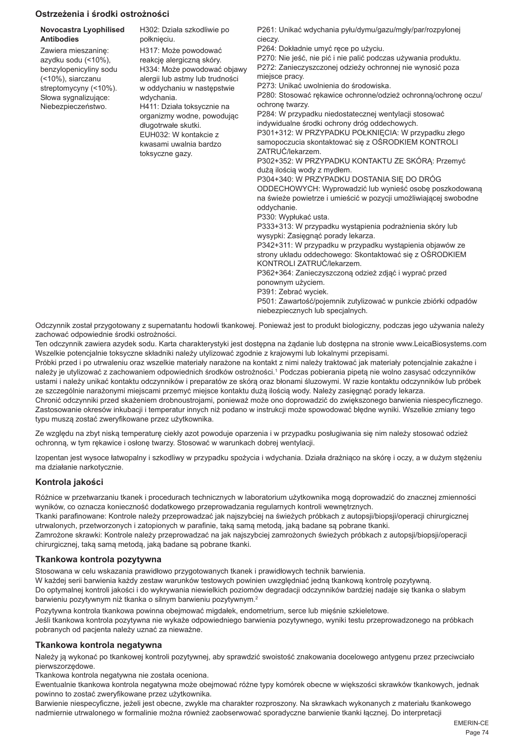## **Ostrzeżenia i środki ostrożności**

#### **Novocastra Lyophilised Antibodies**

Zawiera mieszaninę: azydku sodu (<10%), benzylopenicyliny sodu (<10%), siarczanu streptomycyny (<10%). Słowa sygnalizujące: Niebezpieczeństwo.

H302: Działa szkodliwie po połknięciu. H317: Może powodować reakcję alergiczną skóry. H334: Może powodować objawy alergii lub astmy lub trudności w oddychaniu w następstwie wdychania. H411: Działa toksycznie na organizmy wodne, powodując długotrwałe skutki.

EUH032: W kontakcie z kwasami uwalnia bardzo toksyczne gazy.

P261: Unikać wdychania pyłu/dymu/gazu/mgły/par/rozpylonej cieczy.

P264: Dokładnie umyć ręce po użyciu.

P270: Nie jeść, nie pić i nie palić podczas używania produktu.

P272: Zanieczyszczonej odzieży ochronnej nie wynosić poza miejsce pracy.

P273: Unikać uwolnienia do środowiska.

P280: Stosować rękawice ochronne/odzież ochronną/ochronę oczu/ ochronę twarzy.

P284: W przypadku niedostatecznej wentylacji stosować indywidualne środki ochrony dróg oddechowych. P301+312: W PRZYPADKU POŁKNIĘCIA: W przypadku złego samopoczucia skontaktować się z OŚRODKIEM KONTROLI

ZATRUĆ/lekarzem. P302+352: W PRZYPADKU KONTAKTU ZE SKÓRĄ: Przemyć

dużą ilością wody z mydłem.

P304+340: W PRZYPADKU DOSTANIA SIĘ DO DRÓG ODDECHOWYCH: Wyprowadzić lub wynieść osobę poszkodowaną na świeże powietrze i umieścić w pozycji umożliwiającej swobodne oddychanie.

P330: Wypłukać usta.

P333+313: W przypadku wystąpienia podrażnienia skóry lub wysypki: Zasięgnąć porady lekarza.

P342+311: W przypadku w przypadku wystąpienia objawów ze strony układu oddechowego: Skontaktować się z OŚRODKIEM KONTROLI ZATRUĆ/lekarzem.

P362+364: Zanieczyszczoną odzież zdjąć i wyprać przed ponownym użyciem.

P391: Zebrać wyciek.

P501: Zawartość/pojemnik zutylizować w punkcie zbiórki odpadów niebezpiecznych lub specjalnych.

Odczynnik został przygotowany z supernatantu hodowli tkankowej. Ponieważ jest to produkt biologiczny, podczas jego używania należy zachować odpowiednie środki ostrożności.

Ten odczynnik zawiera azydek sodu. Karta charakterystyki jest dostępna na żądanie lub dostępna na stronie www.LeicaBiosystems.com Wszelkie potencjalnie toksyczne składniki należy utylizować zgodnie z krajowymi lub lokalnymi przepisami.

Próbki przed i po utrwaleniu oraz wszelkie materiały narażone na kontakt z nimi należy traktować jak materiały potencjalnie zakaźne i należy je utylizować z zachowaniem odpowiednich środków ostrożności.<sup>1</sup> Podczas pobierania pipetą nie wolno zasysać odczynników ustami i należy unikać kontaktu odczynników i preparatów ze skórą oraz błonami śluzowymi. W razie kontaktu odczynników lub próbek ze szczególnie narażonymi miejscami przemyć miejsce kontaktu dużą ilością wody. Należy zasięgnąć porady lekarza.

Chronić odczynniki przed skażeniem drobnoustrojami, ponieważ może ono doprowadzić do zwiększonego barwienia niespecyficznego. Zastosowanie okresów inkubacji i temperatur innych niż podano w instrukcji może spowodować błędne wyniki. Wszelkie zmiany tego typu muszą zostać zweryfikowane przez użytkownika.

Ze względu na zbyt niską temperaturę ciekły azot powoduje oparzenia i w przypadku posługiwania się nim należy stosować odzież ochronną, w tym rękawice i osłonę twarzy. Stosować w warunkach dobrej wentylacji.

Izopentan jest wysoce łatwopalny i szkodliwy w przypadku spożycia i wdychania. Działa drażniąco na skórę i oczy, a w dużym stężeniu ma działanie narkotycznie.

## **Kontrola jakości**

Różnice w przetwarzaniu tkanek i procedurach technicznych w laboratorium użytkownika mogą doprowadzić do znacznej zmienności wyników, co oznacza konieczność dodatkowego przeprowadzania regularnych kontroli wewnętrznych.

Tkanki parafinowane: Kontrole należy przeprowadzać jak najszybciej na świeżych próbkach z autopsji/biopsji/operacji chirurgicznej utrwalonych, przetworzonych i zatopionych w parafinie, taką samą metodą, jaką badane są pobrane tkanki.

Zamrożone skrawki: Kontrole należy przeprowadzać na jak najszybciej zamrożonych świeżych próbkach z autopsji/biopsji/operacji chirurgicznej, taką samą metodą, jaką badane są pobrane tkanki.

### **Tkankowa kontrola pozytywna**

Stosowana w celu wskazania prawidłowo przygotowanych tkanek i prawidłowych technik barwienia.

W każdej serii barwienia każdy zestaw warunków testowych powinien uwzględniać jedną tkankową kontrolę pozytywną.

Do optymalnej kontroli jakości i do wykrywania niewielkich poziomów degradacji odczynników bardziej nadaje się tkanka o słabym barwieniu pozytywnym niż tkanka o silnym barwieniu pozytywnym.<sup>2</sup>

Pozytywna kontrola tkankowa powinna obejmować migdałek, endometrium, serce lub mięśnie szkieletowe. Jeśli tkankowa kontrola pozytywna nie wykaże odpowiedniego barwienia pozytywnego, wyniki testu przeprowadzonego na próbkach pobranych od pacjenta należy uznać za nieważne.

### **Tkankowa kontrola negatywna**

Należy ją wykonać po tkankowej kontroli pozytywnej, aby sprawdzić swoistość znakowania docelowego antygenu przez przeciwciało pierwszorzędowe.

Tkankowa kontrola negatywna nie została oceniona.

Ewentualnie tkankowa kontrola negatywna może obejmować różne typy komórek obecne w większości skrawków tkankowych, jednak powinno to zostać zweryfikowane przez użytkownika.

Barwienie niespecyficzne, jeżeli jest obecne, zwykle ma charakter rozproszony. Na skrawkach wykonanych z materiału tkankowego nadmiernie utrwalonego w formalinie można również zaobserwować sporadyczne barwienie tkanki łącznej. Do interpretacji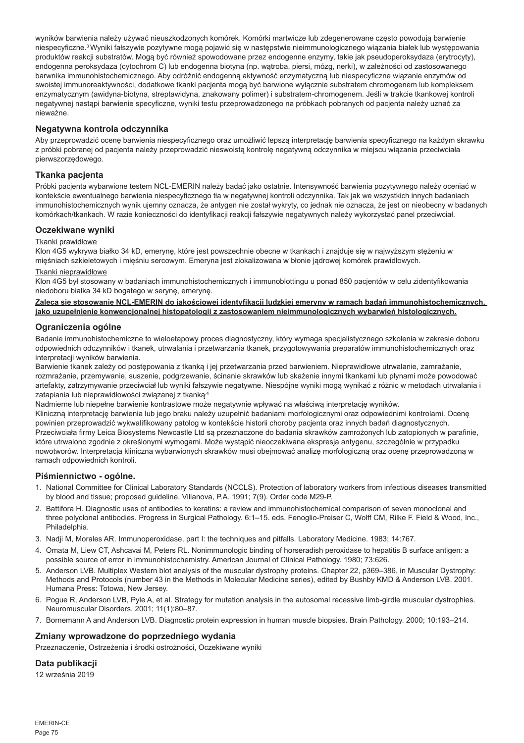wyników barwienia należy używać nieuszkodzonych komórek. Komórki martwicze lub zdegenerowane często powodują barwienie niespecyficzne.<sup>3</sup>Wyniki fałszywie pozytywne mogą pojawić się w następstwie nieimmunologicznego wiązania białek lub występowania produktów reakcji substratów. Mogą być również spowodowane przez endogenne enzymy, takie jak pseudoperoksydaza (erytrocyty), endogenna peroksydaza (cytochrom C) lub endogenna biotyna (np. wątroba, piersi, mózg, nerki), w zależności od zastosowanego barwnika immunohistochemicznego. Aby odróżnić endogenną aktywność enzymatyczną lub niespecyficzne wiązanie enzymów od swoistej immunoreaktywności, dodatkowe tkanki pacjenta mogą być barwione wyłącznie substratem chromogenem lub kompleksem enzymatycznym (awidyna-biotyna, streptawidyna, znakowany polimer) i substratem-chromogenem. Jeśli w trakcie tkankowej kontroli negatywnej nastąpi barwienie specyficzne, wyniki testu przeprowadzonego na próbkach pobranych od pacjenta należy uznać za nieważne.

## **Negatywna kontrola odczynnika**

Aby przeprowadzić ocenę barwienia niespecyficznego oraz umożliwić lepszą interpretację barwienia specyficznego na każdym skrawku z próbki pobranej od pacjenta należy przeprowadzić nieswoistą kontrolę negatywną odczynnika w miejscu wiązania przeciwciała pierwszorzędowego.

### **Tkanka pacjenta**

Próbki pacjenta wybarwione testem NCL-EMERIN należy badać jako ostatnie. Intensywność barwienia pozytywnego należy oceniać w kontekście ewentualnego barwienia niespecyficznego tła w negatywnej kontroli odczynnika. Tak jak we wszystkich innych badaniach immunohistochemicznych wynik ujemny oznacza, że antygen nie został wykryty, co jednak nie oznacza, że jest on nieobecny w badanych komórkach/tkankach. W razie konieczności do identyfikacji reakcji fałszywie negatywnych należy wykorzystać panel przeciwciał.

#### **Oczekiwane wyniki**

#### Tkanki prawidłowe

Klon 4G5 wykrywa białko 34 kD, emerynę, które jest powszechnie obecne w tkankach i znajduje się w najwyższym stężeniu w mięśniach szkieletowych i mięśniu sercowym. Emeryna jest zlokalizowana w błonie jądrowej komórek prawidłowych.

#### Tkanki nieprawidłowe

Klon 4G5 był stosowany w badaniach immunohistochemicznych i immunoblottingu u ponad 850 pacjentów w celu zidentyfikowania niedoboru białka 34 kD bogatego w serynę, emerynę.

## **Zaleca się stosowanie NCL-EMERIN do jakościowej identyfikacji ludzkiej emeryny w ramach badań immunohistochemicznych, jako uzupełnienie konwencjonalnej histopatologii z zastosowaniem nieimmunologicznych wybarwień histologicznych.**

#### **Ograniczenia ogólne**

Badanie immunohistochemiczne to wieloetapowy proces diagnostyczny, który wymaga specjalistycznego szkolenia w zakresie doboru odpowiednich odczynników i tkanek, utrwalania i przetwarzania tkanek, przygotowywania preparatów immunohistochemicznych oraz interpretacji wyników barwienia.

Barwienie tkanek zależy od postępowania z tkanką i jej przetwarzania przed barwieniem. Nieprawidłowe utrwalanie, zamrażanie, rozmrażanie, przemywanie, suszenie, podgrzewanie, ścinanie skrawków lub skażenie innymi tkankami lub płynami może powodować artefakty, zatrzymywanie przeciwciał lub wyniki fałszywie negatywne. Niespójne wyniki mogą wynikać z różnic w metodach utrwalania i zatapiania lub nieprawidłowości związanej z tkanką<sup>4</sup>

Nadmierne lub niepełne barwienie kontrastowe może negatywnie wpływać na właściwą interpretację wyników. Kliniczną interpretację barwienia lub jego braku należy uzupełnić badaniami morfologicznymi oraz odpowiednimi kontrolami. Ocenę powinien przeprowadzić wykwalifikowany patolog w kontekście historii choroby pacjenta oraz innych badań diagnostycznych. Przeciwciała firmy Leica Biosystems Newcastle Ltd są przeznaczone do badania skrawków zamrożonych lub zatopionych w parafinie, które utrwalono zgodnie z określonymi wymogami. Może wystąpić nieoczekiwana ekspresja antygenu, szczególnie w przypadku nowotworów. Interpretacja kliniczna wybarwionych skrawków musi obejmować analizę morfologiczną oraz ocenę przeprowadzoną w ramach odpowiednich kontroli.

#### **Piśmiennictwo - ogólne.**

- 1. National Committee for Clinical Laboratory Standards (NCCLS). Protection of laboratory workers from infectious diseases transmitted by blood and tissue; proposed guideline. Villanova, P.A. 1991; 7(9). Order code M29-P.
- 2. Battifora H. Diagnostic uses of antibodies to keratins: a review and immunohistochemical comparison of seven monoclonal and three polyclonal antibodies. Progress in Surgical Pathology. 6:1–15. eds. Fenoglio-Preiser C, Wolff CM, Rilke F. Field & Wood, Inc., Philadelphia.
- 3. Nadji M, Morales AR. Immunoperoxidase, part I: the techniques and pitfalls. Laboratory Medicine. 1983; 14:767.
- 4. Omata M, Liew CT, Ashcavai M, Peters RL. Nonimmunologic binding of horseradish peroxidase to hepatitis B surface antigen: a possible source of error in immunohistochemistry. American Journal of Clinical Pathology. 1980; 73:626.
- 5. Anderson LVB. Multiplex Western blot analysis of the muscular dystrophy proteins. Chapter 22, p369–386, in Muscular Dystrophy: Methods and Protocols (number 43 in the Methods in Molecular Medicine series), edited by Bushby KMD & Anderson LVB. 2001. Humana Press: Totowa, New Jersey.
- 6. Pogue R, Anderson LVB, Pyle A, et al. Strategy for mutation analysis in the autosomal recessive limb-girdle muscular dystrophies. Neuromuscular Disorders. 2001; 11(1):80–87.
- 7. Bornemann A and Anderson LVB. Diagnostic protein expression in human muscle biopsies. Brain Pathology. 2000; 10:193–214.

#### **Zmiany wprowadzone do poprzedniego wydania**

Przeznaczenie, Ostrzeżenia i środki ostrożności, Oczekiwane wyniki

#### **Data publikacji**

12 września 2019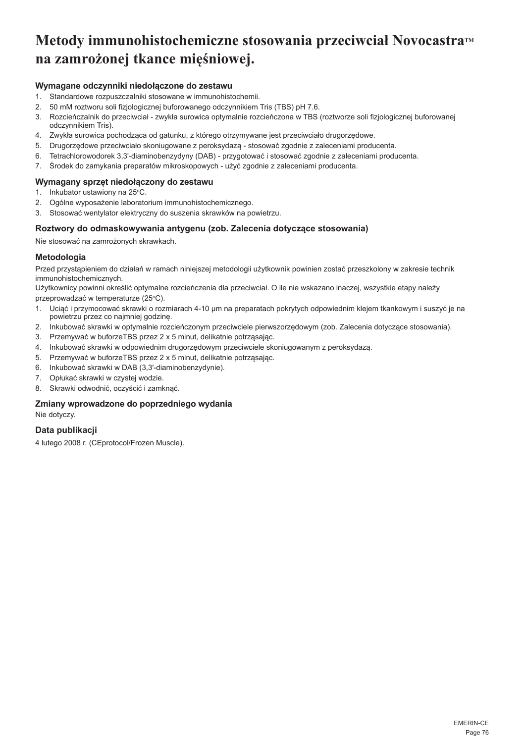# **Metody immunohistochemiczne stosowania przeciwciał Novocastra™ na zamrożonej tkance mięśniowej.**

## **Wymagane odczynniki niedołączone do zestawu**

- 1. Standardowe rozpuszczalniki stosowane w immunohistochemii.
- 2. 50 mM roztworu soli fizjologicznej buforowanego odczynnikiem Tris (TBS) pH 7.6.
- 3. Rozcieńczalnik do przeciwciał zwykła surowica optymalnie rozcieńczona w TBS (roztworze soli fizjologicznej buforowanej odczynnikiem Tris).
- 4. Zwykła surowica pochodząca od gatunku, z którego otrzymywane jest przeciwciało drugorzędowe.
- 5. Drugorzędowe przeciwciało skoniugowane z peroksydazą stosować zgodnie z zaleceniami producenta.
- 6. Tetrachlorowodorek 3,3'-diaminobenzydyny (DAB) przygotować i stosować zgodnie z zaleceniami producenta.
- 7. Środek do zamykania preparatów mikroskopowych użyć zgodnie z zaleceniami producenta.

### **Wymagany sprzęt niedołączony do zestawu**

- 1. Inkubator ustawiony na 25 $\degree$ C.
- 2. Ogólne wyposażenie laboratorium immunohistochemicznego.
- 3. Stosować wentylator elektryczny do suszenia skrawków na powietrzu.

## **Roztwory do odmaskowywania antygenu (zob. Zalecenia dotyczące stosowania)**

Nie stosować na zamrożonych skrawkach.

### **Metodologia**

Przed przystąpieniem do działań w ramach niniejszej metodologii użytkownik powinien zostać przeszkolony w zakresie technik immunohistochemicznych.

Użytkownicy powinni określić optymalne rozcieńczenia dla przeciwciał. O ile nie wskazano inaczej, wszystkie etapy należy

przeprowadzać w temperaturze (25ºC).

- 1. Uciąć i przymocować skrawki o rozmiarach 4-10 μm na preparatach pokrytych odpowiednim klejem tkankowym i suszyć je na powietrzu przez co najmniej godzinę.
- 2. Inkubować skrawki w optymalnie rozcieńczonym przeciwciele pierwszorzędowym (zob. Zalecenia dotyczące stosowania).
- 3. Przemywać w buforzeTBS przez 2 x 5 minut, delikatnie potrząsając.
- 4. Inkubować skrawki w odpowiednim drugorzędowym przeciwciele skoniugowanym z peroksydazą.
- 5. Przemywać w buforzeTBS przez 2 x 5 minut, delikatnie potrząsając.
- 6. Inkubować skrawki w DAB (3,3'-diaminobenzydynie).
- 7. Opłukać skrawki w czystej wodzie.
- 8. Skrawki odwodnić, oczyścić i zamknąć.

## **Zmiany wprowadzone do poprzedniego wydania** Nie dotyczy.

## **Data publikacji**

4 lutego 2008 r. (CEprotocol/Frozen Muscle).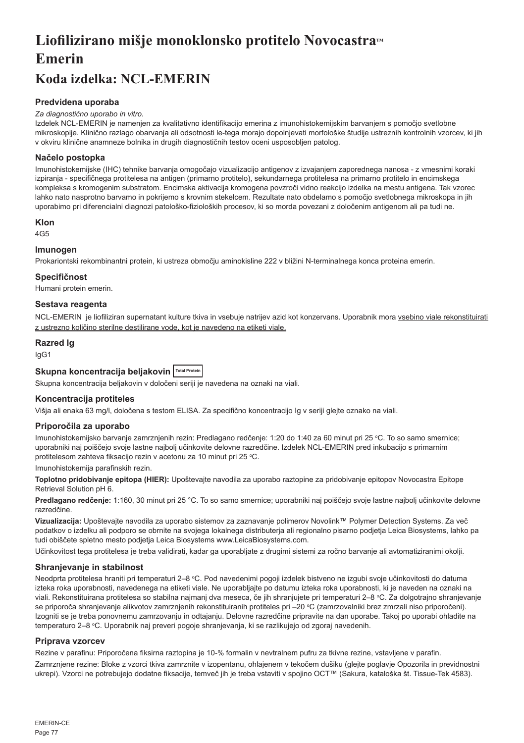# Liofilizirano mišje monoklonsko protitelo Novocastra<sup>m</sup> **Emerin**

# **Koda izdelka: NCL-EMERIN**

## **Predvidena uporaba**

#### *Za diagnostično uporabo in vitro.*

Izdelek NCL-EMERIN je namenjen za kvalitativno identifikacijo emerina z imunohistokemijskim barvanjem s pomočjo svetlobne mikroskopije. Klinično razlago obarvanja ali odsotnosti le-tega morajo dopolnjevati morfološke študije ustreznih kontrolnih vzorcev, ki jih v okviru klinične anamneze bolnika in drugih diagnostičnih testov oceni usposobljen patolog.

### **Načelo postopka**

Imunohistokemijske (IHC) tehnike barvanja omogočajo vizualizacijo antigenov z izvajanjem zaporednega nanosa - z vmesnimi koraki izpiranja - specifičnega protitelesa na antigen (primarno protitelo), sekundarnega protitelesa na primarno protitelo in encimskega kompleksa s kromogenim substratom. Encimska aktivacija kromogena povzroči vidno reakcijo izdelka na mestu antigena. Tak vzorec lahko nato nasprotno barvamo in pokrijemo s krovnim stekelcem. Rezultate nato obdelamo s pomočjo svetlobnega mikroskopa in jih uporabimo pri diferencialni diagnozi patološko-fizioloških procesov, ki so morda povezani z določenim antigenom ali pa tudi ne.

#### **Klon**

4G5

## **Imunogen**

Prokariontski rekombinantni protein, ki ustreza območju aminokisline 222 v bližini N-terminalnega konca proteina emerin.

#### **Specifičnost**

Humani protein emerin.

#### **Sestava reagenta**

NCL-EMERIN je liofiliziran supernatant kulture tkiva in vsebuje natrijev azid kot konzervans. Uporabnik mora vsebino viale rekonstituirati z ustrezno količino sterilne destilirane vode, kot je navedeno na etiketi viale.

#### **Razred Ig**

IgG1

# **Skupna koncentracija beljakovin Total Protein**

Skupna koncentracija beljakovin v določeni seriji je navedena na oznaki na viali.

## **Koncentracija protiteles**

Višja ali enaka 63 mg/l, določena s testom ELISA. Za specifično koncentracijo Ig v seriji glejte oznako na viali.

### **Priporočila za uporabo**

lmunohistokemijsko barvanje zamrznjenih rezin: Predlagano redčenje: 1:20 do 1:40 za 60 minut pri 25 °C. To so samo smernice; uporabniki naj poiščejo svoje lastne najbolj učinkovite delovne razredčine. Izdelek NCL-EMERIN pred inkubacijo s primarnim protitelesom zahteva fiksacijo rezin v acetonu za 10 minut pri 25 °C.

Imunohistokemija parafinskih rezin.

**Toplotno pridobivanje epitopa (HIER):** Upoštevajte navodila za uporabo raztopine za pridobivanje epitopov Novocastra Epitope Retrieval Solution pH 6.

**Predlagano redčenje:** 1:160, 30 minut pri 25 °C. To so samo smernice; uporabniki naj poiščejo svoje lastne najbolj učinkovite delovne razredčine.

**Vizualizacija:** Upoštevajte navodila za uporabo sistemov za zaznavanje polimerov Novolink™ Polymer Detection Systems. Za več podatkov o izdelku ali podporo se obrnite na svojega lokalnega distributerja ali regionalno pisarno podjetja Leica Biosystems, lahko pa tudi obiščete spletno mesto podjetja Leica Biosystems www.LeicaBiosystems.com.

Učinkovitost tega protitelesa je treba validirati, kadar ga uporabljate z drugimi sistemi za ročno barvanje ali avtomatiziranimi okolji.

### **Shranjevanje in stabilnost**

Neodprta protitelesa hraniti pri temperaturi 2–8 °C. Pod navedenimi pogoji izdelek bistveno ne izgubi svoje učinkovitosti do datuma izteka roka uporabnosti, navedenega na etiketi viale. Ne uporabljajte po datumu izteka roka uporabnosti, ki je naveden na oznaki na viali. Rekonstituirana protitelesa so stabilna najmanj dva meseca, če jih shranjujete pri temperaturi 2–8 °C. Za dolgotrajno shranjevanje se priporoča shranjevanje alikvotov zamrznjenih rekonstituiranih protiteles pri –20 °C (zamrzovalniki brez zmrzali niso priporočeni). Izogniti se je treba ponovnemu zamrzovanju in odtajanju. Delovne razredčine pripravite na dan uporabe. Takoj po uporabi ohladite na temperaturo 2–8 °C. Uporabnik naj preveri pogoje shranjevanja, ki se razlikujejo od zgoraj navedenih.

#### **Priprava vzorcev**

Rezine v parafinu: Priporočena fiksirna raztopina je 10-% formalin v nevtralnem pufru za tkivne rezine, vstavljene v parafin.

Zamrznjene rezine: Bloke z vzorci tkiva zamrznite v izopentanu, ohlajenem v tekočem dušiku (glejte poglavje Opozorila in previdnostni ukrepi). Vzorci ne potrebujejo dodatne fiksacije, temveč jih je treba vstaviti v spojino OCT™ (Sakura, kataloška št. Tissue-Tek 4583).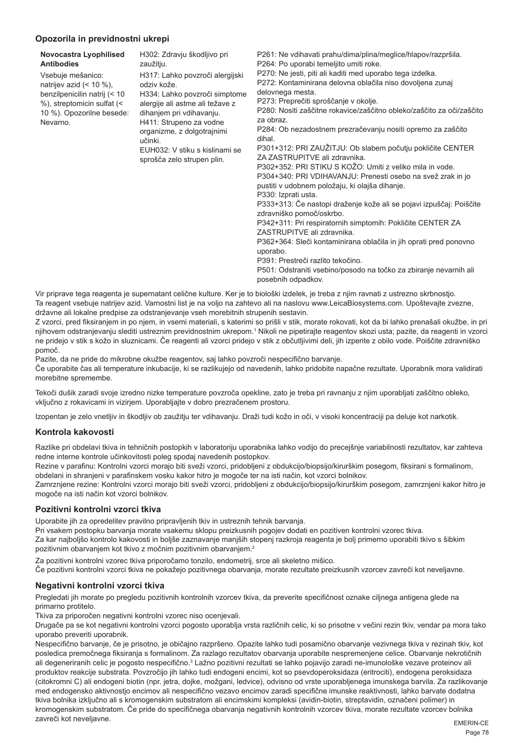## **Opozorila in previdnostni ukrepi**

| Novocastra Lyophilised<br><b>Antibodies</b><br>Vsebuje mešanico:<br>natrijev azid $($ < 10 %),<br>benzilpenicilin natrij (< 10<br>%), streptomicin sulfat (<<br>10 %). Opozorilne besede:<br>Nevarno. | H302: Zdravju škodljivo pri<br>zaužitju.<br>H317: Lahko povzroči alergijski<br>odziv kože.<br>H334: Lahko povzroči simptome<br>alergije ali astme ali težave z<br>dihanjem pri vdihavanju.<br>H411: Strupeno za vodne<br>organizme, z dolgotrajnimi<br>učinki.<br>EUH032: V stiku s kislinami se<br>sprošča zelo strupen plin. | P261: Ne vdihavati prahu/dima/plina/meglice/hlapov/razpršila.<br>P264: Po uporabi temeljito umiti roke.<br>P270: Ne jesti, piti ali kaditi med uporabo tega izdelka.<br>P272: Kontaminirana delovna oblačila niso dovoljena zunaj<br>delovnega mesta.<br>P273: Preprečiti sproščanje v okolje.<br>P280: Nositi zaščitne rokavice/zaščitno obleko/zaščito za oči/zaščito<br>za obraz.<br>P284: Ob nezadostnem prezračevanju nositi opremo za zaščito<br>dihal.<br>P301+312: PRI ZAUŽITJU: Ob slabem počutju pokličite CENTER<br>ZA ZASTRUPITVE ali zdravnika.<br>P302+352: PRI STIKU S KOŽO: Umiti z veliko mila in vode.<br>P304+340: PRI VDIHAVANJU: Prenesti osebo na svež zrak in jo<br>pustiti v udobnem položaju, ki olajša dihanje.<br>P330: Izprati usta.<br>P333+313: Če nastopi draženje kože ali se pojavi izpuščaj: Poiščite<br>zdravniško pomoč/oskrbo.<br>P342+311: Pri respiratornih simptomih: Pokličite CENTER ZA<br>ZASTRUPITVE ali zdravnika.<br>P362+364: Sleči kontaminirana oblačila in jih oprati pred ponovno<br>uporabo.<br>P391: Prestreči razlito tekočino.<br>P501: Odstraniti vsebino/posodo na točko za zbiranje nevarnih ali<br>posebnih odpadkov. |
|-------------------------------------------------------------------------------------------------------------------------------------------------------------------------------------------------------|--------------------------------------------------------------------------------------------------------------------------------------------------------------------------------------------------------------------------------------------------------------------------------------------------------------------------------|----------------------------------------------------------------------------------------------------------------------------------------------------------------------------------------------------------------------------------------------------------------------------------------------------------------------------------------------------------------------------------------------------------------------------------------------------------------------------------------------------------------------------------------------------------------------------------------------------------------------------------------------------------------------------------------------------------------------------------------------------------------------------------------------------------------------------------------------------------------------------------------------------------------------------------------------------------------------------------------------------------------------------------------------------------------------------------------------------------------------------------------------------------------------------------|
|-------------------------------------------------------------------------------------------------------------------------------------------------------------------------------------------------------|--------------------------------------------------------------------------------------------------------------------------------------------------------------------------------------------------------------------------------------------------------------------------------------------------------------------------------|----------------------------------------------------------------------------------------------------------------------------------------------------------------------------------------------------------------------------------------------------------------------------------------------------------------------------------------------------------------------------------------------------------------------------------------------------------------------------------------------------------------------------------------------------------------------------------------------------------------------------------------------------------------------------------------------------------------------------------------------------------------------------------------------------------------------------------------------------------------------------------------------------------------------------------------------------------------------------------------------------------------------------------------------------------------------------------------------------------------------------------------------------------------------------------|

Vir priprave tega reagenta je supernatant celične kulture. Ker je to biološki izdelek, je treba z njim ravnati z ustrezno skrbnostjo. Ta reagent vsebuje natrijev azid. Varnostni list je na voljo na zahtevo ali na naslovu www.LeicaBiosystems.com. Upoštevajte zvezne, državne ali lokalne predpise za odstranjevanje vseh morebitnih strupenih sestavin.

Z vzorci, pred fiksiranjem in po njem, in vsemi materiali, s katerimi so prišli v stik, morate rokovati, kot da bi lahko prenašali okužbe, in pri njihovem odstranjevanju slediti ustreznim previdnostnim ukrepom.<sup>1</sup> Nikoli ne pipetirajte reagentov skozi usta; pazite, da reagenti in vzorci ne pridejo v stik s kožo in sluznicami. Če reagenti ali vzorci pridejo v stik z občutljivimi deli, jih izperite z obilo vode. Poiščite zdravniško pomoč.

Pazite, da ne pride do mikrobne okužbe reagentov, saj lahko povzroči nespecifično barvanje.

Če uporabite čas ali temperature inkubacije, ki se razlikujejo od navedenih, lahko pridobite napačne rezultate. Uporabnik mora validirati morebitne spremembe.

Tekoči dušik zaradi svoje izredno nizke temperature povzroča opekline, zato je treba pri ravnanju z njim uporabljati zaščitno obleko, vključno z rokavicami in vizirjem. Uporabljajte v dobro prezračenem prostoru.

Izopentan je zelo vnetljiv in škodljiv ob zaužitju ter vdihavanju. Draži tudi kožo in oči, v visoki koncentraciji pa deluje kot narkotik.

### **Kontrola kakovosti**

Razlike pri obdelavi tkiva in tehničnih postopkih v laboratoriju uporabnika lahko vodijo do precejšnje variabilnosti rezultatov, kar zahteva redne interne kontrole učinkovitosti poleg spodaj navedenih postopkov.

Rezine v parafinu: Kontrolni vzorci morajo biti sveži vzorci, pridobljeni z obdukcijo/biopsijo/kirurškim posegom, fiksirani s formalinom, obdelani in shranjeni v parafinskem vosku kakor hitro je mogoče ter na isti način, kot vzorci bolnikov.

Zamrznjene rezine: Kontrolni vzorci morajo biti sveži vzorci, pridobljeni z obdukcijo/biopsijo/kirurškim posegom, zamrznjeni kakor hitro je mogoče na isti način kot vzorci bolnikov.

#### **Pozitivni kontrolni vzorci tkiva**

Uporabite jih za opredelitev pravilno pripravljenih tkiv in ustreznih tehnik barvanja.

Pri vsakem postopku barvanja morate vsakemu sklopu preizkusnih pogojev dodati en pozitiven kontrolni vzorec tkiva.

Za kar najboljšo kontrolo kakovosti in boljše zaznavanje manjših stopenj razkroja reagenta je bolj primerno uporabiti tkivo s šibkim pozitivnim obarvanjem kot tkivo z močnim pozitivnim obarvanjem.<sup>2</sup>

Za pozitivni kontrolni vzorec tkiva priporočamo tonzilo, endometrij, srce ali skeletno mišico.

Če pozitivni kontrolni vzorci tkiva ne pokažejo pozitivnega obarvanja, morate rezultate preizkusnih vzorcev zavreči kot neveljavne.

## **Negativni kontrolni vzorci tkiva**

Pregledati jih morate po pregledu pozitivnih kontrolnih vzorcev tkiva, da preverite specifičnost oznake ciljnega antigena glede na primarno protitelo.

Tkiva za priporočen negativni kontrolni vzorec niso ocenjevali.

Drugače pa se kot negativni kontrolni vzorci pogosto uporablja vrsta različnih celic, ki so prisotne v večini rezin tkiv, vendar pa mora tako uporabo preveriti uporabnik.

Nespecifično barvanje, če je prisotno, je običajno razpršeno. Opazite lahko tudi posamično obarvanje vezivnega tkiva v rezinah tkiv, kot posledica premočnega fiksiranja s formalinom. Za razlago rezultatov obarvanja uporabite nespremenjene celice. Obarvanje nekrotičnih ali degeneriranih celic je pogosto nespecifično.<sup>3</sup> Lažno pozitivni rezultati se lahko pojavijo zaradi ne-imunološke vezave proteinov ali produktov reakcije substrata. Povzročijo jih lahko tudi endogeni encimi, kot so psevdoperoksidaza (eritrociti), endogena peroksidaza (citokromni C) ali endogeni biotin (npr. jetra, dojke, možgani, ledvice), odvisno od vrste uporabljenega imunskega barvila. Za razlikovanje med endogensko aktivnostjo encimov ali nespecifično vezavo encimov zaradi specifične imunske reaktivnosti, lahko barvate dodatna tkiva bolnika izključno ali s kromogenskim substratom ali encimskimi kompleksi (avidin-biotin, streptavidin, označeni polimer) in kromogenskim substratom. Če pride do specifičnega obarvanja negativnih kontrolnih vzorcev tkiva, morate rezultate vzorcev bolnika zavreči kot neveljavne.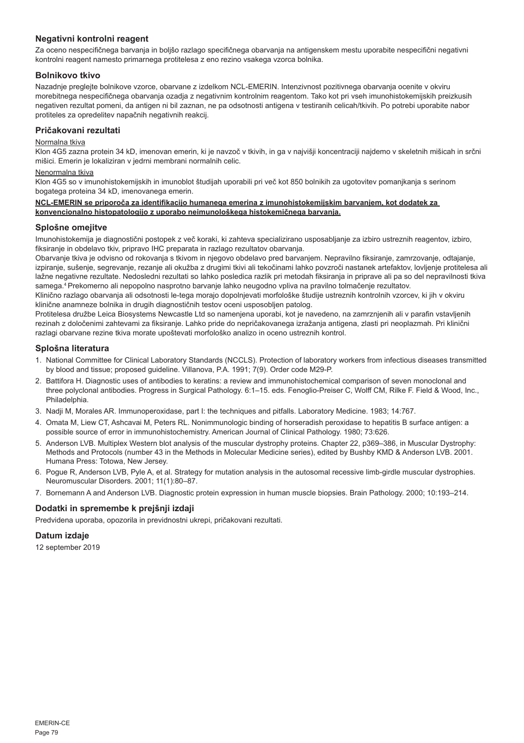## **Negativni kontrolni reagent**

Za oceno nespecifičnega barvanja in boljšo razlago specifičnega obarvanja na antigenskem mestu uporabite nespecifični negativni kontrolni reagent namesto primarnega protitelesa z eno rezino vsakega vzorca bolnika.

#### **Bolnikovo tkivo**

Nazadnje preglejte bolnikove vzorce, obarvane z izdelkom NCL-EMERIN. Intenzivnost pozitivnega obarvanja ocenite v okviru morebitnega nespecifičnega obarvanja ozadja z negativnim kontrolnim reagentom. Tako kot pri vseh imunohistokemijskih preizkusih negativen rezultat pomeni, da antigen ni bil zaznan, ne pa odsotnosti antigena v testiranih celicah/tkivih. Po potrebi uporabite nabor protiteles za opredelitev napačnih negativnih reakcij.

## **Pričakovani rezultati**

#### Normalna tkiva

Klon 4G5 zazna protein 34 kD, imenovan emerin, ki je navzoč v tkivih, in ga v najvišji koncentraciji najdemo v skeletnih mišicah in srčni mišici. Emerin je lokaliziran v jedrni membrani normalnih celic.

#### Nenormalna tkiva

Klon 4G5 so v imunohistokemijskih in imunoblot študijah uporabili pri več kot 850 bolnikih za ugotovitev pomanjkanja s serinom bogatega proteina 34 kD, imenovanega emerin.

#### **NCL-EMERIN se priporoča za identifikacijo humanega emerina z imunohistokemijskim barvanjem, kot dodatek za konvencionalno histopatologijo z uporabo neimunološkega histokemičnega barvanja.**

#### **Splošne omejitve**

Imunohistokemija je diagnostični postopek z več koraki, ki zahteva specializirano usposabljanje za izbiro ustreznih reagentov, izbiro, fiksiranje in obdelavo tkiv, pripravo IHC preparata in razlago rezultatov obarvanja.

Obarvanje tkiva je odvisno od rokovanja s tkivom in njegovo obdelavo pred barvanjem. Nepravilno fiksiranje, zamrzovanje, odtajanje, izpiranje, sušenje, segrevanje, rezanje ali okužba z drugimi tkivi ali tekočinami lahko povzroči nastanek artefaktov, lovljenje protitelesa ali lažne negativne rezultate. Nedosledni rezultati so lahko posledica razlik pri metodah fiksiranja in priprave ali pa so del nepravilnosti tkiva samega.<sup>4</sup>Prekomerno ali nepopolno nasprotno barvanje lahko neugodno vpliva na pravilno tolmačenje rezultatov.

Klinično razlago obarvanja ali odsotnosti le-tega morajo dopolnjevati morfološke študije ustreznih kontrolnih vzorcev, ki jih v okviru klinične anamneze bolnika in drugih diagnostičnih testov oceni usposobljen patolog.

Protitelesa družbe Leica Biosystems Newcastle Ltd so namenjena uporabi, kot je navedeno, na zamrznjenih ali v parafin vstavljenih rezinah z določenimi zahtevami za fiksiranje. Lahko pride do nepričakovanega izražanja antigena, zlasti pri neoplazmah. Pri klinični razlagi obarvane rezine tkiva morate upoštevati morfološko analizo in oceno ustreznih kontrol.

### **Splošna literatura**

- 1. National Committee for Clinical Laboratory Standards (NCCLS). Protection of laboratory workers from infectious diseases transmitted by blood and tissue; proposed guideline. Villanova, P.A. 1991; 7(9). Order code M29-P.
- 2. Battifora H. Diagnostic uses of antibodies to keratins: a review and immunohistochemical comparison of seven monoclonal and three polyclonal antibodies. Progress in Surgical Pathology. 6:1–15. eds. Fenoglio-Preiser C, Wolff CM, Rilke F. Field & Wood, Inc., Philadelphia.
- 3. Nadji M, Morales AR. Immunoperoxidase, part I: the techniques and pitfalls. Laboratory Medicine. 1983; 14:767.
- 4. Omata M, Liew CT, Ashcavai M, Peters RL. Nonimmunologic binding of horseradish peroxidase to hepatitis B surface antigen: a possible source of error in immunohistochemistry. American Journal of Clinical Pathology. 1980; 73:626.
- 5. Anderson LVB. Multiplex Western blot analysis of the muscular dystrophy proteins. Chapter 22, p369–386, in Muscular Dystrophy: Methods and Protocols (number 43 in the Methods in Molecular Medicine series), edited by Bushby KMD & Anderson LVB. 2001. Humana Press: Totowa, New Jersey.
- 6. Pogue R, Anderson LVB, Pyle A, et al. Strategy for mutation analysis in the autosomal recessive limb-girdle muscular dystrophies. Neuromuscular Disorders. 2001; 11(1):80–87.
- 7. Bornemann A and Anderson LVB. Diagnostic protein expression in human muscle biopsies. Brain Pathology. 2000; 10:193–214.

## **Dodatki in spremembe k prejšnji izdaji**

Predvidena uporaba, opozorila in previdnostni ukrepi, pričakovani rezultati.

#### **Datum izdaje**

12 september 2019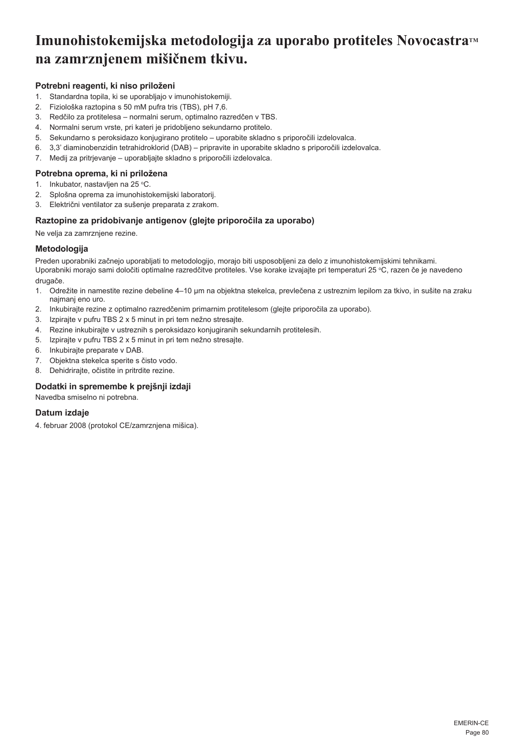# **Imunohistokemijska metodologija za uporabo protiteles NovocastraTM na zamrznjenem mišičnem tkivu.**

# **Potrebni reagenti, ki niso priloženi**

- 1. Standardna topila, ki se uporabljajo v imunohistokemiji.
- 2. Fiziološka raztopina s 50 mM pufra tris (TBS), pH 7,6.
- 3. Redčilo za protitelesa normalni serum, optimalno razredčen v TBS.
- 4. Normalni serum vrste, pri kateri je pridobljeno sekundarno protitelo.
- 5. Sekundarno s peroksidazo konjugirano protitelo uporabite skladno s priporočili izdelovalca.
- 6. 3,3' diaminobenzidin tetrahidroklorid (DAB) pripravite in uporabite skladno s priporočili izdelovalca.
- 7. Medij za pritrjevanje uporabljajte skladno s priporočili izdelovalca.

# **Potrebna oprema, ki ni priložena**

- 1. Inkubator, nastavljen na 25 °C.
- 2. Splošna oprema za imunohistokemijski laboratorij.
- 3. Električni ventilator za sušenje preparata z zrakom.

## **Raztopine za pridobivanje antigenov (glejte priporočila za uporabo)**

Ne velja za zamrznjene rezine.

## **Metodologija**

Preden uporabniki začnejo uporabljati to metodologijo, morajo biti usposobljeni za delo z imunohistokemijskimi tehnikami. Uporabniki morajo sami določiti optimalne razredčitve protiteles. Vse korake izvajajte pri temperaturi 25 °C, razen če je navedeno drugače.

- 1. Odrežite in namestite rezine debeline 4–10 µm na objektna stekelca, prevlečena z ustreznim lepilom za tkivo, in sušite na zraku najmanj eno uro.
- 2. Inkubirajte rezine z optimalno razredčenim primarnim protitelesom (glejte priporočila za uporabo).
- 3. Izpirajte v pufru TBS 2 x 5 minut in pri tem nežno stresajte.
- 4. Rezine inkubirajte v ustreznih s peroksidazo konjugiranih sekundarnih protitelesih.
- 5. Izpirajte v pufru TBS 2 x 5 minut in pri tem nežno stresajte.
- 6. Inkubirajte preparate v DAB.
- 7. Objektna stekelca sperite s čisto vodo.
- 8. Dehidrirajte, očistite in pritrdite rezine.

## **Dodatki in spremembe k prejšnji izdaji**

Navedba smiselno ni potrebna.

## **Datum izdaje**

4. februar 2008 (protokol CE/zamrznjena mišica).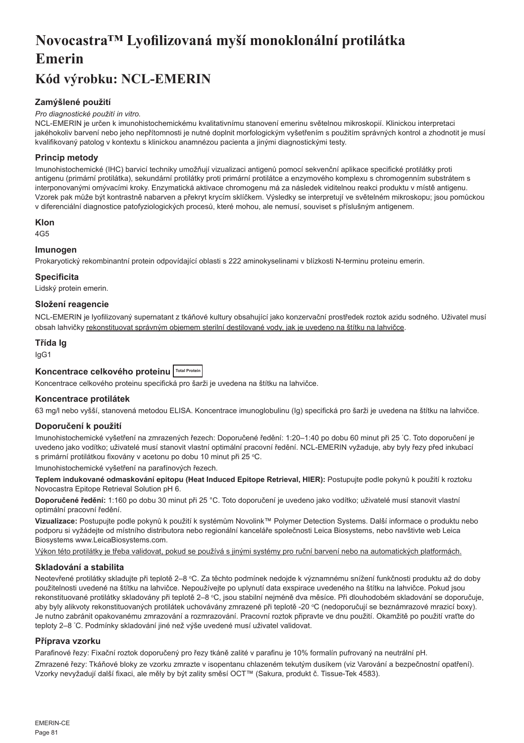# **Novocastra™ Lyofilizovaná myší monoklonální protilátka Emerin**

# **Kód výrobku: NCL-EMERIN**

# **Zamýšlené použití**

#### *Pro diagnostické použití in vitro.*

NCL-EMERIN je určen k imunohistochemickému kvalitativnímu stanovení emerinu světelnou mikroskopií. Klinickou interpretaci jakéhokoliv barvení nebo jeho nepřítomnosti je nutné doplnit morfologickým vyšetřením s použitím správných kontrol a zhodnotit je musí kvalifikovaný patolog v kontextu s klinickou anamnézou pacienta a jinými diagnostickými testy.

## **Princip metody**

Imunohistochemické (IHC) barvicí techniky umožňují vizualizaci antigenů pomocí sekvenční aplikace specifické protilátky proti antigenu (primární protilátka), sekundární protilátky proti primární protilátce a enzymového komplexu s chromogenním substrátem s interponovanými omývacími kroky. Enzymatická aktivace chromogenu má za následek viditelnou reakci produktu v místě antigenu. Vzorek pak může být kontrastně nabarven a překryt krycím sklíčkem. Výsledky se interpretují ve světelném mikroskopu; jsou pomůckou v diferenciální diagnostice patofyziologických procesů, které mohou, ale nemusí, souviset s příslušným antigenem.

### **Klon**

4G5

## **Imunogen**

Prokaryotický rekombinantní protein odpovídající oblasti s 222 aminokyselinami v blízkosti N-terminu proteinu emerin.

#### **Specificita**

Lidský protein emerin.

### **Složení reagencie**

NCL-EMERIN je lyofilizovaný supernatant z tkáňové kultury obsahující jako konzervační prostředek roztok azidu sodného. Uživatel musí obsah lahvičky rekonstituovat správným objemem sterilní destilované vody, jak je uvedeno na štítku na lahvičce.

#### **Třída Ig**

IgG1

## **Koncentrace celkového proteinu Total Protein**

Koncentrace celkového proteinu specifická pro šarži je uvedena na štítku na lahvičce.

## **Koncentrace protilátek**

63 mg/l nebo vyšší, stanovená metodou ELISA. Koncentrace imunoglobulinu (Ig) specifická pro šarži je uvedena na štítku na lahvičce.

### **Doporučení k použití**

Imunohistochemické vyšetření na zmrazených řezech: Doporučené ředění: 1:20–1:40 po dobu 60 minut při 25 ° C. Toto doporučení je uvedeno jako vodítko; uživatelé musí stanovit vlastní optimální pracovní ředění. NCL-EMERIN vyžaduje, aby byly řezy před inkubací s primární protilátkou fixovány v acetonu po dobu 10 minut při 25 °C.

Imunohistochemické vyšetření na parafínových řezech.

**Teplem indukované odmaskování epitopu (Heat Induced Epitope Retrieval, HIER):** Postupujte podle pokynů k použití k roztoku Novocastra Epitope Retrieval Solution pH 6.

**Doporučené ředění:** 1:160 po dobu 30 minut při 25 °C. Toto doporučení je uvedeno jako vodítko; uživatelé musí stanovit vlastní optimální pracovní ředění.

**Vizualizace:** Postupujte podle pokynů k použití k systémům Novolink™ Polymer Detection Systems. Další informace o produktu nebo podporu si vyžádejte od místního distributora nebo regionální kanceláře společnosti Leica Biosystems, nebo navštivte web Leica Biosystems www.LeicaBiosystems.com.

Výkon této protilátky je třeba validovat, pokud se používá s jinými systémy pro ruční barvení nebo na automatických platformách.

### **Skladování a stabilita**

Neotevřené protilátky skladujte při teplotě 2–8 °C. Za těchto podmínek nedojde k významnému snížení funkčnosti produktu až do doby použitelnosti uvedené na štítku na lahvičce. Nepoužívejte po uplynutí data exspirace uvedeného na štítku na lahvičce. Pokud jsou rekonstituované protilátky skladovány při teplotě 2–8 °C, jsou stabilní nejméně dva měsíce. Při dlouhodobém skladování se doporučuje, aby byly alikvoty rekonstituovaných protilátek uchovávány zmrazené při teplotě -20 °C (nedoporučují se beznámrazové mrazicí boxy). Je nutno zabránit opakovanému zmrazování a rozmrazování. Pracovní roztok připravte ve dnu použití. Okamžitě po použití vraťte do teploty 2–8 ° C. Podmínky skladování jiné než výše uvedené musí uživatel validovat.

### **Příprava vzorku**

Parafinové řezy: Fixační roztok doporučený pro řezy tkáně zalité v parafinu je 10% formalín pufrovaný na neutrální pH.

Zmrazené řezy: Tkáňové bloky ze vzorku zmrazte v isopentanu chlazeném tekutým dusíkem (viz Varování a bezpečnostní opatření). Vzorky nevyžadují další fixaci, ale měly by být zality směsí OCT™ (Sakura, produkt č. Tissue-Tek 4583).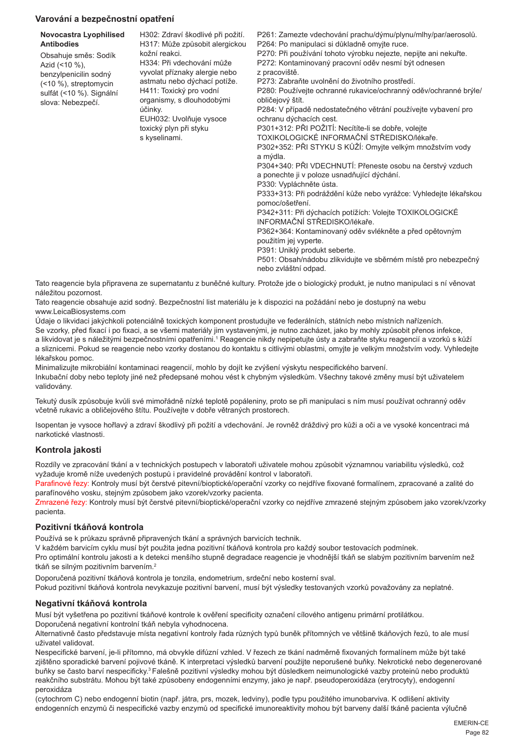# **Varování a bezpečnostní opatření**

#### **Novocastra Lyophilised Antibodies**

Obsahuje směs: Sodík Azid  $(< 10 %)$ . benzylpenicilin sodný (<10 %), streptomycin sulfát (<10 %). Signální slova: Nebezpečí.

H302: Zdraví škodlivé při požití. H317: Může způsobit alergickou kožní reakci. H334: Při vdechování může vyvolat příznaky alergie nebo astmatu nebo dýchací potíže. H411: Toxický pro vodní organismy, s dlouhodobými účinky. EUH032: Uvolňuje vysoce toxický plyn při styku s kyselinami.

P261: Zamezte vdechování prachu/dýmu/plynu/mlhy/par/aerosolů.

P264: Po manipulaci si důkladně omyjte ruce.

P270: Při používání tohoto výrobku nejezte, nepijte ani nekuřte.

P272: Kontaminovaný pracovní oděv nesmí být odnesen z pracoviště.

P273: Zabraňte uvolnění do životního prostředí.

P280: Používejte ochranné rukavice/ochranný oděv/ochranné brýle/ obličejový štít.

P284: V případě nedostatečného větrání používejte vybavení pro ochranu dýchacích cest.

P301+312: PŘI POŽITÍ: Necítíte-li se dobře, volejte TOXIKOLOGICKÉ INFORMAČNÍ STŘEDISKO/lékaře. P302+352: PŘI STYKU S KŮŽÍ: Omyjte velkým množstvím vody a mýdla.

P304+340: PŘI VDECHNUTÍ: Přeneste osobu na čerstvý vzduch a ponechte ji v poloze usnadňující dýchání.

P330: Vypláchněte ústa.

P333+313: Při podráždění kůže nebo vyrážce: Vyhledejte lékařskou pomoc/ošetření.

P342+311: Při dýchacích potížích: Volejte TOXIKOLOGICKÉ INFORMAČNÍ STŘEDISKO/lékaře.

P362+364: Kontaminovaný oděv svlékněte a před opětovným použitím jej vyperte.

P391: Uniklý produkt seberte.

P501: Obsah/nádobu zlikvidujte ve sběrném místě pro nebezpečný nebo zvláštní odpad.

Tato reagencie byla připravena ze supernatantu z buněčné kultury. Protože jde o biologický produkt, je nutno manipulaci s ní věnovat náležitou pozornost.

Tato reagencie obsahuje azid sodný. Bezpečnostní list materiálu je k dispozici na požádání nebo je dostupný na webu www.LeicaBiosystems.com

Údaje o likvidaci jakýchkoli potenciálně toxických komponent prostudujte ve federálních, státních nebo místních nařízeních. Se vzorky, před fixací i po fixaci, a se všemi materiály jim vystavenými, je nutno zacházet, jako by mohly způsobit přenos infekce, a likvidovat je s náležitými bezpečnostními opatřeními.<sup>1</sup> Reagencie nikdy nepipetujte ústy a zabraňte styku reagencií a vzorků s kůží a sliznicemi. Pokud se reagencie nebo vzorky dostanou do kontaktu s citlivými oblastmi, omyjte je velkým množstvím vody. Vyhledejte lékařskou pomoc.

Minimalizujte mikrobiální kontaminaci reagencií, mohlo by dojít ke zvýšení výskytu nespecifického barvení. Inkubační doby nebo teploty jiné než předepsané mohou vést k chybným výsledkům. Všechny takové změny musí být uživatelem validovány.

Tekutý dusík způsobuje kvůli své mimořádně nízké teplotě popáleniny, proto se při manipulaci s ním musí používat ochranný oděv včetně rukavic a obličejového štítu. Používejte v dobře větraných prostorech.

Isopentan je vysoce hořlavý a zdraví škodlivý při požití a vdechování. Je rovněž dráždivý pro kůži a oči a ve vysoké koncentraci má narkotické vlastnosti.

### **Kontrola jakosti**

Rozdíly ve zpracování tkání a v technických postupech v laboratoři uživatele mohou způsobit významnou variabilitu výsledků, což vyžaduje kromě níže uvedených postupů i pravidelné provádění kontrol v laboratoři.

Parafinové řezy: Kontroly musí být čerstvé pitevní/bioptické/operační vzorky co nejdříve fixované formalínem, zpracované a zalité do parafínového vosku, stejným způsobem jako vzorek/vzorky pacienta.

Zmrazené řezy: Kontroly musí být čerstvé pitevní/bioptické/operační vzorky co nejdříve zmrazené stejným způsobem jako vzorek/vzorky pacienta.

## **Pozitivní tkáňová kontrola**

Používá se k průkazu správně připravených tkání a správných barvicích technik.

V každém barvicím cyklu musí být použita jedna pozitivní tkáňová kontrola pro každý soubor testovacích podmínek.

Pro optimální kontrolu jakosti a k detekci menšího stupně degradace reagencie je vhodnější tkáň se slabým pozitivním barvením než tkáň se silným pozitivním barvením.<sup>2</sup>

Doporučená pozitivní tkáňová kontrola je tonzila, endometrium, srdeční nebo kosterní sval.

Pokud pozitivní tkáňová kontrola nevykazuje pozitivní barvení, musí být výsledky testovaných vzorků považovány za neplatné.

# **Negativní tkáňová kontrola**

Musí být vyšetřena po pozitivní tkáňové kontrole k ověření specificity označení cílového antigenu primární protilátkou. Doporučená negativní kontrolní tkáň nebyla vyhodnocena.

Alternativně často představuje místa negativní kontroly řada různých typů buněk přítomných ve většině tkáňových řezů, to ale musí uživatel validovat.

Nespecifické barvení, je-li přítomno, má obvykle difúzní vzhled. V řezech ze tkání nadměrně fixovaných formalínem může být také zjištěno sporadické barvení pojivové tkáně. K interpretaci výsledků barvení použijte neporušené buňky. Nekrotické nebo degenerované buňky se často barví nespecificky.<sup>3</sup>Falešně pozitivní výsledky mohou být důsledkem neimunologické vazby proteinů nebo produktů reakčního substrátu. Mohou být také způsobeny endogenními enzymy, jako je např. pseudoperoxidáza (erytrocyty), endogenní peroxidáza

(cytochrom C) nebo endogenní biotin (např. játra, prs, mozek, ledviny), podle typu použitého imunobarviva. K odlišení aktivity endogenních enzymů či nespecifické vazby enzymů od specifické imunoreaktivity mohou být barveny další tkáně pacienta výlučně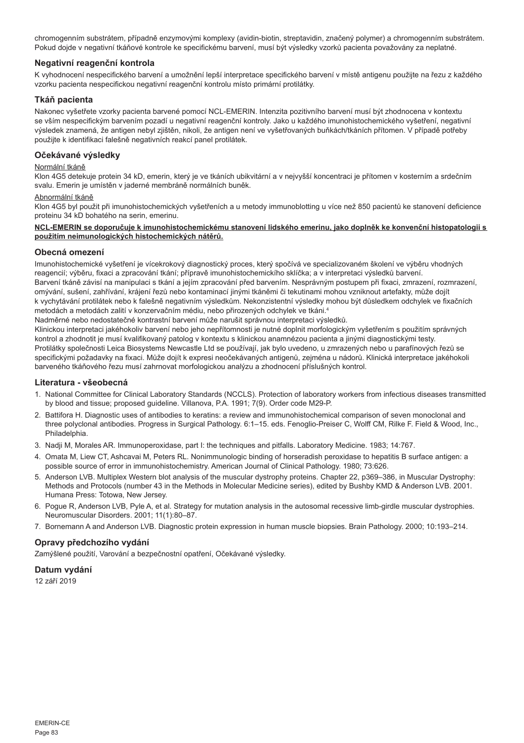chromogenním substrátem, případně enzymovými komplexy (avidin-biotin, streptavidin, značený polymer) a chromogenním substrátem. Pokud dojde v negativní tkáňové kontrole ke specifickému barvení, musí být výsledky vzorků pacienta považovány za neplatné.

### **Negativní reagenční kontrola**

K vyhodnocení nespecifického barvení a umožnění lepší interpretace specifického barvení v místě antigenu použijte na řezu z každého vzorku pacienta nespecifickou negativní reagenční kontrolu místo primární protilátky.

### **Tkáň pacienta**

Nakonec vyšetřete vzorky pacienta barvené pomocí NCL-EMERIN. Intenzita pozitivního barvení musí být zhodnocena v kontextu se vším nespecifickým barvením pozadí u negativní reagenční kontroly. Jako u každého imunohistochemického vyšetření, negativní výsledek znamená, že antigen nebyl zjištěn, nikoli, že antigen není ve vyšetřovaných buňkách/tkáních přítomen. V případě potřeby použijte k identifikaci falešně negativních reakcí panel protilátek.

#### **Očekávané výsledky**

#### Normální tkáně

Klon 4G5 detekuje protein 34 kD, emerin, který je ve tkáních ubikvitární a v nejvyšší koncentraci je přítomen v kosterním a srdečním svalu. Emerin je umístěn v jaderné membráně normálních buněk.

## Abnormální tkáně

Klon 4G5 byl použit při imunohistochemických vyšetřeních a u metody immunoblotting u více než 850 pacientů ke stanovení deficience proteinu 34 kD bohatého na serin, emerinu.

#### **NCL-EMERIN se doporučuje k imunohistochemickému stanovení lidského emerinu, jako doplněk ke konvenční histopatologii s použitím neimunologických histochemických nátěrů.**

#### **Obecná omezení**

Imunohistochemické vyšetření je vícekrokový diagnostický proces, který spočívá ve specializovaném školení ve výběru vhodných reagencií; výběru, fixaci a zpracování tkání; přípravě imunohistochemickího sklíčka; a v interpretaci výsledků barvení. Barvení tkáně závisí na manipulaci s tkání a jejím zpracování před barvením. Nesprávným postupem při fixaci, zmrazení, rozmrazení, omývání, sušení, zahřívání, krájení řezů nebo kontaminací jinými tkáněmi či tekutinami mohou vzniknout artefakty, může dojít k vychytávání protilátek nebo k falešně negativním výsledkům. Nekonzistentní výsledky mohou být důsledkem odchylek ve fixačních metodách a metodách zalití v konzervačním médiu, nebo přirozených odchylek ve tkáni.<sup>4</sup>

Nadměrné nebo nedostatečné kontrastní barvení může narušit správnou interpretaci výsledků.

Klinickou interpretaci jakéhokoliv barvení nebo jeho nepřítomnosti je nutné doplnit morfologickým vyšetřením s použitím správných kontrol a zhodnotit je musí kvalifikovaný patolog v kontextu s klinickou anamnézou pacienta a jinými diagnostickými testy. Protilátky společnosti Leica Biosystems Newcastle Ltd se používají, jak bylo uvedeno, u zmrazených nebo u parafínových řezů se specifickými požadavky na fixaci. Může dojít k expresi neočekávaných antigenů, zejména u nádorů. Klinická interpretace jakéhokoli barveného tkáňového řezu musí zahrnovat morfologickou analýzu a zhodnocení příslušných kontrol.

#### **Literatura - všeobecná**

- 1. National Committee for Clinical Laboratory Standards (NCCLS). Protection of laboratory workers from infectious diseases transmitted by blood and tissue; proposed guideline. Villanova, P.A. 1991; 7(9). Order code M29-P.
- 2. Battifora H. Diagnostic uses of antibodies to keratins: a review and immunohistochemical comparison of seven monoclonal and three polyclonal antibodies. Progress in Surgical Pathology. 6:1–15. eds. Fenoglio-Preiser C, Wolff CM, Rilke F. Field & Wood, Inc., Philadelphia.
- 3. Nadji M, Morales AR. Immunoperoxidase, part I: the techniques and pitfalls. Laboratory Medicine. 1983; 14:767.
- 4. Omata M, Liew CT, Ashcavai M, Peters RL. Nonimmunologic binding of horseradish peroxidase to hepatitis B surface antigen: a possible source of error in immunohistochemistry. American Journal of Clinical Pathology. 1980; 73:626.
- 5. Anderson LVB. Multiplex Western blot analysis of the muscular dystrophy proteins. Chapter 22, p369–386, in Muscular Dystrophy: Methods and Protocols (number 43 in the Methods in Molecular Medicine series), edited by Bushby KMD & Anderson LVB. 2001. Humana Press: Totowa, New Jersey.
- 6. Pogue R, Anderson LVB, Pyle A, et al. Strategy for mutation analysis in the autosomal recessive limb-girdle muscular dystrophies. Neuromuscular Disorders. 2001; 11(1):80–87.
- 7. Bornemann A and Anderson LVB. Diagnostic protein expression in human muscle biopsies. Brain Pathology. 2000; 10:193–214.

#### **Opravy předchozího vydání**

Zamýšlené použití, Varování a bezpečnostní opatření, Očekávané výsledky.

## **Datum vydání**

12 září 2019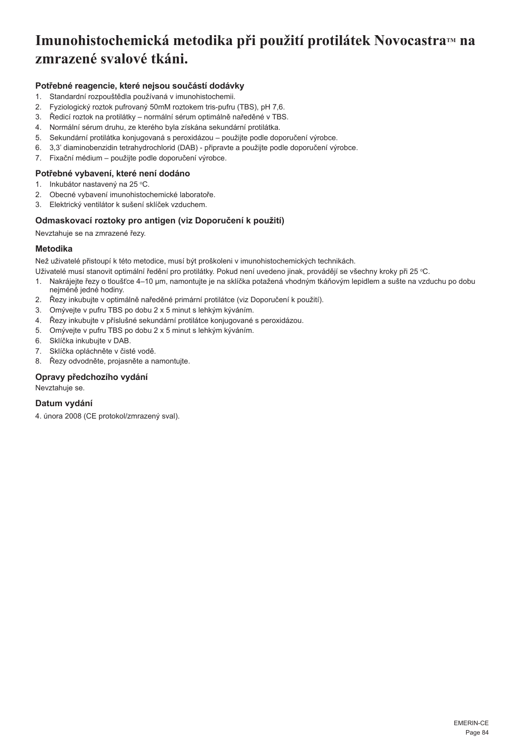# **Imunohistochemická metodika při použití protilátek Novocastra™ na zmrazené svalové tkáni.**

## **Potřebné reagencie, které nejsou součástí dodávky**

- 1. Standardní rozpouštědla používaná v imunohistochemii.
- 2. Fyziologický roztok pufrovaný 50mM roztokem tris-pufru (TBS), pH 7,6.
- 3. Ředicí roztok na protilátky normální sérum optimálně naředěné v TBS.
- 4. Normální sérum druhu, ze kterého byla získána sekundární protilátka.
- 5. Sekundární protilátka konjugovaná s peroxidázou použijte podle doporučení výrobce.
- 6. 3,3' diaminobenzidin tetrahydrochlorid (DAB) připravte a použijte podle doporučení výrobce.
- 7. Fixační médium použijte podle doporučení výrobce.

## **Potřebné vybavení, které není dodáno**

- 1. Inkubátor nastavený na 25 °C.
- 2. Obecné vybavení imunohistochemické laboratoře.
- 3. Elektrický ventilátor k sušení sklíček vzduchem.

## **Odmaskovací roztoky pro antigen (viz Doporučení k použití)**

Nevztahuje se na zmrazené řezy.

## **Metodika**

Než uživatelé přistoupí k této metodice, musí být proškoleni v imunohistochemických technikách.

Uživatelé musí stanovit optimální ředění pro protilátky. Pokud není uvedeno jinak, provádějí se všechny kroky při 25 °C.

- 1. Nakrájejte řezy o tloušťce 4–10 µm, namontujte je na sklíčka potažená vhodným tkáňovým lepidlem a sušte na vzduchu po dobu nejméně jedné hodiny.
- 2. Řezy inkubujte v optimálně naředěné primární protilátce (viz Doporučení k použití).
- 3. Omývejte v pufru TBS po dobu 2 x 5 minut s lehkým kýváním.
- 4. Řezy inkubujte v příslušné sekundární protilátce konjugované s peroxidázou.
- 5. Omývejte v pufru TBS po dobu 2 x 5 minut s lehkým kýváním.
- 6. Sklíčka inkubujte v DAB.
- 7. Sklíčka opláchněte v čisté vodě.
- 8. Řezy odvodněte, projasněte a namontujte.

## **Opravy předchozího vydání**

Nevztahuje se.

## **Datum vydání**

4. února 2008 (CE protokol/zmrazený sval).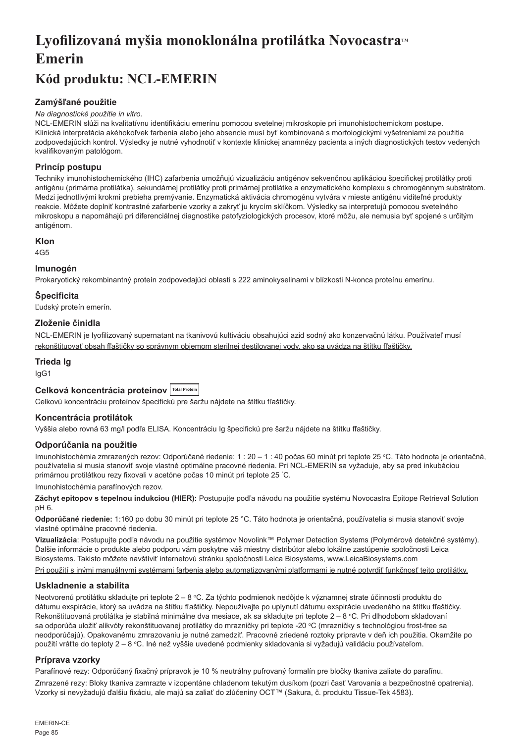# Lyofilizovaná myšia monoklonálna protilátka Novocastra<sup>*M*</sup> **Emerin**

# **Kód produktu: NCL-EMERIN**

# **Zamýšľané použitie**

## *Na diagnostické použitie in vitro.*

NCL-EMERIN slúži na kvalitatívnu identifikáciu emerínu pomocou svetelnej mikroskopie pri imunohistochemickom postupe. Klinická interpretácia akéhokoľvek farbenia alebo jeho absencie musí byť kombinovaná s morfologickými vyšetreniami za použitia zodpovedajúcich kontrol. Výsledky je nutné vyhodnotiť v kontexte klinickej anamnézy pacienta a iných diagnostických testov vedených kvalifikovaným patológom.

## **Princíp postupu**

Techniky imunohistochemického (IHC) zafarbenia umožňujú vizualizáciu antigénov sekvenčnou aplikáciou špecifickej protilátky proti antigénu (primárna protilátka), sekundárnej protilátky proti primárnej protilátke a enzymatického komplexu s chromogénnym substrátom. Medzi jednotlivými krokmi prebieha premývanie. Enzymatická aktivácia chromogénu vytvára v mieste antigénu viditeľné produkty reakcie. Môžete doplniť kontrastné zafarbenie vzorky a zakryť ju krycím sklíčkom. Výsledky sa interpretujú pomocou svetelného mikroskopu a napomáhajú pri diferenciálnej diagnostike patofyziologických procesov, ktoré môžu, ale nemusia byť spojené s určitým antigénom.

## **Klon**

4G5

## **Imunogén**

Prokaryotický rekombinantný proteín zodpovedajúci oblasti s 222 aminokyselinami v blízkosti N-konca proteínu emerínu.

## **Špecificita**

Ľudský proteín emerín.

## **Zloženie činidla**

NCL-EMERIN je lyofilizovaný supernatant na tkanivovú kultiváciu obsahujúci azid sodný ako konzervačnú látku. Používateľ musí rekonštituovať obsah fľaštičky so správnym objemom sterilnej destilovanej vody, ako sa uvádza na štítku fľaštičky.

## **Trieda Ig**

IgG1

# **Celková koncentrácia proteínov Total Protein**

Celkovú koncentráciu proteínov špecifickú pre šaržu nájdete na štítku fľaštičky.

### **Koncentrácia protilátok**

Vyššia alebo rovná 63 mg/l podľa ELISA. Koncentráciu Ig špecifickú pre šaržu nájdete na štítku fľaštičky.

### **Odporúčania na použitie**

lmunohistochémia zmrazených rezov: Odporúčané riedenie: 1 : 20 – 1 : 40 počas 60 minút pri teplote 25 °C. Táto hodnota je orientačná, používatelia si musia stanoviť svoje vlastné optimálne pracovné riedenia. Pri NCL-EMERIN sa vyžaduje, aby sa pred inkubáciou primárnou protilátkou rezy fixovali v acetóne počas 10 minút pri teplote 25 ° C.

Imunohistochémia parafínových rezov.

**Záchyt epitopov s tepelnou indukciou (HIER):** Postupujte podľa návodu na použitie systému Novocastra Epitope Retrieval Solution pH 6.

**Odporúčané riedenie:** 1:160 po dobu 30 minút pri teplote 25 °C. Táto hodnota je orientačná, používatelia si musia stanoviť svoje vlastné optimálne pracovné riedenia.

**Vizualizácia**: Postupujte podľa návodu na použitie systémov Novolink™ Polymer Detection Systems (Polymérové detekčné systémy). Ďalšie informácie o produkte alebo podporu vám poskytne váš miestny distribútor alebo lokálne zastúpenie spoločnosti Leica Biosystems. Takisto môžete navštíviť internetovú stránku spoločnosti Leica Biosystems, www.LeicaBiosystems.com Pri použití s inými manuálnymi systémami farbenia alebo automatizovanými platformami je nutné potvrdiť funkčnosť tejto protilátky.

### **Uskladnenie a stabilita**

Neotvorenú protilátku skladujte pri teplote 2 – 8 °C. Za týchto podmienok nedôjde k významnej strate účinnosti produktu do dátumu exspirácie, ktorý sa uvádza na štítku fľaštičky. Nepoužívajte po uplynutí dátumu exspirácie uvedeného na štítku fľaštičky. Rekonštituovaná protilátka je stabilná minimálne dva mesiace, ak sa skladujte pri teplote 2 – 8 °C. Pri dlhodobom skladovaní sa odporúča uložiť alikvóty rekonštituovanej protilátky do mrazničky pri teplote -20 °C (mrazničky s technológiou frost-free sa neodporúčajú). Opakovanému zmrazovaniu je nutné zamedziť. Pracovné zriedené roztoky pripravte v deň ich použitia. Okamžite po použití vráťte do teploty 2 – 8 °C. Iné než vyššie uvedené podmienky skladovania si vyžadujú validáciu používateľom.

## **Príprava vzorky**

Parafínové rezy: Odporúčaný fixačný prípravok je 10 % neutrálny pufrovaný formalín pre bločky tkaniva zaliate do parafínu.

Zmrazené rezy: Bloky tkaniva zamrazte v izopentáne chladenom tekutým dusíkom (pozri časť Varovania a bezpečnostné opatrenia). Vzorky si nevyžadujú ďalšiu fixáciu, ale majú sa zaliať do zlúčeniny OCT™ (Sakura, č. produktu Tissue-Tek 4583).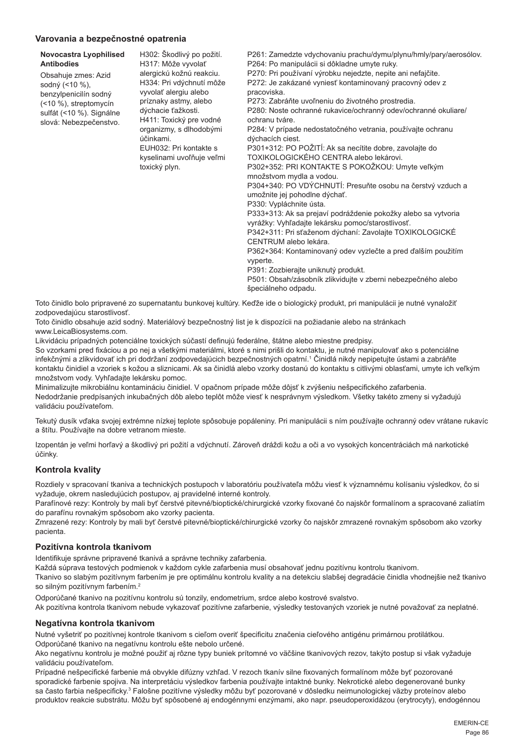#### **Varovania a bezpečnostné opatrenia**

| Novocastra Lyophilised<br><b>Antibodies</b><br>Obsahuje zmes: Azid<br>sodný (<10 %),<br>benzylpenicilín sodný<br>(<10 %), streptomycín<br>sulfát (<10 %). Signálne<br>slová: Nebezpečenstvo. | H302: Škodlivý po požití.<br>H317: Môže vyvolať<br>alergickú kožnú reakciu.<br>H334: Pri vdýchnutí môže<br>vyvolať alergiu alebo<br>príznaky astmy, alebo<br>dýchacie ťažkosti.<br>H411: Toxický pre vodné<br>organizmy, s dlhodobými<br>účinkami.<br>EUH032: Pri kontakte s<br>kyselinami uvoľňuje veľmi<br>toxický plyn. | P261: Zamedzte vdychovaniu prachu/dymu/plynu/hmly/pary/aerosólov.<br>P264: Po manipulácii si dôkladne umyte ruky.<br>P270: Pri používaní výrobku nejedzte, nepite ani nefajčite.<br>P272: Je zakázané vyniesť kontaminovaný pracovný odev z<br>pracoviska.<br>P273: Zabráňte uvoľneniu do životného prostredia.<br>P280: Noste ochranné rukavice/ochranný odev/ochranné okuliare/<br>ochranu tváre.<br>P284: V prípade nedostatočného vetrania, používajte ochranu<br>dýchacích ciest.<br>P301+312: PO POŽITÍ: Ak sa necítite dobre, zavolajte do<br>TOXIKOLOGICKÉHO CENTRA alebo lekárovi.<br>P302+352: PRI KONTAKTE S POKOŽKOU: Umyte veľkým<br>množstvom mydla a vodou.<br>P304+340: PO VDÝCHNUTÍ: Presuňte osobu na čerstvý vzduch a<br>umožnite jej pohodlne dýchať.<br>P330: Vypláchnite ústa.<br>P333+313: Ak sa prejaví podráždenie pokožky alebo sa vytvoria<br>vyrážky: Vyhľadajte lekársku pomoc/starostlivosť.<br>P342+311: Pri sťaženom dýchaní: Zavolajte TOXIKOLOGICKÉ<br>CENTRUM alebo lekára.<br>P362+364: Kontaminovaný odev vyzlečte a pred ďalším použitím<br>vyperte.<br>P391: Zozbierajte uniknutý produkt.<br>P501: Obsah/zásobník zlikvidujte v zberni nebezpečného alebo |
|----------------------------------------------------------------------------------------------------------------------------------------------------------------------------------------------|----------------------------------------------------------------------------------------------------------------------------------------------------------------------------------------------------------------------------------------------------------------------------------------------------------------------------|---------------------------------------------------------------------------------------------------------------------------------------------------------------------------------------------------------------------------------------------------------------------------------------------------------------------------------------------------------------------------------------------------------------------------------------------------------------------------------------------------------------------------------------------------------------------------------------------------------------------------------------------------------------------------------------------------------------------------------------------------------------------------------------------------------------------------------------------------------------------------------------------------------------------------------------------------------------------------------------------------------------------------------------------------------------------------------------------------------------------------------------------------------------------------------------------------|
|                                                                                                                                                                                              |                                                                                                                                                                                                                                                                                                                            | špeciálneho odpadu.                                                                                                                                                                                                                                                                                                                                                                                                                                                                                                                                                                                                                                                                                                                                                                                                                                                                                                                                                                                                                                                                                                                                                                               |

Toto činidlo bolo pripravené zo supernatantu bunkovej kultúry. Keďže ide o biologický produkt, pri manipulácii je nutné vynaložiť zodpovedajúcu starostlivosť.

Toto činidlo obsahuje azid sodný. Materiálový bezpečnostný list je k dispozícii na požiadanie alebo na stránkach www.LeicaBiosystems.com.

Likvidáciu prípadných potenciálne toxických súčastí definujú federálne, štátne alebo miestne predpisy.

So vzorkami pred fixáciou a po nej a všetkými materiálmi, ktoré s nimi prišli do kontaktu, je nutné manipulovať ako s potenciálne infekčnými a zlikvidovať ich pri dodržaní zodpovedajúcich bezpečnostných opatrní.<sup>1</sup> Cinidlá nikdy nepipetujte ústami a zabráňte kontaktu činidiel a vzoriek s kožou a sliznicami. Ak sa činidlá alebo vzorky dostanú do kontaktu s citlivými oblasťami, umyte ich veľkým množstvom vody. Vyhľadajte lekársku pomoc.

Minimalizujte mikrobiálnu kontamináciu činidiel. V opačnom prípade môže dôjsť k zvýšeniu nešpecifického zafarbenia. Nedodržanie predpísaných inkubačných dôb alebo teplôt môže viesť k nesprávnym výsledkom. Všetky takéto zmeny si vyžadujú validáciu používateľom.

Tekutý dusík vďaka svojej extrémne nízkej teplote spôsobuje popáleniny. Pri manipulácii s ním používajte ochranný odev vrátane rukavíc a štítu. Používajte na dobre vetranom mieste.

Izopentán je veľmi horľavý a škodlivý pri požití a vdýchnutí. Zároveň dráždi kožu a oči a vo vysokých koncentráciách má narkotické účinky.

### **Kontrola kvality**

Rozdiely v spracovaní tkaniva a technických postupoch v laboratóriu používateľa môžu viesť k významnému kolísaniu výsledkov, čo si vyžaduje, okrem nasledujúcich postupov, aj pravidelné interné kontroly.

Parafínové rezy: Kontroly by mali byť čerstvé pitevné/bioptické/chirurgické vzorky fixované čo najskôr formalínom a spracované zaliatím do parafínu rovnakým spôsobom ako vzorky pacienta.

Zmrazené rezy: Kontroly by mali byť čerstvé pitevné/bioptické/chirurgické vzorky čo najskôr zmrazené rovnakým spôsobom ako vzorky pacienta.

## **Pozitívna kontrola tkanivom**

Identifikuje správne pripravené tkanivá a správne techniky zafarbenia.

Každá súprava testových podmienok v každom cykle zafarbenia musí obsahovať jednu pozitívnu kontrolu tkanivom.

Tkanivo so slabým pozitívnym farbením je pre optimálnu kontrolu kvality a na detekciu slabšej degradácie činidla vhodnejšie než tkanivo so silným pozitívnym farbením.<sup>2</sup>

Odporúčané tkanivo na pozitívnu kontrolu sú tonzily, endometrium, srdce alebo kostrové svalstvo.

Ak pozitívna kontrola tkanivom nebude vykazovať pozitívne zafarbenie, výsledky testovaných vzoriek je nutné považovať za neplatné.

### **Negatívna kontrola tkanivom**

Nutné vyšetriť po pozitívnej kontrole tkanivom s cieľom overiť špecificitu značenia cieľového antigénu primárnou protilátkou. Odporúčané tkanivo na negatívnu kontrolu ešte nebolo určené.

Ako negatívnu kontrolu je možné použiť aj rôzne typy buniek prítomné vo väčšine tkanivových rezov, takýto postup si však vyžaduje validáciu používateľom.

Prípadné nešpecifické farbenie má obvykle difúzny vzhľad. V rezoch tkanív silne fixovaných formalínom môže byť pozorované sporadické farbenie spojiva. Na interpretáciu výsledkov farbenia používajte intaktné bunky. Nekrotické alebo degenerované bunky sa často farbia nešpecificky.<sup>3</sup> Falošne pozitívne výsledky môžu byť pozorované v dôsledku neimunologickej väzby proteínov alebo produktov reakcie substrátu. Môžu byť spôsobené aj endogénnymi enzýmami, ako napr. pseudoperoxidázou (erytrocyty), endogénnou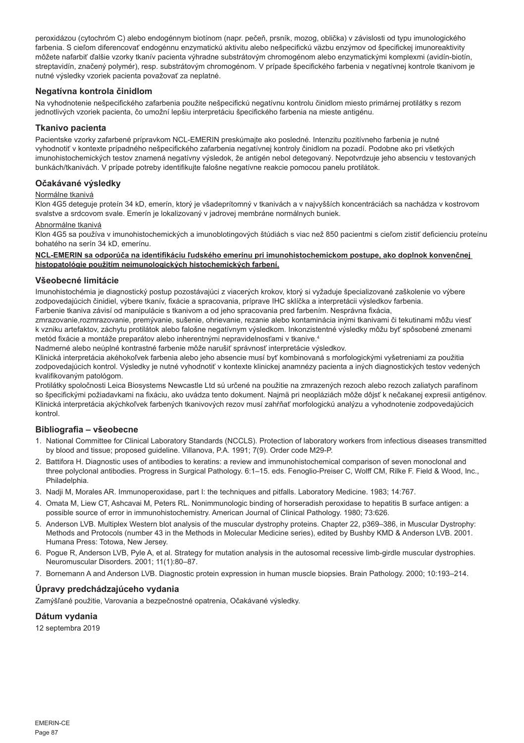peroxidázou (cytochróm C) alebo endogénnym biotínom (napr. pečeň, prsník, mozog, oblička) v závislosti od typu imunologického farbenia. S cieľom diferencovať endogénnu enzymatickú aktivitu alebo nešpecifickú väzbu enzýmov od špecifickej imunoreaktivity môžete nafarbiť ďalšie vzorky tkanív pacienta výhradne substrátovým chromogénom alebo enzymatickými komplexmi (avidín-biotín, streptavidín, značený polymér), resp. substrátovým chromogénom. V prípade špecifického farbenia v negatívnej kontrole tkanivom je nutné výsledky vzoriek pacienta považovať za neplatné.

#### **Negatívna kontrola činidlom**

Na vyhodnotenie nešpecifického zafarbenia použite nešpecifickú negatívnu kontrolu činidlom miesto primárnej protilátky s rezom jednotlivých vzoriek pacienta, čo umožní lepšiu interpretáciu špecifického farbenia na mieste antigénu.

#### **Tkanivo pacienta**

Pacientske vzorky zafarbené prípravkom NCL-EMERIN preskúmajte ako posledné. Intenzitu pozitívneho farbenia je nutné vyhodnotiť v kontexte prípadného nešpecifického zafarbenia negatívnej kontroly činidlom na pozadí. Podobne ako pri všetkých imunohistochemických testov znamená negatívny výsledok, že antigén nebol detegovaný. Nepotvrdzuje jeho absenciu v testovaných bunkách/tkanivách. V prípade potreby identifikujte falošne negatívne reakcie pomocou panelu protilátok.

### **Očakávané výsledky**

#### Normálne tkanivá

Klon 4G5 deteguje proteín 34 kD, emerín, ktorý je všadeprítomný v tkanivách a v najvyšších koncentráciách sa nachádza v kostrovom svalstve a srdcovom svale. Emerín je lokalizovaný v jadrovej membráne normálnych buniek.

#### Abnormálne tkanivá

Klon 4G5 sa používa v imunohistochemických a imunoblotingových štúdiách s viac než 850 pacientmi s cieľom zistiť deficienciu proteínu bohatého na serín 34 kD, emerínu.

#### **NCL-EMERIN sa odporúča na identifikáciu ľudského emerínu pri imunohistochemickom postupe, ako doplnok konvenčnej histopatológie použitím neimunologických histochemických farbení.**

#### **Všeobecné limitácie**

Imunohistochémia je diagnostický postup pozostávajúci z viacerých krokov, ktorý si vyžaduje špecializované zaškolenie vo výbere zodpovedajúcich činidiel, výbere tkanív, fixácie a spracovania, príprave IHC sklíčka a interpretácii výsledkov farbenia. Farbenie tkaniva závisí od manipulácie s tkanivom a od jeho spracovania pred farbením. Nesprávna fixácia,

zmrazovanie,rozmrazovanie, premývanie, sušenie, ohrievanie, rezanie alebo kontaminácia inými tkanivami či tekutinami môžu viesť k vzniku artefaktov, záchytu protilátok alebo falošne negatívnym výsledkom. Inkonzistentné výsledky môžu byť spôsobené zmenami metód fixácie a montáže preparátov alebo inherentnými nepravidelnosťami v tkanive.<sup>4</sup>

Nadmerné alebo neúplné kontrastné farbenie môže narušiť správnosť interpretácie výsledkov.

Klinická interpretácia akéhokoľvek farbenia alebo jeho absencie musí byť kombinovaná s morfologickými vyšetreniami za použitia zodpovedajúcich kontrol. Výsledky je nutné vyhodnotiť v kontexte klinickej anamnézy pacienta a iných diagnostických testov vedených kvalifikovaným patológom.

Protilátky spoločnosti Leica Biosystems Newcastle Ltd sú určené na použitie na zmrazených rezoch alebo rezoch zaliatych parafínom so špecifickými požiadavkami na fixáciu, ako uvádza tento dokument. Najmä pri neopláziách môže dôjsť k nečakanej expresii antigénov. Klinická interpretácia akýchkoľvek farbených tkanivových rezov musí zahŕňať morfologickú analýzu a vyhodnotenie zodpovedajúcich kontrol.

#### **Bibliografia – všeobecne**

- 1. National Committee for Clinical Laboratory Standards (NCCLS). Protection of laboratory workers from infectious diseases transmitted by blood and tissue; proposed guideline. Villanova, P.A. 1991; 7(9). Order code M29-P.
- 2. Battifora H. Diagnostic uses of antibodies to keratins: a review and immunohistochemical comparison of seven monoclonal and three polyclonal antibodies. Progress in Surgical Pathology. 6:1–15. eds. Fenoglio-Preiser C, Wolff CM, Rilke F. Field & Wood, Inc., Philadelphia.
- 3. Nadji M, Morales AR. Immunoperoxidase, part I: the techniques and pitfalls. Laboratory Medicine. 1983; 14:767.
- 4. Omata M, Liew CT, Ashcavai M, Peters RL. Nonimmunologic binding of horseradish peroxidase to hepatitis B surface antigen: a possible source of error in immunohistochemistry. American Journal of Clinical Pathology. 1980; 73:626.
- 5. Anderson LVB. Multiplex Western blot analysis of the muscular dystrophy proteins. Chapter 22, p369–386, in Muscular Dystrophy: Methods and Protocols (number 43 in the Methods in Molecular Medicine series), edited by Bushby KMD & Anderson LVB. 2001. Humana Press: Totowa, New Jersey.
- 6. Pogue R, Anderson LVB, Pyle A, et al. Strategy for mutation analysis in the autosomal recessive limb-girdle muscular dystrophies. Neuromuscular Disorders. 2001; 11(1):80–87.
- 7. Bornemann A and Anderson LVB. Diagnostic protein expression in human muscle biopsies. Brain Pathology. 2000; 10:193–214.

## **Úpravy predchádzajúceho vydania**

Zamýšľané použitie, Varovania a bezpečnostné opatrenia, Očakávané výsledky.

#### **Dátum vydania**

12 septembra 2019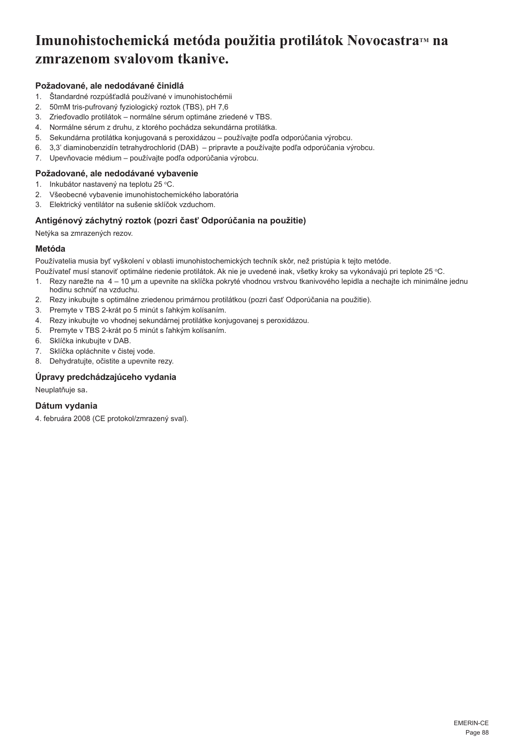# **Imunohistochemická metóda použitia protilátok Novocastra™ na zmrazenom svalovom tkanive.**

## **Požadované, ale nedodávané činidlá**

- 1. Štandardné rozpúšťadlá používané v imunohistochémii
- 2. 50mM tris-pufrovaný fyziologický roztok (TBS), pH 7,6
- 3. Zrieďovadlo protilátok normálne sérum optimáne zriedené v TBS.
- 4. Normálne sérum z druhu, z ktorého pochádza sekundárna protilátka.
- 5. Sekundárna protilátka konjugovaná s peroxidázou používajte podľa odporúčania výrobcu.
- 6. 3,3' diaminobenzidín tetrahydrochlorid (DAB) pripravte a používajte podľa odporúčania výrobcu.
- 7. Upevňovacie médium používajte podľa odporúčania výrobcu.

## **Požadované, ale nedodávané vybavenie**

- 1. Inkubátor nastavený na teplotu 25 °C.
- 2. Všeobecné vybavenie imunohistochemického laboratória
- 3. Elektrický ventilátor na sušenie sklíčok vzduchom.

## **Antigénový záchytný roztok (pozri časť Odporúčania na použitie)**

Netýka sa zmrazených rezov.

## **Metóda**

Používatelia musia byť vyškolení v oblasti imunohistochemických techník skôr, než pristúpia k tejto metóde.

- Používateľ musí stanoviť optimálne riedenie protilátok. Ak nie je uvedené inak, všetky kroky sa vykonávajú pri teplote 25 °C.
- 1. Rezy narežte na 4 10 µm a upevnite na sklíčka pokryté vhodnou vrstvou tkanivového lepidla a nechajte ich minimálne jednu hodinu schnúť na vzduchu.
- 2. Rezy inkubujte s optimálne zriedenou primárnou protilátkou (pozri časť Odporúčania na použitie).
- 3. Premyte v TBS 2-krát po 5 minút s ľahkým kolísaním.
- 4. Rezy inkubujte vo vhodnej sekundárnej protilátke konjugovanej s peroxidázou.
- 5. Premyte v TBS 2-krát po 5 minút s ľahkým kolísaním.
- 6. Sklíčka inkubujte v DAB.
- 7. Sklíčka opláchnite v čistej vode.
- 8. Dehydratujte, očistite a upevnite rezy.

## **Úpravy predchádzajúceho vydania**

Neuplatňuje sa.

### **Dátum vydania**

4. februára 2008 (CE protokol/zmrazený sval).